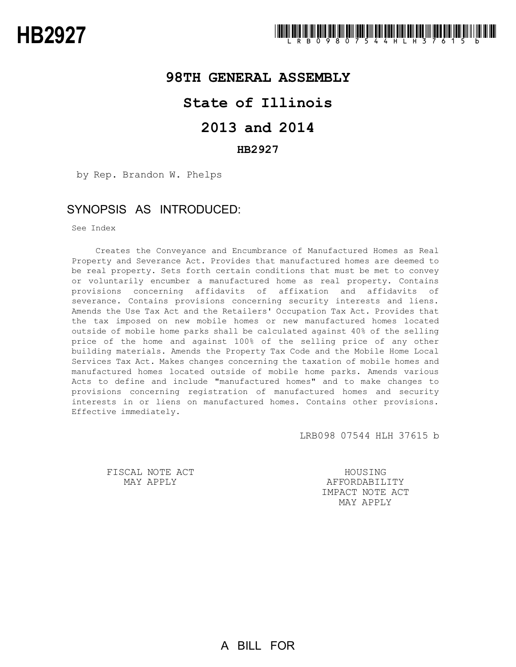## **98TH GENERAL ASSEMBLY**

# **State of Illinois**

# **2013 and 2014**

### **HB2927**

by Rep. Brandon W. Phelps

## SYNOPSIS AS INTRODUCED:

See Index

Creates the Conveyance and Encumbrance of Manufactured Homes as Real Property and Severance Act. Provides that manufactured homes are deemed to be real property. Sets forth certain conditions that must be met to convey or voluntarily encumber a manufactured home as real property. Contains provisions concerning affidavits of affixation and affidavits of severance. Contains provisions concerning security interests and liens. Amends the Use Tax Act and the Retailers' Occupation Tax Act. Provides that the tax imposed on new mobile homes or new manufactured homes located outside of mobile home parks shall be calculated against 40% of the selling price of the home and against 100% of the selling price of any other building materials. Amends the Property Tax Code and the Mobile Home Local Services Tax Act. Makes changes concerning the taxation of mobile homes and manufactured homes located outside of mobile home parks. Amends various Acts to define and include "manufactured homes" and to make changes to provisions concerning registration of manufactured homes and security interests in or liens on manufactured homes. Contains other provisions. Effective immediately.

LRB098 07544 HLH 37615 b

FISCAL NOTE ACT MAY APPLY

**HOUSING** AFFORDABILITY IMPACT NOTE ACT MAY APPLY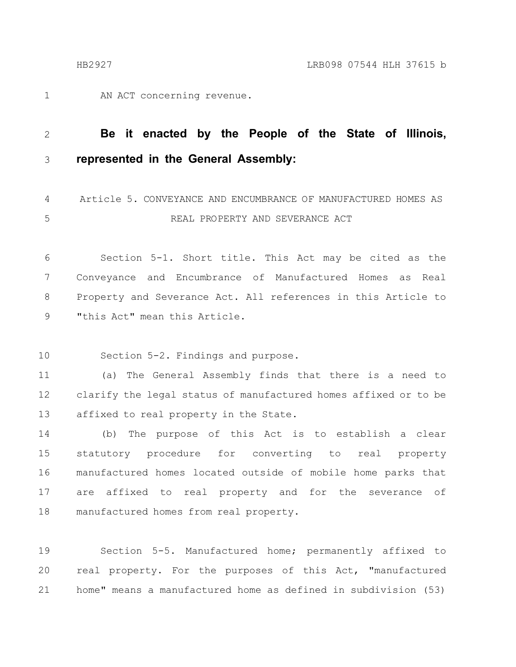AN ACT concerning revenue. 1

#### **Be it enacted by the People of the State of Illinois, represented in the General Assembly:** 2 3

Article 5. CONVEYANCE AND ENCUMBRANCE OF MANUFACTURED HOMES AS REAL PROPERTY AND SEVERANCE ACT 4 5

Section 5-1. Short title. This Act may be cited as the Conveyance and Encumbrance of Manufactured Homes as Real Property and Severance Act. All references in this Article to "this Act" mean this Article. 6 7 8 9

Section 5-2. Findings and purpose. 10

(a) The General Assembly finds that there is a need to clarify the legal status of manufactured homes affixed or to be affixed to real property in the State. 11 12 13

(b) The purpose of this Act is to establish a clear statutory procedure for converting to real property manufactured homes located outside of mobile home parks that are affixed to real property and for the severance of manufactured homes from real property. 14 15 16 17 18

Section 5-5. Manufactured home; permanently affixed to real property. For the purposes of this Act, "manufactured home" means a manufactured home as defined in subdivision (53) 19 20 21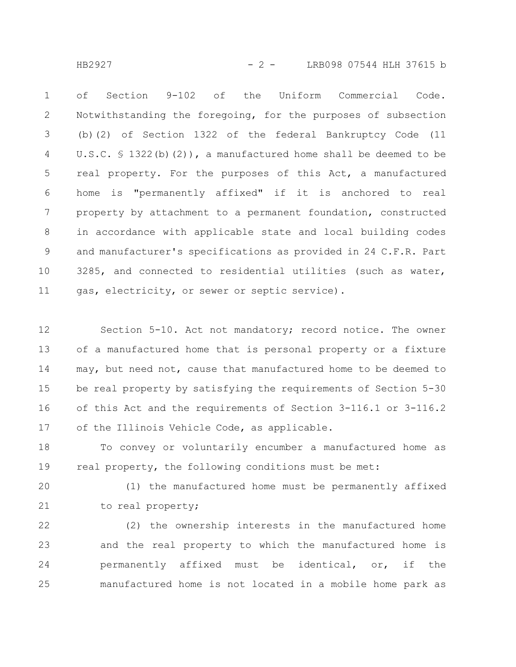HB2927 - 2 - LRB098 07544 HLH 37615 b

of Section 9-102 of the Uniform Commercial Code. Notwithstanding the foregoing, for the purposes of subsection (b)(2) of Section 1322 of the federal Bankruptcy Code (11 U.S.C.  $\frac{1322(b)(2)}{b}$ , a manufactured home shall be deemed to be real property. For the purposes of this Act, a manufactured home is "permanently affixed" if it is anchored to real property by attachment to a permanent foundation, constructed in accordance with applicable state and local building codes and manufacturer's specifications as provided in 24 C.F.R. Part 3285, and connected to residential utilities (such as water, gas, electricity, or sewer or septic service). 1 2 3 4 5 6 7 8 9 10 11

Section 5-10. Act not mandatory; record notice. The owner of a manufactured home that is personal property or a fixture may, but need not, cause that manufactured home to be deemed to be real property by satisfying the requirements of Section 5-30 of this Act and the requirements of Section 3-116.1 or 3-116.2 of the Illinois Vehicle Code, as applicable. 12 13 14 15 16 17

To convey or voluntarily encumber a manufactured home as real property, the following conditions must be met: 18 19

(1) the manufactured home must be permanently affixed to real property; 20 21

(2) the ownership interests in the manufactured home and the real property to which the manufactured home is permanently affixed must be identical, or, if the manufactured home is not located in a mobile home park as 22 23 24 25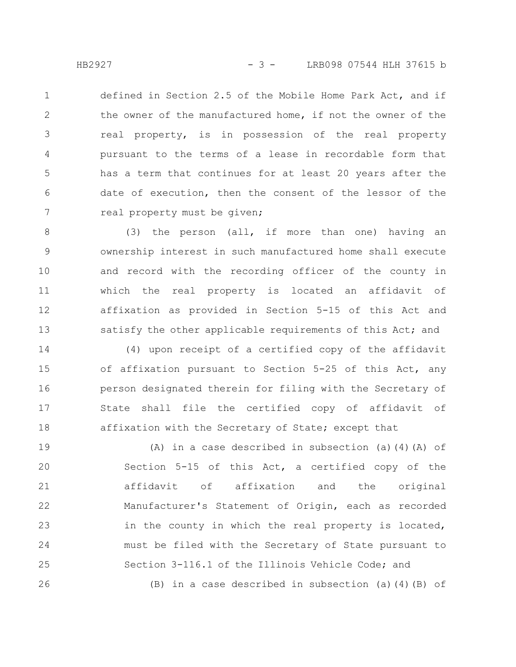defined in Section 2.5 of the Mobile Home Park Act, and if the owner of the manufactured home, if not the owner of the real property, is in possession of the real property pursuant to the terms of a lease in recordable form that has a term that continues for at least 20 years after the date of execution, then the consent of the lessor of the real property must be given; 1 2 3 4 5 6 7

(3) the person (all, if more than one) having an ownership interest in such manufactured home shall execute and record with the recording officer of the county in which the real property is located an affidavit of affixation as provided in Section 5-15 of this Act and satisfy the other applicable requirements of this Act; and 8 9 10 11 12 13

(4) upon receipt of a certified copy of the affidavit of affixation pursuant to Section 5-25 of this Act, any person designated therein for filing with the Secretary of State shall file the certified copy of affidavit of affixation with the Secretary of State; except that 14 15 16 17 18

(A) in a case described in subsection (a)(4)(A) of Section 5-15 of this Act, a certified copy of the affidavit of affixation and the original Manufacturer's Statement of Origin, each as recorded in the county in which the real property is located, must be filed with the Secretary of State pursuant to Section 3-116.1 of the Illinois Vehicle Code; and (B) in a case described in subsection (a)(4)(B) of 19 20 21 22 23 24 25 26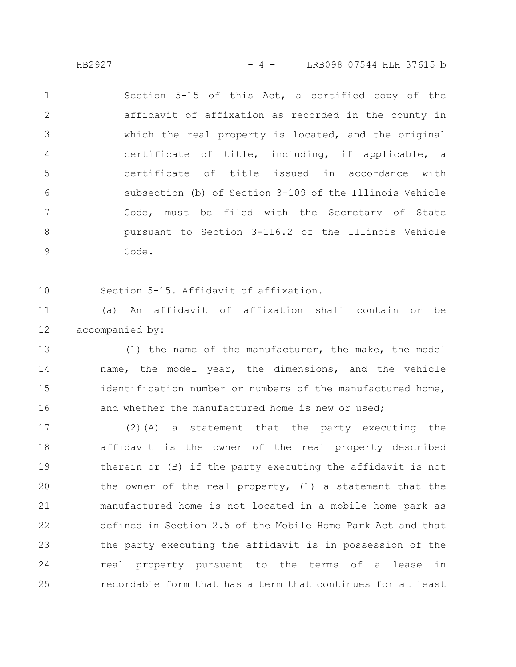HB2927 - 4 - LRB098 07544 HLH 37615 b

Section 5-15 of this Act, a certified copy of the affidavit of affixation as recorded in the county in which the real property is located, and the original certificate of title, including, if applicable, a certificate of title issued in accordance with subsection (b) of Section 3-109 of the Illinois Vehicle Code, must be filed with the Secretary of State pursuant to Section 3-116.2 of the Illinois Vehicle Code. 1 2 3 4 5 6 7 8 9

10

Section 5-15. Affidavit of affixation.

(a) An affidavit of affixation shall contain or be accompanied by: 11 12

(1) the name of the manufacturer, the make, the model name, the model year, the dimensions, and the vehicle identification number or numbers of the manufactured home, and whether the manufactured home is new or used; 13 14 15 16

(2)(A) a statement that the party executing the affidavit is the owner of the real property described therein or (B) if the party executing the affidavit is not the owner of the real property, (1) a statement that the manufactured home is not located in a mobile home park as defined in Section 2.5 of the Mobile Home Park Act and that the party executing the affidavit is in possession of the real property pursuant to the terms of a lease in recordable form that has a term that continues for at least 17 18 19 20 21 22 23 24 25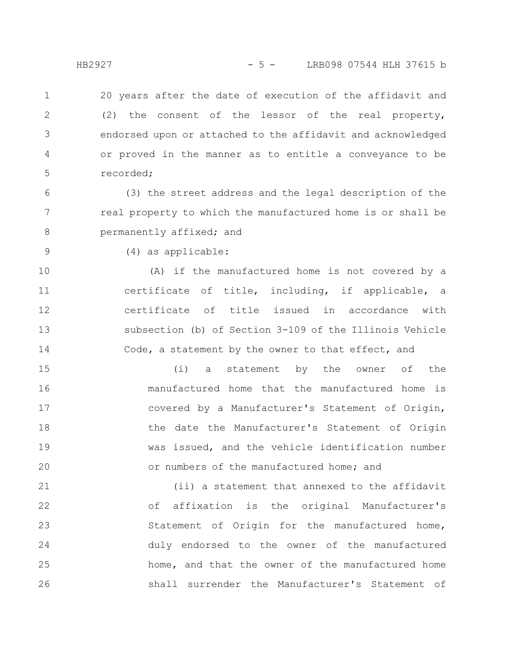20 years after the date of execution of the affidavit and (2) the consent of the lessor of the real property, endorsed upon or attached to the affidavit and acknowledged or proved in the manner as to entitle a conveyance to be recorded; 1 2 3 4 5

(3) the street address and the legal description of the real property to which the manufactured home is or shall be permanently affixed; and 6 7 8

9

(4) as applicable:

(A) if the manufactured home is not covered by a certificate of title, including, if applicable, a certificate of title issued in accordance with subsection (b) of Section 3-109 of the Illinois Vehicle Code, a statement by the owner to that effect, and 10 11 12 13 14

(i) a statement by the owner of the manufactured home that the manufactured home is covered by a Manufacturer's Statement of Origin, the date the Manufacturer's Statement of Origin was issued, and the vehicle identification number or numbers of the manufactured home; and 15 16 17 18 19 20

(ii) a statement that annexed to the affidavit of affixation is the original Manufacturer's Statement of Origin for the manufactured home, duly endorsed to the owner of the manufactured home, and that the owner of the manufactured home shall surrender the Manufacturer's Statement of 21 22 23 24 25 26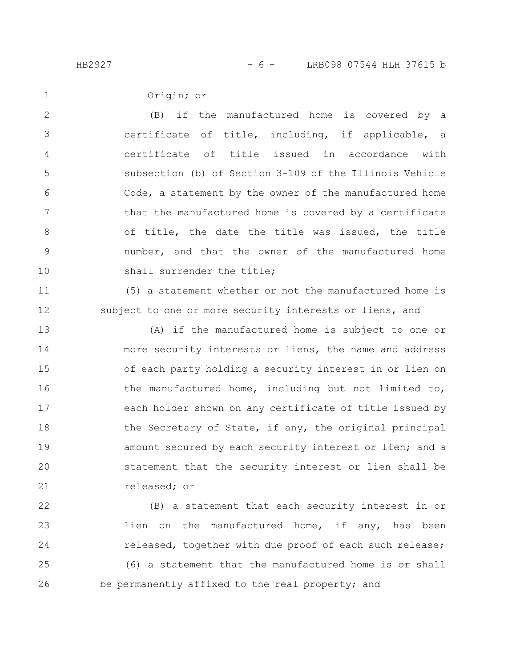1

Origin; or

(B) if the manufactured home is covered by a certificate of title, including, if applicable, a certificate of title issued in accordance with subsection (b) of Section 3-109 of the Illinois Vehicle Code, a statement by the owner of the manufactured home that the manufactured home is covered by a certificate of title, the date the title was issued, the title number, and that the owner of the manufactured home shall surrender the title; 2 3 4 5 6 7 8 9 10

(5) a statement whether or not the manufactured home is subject to one or more security interests or liens, and 11 12

(A) if the manufactured home is subject to one or more security interests or liens, the name and address of each party holding a security interest in or lien on the manufactured home, including but not limited to, each holder shown on any certificate of title issued by the Secretary of State, if any, the original principal amount secured by each security interest or lien; and a statement that the security interest or lien shall be released; or 13 14 15 16 17 18 19 20 21

(B) a statement that each security interest in or lien on the manufactured home, if any, has been released, together with due proof of each such release; (6) a statement that the manufactured home is or shall be permanently affixed to the real property; and 22 23 24 25 26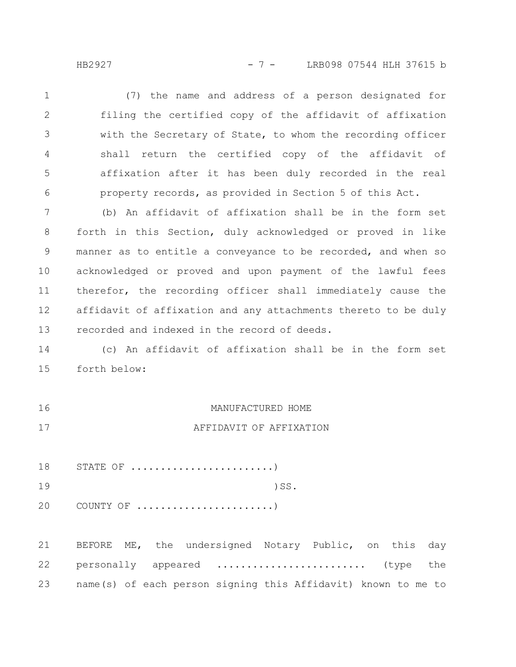HB2927 - 7 - LRB098 07544 HLH 37615 b

(7) the name and address of a person designated for filing the certified copy of the affidavit of affixation with the Secretary of State, to whom the recording officer shall return the certified copy of the affidavit of affixation after it has been duly recorded in the real property records, as provided in Section 5 of this Act. 1 2 3 4 5 6

(b) An affidavit of affixation shall be in the form set forth in this Section, duly acknowledged or proved in like manner as to entitle a conveyance to be recorded, and when so acknowledged or proved and upon payment of the lawful fees therefor, the recording officer shall immediately cause the affidavit of affixation and any attachments thereto to be duly recorded and indexed in the record of deeds. 7 8 9 10 11 12 13

(c) An affidavit of affixation shall be in the form set forth below: 14 15

MANUFACTURED HOME AFFIDAVIT OF AFFIXATION 16 17

STATE OF  $\dots\dots\dots\dots\dots\dots\dots\dots$ 18

)SS. 19

COUNTY OF .......................) 20

BEFORE ME, the undersigned Notary Public, on this day personally appeared ......................... (type the name(s) of each person signing this Affidavit) known to me to 21 22 23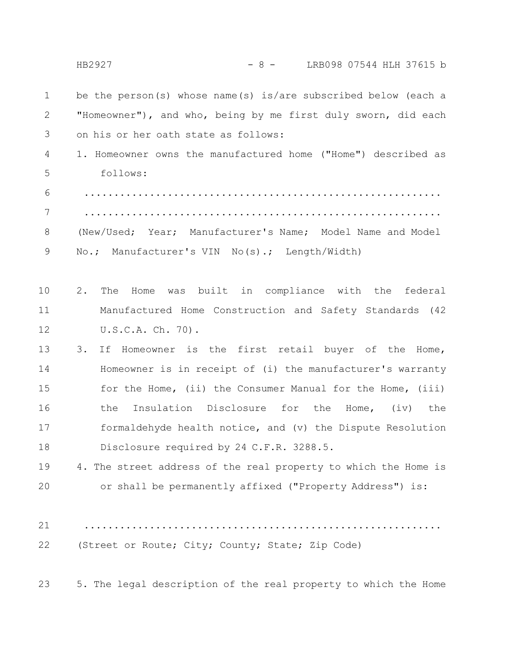|                | $-8 -$<br>LRB098 07544 HLH 37615 b<br>HB2927                     |
|----------------|------------------------------------------------------------------|
| $\mathbf 1$    | be the person(s) whose name(s) is/are subscribed below (each a   |
| 2              | "Homeowner"), and who, being by me first duly sworn, did each    |
| 3              | on his or her oath state as follows:                             |
| 4              | 1. Homeowner owns the manufactured home ("Home") described as    |
| 5              | follows:                                                         |
| 6              |                                                                  |
| $\overline{7}$ |                                                                  |
| 8              | (New/Used; Year; Manufacturer's Name; Model Name and Model       |
| 9              | No.; Manufacturer's VIN No(s).; Length/Width)                    |
|                |                                                                  |
| 10             | was built in compliance with the<br>2.<br>The<br>federal<br>Home |
| 11             | Manufactured Home Construction and Safety Standards (42          |
| 12             | U.S.C.A. Ch. 70).                                                |
| 13             | 3.<br>Homeowner is the first retail buyer of the Home,<br>If     |
| 14             | Homeowner is in receipt of (i) the manufacturer's warranty       |
| 15             | for the Home, (ii) the Consumer Manual for the Home, (iii)       |
| 16             | Insulation Disclosure for the<br>the<br>Home, $(iv)$ the         |
| 17             | formaldehyde health notice, and (v) the Dispute Resolution       |
| 18             | Disclosure required by 24 C.F.R. 3288.5.                         |
| 19             | 4. The street address of the real property to which the Home is  |
| 20             | or shall be permanently affixed ("Property Address") is:         |
|                |                                                                  |
| 21             |                                                                  |
| 22             | (Street or Route; City; County; State; Zip Code)                 |
|                |                                                                  |
| 23             | 5. The legal description of the real property to which the Home  |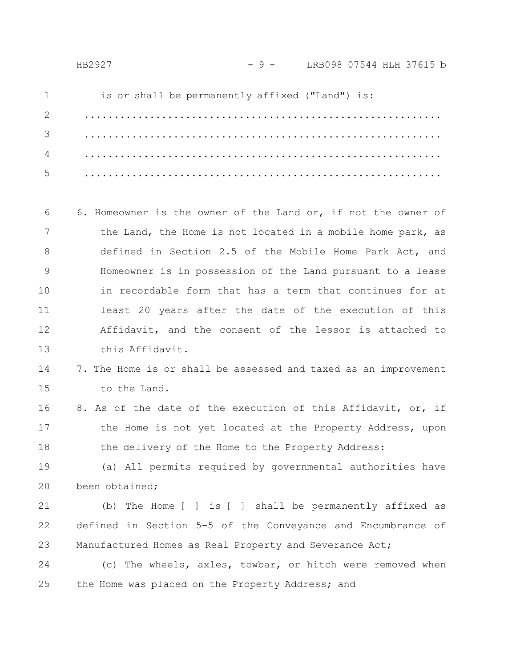3

6. Homeowner is the owner of the Land or, if not the owner of the Land, the Home is not located in a mobile home park, as defined in Section 2.5 of the Mobile Home Park Act, and Homeowner is in possession of the Land pursuant to a lease in recordable form that has a term that continues for at least 20 years after the date of the execution of this Affidavit, and the consent of the lessor is attached to this Affidavit. 6 7 8 9 10 11 12 13

#### 7. The Home is or shall be assessed and taxed as an improvement to the Land. 14 15

8. As of the date of the execution of this Affidavit, or, if the Home is not yet located at the Property Address, upon the delivery of the Home to the Property Address: 16 17 18

(a) All permits required by governmental authorities have been obtained; 19 20

(b) The Home [ ] is [ ] shall be permanently affixed as defined in Section 5-5 of the Conveyance and Encumbrance of Manufactured Homes as Real Property and Severance Act; 21 22 23

(c) The wheels, axles, towbar, or hitch were removed when the Home was placed on the Property Address; and 24 25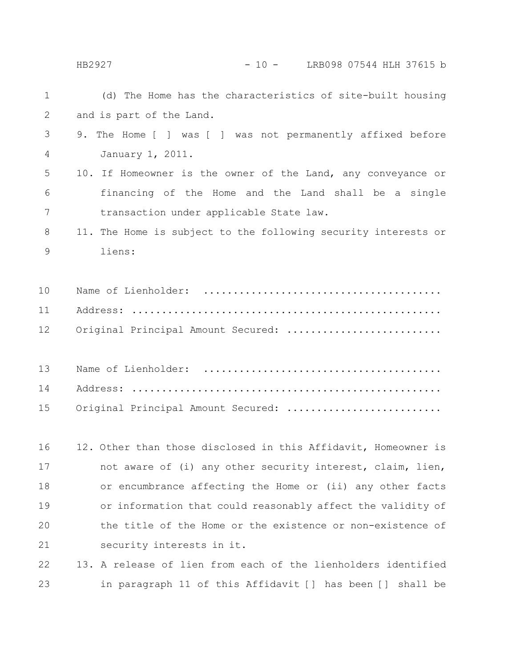### HB2927 - 10 - LRB098 07544 HLH 37615 b

| $\mathbf 1$ | (d) The Home has the characteristics of site-built housing     |
|-------------|----------------------------------------------------------------|
| 2           | and is part of the Land.                                       |
| 3           | 9.<br>The Home [ ] was [ ] was not permanently affixed before  |
| 4           | January 1, 2011.                                               |
| 5           | 10. If Homeowner is the owner of the Land, any conveyance or   |
| 6           | financing of the Home and the Land shall be a single           |
| 7           | transaction under applicable State law.                        |
| 8           | 11. The Home is subject to the following security interests or |
| 9           | liens:                                                         |
|             |                                                                |
| 10          |                                                                |
| 11          |                                                                |
| 12          | Original Principal Amount Secured:                             |
|             |                                                                |
| 13          |                                                                |
| 14          |                                                                |
| 15          | Original Principal Amount Secured:                             |
|             |                                                                |
| 16          | 12. Other than those disclosed in this Affidavit, Homeowner is |
| 17          | not aware of (i) any other security interest, claim, lien,     |
| 18          | or encumbrance affecting the Home or (ii) any other facts      |
| 19          | or information that could reasonably affect the validity of    |
| 20          | the title of the Home or the existence or non-existence of     |
| 21          | security interests in it.                                      |
| 22          | 13. A release of lien from each of the lienholders identified  |
| 23          | in paragraph 11 of this Affidavit [] has been [] shall be      |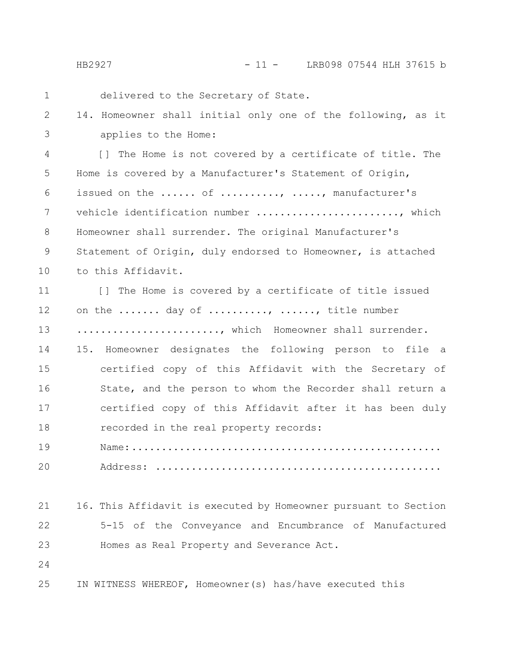HB2927 - 11 - LRB098 07544 HLH 37615 b

| $\mathbf 1$ | delivered to the Secretary of State.                            |
|-------------|-----------------------------------------------------------------|
| 2           | 14. Homeowner shall initial only one of the following, as it    |
| 3           | applies to the Home:                                            |
| 4           | [] The Home is not covered by a certificate of title. The       |
| 5           | Home is covered by a Manufacturer's Statement of Origin,        |
| 6           | issued on the  of , , manufacturer's                            |
| 7           | vehicle identification number , which                           |
| 8           | Homeowner shall surrender. The original Manufacturer's          |
| 9           | Statement of Origin, duly endorsed to Homeowner, is attached    |
| 10          | to this Affidavit.                                              |
| 11          | [] The Home is covered by a certificate of title issued         |
| 12          | on the  day of , , title number                                 |
| 13          | , which Homeowner shall surrender.                              |
| 14          | 15. Homeowner designates the following person to file a         |
| 15          | certified copy of this Affidavit with the Secretary of          |
| 16          | State, and the person to whom the Recorder shall return a       |
| 17          | certified copy of this Affidavit after it has been duly         |
| 18          | recorded in the real property records:                          |
| 19          |                                                                 |
| 20          | Address:                                                        |
|             |                                                                 |
| 21          | 16. This Affidavit is executed by Homeowner pursuant to Section |
| 22          | 5-15 of the Conveyance and Encumbrance of Manufactured          |
| 23          | Homes as Real Property and Severance Act.                       |
| 24          |                                                                 |
| 25          | IN WITNESS WHEREOF, Homeowner(s) has/have executed this         |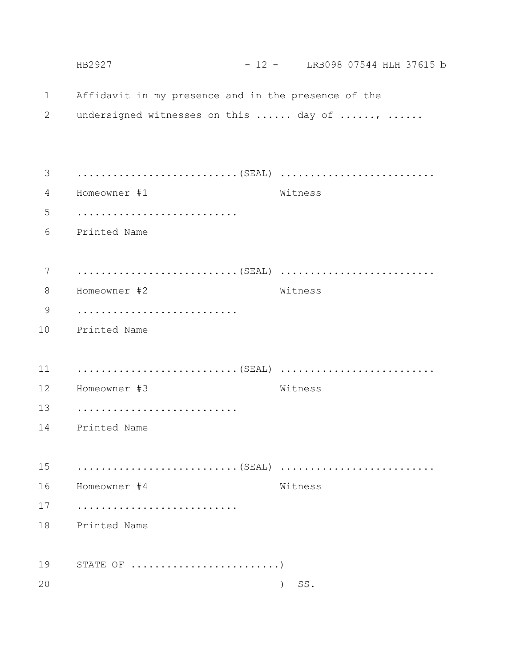|             | HB2927                                                    | $-12 -$ LRB098 07544 HLH 37615 b |  |
|-------------|-----------------------------------------------------------|----------------------------------|--|
| $\mathbf 1$ | Affidavit in my presence and in the presence of the       |                                  |  |
| 2           | undersigned witnesses on this  day of ,                   |                                  |  |
|             |                                                           |                                  |  |
| 3           |                                                           |                                  |  |
| 4           | Homeowner #1                                              | Witness                          |  |
| 5           |                                                           |                                  |  |
| 6           | Printed Name                                              |                                  |  |
|             |                                                           |                                  |  |
| 7           |                                                           |                                  |  |
| 8           | Homeowner #2                                              | Witness                          |  |
| 9           |                                                           |                                  |  |
| 10          | Printed Name                                              |                                  |  |
|             |                                                           |                                  |  |
| 11          |                                                           |                                  |  |
| 12          | Homeowner #3                                              | Witness                          |  |
| 13          |                                                           |                                  |  |
| 14          | Printed Name                                              |                                  |  |
|             |                                                           |                                  |  |
| 15          |                                                           |                                  |  |
| 16          | Homeowner #4                                              | Witness                          |  |
| 17          |                                                           |                                  |  |
| 18          | Printed Name                                              |                                  |  |
|             |                                                           |                                  |  |
| 19          | STATE OF $\dots\dots\dots\dots\dots\dots\dots\dots\dots)$ |                                  |  |
| 20          |                                                           | SS.                              |  |
|             |                                                           |                                  |  |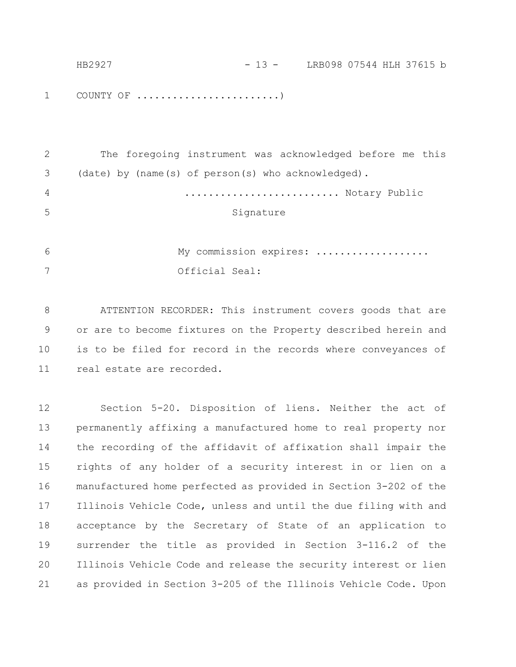| HB2927 | - 13 - LRB098 07544 HLH 37615 b |  |  |  |
|--------|---------------------------------|--|--|--|
|        |                                 |  |  |  |
|        |                                 |  |  |  |

COUNTY OF ........................) 1

| 3 (date) by (name(s) of person(s) who acknowledged).<br>$\overline{4}$ |    | The foregoing instrument was acknowledged before me this |
|------------------------------------------------------------------------|----|----------------------------------------------------------|
|                                                                        |    |                                                          |
|                                                                        |    | Notary Public                                            |
|                                                                        | .5 | Signature                                                |

My commission expires: .................. Official Seal: 6 7

ATTENTION RECORDER: This instrument covers goods that are or are to become fixtures on the Property described herein and is to be filed for record in the records where conveyances of real estate are recorded. 8 9 10 11

Section 5-20. Disposition of liens. Neither the act of permanently affixing a manufactured home to real property nor the recording of the affidavit of affixation shall impair the rights of any holder of a security interest in or lien on a manufactured home perfected as provided in Section 3-202 of the Illinois Vehicle Code, unless and until the due filing with and acceptance by the Secretary of State of an application to surrender the title as provided in Section 3-116.2 of the Illinois Vehicle Code and release the security interest or lien as provided in Section 3-205 of the Illinois Vehicle Code. Upon 12 13 14 15 16 17 18 19 20 21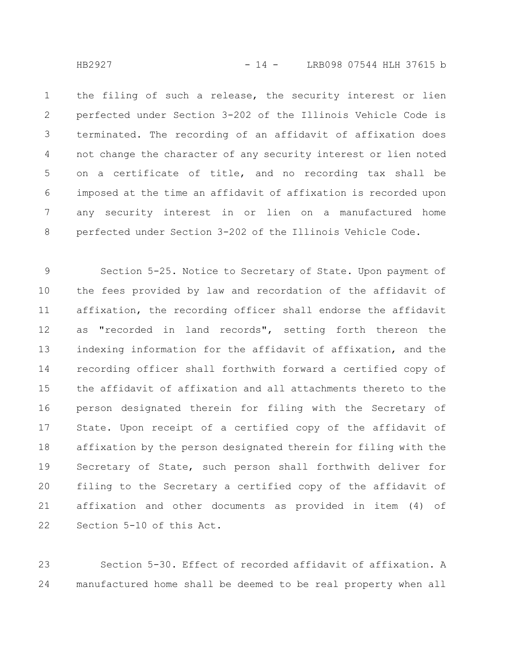the filing of such a release, the security interest or lien perfected under Section 3-202 of the Illinois Vehicle Code is terminated. The recording of an affidavit of affixation does not change the character of any security interest or lien noted on a certificate of title, and no recording tax shall be imposed at the time an affidavit of affixation is recorded upon any security interest in or lien on a manufactured home perfected under Section 3-202 of the Illinois Vehicle Code. 1 2 3 4 5 6 7 8

Section 5-25. Notice to Secretary of State. Upon payment of the fees provided by law and recordation of the affidavit of affixation, the recording officer shall endorse the affidavit as "recorded in land records", setting forth thereon the indexing information for the affidavit of affixation, and the recording officer shall forthwith forward a certified copy of the affidavit of affixation and all attachments thereto to the person designated therein for filing with the Secretary of State. Upon receipt of a certified copy of the affidavit of affixation by the person designated therein for filing with the Secretary of State, such person shall forthwith deliver for filing to the Secretary a certified copy of the affidavit of affixation and other documents as provided in item (4) of Section 5-10 of this Act. 9 10 11 12 13 14 15 16 17 18 19 20 21 22

Section 5-30. Effect of recorded affidavit of affixation. A manufactured home shall be deemed to be real property when all 23 24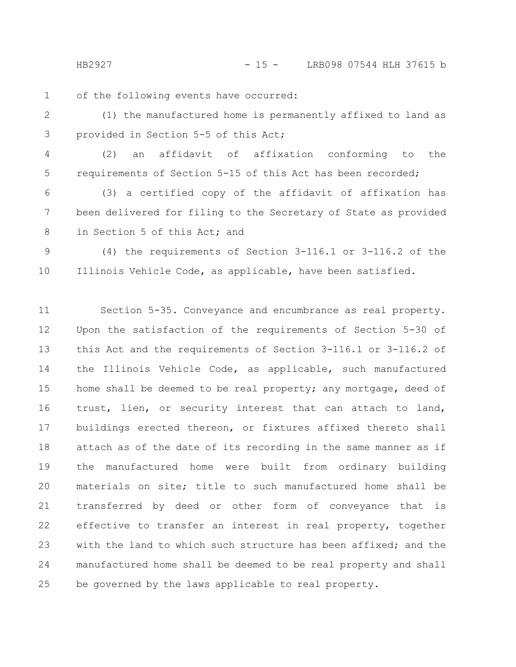HB2927 - 15 - LRB098 07544 HLH 37615 b

of the following events have occurred: 1

- (1) the manufactured home is permanently affixed to land as provided in Section 5-5 of this Act; 2 3
- (2) an affidavit of affixation conforming to the requirements of Section 5-15 of this Act has been recorded; 4 5

(3) a certified copy of the affidavit of affixation has been delivered for filing to the Secretary of State as provided in Section 5 of this Act; and 6 7 8

(4) the requirements of Section 3-116.1 or 3-116.2 of the Illinois Vehicle Code, as applicable, have been satisfied. 9 10

Section 5-35. Conveyance and encumbrance as real property. Upon the satisfaction of the requirements of Section 5-30 of this Act and the requirements of Section 3-116.1 or 3-116.2 of the Illinois Vehicle Code, as applicable, such manufactured home shall be deemed to be real property; any mortgage, deed of trust, lien, or security interest that can attach to land, buildings erected thereon, or fixtures affixed thereto shall attach as of the date of its recording in the same manner as if the manufactured home were built from ordinary building materials on site; title to such manufactured home shall be transferred by deed or other form of conveyance that is effective to transfer an interest in real property, together with the land to which such structure has been affixed; and the manufactured home shall be deemed to be real property and shall be governed by the laws applicable to real property. 11 12 13 14 15 16 17 18 19 20 21 22 23 24 25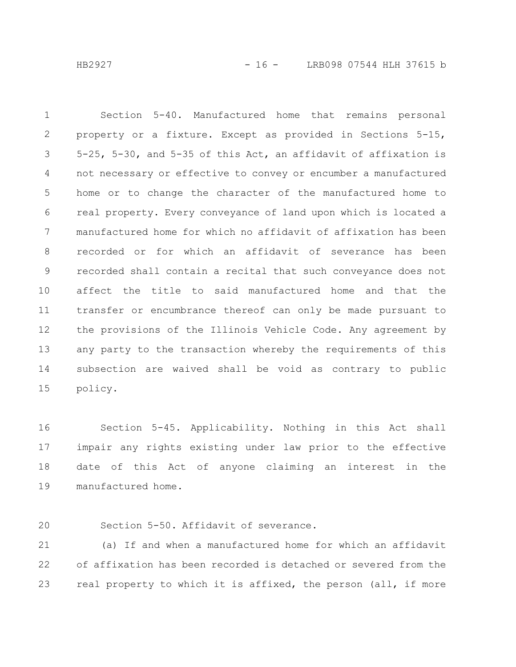Section 5-40. Manufactured home that remains personal property or a fixture. Except as provided in Sections 5-15, 5-25, 5-30, and 5-35 of this Act, an affidavit of affixation is not necessary or effective to convey or encumber a manufactured home or to change the character of the manufactured home to real property. Every conveyance of land upon which is located a manufactured home for which no affidavit of affixation has been recorded or for which an affidavit of severance has been recorded shall contain a recital that such conveyance does not affect the title to said manufactured home and that the transfer or encumbrance thereof can only be made pursuant to the provisions of the Illinois Vehicle Code. Any agreement by any party to the transaction whereby the requirements of this subsection are waived shall be void as contrary to public policy. 1 2 3 4 5 6 7 8 9 10 11 12 13 14 15

Section 5-45. Applicability. Nothing in this Act shall impair any rights existing under law prior to the effective date of this Act of anyone claiming an interest in the manufactured home. 16 17 18 19

Section 5-50. Affidavit of severance. 20

(a) If and when a manufactured home for which an affidavit of affixation has been recorded is detached or severed from the real property to which it is affixed, the person (all, if more 21 22 23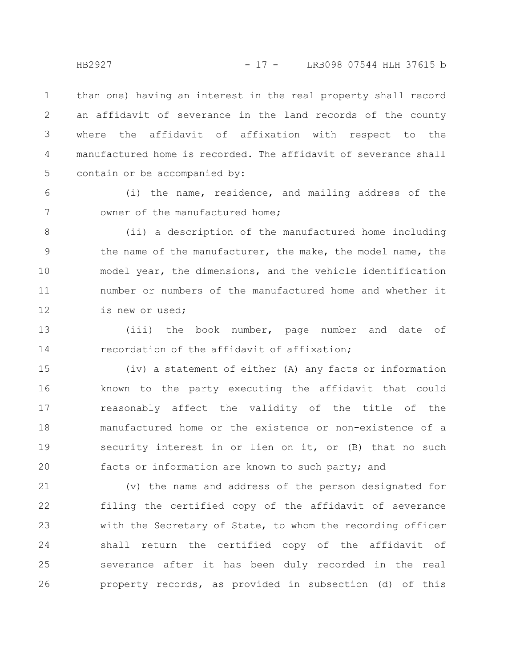than one) having an interest in the real property shall record an affidavit of severance in the land records of the county where the affidavit of affixation with respect to the manufactured home is recorded. The affidavit of severance shall contain or be accompanied by: 1 2 3 4 5

6 7

(i) the name, residence, and mailing address of the owner of the manufactured home;

(ii) a description of the manufactured home including the name of the manufacturer, the make, the model name, the model year, the dimensions, and the vehicle identification number or numbers of the manufactured home and whether it is new or used; 8 9 10 11 12

(iii) the book number, page number and date of recordation of the affidavit of affixation; 13 14

(iv) a statement of either (A) any facts or information known to the party executing the affidavit that could reasonably affect the validity of the title of the manufactured home or the existence or non-existence of a security interest in or lien on it, or (B) that no such facts or information are known to such party; and 15 16 17 18 19 20

(v) the name and address of the person designated for filing the certified copy of the affidavit of severance with the Secretary of State, to whom the recording officer shall return the certified copy of the affidavit of severance after it has been duly recorded in the real property records, as provided in subsection (d) of this 21 22 23 24 25 26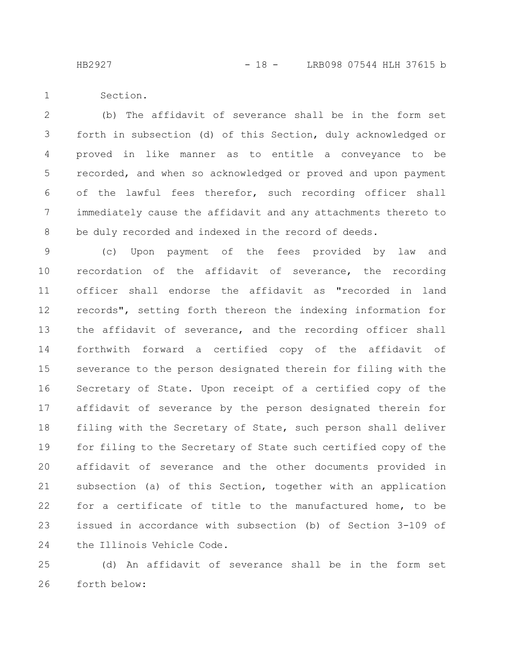HB2927 - 18 - LRB098 07544 HLH 37615 b

Section. 1

(b) The affidavit of severance shall be in the form set forth in subsection (d) of this Section, duly acknowledged or proved in like manner as to entitle a conveyance to be recorded, and when so acknowledged or proved and upon payment of the lawful fees therefor, such recording officer shall immediately cause the affidavit and any attachments thereto to be duly recorded and indexed in the record of deeds. 2 3 4 5 6 7 8

(c) Upon payment of the fees provided by law and recordation of the affidavit of severance, the recording officer shall endorse the affidavit as "recorded in land records", setting forth thereon the indexing information for the affidavit of severance, and the recording officer shall forthwith forward a certified copy of the affidavit of severance to the person designated therein for filing with the Secretary of State. Upon receipt of a certified copy of the affidavit of severance by the person designated therein for filing with the Secretary of State, such person shall deliver for filing to the Secretary of State such certified copy of the affidavit of severance and the other documents provided in subsection (a) of this Section, together with an application for a certificate of title to the manufactured home, to be issued in accordance with subsection (b) of Section 3-109 of the Illinois Vehicle Code. 9 10 11 12 13 14 15 16 17 18 19 20 21 22 23 24

(d) An affidavit of severance shall be in the form set forth below: 25 26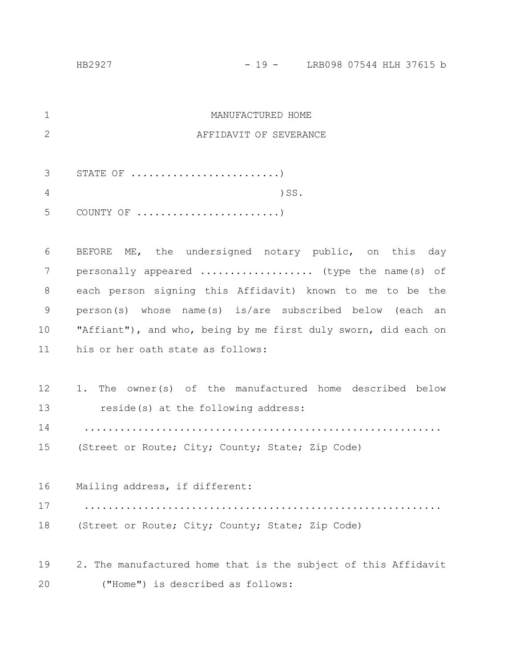| $\mathbf{1}$  | MANUFACTURED HOME                                              |
|---------------|----------------------------------------------------------------|
| $\mathbf{2}$  | AFFIDAVIT OF SEVERANCE                                         |
|               |                                                                |
| 3             | STATE OF $\dots\dots\dots\dots\dots\dots\dots\dots\dots\dots)$ |
| 4             | $)$ SS.                                                        |
| 5             |                                                                |
|               |                                                                |
| 6             | BEFORE ME, the undersigned notary public, on this day          |
| 7             | personally appeared  (type the name (s) of                     |
| 8             | each person signing this Affidavit) known to me to be the      |
| $\mathcal{G}$ | person(s) whose name(s) is/are subscribed below (each an       |
| 10            | "Affiant"), and who, being by me first duly sworn, did each on |
| 11            | his or her oath state as follows:                              |
|               |                                                                |
| 12            | The owner(s) of the manufactured home described below<br>1.    |
| 13            | reside(s) at the following address:                            |
| 14            |                                                                |
| 15            | (Street or Route; City; County; State; Zip Code)               |
|               |                                                                |
| 16            | Mailing address, if different:                                 |
| 17            |                                                                |
| 18            | (Street or Route; City; County; State; Zip Code)               |
|               |                                                                |
| 19            | 2. The manufactured home that is the subject of this Affidavit |
| 20            | ("Home") is described as follows:                              |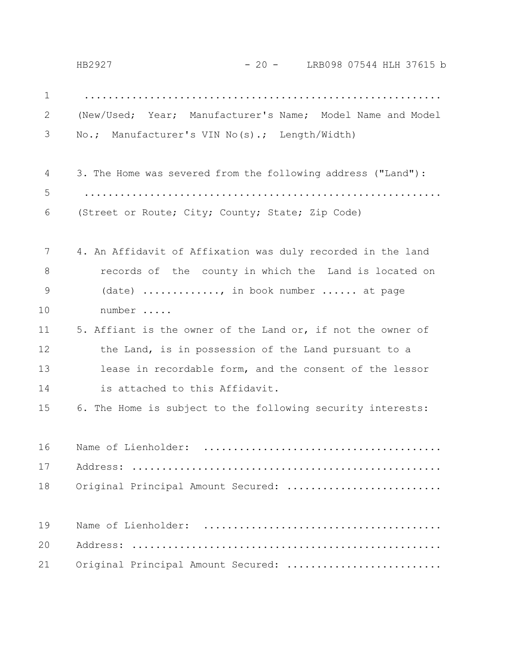............................................................ (New/Used; Year; Manufacturer's Name; Model Name and Model No.; Manufacturer's VIN No(s).; Length/Width) 3. The Home was severed from the following address ("Land"): ............................................................ (Street or Route; City; County; State; Zip Code) 4. An Affidavit of Affixation was duly recorded in the land records of the county in which the Land is located on (date) ............, in book number ...... at page number ..... 5. Affiant is the owner of the Land or, if not the owner of the Land, is in possession of the Land pursuant to a lease in recordable form, and the consent of the lessor is attached to this Affidavit. 6. The Home is subject to the following security interests: Name of Lienholder: ........................................ Address: .................................................... Original Principal Amount Secured: .......................... Name of Lienholder: ........................................ Address: .................................................... Original Principal Amount Secured: .......................... 1 2 3 4 5 6 7 8 9 10 11 12 13 14 15 16 17 18 19 20 21 HB2927 - 20 - LRB098 07544 HLH 37615 b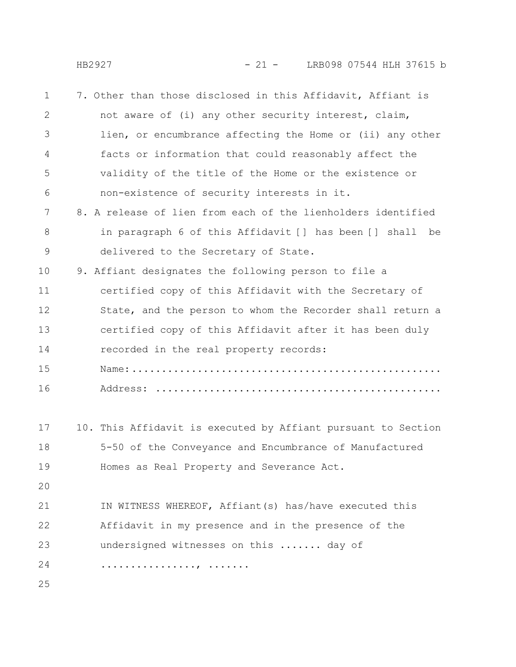HB2927 - 21 - LRB098 07544 HLH 37615 b

| $\mathbf 1$ | 7. Other than those disclosed in this Affidavit, Affiant is   |
|-------------|---------------------------------------------------------------|
| 2           | not aware of (i) any other security interest, claim,          |
| 3           | lien, or encumbrance affecting the Home or (ii) any other     |
| 4           | facts or information that could reasonably affect the         |
| 5           | validity of the title of the Home or the existence or         |
| 6           | non-existence of security interests in it.                    |
| 7           | 8. A release of lien from each of the lienholders identified  |
| 8           | in paragraph 6 of this Affidavit [] has been [] shall<br>be   |
| 9           | delivered to the Secretary of State.                          |
| 10          | 9. Affiant designates the following person to file a          |
| 11          | certified copy of this Affidavit with the Secretary of        |
| 12          | State, and the person to whom the Recorder shall return a     |
| 13          | certified copy of this Affidavit after it has been duly       |
| 14          | recorded in the real property records:                        |
| 15          |                                                               |
| 16          |                                                               |
|             |                                                               |
| 17          | 10. This Affidavit is executed by Affiant pursuant to Section |
| 18          | 5-50 of the Conveyance and Encumbrance of Manufactured        |
| 19          | Homes as Real Property and Severance Act.                     |
| 20          |                                                               |
| 21          | IN WITNESS WHEREOF, Affiant (s) has/have executed this        |
| 22          | Affidavit in my presence and in the presence of the           |
| 23          | undersigned witnesses on this  day of                         |
| 24          | .                                                             |
| 25          |                                                               |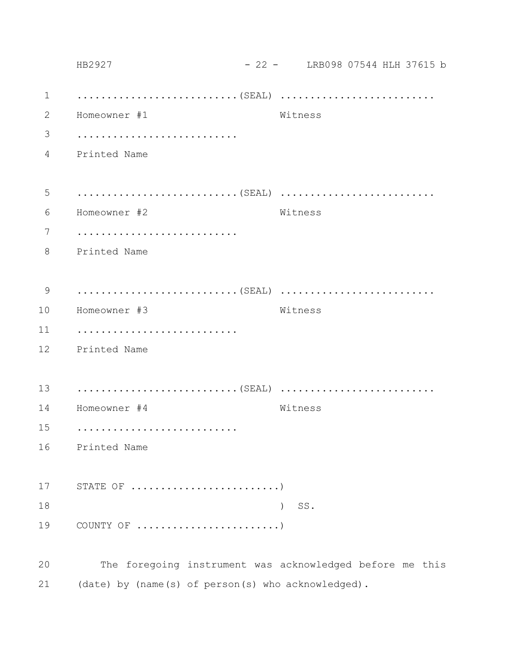|             | HB2927                                                        |               |         | - 22 - LRB098 07544 HLH 37615 b |  |
|-------------|---------------------------------------------------------------|---------------|---------|---------------------------------|--|
| $\mathbf 1$ |                                                               |               |         |                                 |  |
| 2           | Homeowner #1                                                  |               | Witness |                                 |  |
| 3           |                                                               |               |         |                                 |  |
| 4           | Printed Name                                                  |               |         |                                 |  |
|             |                                                               |               |         |                                 |  |
| 5           |                                                               |               |         |                                 |  |
| 6           | Homeowner #2                                                  |               | Witness |                                 |  |
| 7           |                                                               |               |         |                                 |  |
| 8           | Printed Name                                                  |               |         |                                 |  |
|             |                                                               |               |         |                                 |  |
| 9           |                                                               |               |         |                                 |  |
| 10          | Homeowner #3                                                  |               | Witness |                                 |  |
| 11          |                                                               |               |         |                                 |  |
| 12          | Printed Name                                                  |               |         |                                 |  |
|             |                                                               |               |         |                                 |  |
| 13          |                                                               |               |         |                                 |  |
| 14          | Homeowner #4                                                  |               | Witness |                                 |  |
| 15          |                                                               |               |         |                                 |  |
| 16          | Printed Name                                                  |               |         |                                 |  |
|             |                                                               |               |         |                                 |  |
| 17          | STATE OF $\dots\dots\dots\dots\dots\dots\dots\dots\dots\dots$ |               |         |                                 |  |
| 18          |                                                               | $\mathcal{E}$ | SS.     |                                 |  |
| 19          |                                                               |               |         |                                 |  |
|             |                                                               |               |         |                                 |  |
| 20          | The foregoing instrument was acknowledged before me this      |               |         |                                 |  |
| 21          | (date) by (name(s) of person(s) who acknowledged).            |               |         |                                 |  |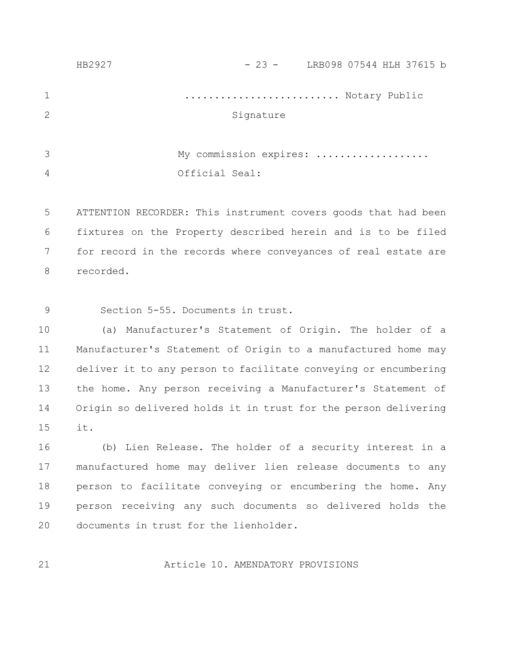|                | HB2927 | $-23 -$ LRB098 07544 HLH 37615 b |
|----------------|--------|----------------------------------|
| $\mathbf 1$    |        | Notary Public                    |
| $\overline{2}$ |        | Signature                        |
|                |        |                                  |
| 3              |        | My commission expires:           |
| 4              |        | Official Seal:                   |
|                |        |                                  |
|                |        |                                  |

ATTENTION RECORDER: This instrument covers goods that had been fixtures on the Property described herein and is to be filed for record in the records where conveyances of real estate are recorded. 5 6 7 8

Section 5-55. Documents in trust. 9

(a) Manufacturer's Statement of Origin. The holder of a Manufacturer's Statement of Origin to a manufactured home may deliver it to any person to facilitate conveying or encumbering the home. Any person receiving a Manufacturer's Statement of Origin so delivered holds it in trust for the person delivering it. 10 11 12 13 14 15

(b) Lien Release. The holder of a security interest in a manufactured home may deliver lien release documents to any person to facilitate conveying or encumbering the home. Any person receiving any such documents so delivered holds the documents in trust for the lienholder. 16 17 18 19 20

21

Article 10. AMENDATORY PROVISIONS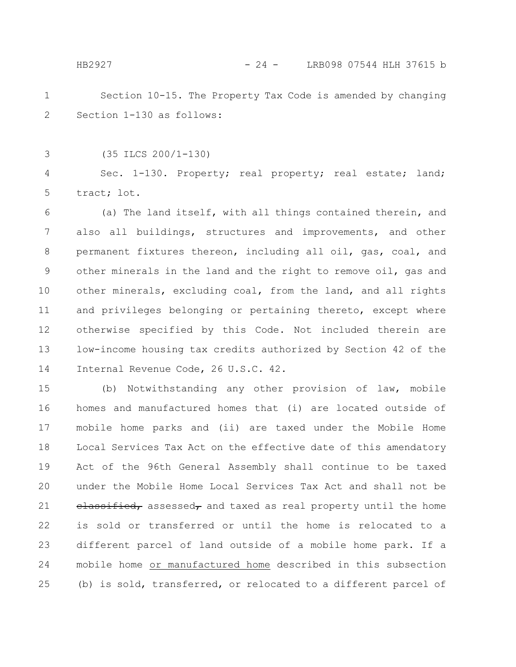#### HB2927 - 24 - LRB098 07544 HLH 37615 b

- Section 10-15. The Property Tax Code is amended by changing Section 1-130 as follows: 1 2
- (35 ILCS 200/1-130) 3

Sec. 1-130. Property; real property; real estate; land; tract; lot. 4 5

(a) The land itself, with all things contained therein, and also all buildings, structures and improvements, and other permanent fixtures thereon, including all oil, gas, coal, and other minerals in the land and the right to remove oil, gas and other minerals, excluding coal, from the land, and all rights and privileges belonging or pertaining thereto, except where otherwise specified by this Code. Not included therein are low-income housing tax credits authorized by Section 42 of the Internal Revenue Code, 26 U.S.C. 42. 6 7 8 9 10 11 12 13 14

(b) Notwithstanding any other provision of law, mobile homes and manufactured homes that (i) are located outside of mobile home parks and (ii) are taxed under the Mobile Home Local Services Tax Act on the effective date of this amendatory Act of the 96th General Assembly shall continue to be taxed under the Mobile Home Local Services Tax Act and shall not be  $e$ **lassified,** assessed, and taxed as real property until the home is sold or transferred or until the home is relocated to a different parcel of land outside of a mobile home park. If a mobile home or manufactured home described in this subsection (b) is sold, transferred, or relocated to a different parcel of 15 16 17 18 19 20 21 22 23 24 25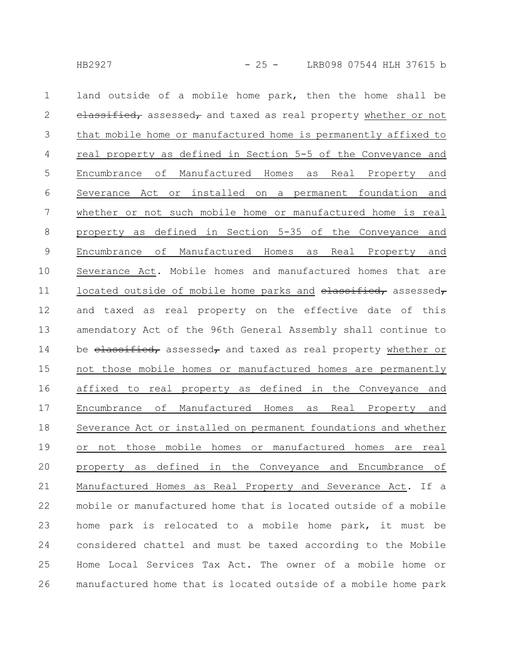land outside of a mobile home park, then the home shall be  $e$ lassified, assessed, and taxed as real property whether or not that mobile home or manufactured home is permanently affixed to real property as defined in Section 5-5 of the Conveyance and Encumbrance of Manufactured Homes as Real Property and Severance Act or installed on a permanent foundation and whether or not such mobile home or manufactured home is real property as defined in Section 5-35 of the Conveyance and Encumbrance of Manufactured Homes as Real Property and Severance Act. Mobile homes and manufactured homes that are located outside of mobile home parks and  $e$ lassified, assessed, and taxed as real property on the effective date of this amendatory Act of the 96th General Assembly shall continue to be elassified, assessed, and taxed as real property whether or not those mobile homes or manufactured homes are permanently affixed to real property as defined in the Conveyance and Encumbrance of Manufactured Homes as Real Property and Severance Act or installed on permanent foundations and whether or not those mobile homes or manufactured homes are real property as defined in the Conveyance and Encumbrance of Manufactured Homes as Real Property and Severance Act. If a mobile or manufactured home that is located outside of a mobile home park is relocated to a mobile home park, it must be considered chattel and must be taxed according to the Mobile Home Local Services Tax Act. The owner of a mobile home or manufactured home that is located outside of a mobile home park 1 2 3 4 5 6 7 8 9 10 11 12 13 14 15 16 17 18 19 20 21 22 23 24 25 26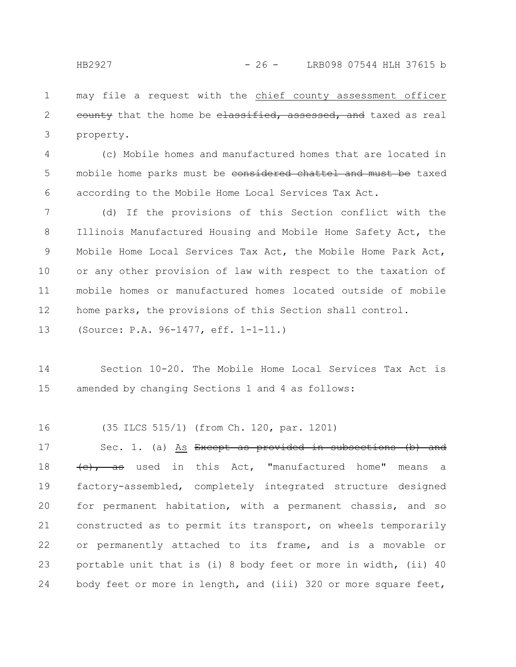may file a request with the chief county assessment officer eounty that the home be elassified, assessed, and taxed as real property. 1 2 3

(c) Mobile homes and manufactured homes that are located in mobile home parks must be considered chattel and must be taxed according to the Mobile Home Local Services Tax Act. 4 5 6

(d) If the provisions of this Section conflict with the Illinois Manufactured Housing and Mobile Home Safety Act, the Mobile Home Local Services Tax Act, the Mobile Home Park Act, or any other provision of law with respect to the taxation of mobile homes or manufactured homes located outside of mobile home parks, the provisions of this Section shall control. 7 8 9 10 11 12

(Source: P.A. 96-1477, eff. 1-1-11.) 13

Section 10-20. The Mobile Home Local Services Tax Act is amended by changing Sections 1 and 4 as follows: 14 15

(35 ILCS 515/1) (from Ch. 120, par. 1201) 16

Sec. 1. (a) As Except as provided in subsections (b) and (c), as used in this Act, "manufactured home" means a factory-assembled, completely integrated structure designed for permanent habitation, with a permanent chassis, and so constructed as to permit its transport, on wheels temporarily or permanently attached to its frame, and is a movable or portable unit that is (i) 8 body feet or more in width, (ii) 40 body feet or more in length, and (iii) 320 or more square feet, 17 18 19 20 21 22 23 24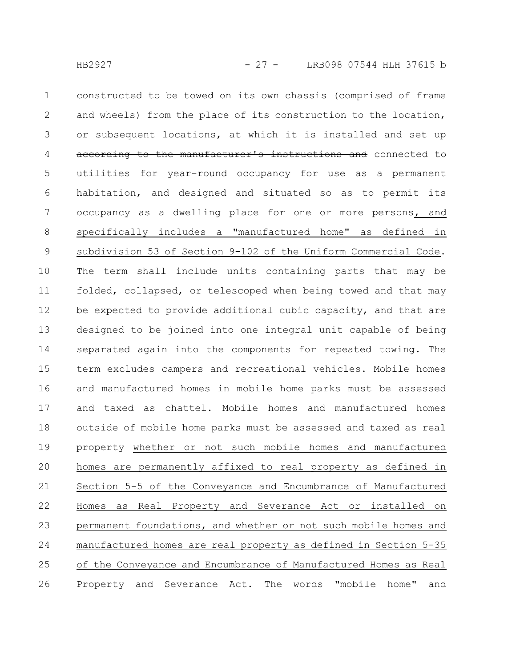constructed to be towed on its own chassis (comprised of frame and wheels) from the place of its construction to the location, or subsequent locations, at which it is installed and set up according to the manufacturer's instructions and connected to utilities for year-round occupancy for use as a permanent habitation, and designed and situated so as to permit its occupancy as a dwelling place for one or more persons, and specifically includes a "manufactured home" as defined in subdivision 53 of Section 9-102 of the Uniform Commercial Code. The term shall include units containing parts that may be folded, collapsed, or telescoped when being towed and that may be expected to provide additional cubic capacity, and that are designed to be joined into one integral unit capable of being separated again into the components for repeated towing. The term excludes campers and recreational vehicles. Mobile homes and manufactured homes in mobile home parks must be assessed and taxed as chattel. Mobile homes and manufactured homes outside of mobile home parks must be assessed and taxed as real property whether or not such mobile homes and manufactured homes are permanently affixed to real property as defined in Section 5-5 of the Conveyance and Encumbrance of Manufactured Homes as Real Property and Severance Act or installed on permanent foundations, and whether or not such mobile homes and manufactured homes are real property as defined in Section 5-35 of the Conveyance and Encumbrance of Manufactured Homes as Real Property and Severance Act. The words "mobile home" and 1 2 3 4 5 6 7 8 9 10 11 12 13 14 15 16 17 18 19 20 21 22 23 24 25 26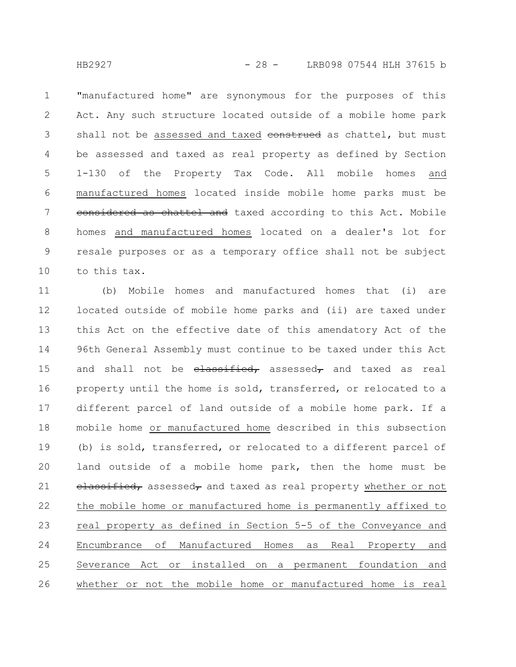"manufactured home" are synonymous for the purposes of this Act. Any such structure located outside of a mobile home park shall not be assessed and taxed construed as chattel, but must be assessed and taxed as real property as defined by Section 1-130 of the Property Tax Code. All mobile homes and manufactured homes located inside mobile home parks must be considered as chattel and taxed according to this Act. Mobile homes and manufactured homes located on a dealer's lot for resale purposes or as a temporary office shall not be subject to this tax. 1 2 3 4 5 6 7 8 9 10

(b) Mobile homes and manufactured homes that (i) are located outside of mobile home parks and (ii) are taxed under this Act on the effective date of this amendatory Act of the 96th General Assembly must continue to be taxed under this Act and shall not be  $e$ lassified, assessed, and taxed as real property until the home is sold, transferred, or relocated to a different parcel of land outside of a mobile home park. If a mobile home or manufactured home described in this subsection (b) is sold, transferred, or relocated to a different parcel of land outside of a mobile home park, then the home must be  $e$ lassified, assessed, and taxed as real property whether or not the mobile home or manufactured home is permanently affixed to real property as defined in Section 5-5 of the Conveyance and Encumbrance of Manufactured Homes as Real Property and Severance Act or installed on a permanent foundation and whether or not the mobile home or manufactured home is real 11 12 13 14 15 16 17 18 19 20 21 22 23 24 25 26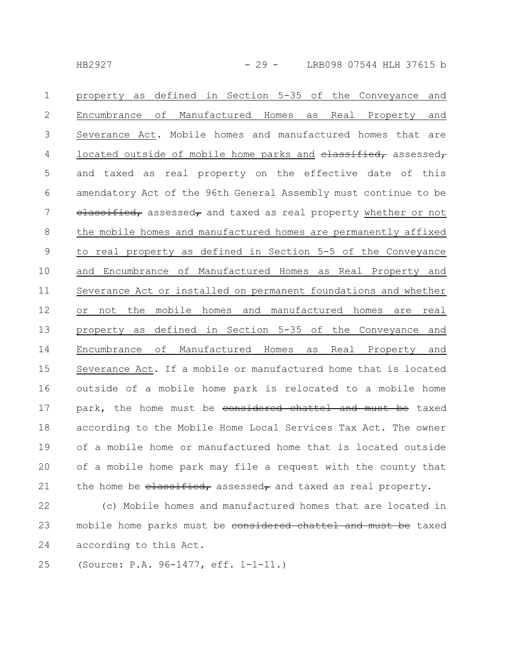| $\mathbf 1$    | defined in Section 5-35 of the Conveyance<br>property as<br>and       |
|----------------|-----------------------------------------------------------------------|
| $\mathbf{2}$   | Manufactured Homes<br>Encumbrance of<br>Real Property<br>as<br>and    |
| 3              | Severance Act. Mobile homes and manufactured homes that are           |
| $\overline{4}$ | located outside of mobile home parks and elassified, assessed,        |
| 5              | and taxed as real property on the effective date of this              |
| 6              | amendatory Act of the 96th General Assembly must continue to be       |
| 7              | elassified, assessed, and taxed as real property whether or not       |
| 8              | the mobile homes and manufactured homes are permanently affixed       |
| $\mathcal{G}$  | to real property as defined in Section 5-5 of the Conveyance          |
| 10             | and Encumbrance of Manufactured Homes as Real Property and            |
| 11             | Severance Act or installed on permanent foundations and whether       |
| 12             | or not the mobile homes and manufactured homes are real               |
| 13             | property as defined in Section 5-35 of the Conveyance and             |
| 14             | οf<br>Manufactured Homes<br>Real Property<br>Encumbrance<br>as<br>and |
| 15             | Severance Act. If a mobile or manufactured home that is located       |
| 16             | outside of a mobile home park is relocated to a mobile home           |
| 17             | park, the home must be considered chattel and must be taxed           |
| 18             | according to the Mobile Home Local Services Tax Act. The owner        |
| 19             | of a mobile home or manufactured home that is located outside         |
| 20             | of a mobile home park may file a request with the county that         |
| 21             | the home be $\epsilon$ denoted, assessed, and taxed as real property. |
|                |                                                                       |

(c) Mobile homes and manufactured homes that are located in mobile home parks must be considered chattel and must be taxed according to this Act. 22 23 24

(Source: P.A. 96-1477, eff. 1-1-11.) 25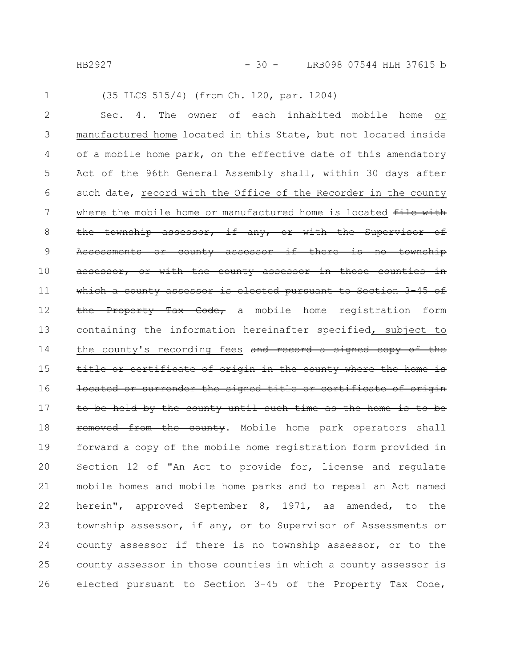HB2927 - 30 - LRB098 07544 HLH 37615 b

1

### Sec. 4. The owner of each inhabited mobile home or manufactured home located in this State, but not located inside of a mobile home park, on the effective date of this amendatory Act of the 96th General Assembly shall, within 30 days after such date, record with the Office of the Recorder in the county where the mobile home or manufactured home is located file with the township assessor, if any, or with the Supervisor of Assessments or county assessor if there is no township assessor, or with the county assessor in those counties in which a county assessor is elected pursuant to Section 3-45 of the Property Tax Code, a mobile home registration form containing the information hereinafter specified, subject to the county's recording fees and record a signed copy of the title or certificate of origin in the county where the home located or surrender the signed title or certificate be held by the county until such time as the home is to be removed from the county. Mobile home park operators shall forward a copy of the mobile home registration form provided in Section 12 of "An Act to provide for, license and regulate mobile homes and mobile home parks and to repeal an Act named herein", approved September 8, 1971, as amended, to the township assessor, if any, or to Supervisor of Assessments or county assessor if there is no township assessor, or to the county assessor in those counties in which a county assessor is elected pursuant to Section 3-45 of the Property Tax Code, 2 3 4 5 6 7 8 9 10 11 12 13 14 15 16 17 18 19 20 21 22 23 24 25 26

(35 ILCS 515/4) (from Ch. 120, par. 1204)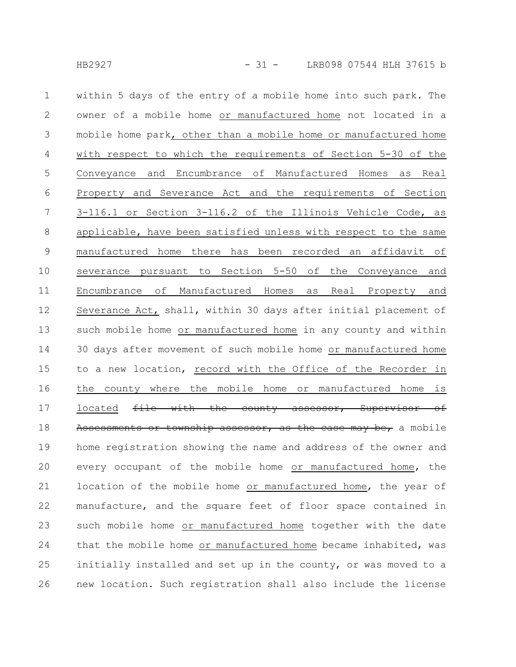within 5 days of the entry of a mobile home into such park. The owner of a mobile home or manufactured home not located in a mobile home park, other than a mobile home or manufactured home with respect to which the requirements of Section 5-30 of the Conveyance and Encumbrance of Manufactured Homes as Real Property and Severance Act and the requirements of Section 3-116.1 or Section 3-116.2 of the Illinois Vehicle Code, as applicable, have been satisfied unless with respect to the same manufactured home there has been recorded an affidavit of severance pursuant to Section 5-50 of the Conveyance and Encumbrance of Manufactured Homes as Real Property and Severance Act, shall, within 30 days after initial placement of such mobile home or manufactured home in any county and within 30 days after movement of such mobile home or manufactured home to a new location, record with the Office of the Recorder in the county where the mobile home or manufactured home is located file with the county assessor, Supervisor of Assessments or township assessor, as the case may be, a mobile home registration showing the name and address of the owner and every occupant of the mobile home or manufactured home, the location of the mobile home or manufactured home, the year of manufacture, and the square feet of floor space contained in such mobile home or manufactured home together with the date that the mobile home or manufactured home became inhabited, was initially installed and set up in the county, or was moved to a new location. Such registration shall also include the license 1 2 3 4 5 6 7 8 9 10 11 12 13 14 15 16 17 18 19 20 21 22 23 24 25 26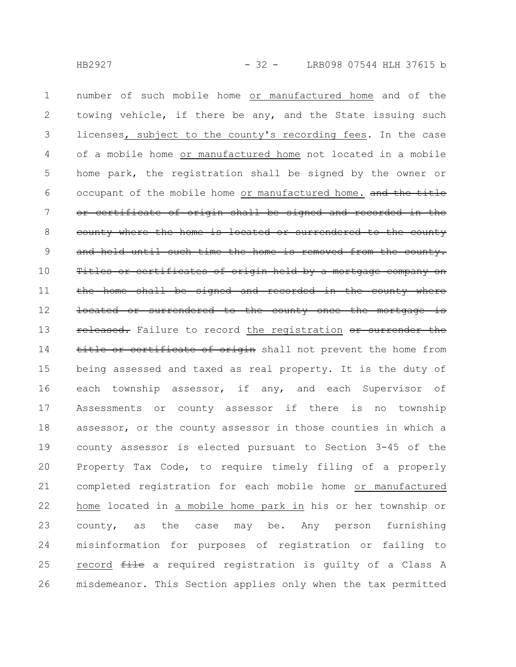number of such mobile home or manufactured home and of the towing vehicle, if there be any, and the State issuing such licenses, subject to the county's recording fees. In the case of a mobile home or manufactured home not located in a mobile home park, the registration shall be signed by the owner or occupant of the mobile home or manufactured home. and the title or certificate of origin shall be signed and recorded in the county where the home is located or surrendered to the county and held until such time the home is removed from the county. Titles or certificates of origin held by a mortgage company on the home shall be signed and recorded in the county where located or surrendered to the county once the mortgage released. Failure to record the registration or surrender title or certificate of origin shall not prevent the home from being assessed and taxed as real property. It is the duty of each township assessor, if any, and each Supervisor of Assessments or county assessor if there is no township assessor, or the county assessor in those counties in which a county assessor is elected pursuant to Section 3-45 of the Property Tax Code, to require timely filing of a properly completed registration for each mobile home or manufactured home located in a mobile home park in his or her township or county, as the case may be. Any person furnishing misinformation for purposes of registration or failing to record file a required registration is quilty of a Class A misdemeanor. This Section applies only when the tax permitted 1 2 3 4 5 6 7 8 9 10 11 12 13 14 15 16 17 18 19 20 21 22 23 24 25 26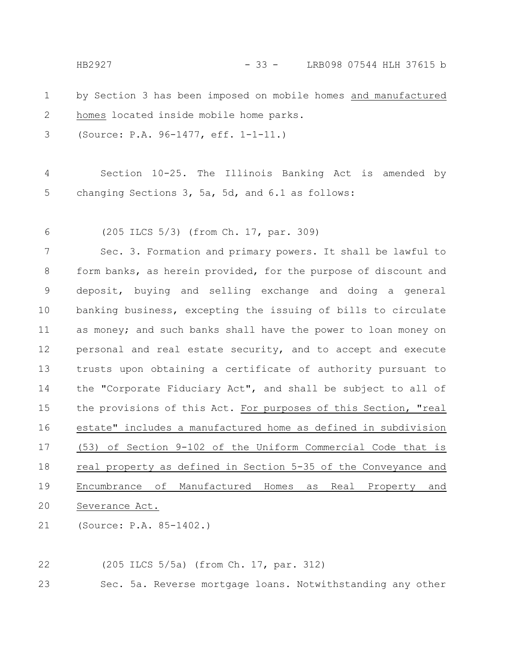by Section 3 has been imposed on mobile homes and manufactured homes located inside mobile home parks. (Source: P.A. 96-1477, eff. 1-1-11.) Section 10-25. The Illinois Banking Act is amended by changing Sections 3, 5a, 5d, and 6.1 as follows: (205 ILCS 5/3) (from Ch. 17, par. 309) Sec. 3. Formation and primary powers. It shall be lawful to form banks, as herein provided, for the purpose of discount and deposit, buying and selling exchange and doing a general banking business, excepting the issuing of bills to circulate as money; and such banks shall have the power to loan money on personal and real estate security, and to accept and execute trusts upon obtaining a certificate of authority pursuant to the "Corporate Fiduciary Act", and shall be subject to all of the provisions of this Act. For purposes of this Section, "real estate" includes a manufactured home as defined in subdivision (53) of Section 9-102 of the Uniform Commercial Code that is real property as defined in Section 5-35 of the Conveyance and Encumbrance of Manufactured Homes as Real Property and Severance Act. (Source: P.A. 85-1402.) 1 2 3 4 5 6 7 8 9 10 11 12 13 14 15 16 17 18 19 20 21 HB2927 - 33 - LRB098 07544 HLH 37615 b

(205 ILCS 5/5a) (from Ch. 17, par. 312) 22

Sec. 5a. Reverse mortgage loans. Notwithstanding any other 23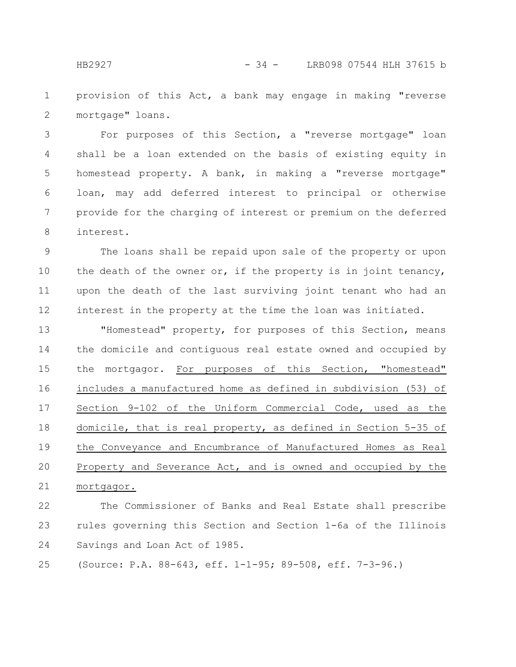provision of this Act, a bank may engage in making "reverse mortgage" loans. 1 2

For purposes of this Section, a "reverse mortgage" loan shall be a loan extended on the basis of existing equity in homestead property. A bank, in making a "reverse mortgage" loan, may add deferred interest to principal or otherwise provide for the charging of interest or premium on the deferred interest. 3 4 5 6 7 8

The loans shall be repaid upon sale of the property or upon the death of the owner or, if the property is in joint tenancy, upon the death of the last surviving joint tenant who had an interest in the property at the time the loan was initiated. 9 10 11 12

"Homestead" property, for purposes of this Section, means the domicile and contiguous real estate owned and occupied by the mortgagor. For purposes of this Section, "homestead" includes a manufactured home as defined in subdivision (53) of Section 9-102 of the Uniform Commercial Code, used as the domicile, that is real property, as defined in Section 5-35 of the Conveyance and Encumbrance of Manufactured Homes as Real Property and Severance Act, and is owned and occupied by the mortgagor. 13 14 15 16 17 18 19 20 21

The Commissioner of Banks and Real Estate shall prescribe rules governing this Section and Section 1-6a of the Illinois Savings and Loan Act of 1985. 22 23 24

(Source: P.A. 88-643, eff. 1-1-95; 89-508, eff. 7-3-96.) 25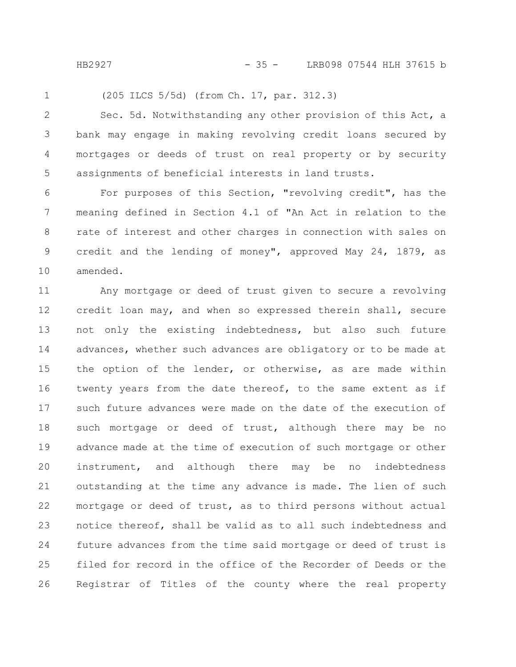HB2927 - 35 - LRB098 07544 HLH 37615 b

1

(205 ILCS 5/5d) (from Ch. 17, par. 312.3)

Sec. 5d. Notwithstanding any other provision of this Act, a bank may engage in making revolving credit loans secured by mortgages or deeds of trust on real property or by security assignments of beneficial interests in land trusts. 2 3 4 5

For purposes of this Section, "revolving credit", has the meaning defined in Section 4.1 of "An Act in relation to the rate of interest and other charges in connection with sales on credit and the lending of money", approved May 24, 1879, as amended. 6 7 8 9 10

Any mortgage or deed of trust given to secure a revolving credit loan may, and when so expressed therein shall, secure not only the existing indebtedness, but also such future advances, whether such advances are obligatory or to be made at the option of the lender, or otherwise, as are made within twenty years from the date thereof, to the same extent as if such future advances were made on the date of the execution of such mortgage or deed of trust, although there may be no advance made at the time of execution of such mortgage or other instrument, and although there may be no indebtedness outstanding at the time any advance is made. The lien of such mortgage or deed of trust, as to third persons without actual notice thereof, shall be valid as to all such indebtedness and future advances from the time said mortgage or deed of trust is filed for record in the office of the Recorder of Deeds or the Registrar of Titles of the county where the real property 11 12 13 14 15 16 17 18 19 20 21 22 23 24 25 26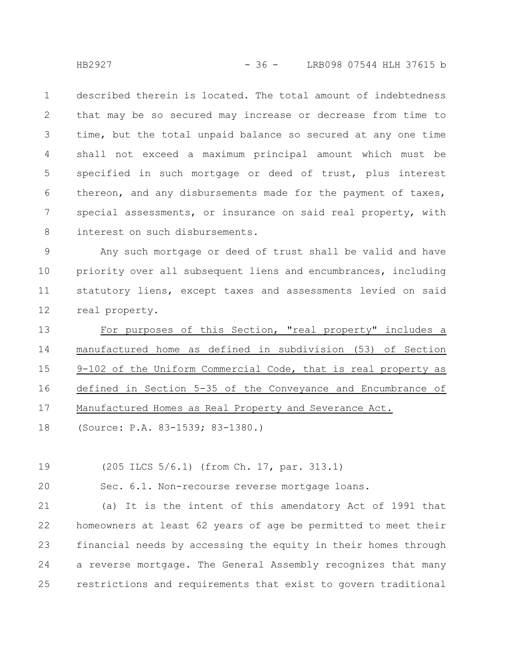described therein is located. The total amount of indebtedness that may be so secured may increase or decrease from time to time, but the total unpaid balance so secured at any one time shall not exceed a maximum principal amount which must be specified in such mortgage or deed of trust, plus interest thereon, and any disbursements made for the payment of taxes, special assessments, or insurance on said real property, with interest on such disbursements. 1 2 3 4 5 6 7 8

Any such mortgage or deed of trust shall be valid and have priority over all subsequent liens and encumbrances, including statutory liens, except taxes and assessments levied on said real property. 9 10 11 12

For purposes of this Section, "real property" includes a manufactured home as defined in subdivision (53) of Section 9-102 of the Uniform Commercial Code, that is real property as defined in Section 5-35 of the Conveyance and Encumbrance of Manufactured Homes as Real Property and Severance Act. 13 14 15 16 17

(Source: P.A. 83-1539; 83-1380.) 18

(205 ILCS 5/6.1) (from Ch. 17, par. 313.1) 19

Sec. 6.1. Non-recourse reverse mortgage loans. 20

(a) It is the intent of this amendatory Act of 1991 that homeowners at least 62 years of age be permitted to meet their financial needs by accessing the equity in their homes through a reverse mortgage. The General Assembly recognizes that many restrictions and requirements that exist to govern traditional 21 22 23 24 25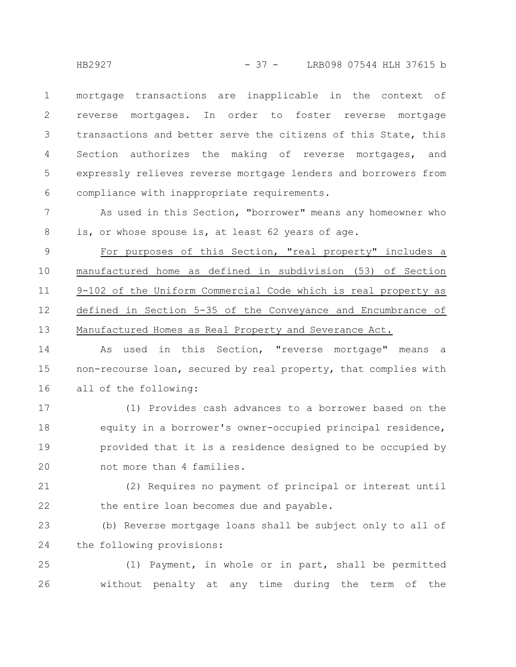mortgage transactions are inapplicable in the context of reverse mortgages. In order to foster reverse mortgage transactions and better serve the citizens of this State, this Section authorizes the making of reverse mortgages, and expressly relieves reverse mortgage lenders and borrowers from compliance with inappropriate requirements. 1 2 3 4 5 6

As used in this Section, "borrower" means any homeowner who is, or whose spouse is, at least 62 years of age. 7 8

For purposes of this Section, "real property" includes a manufactured home as defined in subdivision (53) of Section 9-102 of the Uniform Commercial Code which is real property as defined in Section 5-35 of the Conveyance and Encumbrance of Manufactured Homes as Real Property and Severance Act. 9 10 11 12 13

As used in this Section, "reverse mortgage" means a non-recourse loan, secured by real property, that complies with all of the following: 14 15 16

(1) Provides cash advances to a borrower based on the equity in a borrower's owner-occupied principal residence, provided that it is a residence designed to be occupied by not more than 4 families. 17 18 19 20

(2) Requires no payment of principal or interest until the entire loan becomes due and payable. 21 22

(b) Reverse mortgage loans shall be subject only to all of the following provisions: 23 24

(1) Payment, in whole or in part, shall be permitted without penalty at any time during the term of the 25 26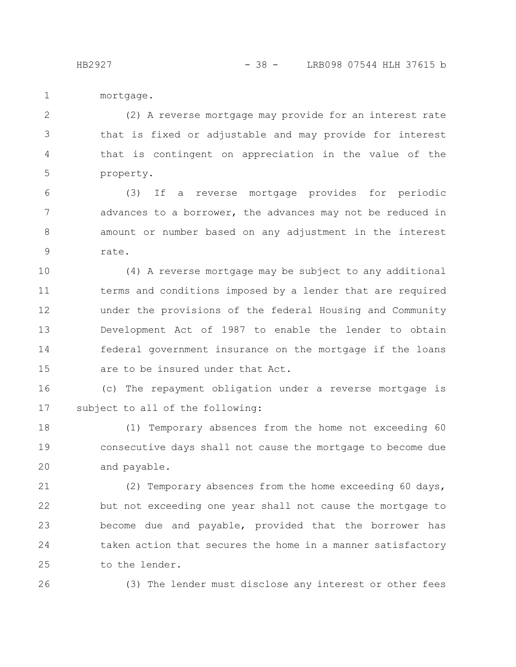mortgage. 1

(2) A reverse mortgage may provide for an interest rate that is fixed or adjustable and may provide for interest that is contingent on appreciation in the value of the property. 2 3 4 5

(3) If a reverse mortgage provides for periodic advances to a borrower, the advances may not be reduced in amount or number based on any adjustment in the interest rate. 6 7 8 9

(4) A reverse mortgage may be subject to any additional terms and conditions imposed by a lender that are required under the provisions of the federal Housing and Community Development Act of 1987 to enable the lender to obtain federal government insurance on the mortgage if the loans are to be insured under that Act. 10 11 12 13 14 15

(c) The repayment obligation under a reverse mortgage is subject to all of the following: 16 17

(1) Temporary absences from the home not exceeding 60 consecutive days shall not cause the mortgage to become due and payable. 18 19 20

(2) Temporary absences from the home exceeding 60 days, but not exceeding one year shall not cause the mortgage to become due and payable, provided that the borrower has taken action that secures the home in a manner satisfactory to the lender. 21 22 23 24 25

26

(3) The lender must disclose any interest or other fees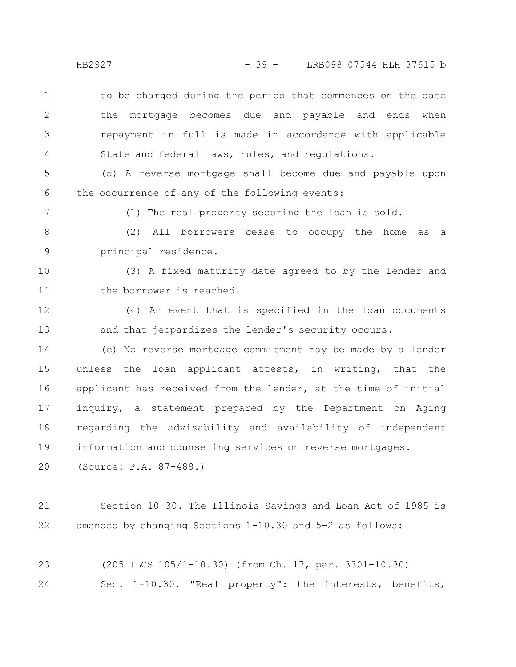to be charged during the period that commences on the date the mortgage becomes due and payable and ends when repayment in full is made in accordance with applicable State and federal laws, rules, and regulations. 1 2 3 4

(d) A reverse mortgage shall become due and payable upon the occurrence of any of the following events: 5 6

(1) The real property securing the loan is sold.

(2) All borrowers cease to occupy the home as a principal residence. 8 9

(3) A fixed maturity date agreed to by the lender and the borrower is reached. 10 11

(4) An event that is specified in the loan documents and that jeopardizes the lender's security occurs. 12 13

(e) No reverse mortgage commitment may be made by a lender unless the loan applicant attests, in writing, that the applicant has received from the lender, at the time of initial inquiry, a statement prepared by the Department on Aging regarding the advisability and availability of independent information and counseling services on reverse mortgages. 14 15 16 17 18 19

(Source: P.A. 87-488.) 20

Section 10-30. The Illinois Savings and Loan Act of 1985 is amended by changing Sections 1-10.30 and 5-2 as follows: 21 22

(205 ILCS 105/1-10.30) (from Ch. 17, par. 3301-10.30) Sec. 1-10.30. "Real property": the interests, benefits, 23 24

7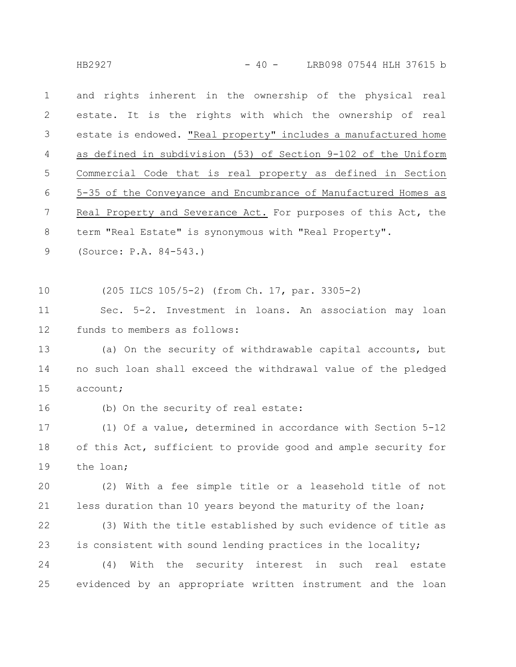HB2927 - 10 - 40 - LRB098 07544 HLH 37615 b

and rights inherent in the ownership of the physical real estate. It is the rights with which the ownership of real estate is endowed. "Real property" includes a manufactured home as defined in subdivision (53) of Section 9-102 of the Uniform Commercial Code that is real property as defined in Section 5-35 of the Conveyance and Encumbrance of Manufactured Homes as Real Property and Severance Act. For purposes of this Act, the term "Real Estate" is synonymous with "Real Property". 1 2 3 4 5 6 7 8

(Source: P.A. 84-543.) 9

(205 ILCS 105/5-2) (from Ch. 17, par. 3305-2) 10

Sec. 5-2. Investment in loans. An association may loan funds to members as follows: 11 12

(a) On the security of withdrawable capital accounts, but no such loan shall exceed the withdrawal value of the pledged account; 13 14 15

16

(b) On the security of real estate:

(1) Of a value, determined in accordance with Section 5-12 of this Act, sufficient to provide good and ample security for the loan; 17 18 19

(2) With a fee simple title or a leasehold title of not less duration than 10 years beyond the maturity of the loan; 20 21

(3) With the title established by such evidence of title as is consistent with sound lending practices in the locality; 22 23

(4) With the security interest in such real estate evidenced by an appropriate written instrument and the loan 24 25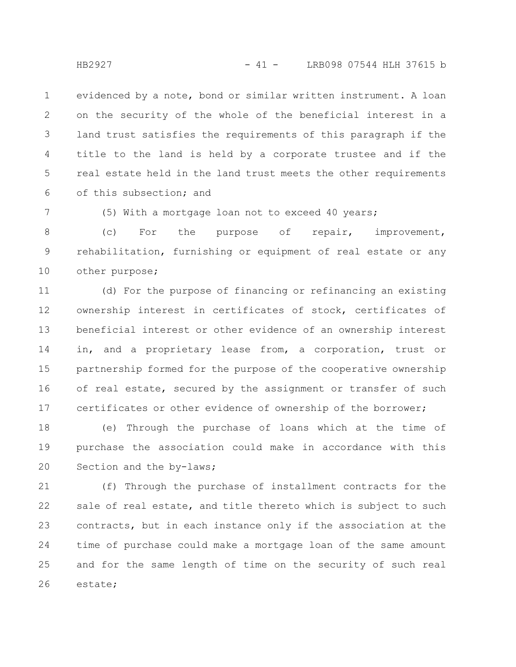evidenced by a note, bond or similar written instrument. A loan on the security of the whole of the beneficial interest in a land trust satisfies the requirements of this paragraph if the title to the land is held by a corporate trustee and if the real estate held in the land trust meets the other requirements of this subsection; and 1 2 3 4 5 6

7

(5) With a mortgage loan not to exceed 40 years;

(c) For the purpose of repair, improvement, rehabilitation, furnishing or equipment of real estate or any other purpose; 8 9 10

(d) For the purpose of financing or refinancing an existing ownership interest in certificates of stock, certificates of beneficial interest or other evidence of an ownership interest in, and a proprietary lease from, a corporation, trust or partnership formed for the purpose of the cooperative ownership of real estate, secured by the assignment or transfer of such certificates or other evidence of ownership of the borrower; 11 12 13 14 15 16 17

(e) Through the purchase of loans which at the time of purchase the association could make in accordance with this Section and the by-laws; 18 19 20

(f) Through the purchase of installment contracts for the sale of real estate, and title thereto which is subject to such contracts, but in each instance only if the association at the time of purchase could make a mortgage loan of the same amount and for the same length of time on the security of such real estate; 21 22 23 24 25 26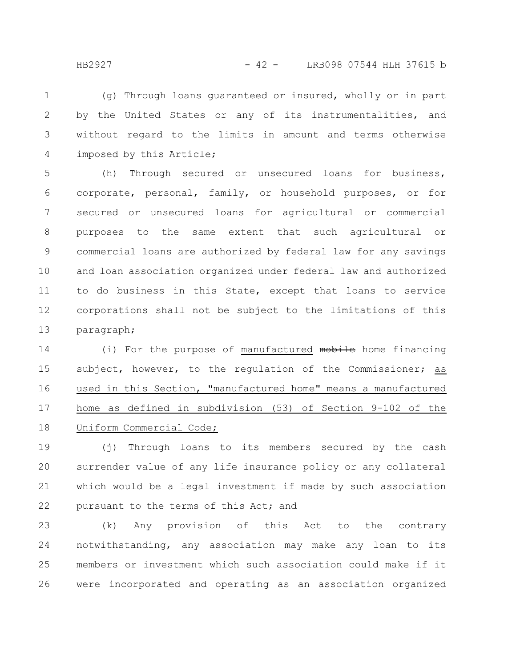HB2927 - 42 - LRB098 07544 HLH 37615 b

(g) Through loans guaranteed or insured, wholly or in part by the United States or any of its instrumentalities, and without regard to the limits in amount and terms otherwise imposed by this Article; 1 2 3 4

(h) Through secured or unsecured loans for business, corporate, personal, family, or household purposes, or for secured or unsecured loans for agricultural or commercial purposes to the same extent that such agricultural or commercial loans are authorized by federal law for any savings and loan association organized under federal law and authorized to do business in this State, except that loans to service corporations shall not be subject to the limitations of this paragraph; 5 6 7 8 9 10 11 12 13

(i) For the purpose of manufactured mobile home financing subject, however, to the regulation of the Commissioner; as used in this Section, "manufactured home" means a manufactured home as defined in subdivision (53) of Section 9-102 of the Uniform Commercial Code; 14 15 16 17 18

(j) Through loans to its members secured by the cash surrender value of any life insurance policy or any collateral which would be a legal investment if made by such association pursuant to the terms of this Act; and 19 20 21 22

(k) Any provision of this Act to the contrary notwithstanding, any association may make any loan to its members or investment which such association could make if it were incorporated and operating as an association organized 23 24 25 26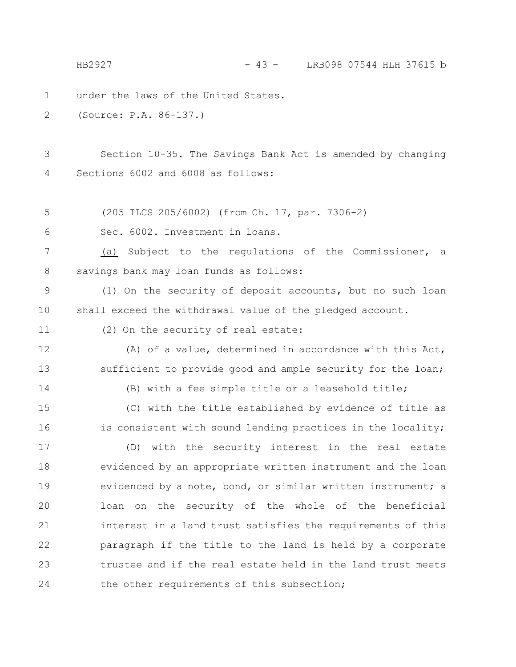under the laws of the United States. (Source: P.A. 86-137.) Section 10-35. The Savings Bank Act is amended by changing Sections 6002 and 6008 as follows: (205 ILCS 205/6002) (from Ch. 17, par. 7306-2) Sec. 6002. Investment in loans. (a) Subject to the regulations of the Commissioner, a savings bank may loan funds as follows: (1) On the security of deposit accounts, but no such loan shall exceed the withdrawal value of the pledged account. (2) On the security of real estate: (A) of a value, determined in accordance with this Act, sufficient to provide good and ample security for the loan; (B) with a fee simple title or a leasehold title; (C) with the title established by evidence of title as is consistent with sound lending practices in the locality; (D) with the security interest in the real estate evidenced by an appropriate written instrument and the loan evidenced by a note, bond, or similar written instrument; a loan on the security of the whole of the beneficial interest in a land trust satisfies the requirements of this paragraph if the title to the land is held by a corporate trustee and if the real estate held in the land trust meets the other requirements of this subsection; 1 2 3 4 5 6 7 8 9 10 11 12 13 14 15 16 17 18 19 20 21 22 23 24 HB2927 - 43 - LRB098 07544 HLH 37615 b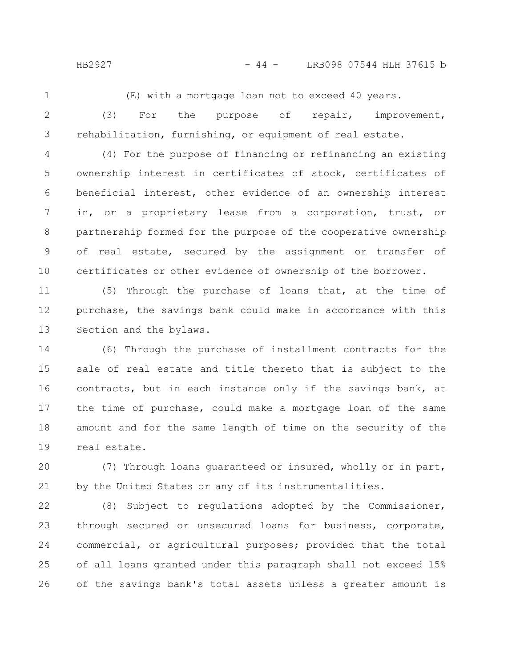HB2927 - 44 - LRB098 07544 HLH 37615 b

1

(E) with a mortgage loan not to exceed 40 years.

2

3

(3) For the purpose of repair, improvement, rehabilitation, furnishing, or equipment of real estate.

(4) For the purpose of financing or refinancing an existing ownership interest in certificates of stock, certificates of beneficial interest, other evidence of an ownership interest in, or a proprietary lease from a corporation, trust, or partnership formed for the purpose of the cooperative ownership of real estate, secured by the assignment or transfer of certificates or other evidence of ownership of the borrower. 4 5 6 7 8 9 10

(5) Through the purchase of loans that, at the time of purchase, the savings bank could make in accordance with this Section and the bylaws. 11 12 13

(6) Through the purchase of installment contracts for the sale of real estate and title thereto that is subject to the contracts, but in each instance only if the savings bank, at the time of purchase, could make a mortgage loan of the same amount and for the same length of time on the security of the real estate. 14 15 16 17 18 19

(7) Through loans guaranteed or insured, wholly or in part, by the United States or any of its instrumentalities. 20 21

(8) Subject to regulations adopted by the Commissioner, through secured or unsecured loans for business, corporate, commercial, or agricultural purposes; provided that the total of all loans granted under this paragraph shall not exceed 15% of the savings bank's total assets unless a greater amount is 22 23 24 25 26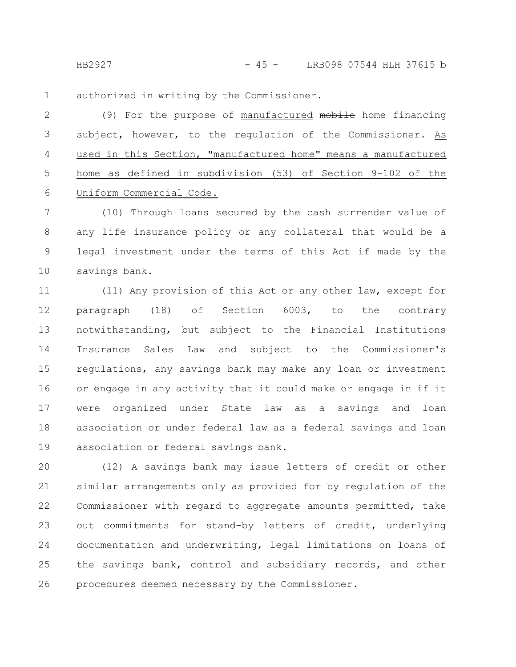HB2927 - 15 - LRB098 07544 HLH 37615 b

authorized in writing by the Commissioner. 1

(9) For the purpose of manufactured mobile home financing subject, however, to the regulation of the Commissioner. As used in this Section, "manufactured home" means a manufactured home as defined in subdivision (53) of Section 9-102 of the Uniform Commercial Code. 2 3 4 5 6

(10) Through loans secured by the cash surrender value of any life insurance policy or any collateral that would be a legal investment under the terms of this Act if made by the savings bank. 7 8 9 10

(11) Any provision of this Act or any other law, except for paragraph (18) of Section 6003, to the contrary notwithstanding, but subject to the Financial Institutions Insurance Sales Law and subject to the Commissioner's regulations, any savings bank may make any loan or investment or engage in any activity that it could make or engage in if it were organized under State law as a savings and loan association or under federal law as a federal savings and loan association or federal savings bank. 11 12 13 14 15 16 17 18 19

(12) A savings bank may issue letters of credit or other similar arrangements only as provided for by regulation of the Commissioner with regard to aggregate amounts permitted, take out commitments for stand-by letters of credit, underlying documentation and underwriting, legal limitations on loans of the savings bank, control and subsidiary records, and other procedures deemed necessary by the Commissioner. 20 21 22 23 24 25 26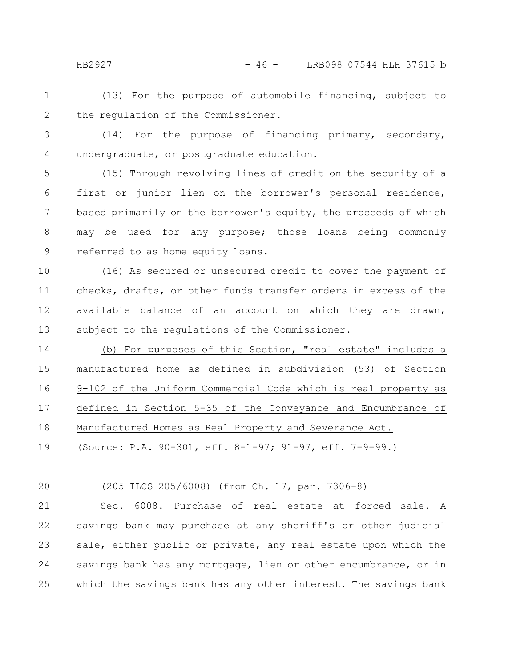(13) For the purpose of automobile financing, subject to the regulation of the Commissioner. 1 2

3 4

(14) For the purpose of financing primary, secondary, undergraduate, or postgraduate education.

(15) Through revolving lines of credit on the security of a first or junior lien on the borrower's personal residence, based primarily on the borrower's equity, the proceeds of which may be used for any purpose; those loans being commonly referred to as home equity loans. 5 6 7 8 9

(16) As secured or unsecured credit to cover the payment of checks, drafts, or other funds transfer orders in excess of the available balance of an account on which they are drawn, subject to the regulations of the Commissioner. 10 11 12 13

(b) For purposes of this Section, "real estate" includes a manufactured home as defined in subdivision (53) of Section 9-102 of the Uniform Commercial Code which is real property as defined in Section 5-35 of the Conveyance and Encumbrance of Manufactured Homes as Real Property and Severance Act. 14 15 16 17 18

(Source: P.A. 90-301, eff. 8-1-97; 91-97, eff. 7-9-99.) 19

(205 ILCS 205/6008) (from Ch. 17, par. 7306-8) 20

Sec. 6008. Purchase of real estate at forced sale. A savings bank may purchase at any sheriff's or other judicial sale, either public or private, any real estate upon which the savings bank has any mortgage, lien or other encumbrance, or in which the savings bank has any other interest. The savings bank 21 22 23 24 25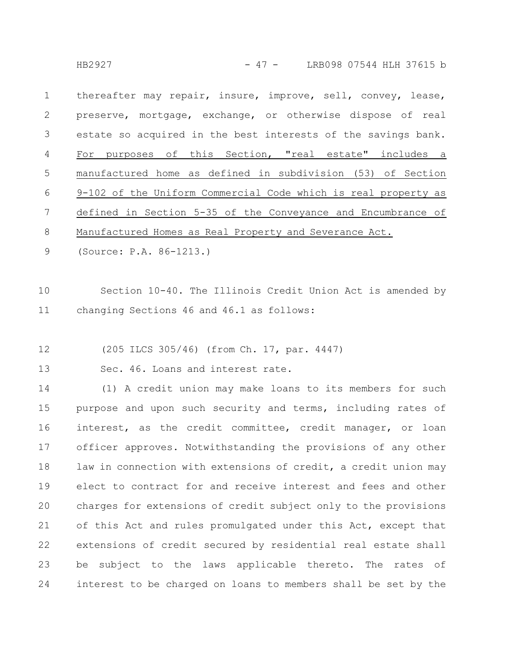HB2927 - 17 - LRB098 07544 HLH 37615 b

thereafter may repair, insure, improve, sell, convey, lease, preserve, mortgage, exchange, or otherwise dispose of real estate so acquired in the best interests of the savings bank. For purposes of this Section, "real estate" includes a manufactured home as defined in subdivision (53) of Section 9-102 of the Uniform Commercial Code which is real property as defined in Section 5-35 of the Conveyance and Encumbrance of Manufactured Homes as Real Property and Severance Act. 1 2 3 4 5 6 7 8

(Source: P.A. 86-1213.) 9

Section 10-40. The Illinois Credit Union Act is amended by changing Sections 46 and 46.1 as follows: 10 11

(205 ILCS 305/46) (from Ch. 17, par. 4447) 12

Sec. 46. Loans and interest rate. 13

(1) A credit union may make loans to its members for such purpose and upon such security and terms, including rates of interest, as the credit committee, credit manager, or loan officer approves. Notwithstanding the provisions of any other law in connection with extensions of credit, a credit union may elect to contract for and receive interest and fees and other charges for extensions of credit subject only to the provisions of this Act and rules promulgated under this Act, except that extensions of credit secured by residential real estate shall be subject to the laws applicable thereto. The rates of interest to be charged on loans to members shall be set by the 14 15 16 17 18 19 20 21 22 23 24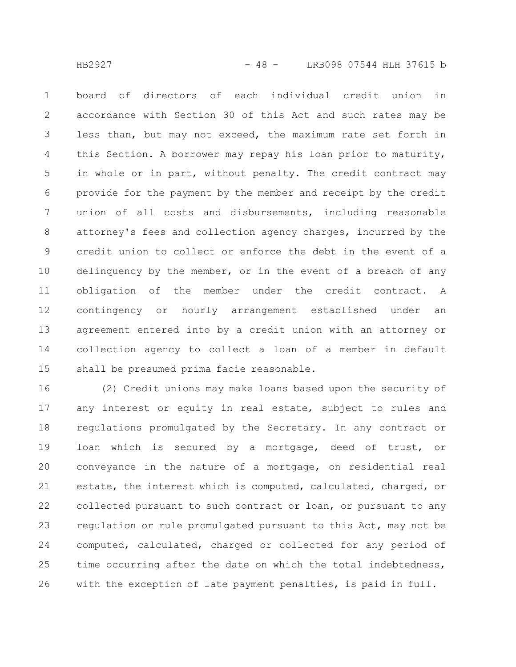board of directors of each individual credit union in accordance with Section 30 of this Act and such rates may be less than, but may not exceed, the maximum rate set forth in this Section. A borrower may repay his loan prior to maturity, in whole or in part, without penalty. The credit contract may provide for the payment by the member and receipt by the credit union of all costs and disbursements, including reasonable attorney's fees and collection agency charges, incurred by the credit union to collect or enforce the debt in the event of a delinquency by the member, or in the event of a breach of any obligation of the member under the credit contract. A contingency or hourly arrangement established under an agreement entered into by a credit union with an attorney or collection agency to collect a loan of a member in default shall be presumed prima facie reasonable. 1 2 3 4 5 6 7 8 9 10 11 12 13 14 15

(2) Credit unions may make loans based upon the security of any interest or equity in real estate, subject to rules and regulations promulgated by the Secretary. In any contract or loan which is secured by a mortgage, deed of trust, or conveyance in the nature of a mortgage, on residential real estate, the interest which is computed, calculated, charged, or collected pursuant to such contract or loan, or pursuant to any regulation or rule promulgated pursuant to this Act, may not be computed, calculated, charged or collected for any period of time occurring after the date on which the total indebtedness, with the exception of late payment penalties, is paid in full. 16 17 18 19 20 21 22 23 24 25 26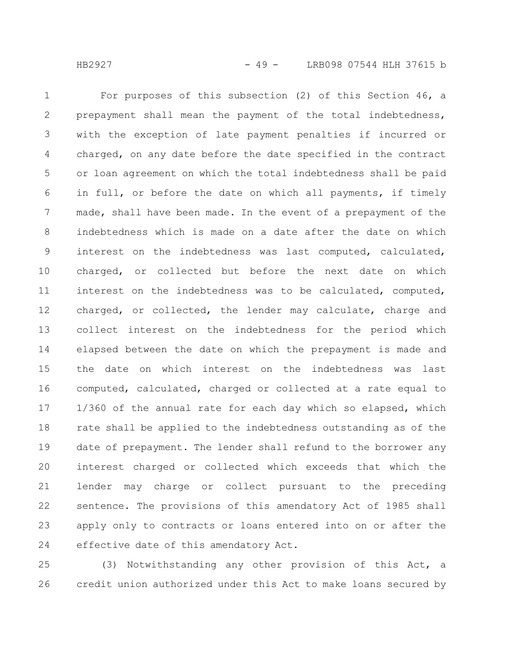For purposes of this subsection (2) of this Section 46, a prepayment shall mean the payment of the total indebtedness, with the exception of late payment penalties if incurred or charged, on any date before the date specified in the contract or loan agreement on which the total indebtedness shall be paid in full, or before the date on which all payments, if timely made, shall have been made. In the event of a prepayment of the indebtedness which is made on a date after the date on which interest on the indebtedness was last computed, calculated, charged, or collected but before the next date on which interest on the indebtedness was to be calculated, computed, charged, or collected, the lender may calculate, charge and collect interest on the indebtedness for the period which elapsed between the date on which the prepayment is made and the date on which interest on the indebtedness was last computed, calculated, charged or collected at a rate equal to 1/360 of the annual rate for each day which so elapsed, which rate shall be applied to the indebtedness outstanding as of the date of prepayment. The lender shall refund to the borrower any interest charged or collected which exceeds that which the lender may charge or collect pursuant to the preceding sentence. The provisions of this amendatory Act of 1985 shall apply only to contracts or loans entered into on or after the effective date of this amendatory Act. 1 2 3 4 5 6 7 8 9 10 11 12 13 14 15 16 17 18 19 20 21 22 23 24

(3) Notwithstanding any other provision of this Act, a credit union authorized under this Act to make loans secured by 25 26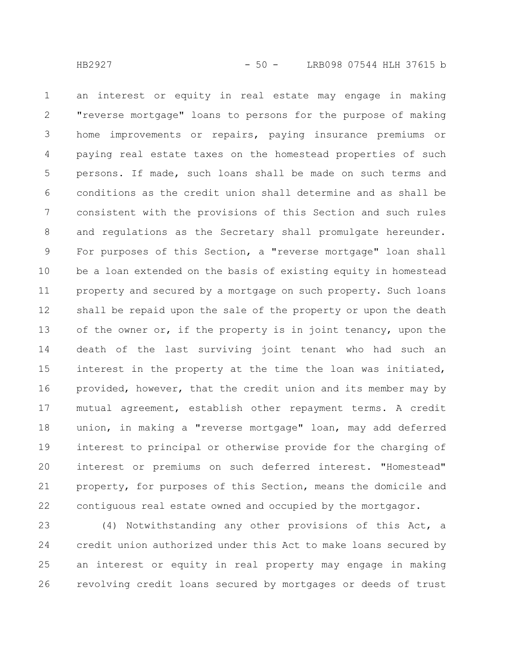an interest or equity in real estate may engage in making "reverse mortgage" loans to persons for the purpose of making home improvements or repairs, paying insurance premiums or paying real estate taxes on the homestead properties of such persons. If made, such loans shall be made on such terms and conditions as the credit union shall determine and as shall be consistent with the provisions of this Section and such rules and regulations as the Secretary shall promulgate hereunder. For purposes of this Section, a "reverse mortgage" loan shall be a loan extended on the basis of existing equity in homestead property and secured by a mortgage on such property. Such loans shall be repaid upon the sale of the property or upon the death of the owner or, if the property is in joint tenancy, upon the death of the last surviving joint tenant who had such an interest in the property at the time the loan was initiated, provided, however, that the credit union and its member may by mutual agreement, establish other repayment terms. A credit union, in making a "reverse mortgage" loan, may add deferred interest to principal or otherwise provide for the charging of interest or premiums on such deferred interest. "Homestead" property, for purposes of this Section, means the domicile and contiguous real estate owned and occupied by the mortgagor. 1 2 3 4 5 6 7 8 9 10 11 12 13 14 15 16 17 18 19 20 21 22

(4) Notwithstanding any other provisions of this Act, a credit union authorized under this Act to make loans secured by an interest or equity in real property may engage in making revolving credit loans secured by mortgages or deeds of trust 23 24 25 26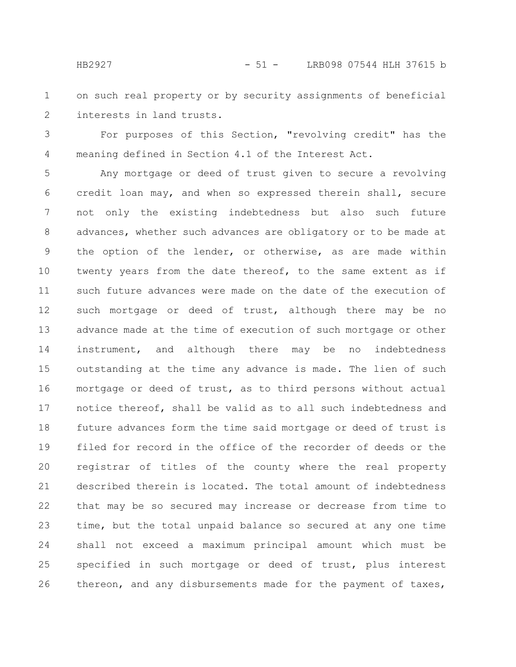on such real property or by security assignments of beneficial interests in land trusts. 1 2

For purposes of this Section, "revolving credit" has the meaning defined in Section 4.1 of the Interest Act. 3 4

Any mortgage or deed of trust given to secure a revolving credit loan may, and when so expressed therein shall, secure not only the existing indebtedness but also such future advances, whether such advances are obligatory or to be made at the option of the lender, or otherwise, as are made within twenty years from the date thereof, to the same extent as if such future advances were made on the date of the execution of such mortgage or deed of trust, although there may be no advance made at the time of execution of such mortgage or other instrument, and although there may be no indebtedness outstanding at the time any advance is made. The lien of such mortgage or deed of trust, as to third persons without actual notice thereof, shall be valid as to all such indebtedness and future advances form the time said mortgage or deed of trust is filed for record in the office of the recorder of deeds or the registrar of titles of the county where the real property described therein is located. The total amount of indebtedness that may be so secured may increase or decrease from time to time, but the total unpaid balance so secured at any one time shall not exceed a maximum principal amount which must be specified in such mortgage or deed of trust, plus interest thereon, and any disbursements made for the payment of taxes, 5 6 7 8 9 10 11 12 13 14 15 16 17 18 19 20 21 22 23 24 25 26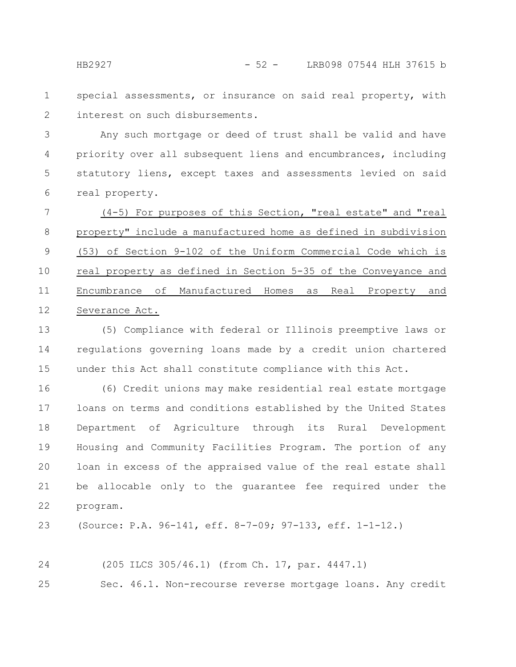special assessments, or insurance on said real property, with interest on such disbursements. 1 2

Any such mortgage or deed of trust shall be valid and have priority over all subsequent liens and encumbrances, including statutory liens, except taxes and assessments levied on said real property. 3 4 5 6

(4-5) For purposes of this Section, "real estate" and "real property" include a manufactured home as defined in subdivision (53) of Section 9-102 of the Uniform Commercial Code which is real property as defined in Section 5-35 of the Conveyance and Encumbrance of Manufactured Homes as Real Property and Severance Act. 7 8 9 10 11 12

(5) Compliance with federal or Illinois preemptive laws or regulations governing loans made by a credit union chartered under this Act shall constitute compliance with this Act. 13 14 15

(6) Credit unions may make residential real estate mortgage loans on terms and conditions established by the United States Department of Agriculture through its Rural Development Housing and Community Facilities Program. The portion of any loan in excess of the appraised value of the real estate shall be allocable only to the guarantee fee required under the program. 16 17 18 19 20 21 22

(Source: P.A. 96-141, eff. 8-7-09; 97-133, eff. 1-1-12.) 23

(205 ILCS 305/46.1) (from Ch. 17, par. 4447.1) Sec. 46.1. Non-recourse reverse mortgage loans. Any credit 24 25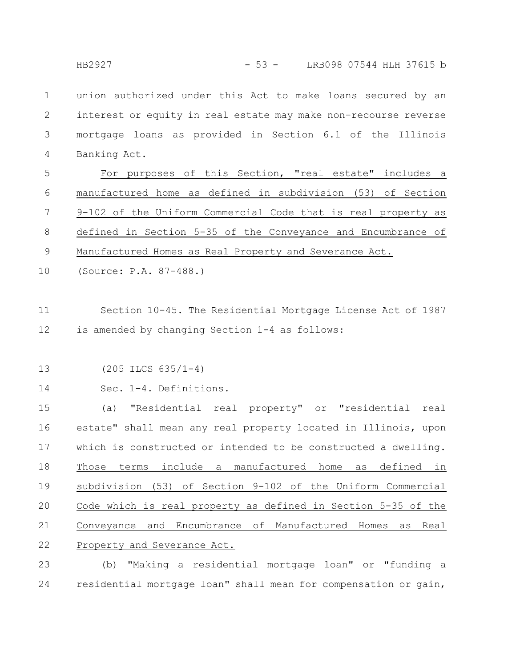union authorized under this Act to make loans secured by an interest or equity in real estate may make non-recourse reverse mortgage loans as provided in Section 6.1 of the Illinois Banking Act. 1 2 3 4

For purposes of this Section, "real estate" includes a manufactured home as defined in subdivision (53) of Section 9-102 of the Uniform Commercial Code that is real property as defined in Section 5-35 of the Conveyance and Encumbrance of Manufactured Homes as Real Property and Severance Act. 5 6 7 8 9

(Source: P.A. 87-488.) 10

Section 10-45. The Residential Mortgage License Act of 1987 is amended by changing Section 1-4 as follows: 11 12

- (205 ILCS 635/1-4) 13
- Sec. 1-4. Definitions. 14

(a) "Residential real property" or "residential real estate" shall mean any real property located in Illinois, upon which is constructed or intended to be constructed a dwelling. Those terms include a manufactured home as defined in subdivision (53) of Section 9-102 of the Uniform Commercial Code which is real property as defined in Section 5-35 of the Conveyance and Encumbrance of Manufactured Homes as Real Property and Severance Act. 15 16 17 18 19 20 21 22

(b) "Making a residential mortgage loan" or "funding a residential mortgage loan" shall mean for compensation or gain, 23 24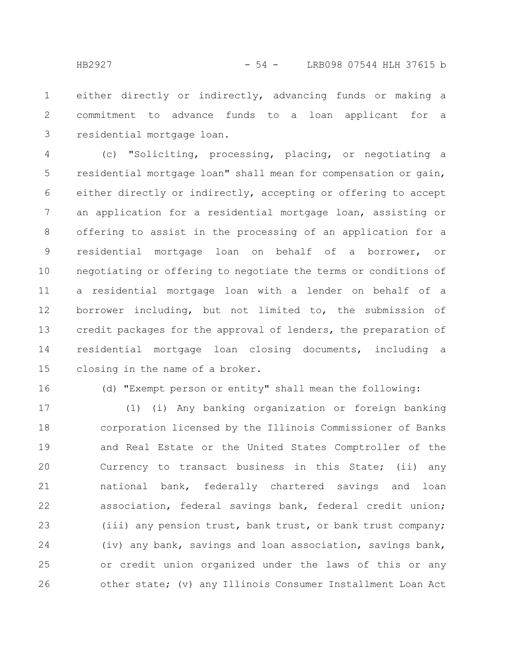either directly or indirectly, advancing funds or making a commitment to advance funds to a loan applicant for a residential mortgage loan. 1 2 3

(c) "Soliciting, processing, placing, or negotiating a residential mortgage loan" shall mean for compensation or gain, either directly or indirectly, accepting or offering to accept an application for a residential mortgage loan, assisting or offering to assist in the processing of an application for a residential mortgage loan on behalf of a borrower, or negotiating or offering to negotiate the terms or conditions of a residential mortgage loan with a lender on behalf of a borrower including, but not limited to, the submission of credit packages for the approval of lenders, the preparation of residential mortgage loan closing documents, including a closing in the name of a broker. 4 5 6 7 8 9 10 11 12 13 14 15

16

(d) "Exempt person or entity" shall mean the following:

(1) (i) Any banking organization or foreign banking corporation licensed by the Illinois Commissioner of Banks and Real Estate or the United States Comptroller of the Currency to transact business in this State; (ii) any national bank, federally chartered savings and loan association, federal savings bank, federal credit union; (iii) any pension trust, bank trust, or bank trust company; (iv) any bank, savings and loan association, savings bank, or credit union organized under the laws of this or any other state; (v) any Illinois Consumer Installment Loan Act 17 18 19 20 21 22 23 24 25 26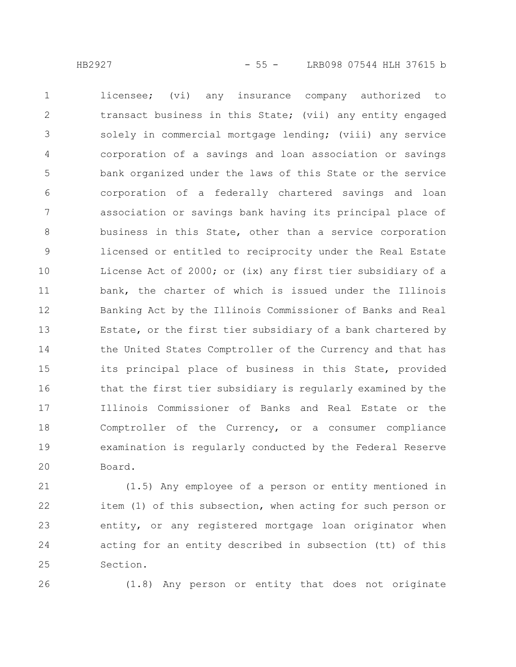licensee; (vi) any insurance company authorized to transact business in this State; (vii) any entity engaged solely in commercial mortgage lending; (viii) any service corporation of a savings and loan association or savings bank organized under the laws of this State or the service corporation of a federally chartered savings and loan association or savings bank having its principal place of business in this State, other than a service corporation licensed or entitled to reciprocity under the Real Estate License Act of 2000; or (ix) any first tier subsidiary of a bank, the charter of which is issued under the Illinois Banking Act by the Illinois Commissioner of Banks and Real Estate, or the first tier subsidiary of a bank chartered by the United States Comptroller of the Currency and that has its principal place of business in this State, provided that the first tier subsidiary is regularly examined by the Illinois Commissioner of Banks and Real Estate or the Comptroller of the Currency, or a consumer compliance examination is regularly conducted by the Federal Reserve Board. 1 2 3 4 5 6 7 8 9 10 11 12 13 14 15 16 17 18 19 20

(1.5) Any employee of a person or entity mentioned in item (1) of this subsection, when acting for such person or entity, or any registered mortgage loan originator when acting for an entity described in subsection (tt) of this Section. 21 22 23 24 25

26

(1.8) Any person or entity that does not originate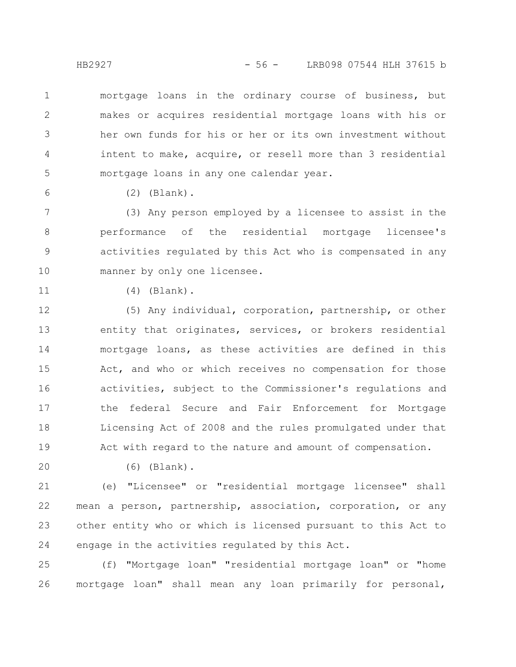mortgage loans in the ordinary course of business, but makes or acquires residential mortgage loans with his or her own funds for his or her or its own investment without intent to make, acquire, or resell more than 3 residential mortgage loans in any one calendar year. 1 2 3 4 5

6

(2) (Blank).

(3) Any person employed by a licensee to assist in the performance of the residential mortgage licensee's activities regulated by this Act who is compensated in any manner by only one licensee. 7 8 9 10

11

(4) (Blank).

(5) Any individual, corporation, partnership, or other entity that originates, services, or brokers residential mortgage loans, as these activities are defined in this Act, and who or which receives no compensation for those activities, subject to the Commissioner's regulations and the federal Secure and Fair Enforcement for Mortgage Licensing Act of 2008 and the rules promulgated under that Act with regard to the nature and amount of compensation. 12 13 14 15 16 17 18 19

20

(6) (Blank).

(e) "Licensee" or "residential mortgage licensee" shall mean a person, partnership, association, corporation, or any other entity who or which is licensed pursuant to this Act to engage in the activities regulated by this Act. 21 22 23 24

(f) "Mortgage loan" "residential mortgage loan" or "home mortgage loan" shall mean any loan primarily for personal, 25 26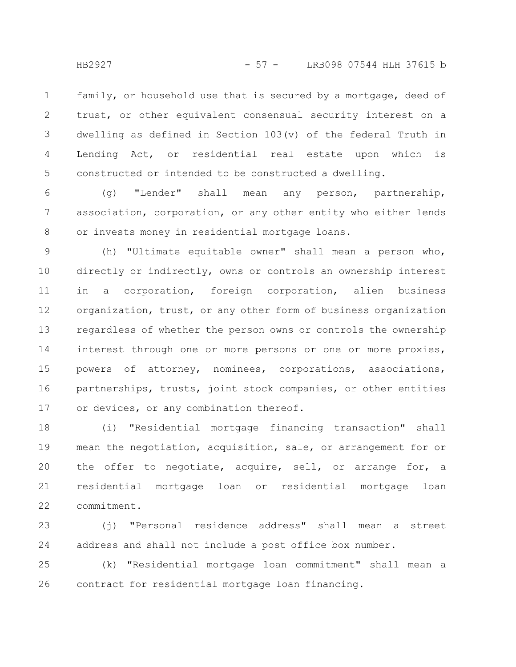family, or household use that is secured by a mortgage, deed of trust, or other equivalent consensual security interest on a dwelling as defined in Section 103(v) of the federal Truth in Lending Act, or residential real estate upon which is constructed or intended to be constructed a dwelling. 1 2 3 4 5

(g) "Lender" shall mean any person, partnership, association, corporation, or any other entity who either lends or invests money in residential mortgage loans. 6 7 8

(h) "Ultimate equitable owner" shall mean a person who, directly or indirectly, owns or controls an ownership interest in a corporation, foreign corporation, alien business organization, trust, or any other form of business organization regardless of whether the person owns or controls the ownership interest through one or more persons or one or more proxies, powers of attorney, nominees, corporations, associations, partnerships, trusts, joint stock companies, or other entities or devices, or any combination thereof. 9 10 11 12 13 14 15 16 17

(i) "Residential mortgage financing transaction" shall mean the negotiation, acquisition, sale, or arrangement for or the offer to negotiate, acquire, sell, or arrange for, a residential mortgage loan or residential mortgage loan commitment. 18 19 20 21 22

(j) "Personal residence address" shall mean a street address and shall not include a post office box number. 23 24

(k) "Residential mortgage loan commitment" shall mean a contract for residential mortgage loan financing. 25 26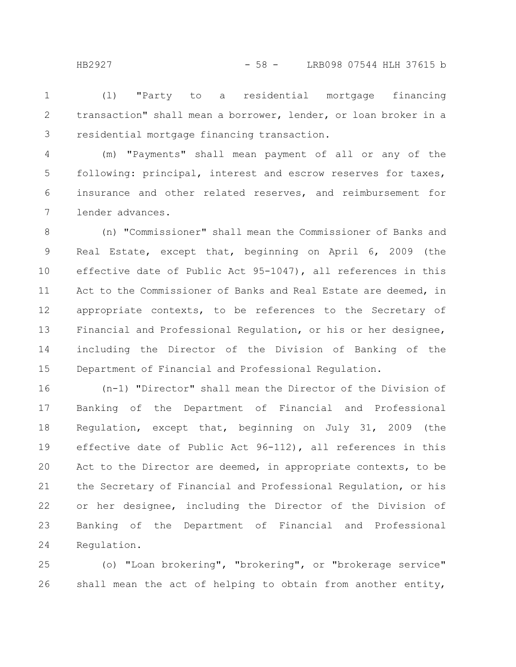(l) "Party to a residential mortgage financing transaction" shall mean a borrower, lender, or loan broker in a residential mortgage financing transaction. 1 2 3

(m) "Payments" shall mean payment of all or any of the following: principal, interest and escrow reserves for taxes, insurance and other related reserves, and reimbursement for lender advances. 4 5 6 7

(n) "Commissioner" shall mean the Commissioner of Banks and Real Estate, except that, beginning on April 6, 2009 (the effective date of Public Act 95-1047), all references in this Act to the Commissioner of Banks and Real Estate are deemed, in appropriate contexts, to be references to the Secretary of Financial and Professional Regulation, or his or her designee, including the Director of the Division of Banking of the Department of Financial and Professional Regulation. 8 9 10 11 12 13 14 15

(n-1) "Director" shall mean the Director of the Division of Banking of the Department of Financial and Professional Regulation, except that, beginning on July 31, 2009 (the effective date of Public Act 96-112), all references in this Act to the Director are deemed, in appropriate contexts, to be the Secretary of Financial and Professional Regulation, or his or her designee, including the Director of the Division of Banking of the Department of Financial and Professional Regulation. 16 17 18 19 20 21 22 23 24

(o) "Loan brokering", "brokering", or "brokerage service" shall mean the act of helping to obtain from another entity, 25 26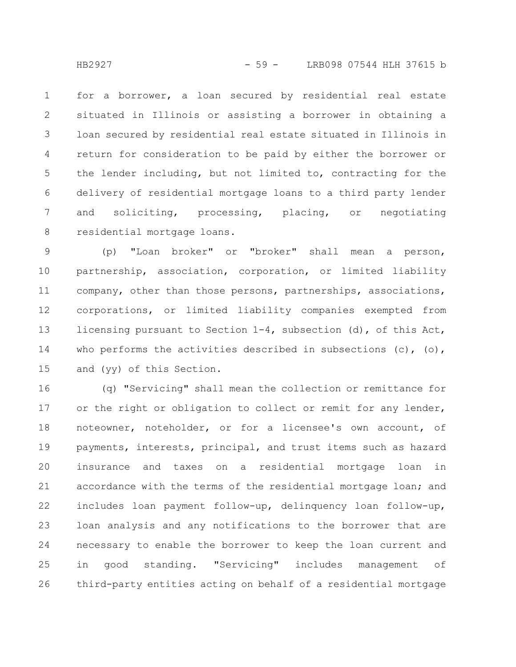for a borrower, a loan secured by residential real estate situated in Illinois or assisting a borrower in obtaining a loan secured by residential real estate situated in Illinois in return for consideration to be paid by either the borrower or the lender including, but not limited to, contracting for the delivery of residential mortgage loans to a third party lender and soliciting, processing, placing, or negotiating residential mortgage loans. 1 2 3 4 5 6 7 8

(p) "Loan broker" or "broker" shall mean a person, partnership, association, corporation, or limited liability company, other than those persons, partnerships, associations, corporations, or limited liability companies exempted from licensing pursuant to Section 1-4, subsection (d), of this Act, who performs the activities described in subsections  $(c)$ ,  $(o)$ , and (yy) of this Section. 9 10 11 12 13 14 15

(q) "Servicing" shall mean the collection or remittance for or the right or obligation to collect or remit for any lender, noteowner, noteholder, or for a licensee's own account, of payments, interests, principal, and trust items such as hazard insurance and taxes on a residential mortgage loan in accordance with the terms of the residential mortgage loan; and includes loan payment follow-up, delinquency loan follow-up, loan analysis and any notifications to the borrower that are necessary to enable the borrower to keep the loan current and in good standing. "Servicing" includes management of third-party entities acting on behalf of a residential mortgage 16 17 18 19 20 21 22 23 24 25 26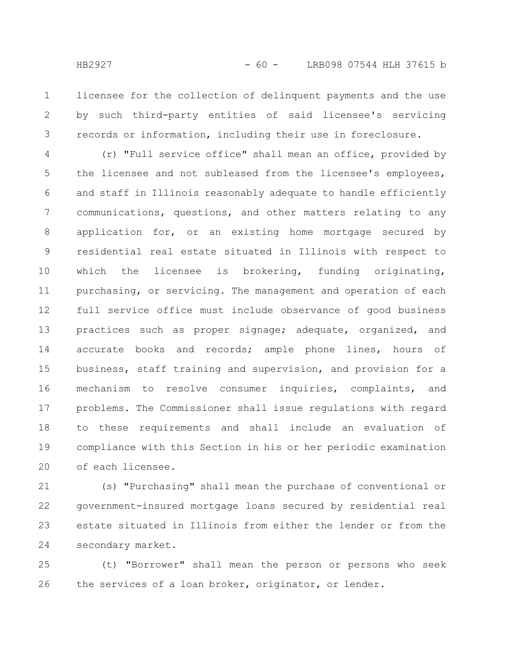licensee for the collection of delinquent payments and the use by such third-party entities of said licensee's servicing records or information, including their use in foreclosure. 1 2 3

(r) "Full service office" shall mean an office, provided by the licensee and not subleased from the licensee's employees, and staff in Illinois reasonably adequate to handle efficiently communications, questions, and other matters relating to any application for, or an existing home mortgage secured by residential real estate situated in Illinois with respect to which the licensee is brokering, funding originating, purchasing, or servicing. The management and operation of each full service office must include observance of good business practices such as proper signage; adequate, organized, and accurate books and records; ample phone lines, hours of business, staff training and supervision, and provision for a mechanism to resolve consumer inquiries, complaints, and problems. The Commissioner shall issue regulations with regard to these requirements and shall include an evaluation of compliance with this Section in his or her periodic examination of each licensee. 4 5 6 7 8 9 10 11 12 13 14 15 16 17 18 19 20

(s) "Purchasing" shall mean the purchase of conventional or government-insured mortgage loans secured by residential real estate situated in Illinois from either the lender or from the secondary market. 21 22 23 24

(t) "Borrower" shall mean the person or persons who seek the services of a loan broker, originator, or lender. 25 26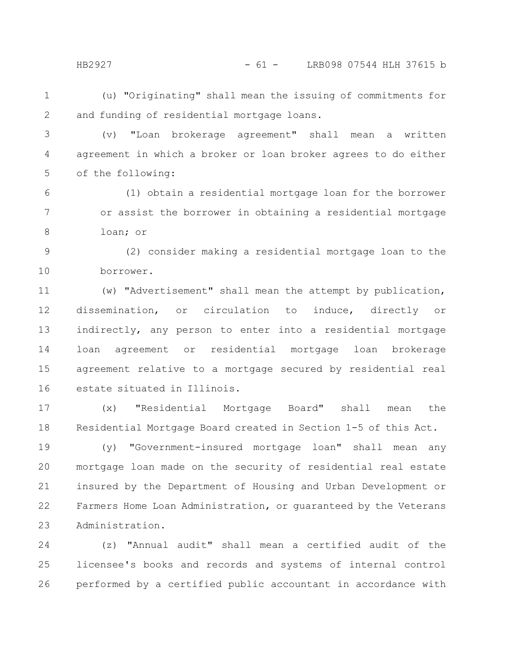HB2927 - 61 - LRB098 07544 HLH 37615 b

(u) "Originating" shall mean the issuing of commitments for and funding of residential mortgage loans. 1 2

(v) "Loan brokerage agreement" shall mean a written agreement in which a broker or loan broker agrees to do either of the following: 3 4 5

(1) obtain a residential mortgage loan for the borrower or assist the borrower in obtaining a residential mortgage loan; or 6 7 8

(2) consider making a residential mortgage loan to the borrower. 9 10

(w) "Advertisement" shall mean the attempt by publication, dissemination, or circulation to induce, directly or indirectly, any person to enter into a residential mortgage loan agreement or residential mortgage loan brokerage agreement relative to a mortgage secured by residential real estate situated in Illinois. 11 12 13 14 15 16

(x) "Residential Mortgage Board" shall mean the Residential Mortgage Board created in Section 1-5 of this Act. 17 18

(y) "Government-insured mortgage loan" shall mean any mortgage loan made on the security of residential real estate insured by the Department of Housing and Urban Development or Farmers Home Loan Administration, or guaranteed by the Veterans Administration. 19 20 21 22 23

(z) "Annual audit" shall mean a certified audit of the licensee's books and records and systems of internal control performed by a certified public accountant in accordance with 24 25 26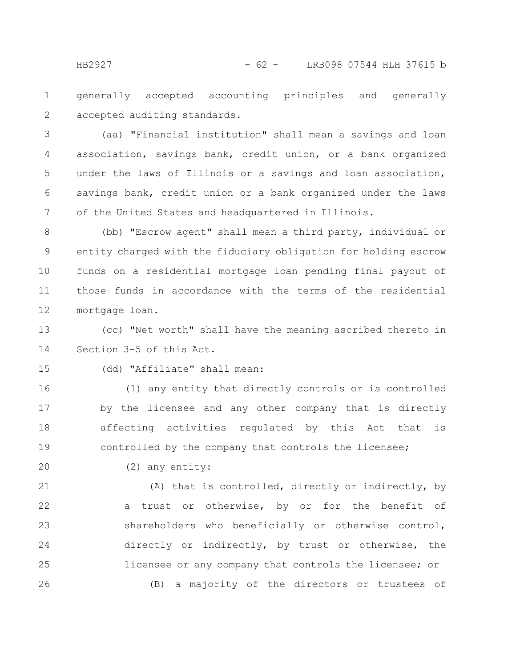generally accepted accounting principles and generally accepted auditing standards. 1 2

(aa) "Financial institution" shall mean a savings and loan association, savings bank, credit union, or a bank organized under the laws of Illinois or a savings and loan association, savings bank, credit union or a bank organized under the laws of the United States and headquartered in Illinois. 3 4 5 6 7

(bb) "Escrow agent" shall mean a third party, individual or entity charged with the fiduciary obligation for holding escrow funds on a residential mortgage loan pending final payout of those funds in accordance with the terms of the residential mortgage loan. 8 9 10 11 12

(cc) "Net worth" shall have the meaning ascribed thereto in Section 3-5 of this Act. 13 14

15

(dd) "Affiliate" shall mean:

(1) any entity that directly controls or is controlled by the licensee and any other company that is directly affecting activities regulated by this Act that is controlled by the company that controls the licensee; 16 17 18 19

20

(2) any entity:

(A) that is controlled, directly or indirectly, by a trust or otherwise, by or for the benefit of shareholders who beneficially or otherwise control, directly or indirectly, by trust or otherwise, the licensee or any company that controls the licensee; or (B) a majority of the directors or trustees of 21 22 23 24 25 26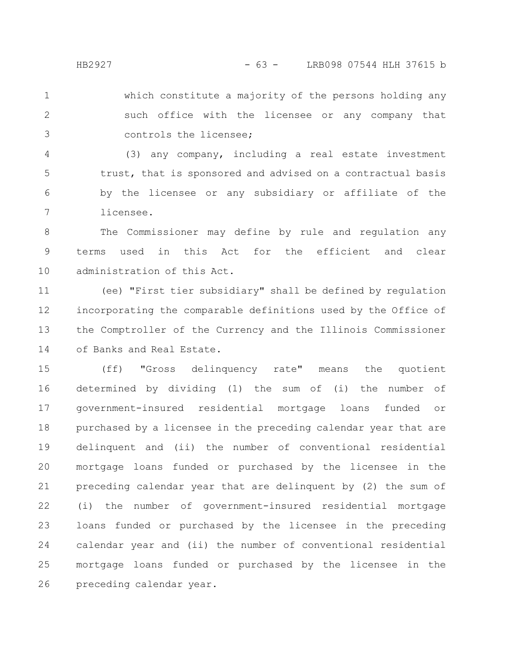which constitute a majority of the persons holding any such office with the licensee or any company that controls the licensee; 1 2 3

(3) any company, including a real estate investment trust, that is sponsored and advised on a contractual basis by the licensee or any subsidiary or affiliate of the licensee. 4 5 6 7

The Commissioner may define by rule and regulation any terms used in this Act for the efficient and clear administration of this Act. 8 9 10

(ee) "First tier subsidiary" shall be defined by regulation incorporating the comparable definitions used by the Office of the Comptroller of the Currency and the Illinois Commissioner of Banks and Real Estate. 11 12 13 14

(ff) "Gross delinquency rate" means the quotient determined by dividing (1) the sum of (i) the number of government-insured residential mortgage loans funded or purchased by a licensee in the preceding calendar year that are delinquent and (ii) the number of conventional residential mortgage loans funded or purchased by the licensee in the preceding calendar year that are delinquent by (2) the sum of (i) the number of government-insured residential mortgage loans funded or purchased by the licensee in the preceding calendar year and (ii) the number of conventional residential mortgage loans funded or purchased by the licensee in the preceding calendar year. 15 16 17 18 19 20 21 22 23 24 25 26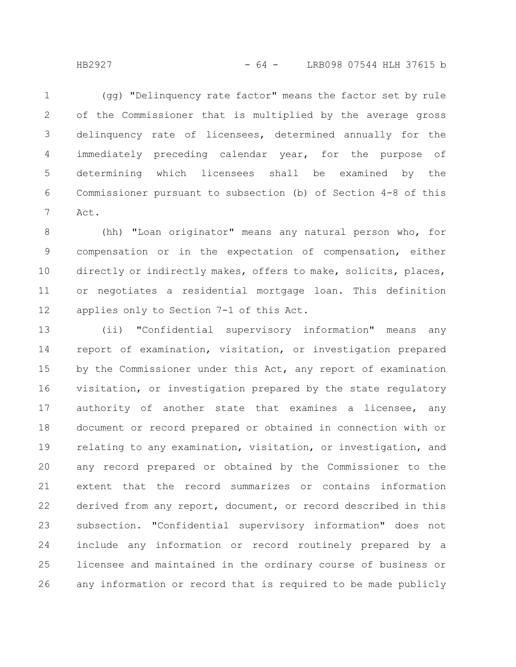(gg) "Delinquency rate factor" means the factor set by rule of the Commissioner that is multiplied by the average gross delinquency rate of licensees, determined annually for the immediately preceding calendar year, for the purpose of determining which licensees shall be examined by the Commissioner pursuant to subsection (b) of Section 4-8 of this Act. 1 2 3 4 5 6 7

(hh) "Loan originator" means any natural person who, for compensation or in the expectation of compensation, either directly or indirectly makes, offers to make, solicits, places, or negotiates a residential mortgage loan. This definition applies only to Section 7-1 of this Act. 8 9 10 11 12

(ii) "Confidential supervisory information" means any report of examination, visitation, or investigation prepared by the Commissioner under this Act, any report of examination visitation, or investigation prepared by the state regulatory authority of another state that examines a licensee, any document or record prepared or obtained in connection with or relating to any examination, visitation, or investigation, and any record prepared or obtained by the Commissioner to the extent that the record summarizes or contains information derived from any report, document, or record described in this subsection. "Confidential supervisory information" does not include any information or record routinely prepared by a licensee and maintained in the ordinary course of business or any information or record that is required to be made publicly 13 14 15 16 17 18 19 20 21 22 23 24 25 26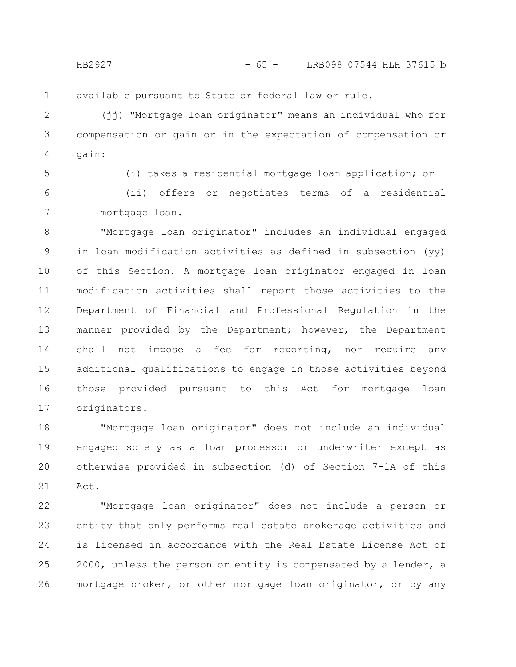available pursuant to State or federal law or rule. 1

(jj) "Mortgage loan originator" means an individual who for compensation or gain or in the expectation of compensation or gain: 2 3 4

5

(i) takes a residential mortgage loan application; or

(ii) offers or negotiates terms of a residential mortgage loan. 6 7

"Mortgage loan originator" includes an individual engaged in loan modification activities as defined in subsection (yy) of this Section. A mortgage loan originator engaged in loan modification activities shall report those activities to the Department of Financial and Professional Regulation in the manner provided by the Department; however, the Department shall not impose a fee for reporting, nor require any additional qualifications to engage in those activities beyond those provided pursuant to this Act for mortgage loan originators. 8 9 10 11 12 13 14 15 16 17

"Mortgage loan originator" does not include an individual engaged solely as a loan processor or underwriter except as otherwise provided in subsection (d) of Section 7-1A of this Act. 18 19 20 21

"Mortgage loan originator" does not include a person or entity that only performs real estate brokerage activities and is licensed in accordance with the Real Estate License Act of 2000, unless the person or entity is compensated by a lender, a mortgage broker, or other mortgage loan originator, or by any 22 23 24 25 26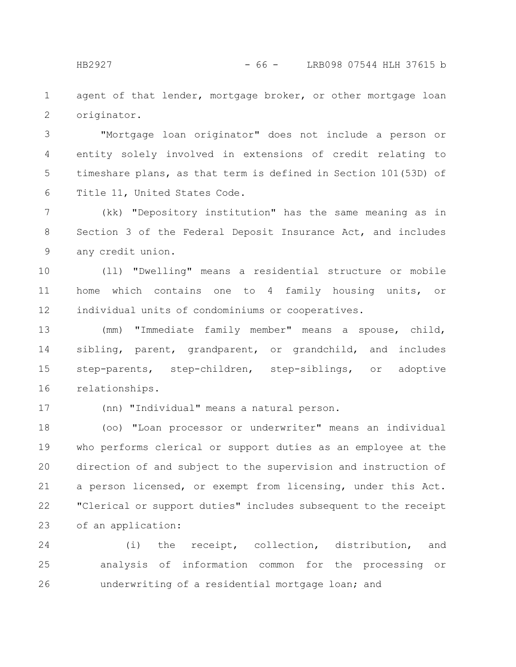agent of that lender, mortgage broker, or other mortgage loan originator. 1 2

"Mortgage loan originator" does not include a person or entity solely involved in extensions of credit relating to timeshare plans, as that term is defined in Section 101(53D) of Title 11, United States Code. 3 4 5 6

(kk) "Depository institution" has the same meaning as in Section 3 of the Federal Deposit Insurance Act, and includes any credit union. 7 8 9

(ll) "Dwelling" means a residential structure or mobile home which contains one to 4 family housing units, or individual units of condominiums or cooperatives. 10 11 12

(mm) "Immediate family member" means a spouse, child, sibling, parent, grandparent, or grandchild, and includes step-parents, step-children, step-siblings, or adoptive relationships. 13 14 15 16

17

(nn) "Individual" means a natural person.

(oo) "Loan processor or underwriter" means an individual who performs clerical or support duties as an employee at the direction of and subject to the supervision and instruction of a person licensed, or exempt from licensing, under this Act. "Clerical or support duties" includes subsequent to the receipt of an application: 18 19 20 21 22 23

(i) the receipt, collection, distribution, and analysis of information common for the processing or underwriting of a residential mortgage loan; and 24 25 26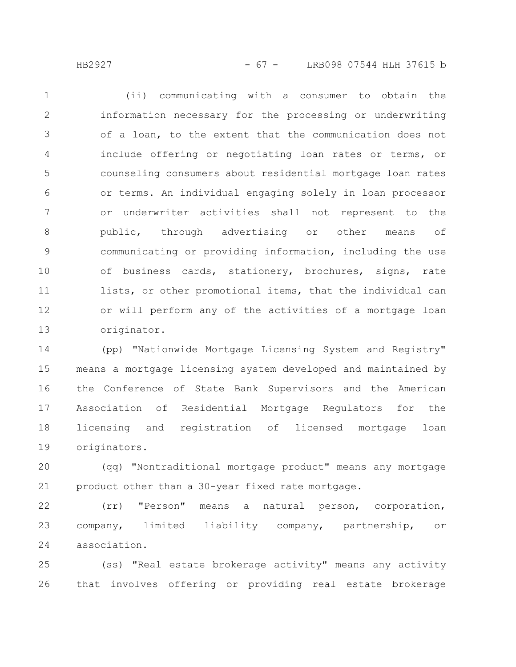(ii) communicating with a consumer to obtain the information necessary for the processing or underwriting of a loan, to the extent that the communication does not include offering or negotiating loan rates or terms, or counseling consumers about residential mortgage loan rates or terms. An individual engaging solely in loan processor or underwriter activities shall not represent to the public, through advertising or other means of communicating or providing information, including the use of business cards, stationery, brochures, signs, rate lists, or other promotional items, that the individual can or will perform any of the activities of a mortgage loan originator. 1 2 3 4 5 6 7 8 9 10 11 12 13

(pp) "Nationwide Mortgage Licensing System and Registry" means a mortgage licensing system developed and maintained by the Conference of State Bank Supervisors and the American Association of Residential Mortgage Regulators for the licensing and registration of licensed mortgage loan originators. 14 15 16 17 18 19

(qq) "Nontraditional mortgage product" means any mortgage product other than a 30-year fixed rate mortgage. 20 21

(rr) "Person" means a natural person, corporation, company, limited liability company, partnership, or association. 22 23 24

(ss) "Real estate brokerage activity" means any activity that involves offering or providing real estate brokerage 25 26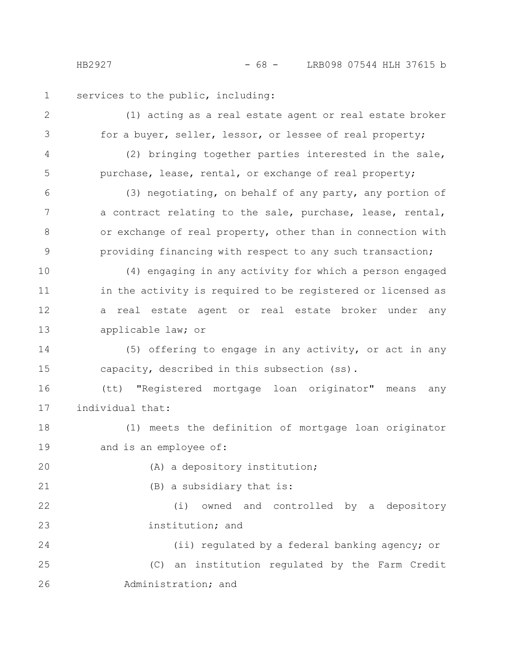HB2927 - 68 - LRB098 07544 HLH 37615 b

services to the public, including: 1

(1) acting as a real estate agent or real estate broker for a buyer, seller, lessor, or lessee of real property; (2) bringing together parties interested in the sale, purchase, lease, rental, or exchange of real property; (3) negotiating, on behalf of any party, any portion of a contract relating to the sale, purchase, lease, rental, or exchange of real property, other than in connection with providing financing with respect to any such transaction; (4) engaging in any activity for which a person engaged in the activity is required to be registered or licensed as a real estate agent or real estate broker under any applicable law; or (5) offering to engage in any activity, or act in any capacity, described in this subsection (ss). (tt) "Registered mortgage loan originator" means any individual that: (1) meets the definition of mortgage loan originator and is an employee of: (A) a depository institution; (B) a subsidiary that is: (i) owned and controlled by a depository institution; and (ii) regulated by a federal banking agency; or (C) an institution regulated by the Farm Credit Administration; and 2 3 4 5 6 7 8 9 10 11 12 13 14 15 16 17 18 19 20 21 22 23 24 25 26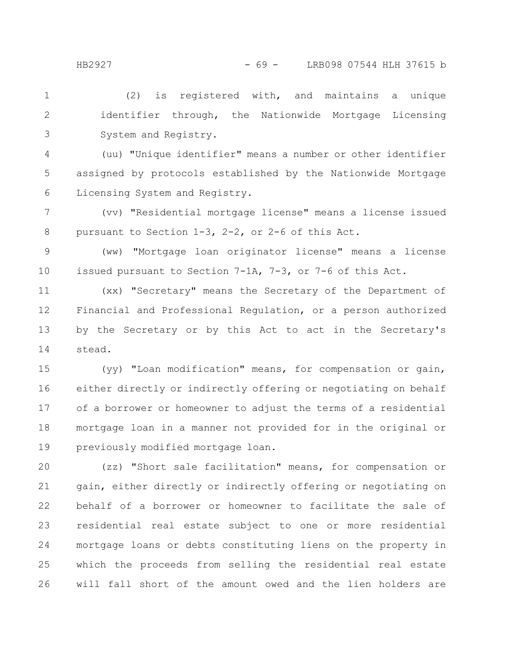(2) is registered with, and maintains a unique identifier through, the Nationwide Mortgage Licensing System and Registry. 1 2 3

(uu) "Unique identifier" means a number or other identifier assigned by protocols established by the Nationwide Mortgage Licensing System and Registry. 4 5 6

(vv) "Residential mortgage license" means a license issued pursuant to Section 1-3, 2-2, or 2-6 of this Act. 7 8

(ww) "Mortgage loan originator license" means a license issued pursuant to Section 7-1A, 7-3, or 7-6 of this Act. 9 10

(xx) "Secretary" means the Secretary of the Department of Financial and Professional Regulation, or a person authorized by the Secretary or by this Act to act in the Secretary's stead. 11 12 13 14

(yy) "Loan modification" means, for compensation or gain, either directly or indirectly offering or negotiating on behalf of a borrower or homeowner to adjust the terms of a residential mortgage loan in a manner not provided for in the original or previously modified mortgage loan. 15 16 17 18 19

(zz) "Short sale facilitation" means, for compensation or gain, either directly or indirectly offering or negotiating on behalf of a borrower or homeowner to facilitate the sale of residential real estate subject to one or more residential mortgage loans or debts constituting liens on the property in which the proceeds from selling the residential real estate will fall short of the amount owed and the lien holders are 20 21 22 23 24 25 26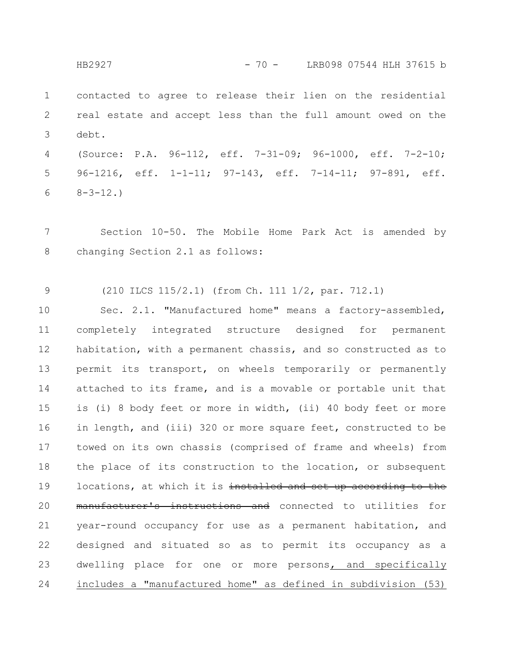contacted to agree to release their lien on the residential real estate and accept less than the full amount owed on the debt. HB2927 - 70 - LRB098 07544 HLH 37615 b

1

2

3

(Source: P.A. 96-112, eff. 7-31-09; 96-1000, eff. 7-2-10; 96-1216, eff. 1-1-11; 97-143, eff. 7-14-11; 97-891, eff.  $8 - 3 - 12.$ 4 5 6

Section 10-50. The Mobile Home Park Act is amended by changing Section 2.1 as follows: 7 8

(210 ILCS 115/2.1) (from Ch. 111 1/2, par. 712.1) 9

Sec. 2.1. "Manufactured home" means a factory-assembled, completely integrated structure designed for permanent habitation, with a permanent chassis, and so constructed as to permit its transport, on wheels temporarily or permanently attached to its frame, and is a movable or portable unit that is (i) 8 body feet or more in width, (ii) 40 body feet or more in length, and (iii) 320 or more square feet, constructed to be towed on its own chassis (comprised of frame and wheels) from the place of its construction to the location, or subsequent locations, at which it is installed and set up according to the manufacturer's instructions and connected to utilities for year-round occupancy for use as a permanent habitation, and designed and situated so as to permit its occupancy as a dwelling place for one or more persons, and specifically includes a "manufactured home" as defined in subdivision (53) 10 11 12 13 14 15 16 17 18 19 20 21 22 23 24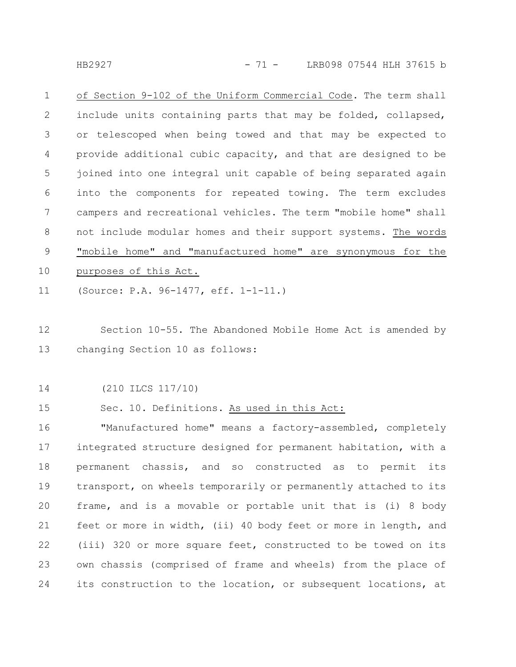HB2927 - 71 - LRB098 07544 HLH 37615 b

of Section 9-102 of the Uniform Commercial Code. The term shall include units containing parts that may be folded, collapsed, or telescoped when being towed and that may be expected to provide additional cubic capacity, and that are designed to be joined into one integral unit capable of being separated again into the components for repeated towing. The term excludes campers and recreational vehicles. The term "mobile home" shall not include modular homes and their support systems. The words "mobile home" and "manufactured home" are synonymous for the purposes of this Act. 1 2 3 4 5 6 7 8 9 10

(Source: P.A. 96-1477, eff. 1-1-11.) 11

Section 10-55. The Abandoned Mobile Home Act is amended by changing Section 10 as follows: 12 13

(210 ILCS 117/10) 14

Sec. 10. Definitions. As used in this Act: 15

"Manufactured home" means a factory-assembled, completely integrated structure designed for permanent habitation, with a permanent chassis, and so constructed as to permit its transport, on wheels temporarily or permanently attached to its frame, and is a movable or portable unit that is (i) 8 body feet or more in width, (ii) 40 body feet or more in length, and (iii) 320 or more square feet, constructed to be towed on its own chassis (comprised of frame and wheels) from the place of its construction to the location, or subsequent locations, at 16 17 18 19 20 21 22 23 24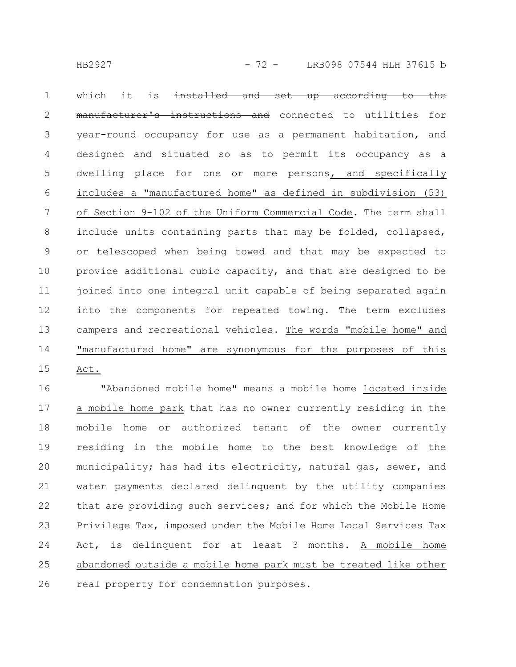which it is  $intalled$  and set up according manufacturer's instructions and connected to utilities for year-round occupancy for use as a permanent habitation, and designed and situated so as to permit its occupancy as a dwelling place for one or more persons, and specifically includes a "manufactured home" as defined in subdivision (53) of Section 9-102 of the Uniform Commercial Code. The term shall include units containing parts that may be folded, collapsed, or telescoped when being towed and that may be expected to provide additional cubic capacity, and that are designed to be joined into one integral unit capable of being separated again into the components for repeated towing. The term excludes campers and recreational vehicles. The words "mobile home" and "manufactured home" are synonymous for the purposes of this Act. 1 2 3 4 5 6 7 8 9 10 11 12 13 14 15

"Abandoned mobile home" means a mobile home located inside a mobile home park that has no owner currently residing in the mobile home or authorized tenant of the owner currently residing in the mobile home to the best knowledge of the municipality; has had its electricity, natural gas, sewer, and water payments declared delinquent by the utility companies that are providing such services; and for which the Mobile Home Privilege Tax, imposed under the Mobile Home Local Services Tax Act, is delinquent for at least 3 months. A mobile home abandoned outside a mobile home park must be treated like other real property for condemnation purposes. 16 17 18 19 20 21 22 23 24 25 26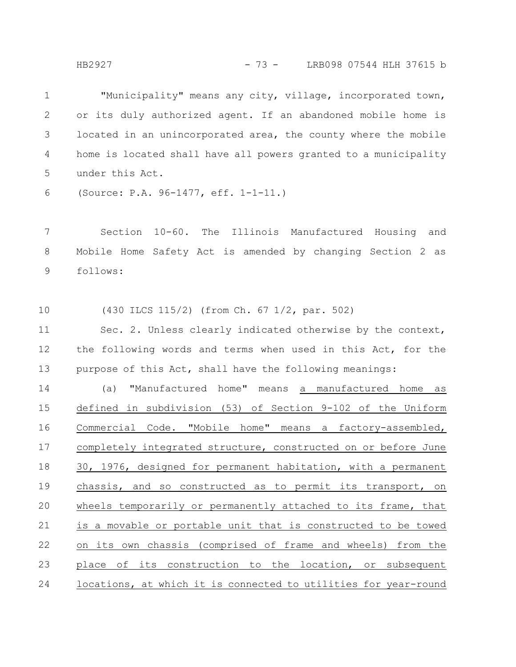"Municipality" means any city, village, incorporated town, or its duly authorized agent. If an abandoned mobile home is located in an unincorporated area, the county where the mobile home is located shall have all powers granted to a municipality under this Act. 1 2 3 4 5

(Source: P.A. 96-1477, eff. 1-1-11.) 6

Section 10-60. The Illinois Manufactured Housing and Mobile Home Safety Act is amended by changing Section 2 as follows: 7 8 9

(430 ILCS 115/2) (from Ch. 67 1/2, par. 502) 10

Sec. 2. Unless clearly indicated otherwise by the context, the following words and terms when used in this Act, for the purpose of this Act, shall have the following meanings: 11 12 13

(a) "Manufactured home" means a manufactured home as defined in subdivision (53) of Section 9-102 of the Uniform Commercial Code. "Mobile home" means a factory-assembled, completely integrated structure, constructed on or before June 30, 1976, designed for permanent habitation, with a permanent chassis, and so constructed as to permit its transport, on wheels temporarily or permanently attached to its frame, that is a movable or portable unit that is constructed to be towed on its own chassis (comprised of frame and wheels) from the place of its construction to the location, or subsequent locations, at which it is connected to utilities for year-round 14 15 16 17 18 19 20 21 22 23 24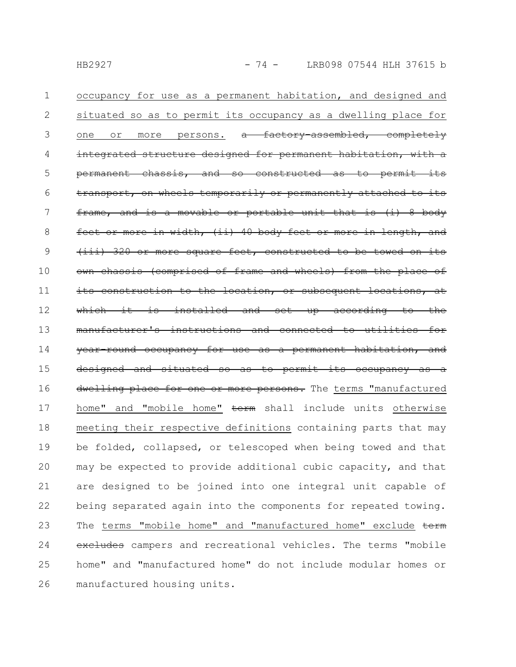occupancy for use as a permanent habitation, and designed and situated so as to permit its occupancy as a dwelling place for one or more persons. a factory-assembled, completely integrated structure designed for permanent habitat  $permannent -chassis, and so-constructed$ transport, on wheels temporarily or permanently attached frame, and is a movable or portable unit that is (i) 8 body width, (ii) 40 body feet 320 or more square feet, constructed (comprised of frame and wheels) from the place of its construction to the location, or subsequent locations, at is installed and set up according to the nufacturer's instructions and connected year-round occupancy for use as a permanent habitation, and designed and situated so as to permit its occupancy as a dwelling place for one or more persons. The terms "manufactured home" and "mobile home" term shall include units otherwise meeting their respective definitions containing parts that may be folded, collapsed, or telescoped when being towed and that may be expected to provide additional cubic capacity, and that are designed to be joined into one integral unit capable of being separated again into the components for repeated towing. The terms "mobile home" and "manufactured home" exclude term excludes campers and recreational vehicles. The terms "mobile home" and "manufactured home" do not include modular homes or manufactured housing units. 1 2 3 4 5 6 7 8 9 10 11 12 13 14 15 16 17 18 19 20 21 22 23 24 25 26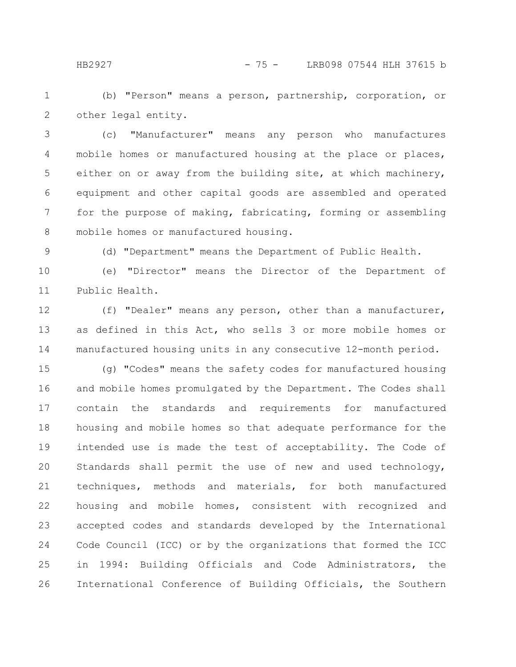HB2927 - 75 - LRB098 07544 HLH 37615 b

(b) "Person" means a person, partnership, corporation, or other legal entity. 1 2

(c) "Manufacturer" means any person who manufactures mobile homes or manufactured housing at the place or places, either on or away from the building site, at which machinery, equipment and other capital goods are assembled and operated for the purpose of making, fabricating, forming or assembling mobile homes or manufactured housing. 3 4 5 6 7 8

9

(d) "Department" means the Department of Public Health.

(e) "Director" means the Director of the Department of Public Health. 10 11

(f) "Dealer" means any person, other than a manufacturer, as defined in this Act, who sells 3 or more mobile homes or manufactured housing units in any consecutive 12-month period. 12 13 14

(g) "Codes" means the safety codes for manufactured housing and mobile homes promulgated by the Department. The Codes shall contain the standards and requirements for manufactured housing and mobile homes so that adequate performance for the intended use is made the test of acceptability. The Code of Standards shall permit the use of new and used technology, techniques, methods and materials, for both manufactured housing and mobile homes, consistent with recognized and accepted codes and standards developed by the International Code Council (ICC) or by the organizations that formed the ICC in 1994: Building Officials and Code Administrators, the International Conference of Building Officials, the Southern 15 16 17 18 19 20 21 22 23 24 25 26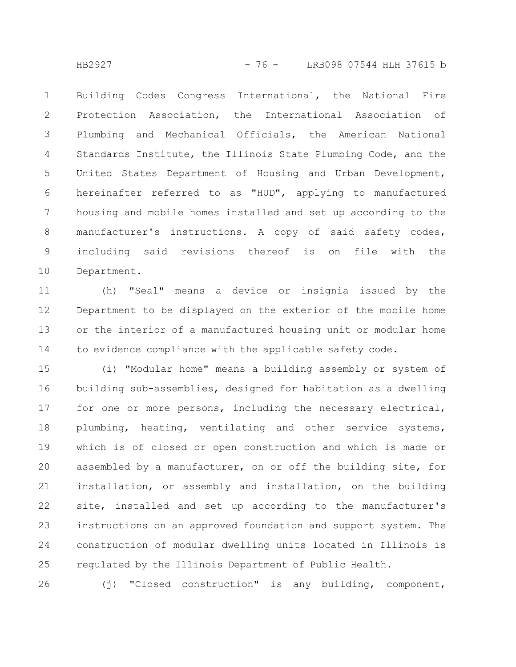Building Codes Congress International, the National Fire Protection Association, the International Association of Plumbing and Mechanical Officials, the American National Standards Institute, the Illinois State Plumbing Code, and the United States Department of Housing and Urban Development, hereinafter referred to as "HUD", applying to manufactured housing and mobile homes installed and set up according to the manufacturer's instructions. A copy of said safety codes, including said revisions thereof is on file with the Department. 1 2 3 4 5 6 7 8 9 10

(h) "Seal" means a device or insignia issued by the Department to be displayed on the exterior of the mobile home or the interior of a manufactured housing unit or modular home to evidence compliance with the applicable safety code. 11 12 13 14

(i) "Modular home" means a building assembly or system of building sub-assemblies, designed for habitation as a dwelling for one or more persons, including the necessary electrical, plumbing, heating, ventilating and other service systems, which is of closed or open construction and which is made or assembled by a manufacturer, on or off the building site, for installation, or assembly and installation, on the building site, installed and set up according to the manufacturer's instructions on an approved foundation and support system. The construction of modular dwelling units located in Illinois is regulated by the Illinois Department of Public Health. 15 16 17 18 19 20 21 22 23 24 25

(j) "Closed construction" is any building, component, 26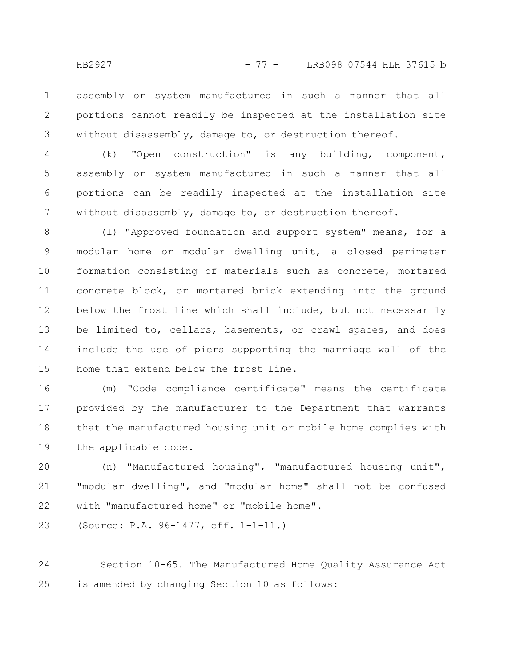assembly or system manufactured in such a manner that all portions cannot readily be inspected at the installation site without disassembly, damage to, or destruction thereof. 1 2 3

(k) "Open construction" is any building, component, assembly or system manufactured in such a manner that all portions can be readily inspected at the installation site without disassembly, damage to, or destruction thereof. 4 5 6 7

(l) "Approved foundation and support system" means, for a modular home or modular dwelling unit, a closed perimeter formation consisting of materials such as concrete, mortared concrete block, or mortared brick extending into the ground below the frost line which shall include, but not necessarily be limited to, cellars, basements, or crawl spaces, and does include the use of piers supporting the marriage wall of the home that extend below the frost line. 8 9 10 11 12 13 14 15

(m) "Code compliance certificate" means the certificate provided by the manufacturer to the Department that warrants that the manufactured housing unit or mobile home complies with the applicable code. 16 17 18 19

(n) "Manufactured housing", "manufactured housing unit", "modular dwelling", and "modular home" shall not be confused with "manufactured home" or "mobile home". 20 21 22

(Source: P.A. 96-1477, eff. 1-1-11.) 23

Section 10-65. The Manufactured Home Quality Assurance Act is amended by changing Section 10 as follows: 24 25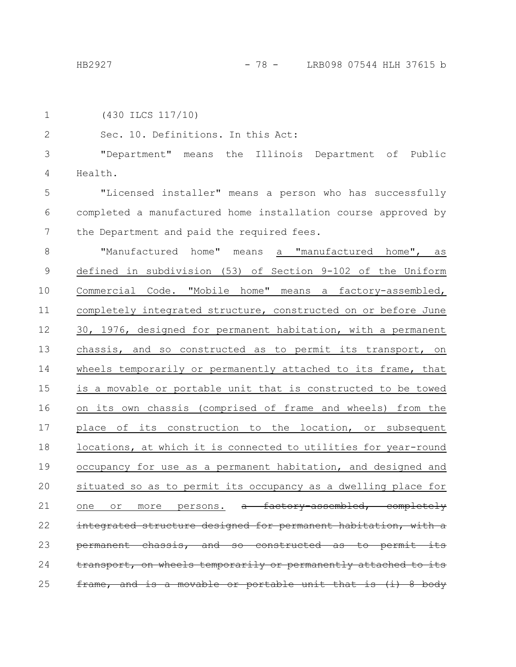1

2

3

4

```
(430 ILCS 117/10)
   Sec. 10. Definitions. In this Act:
   "Department" means the Illinois Department of Public
Health.
```
"Licensed installer" means a person who has successfully completed a manufactured home installation course approved by the Department and paid the required fees. 5 6 7

"Manufactured home" means a "manufactured home", as defined in subdivision (53) of Section 9-102 of the Uniform Commercial Code. "Mobile home" means a factory-assembled, completely integrated structure, constructed on or before June 30, 1976, designed for permanent habitation, with a permanent chassis, and so constructed as to permit its transport, on wheels temporarily or permanently attached to its frame, that is a movable or portable unit that is constructed to be towed on its own chassis (comprised of frame and wheels) from the place of its construction to the location, or subsequent locations, at which it is connected to utilities for year-round occupancy for use as a permanent habitation, and designed and situated so as to permit its occupancy as a dwelling place for one or more persons. a factory-assembled, completely integrated structure designed for permanent habitation, with permanent chassis, and so constructed as to permit transport, on wheels temporarily or permanently attached to frame, and is a movable or portable unit that is (i) 8 8 9 10 11 12 13 14 15 16 17 18 19 20 21 22 23 24 25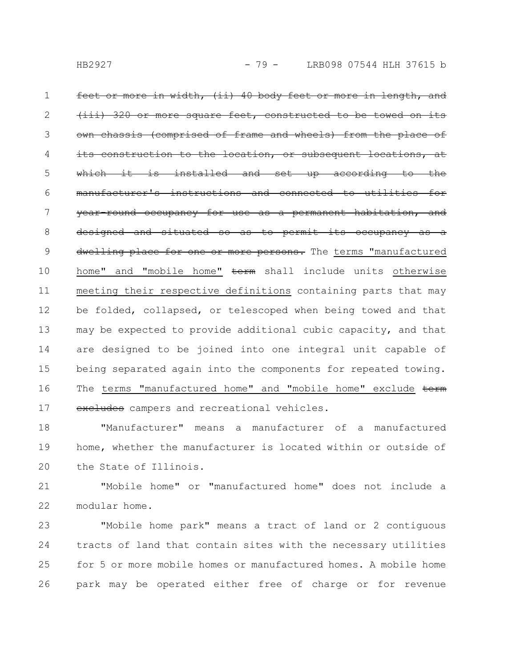<u>in width, (ii) 40 body feet or more in length, and</u> 320 or more square feet, constructed to be (comprised of frame and wheels) from the place of location, or subsequent installed and set up according manufacturer's instructions and connected to utilities for round occupancy for use as a permanent habitation, and designed and situated so as to permit its occupancy dwelling place for one or more persons. The terms "manufactured home" and "mobile home" term shall include units otherwise meeting their respective definitions containing parts that may be folded, collapsed, or telescoped when being towed and that may be expected to provide additional cubic capacity, and that are designed to be joined into one integral unit capable of being separated again into the components for repeated towing. The terms "manufactured home" and "mobile home" exclude term excludes campers and recreational vehicles. 1 2 3 4 5 6 7 8 9 10 11 12 13 14 15 16 17

"Manufacturer" means a manufacturer of a manufactured home, whether the manufacturer is located within or outside of the State of Illinois. 18 19 20

"Mobile home" or "manufactured home" does not include a modular home. 21 22

"Mobile home park" means a tract of land or 2 contiguous tracts of land that contain sites with the necessary utilities for 5 or more mobile homes or manufactured homes. A mobile home park may be operated either free of charge or for revenue 23 24 25 26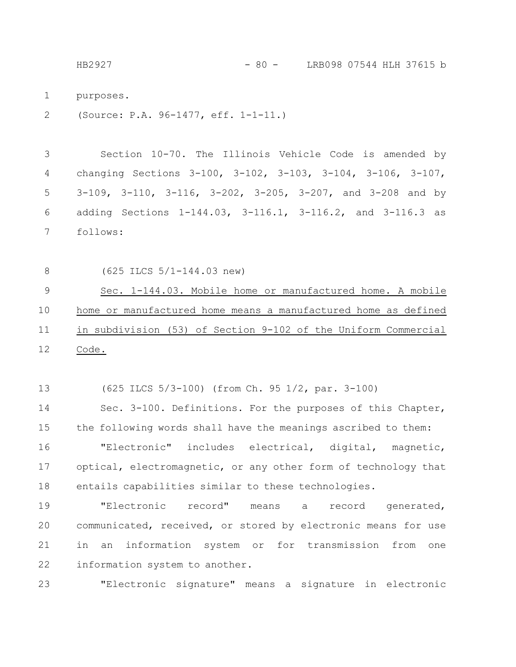HB2927 - 80 - LRB098 07544 HLH 37615 b

purposes. 1

(Source: P.A. 96-1477, eff. 1-1-11.) 2

Section 10-70. The Illinois Vehicle Code is amended by changing Sections 3-100, 3-102, 3-103, 3-104, 3-106, 3-107, 3-109, 3-110, 3-116, 3-202, 3-205, 3-207, and 3-208 and by adding Sections 1-144.03, 3-116.1, 3-116.2, and 3-116.3 as follows: 3 4 5 6 7

8

(625 ILCS 5/1-144.03 new)

Sec. 1-144.03. Mobile home or manufactured home. A mobile home or manufactured home means a manufactured home as defined in subdivision (53) of Section 9-102 of the Uniform Commercial Code. 9 10 11 12

(625 ILCS 5/3-100) (from Ch. 95 1/2, par. 3-100) 13

Sec. 3-100. Definitions. For the purposes of this Chapter, the following words shall have the meanings ascribed to them: 14 15

"Electronic" includes electrical, digital, magnetic, optical, electromagnetic, or any other form of technology that entails capabilities similar to these technologies. 16 17 18

"Electronic record" means a record generated, communicated, received, or stored by electronic means for use in an information system or for transmission from one information system to another. 19 20 21 22

"Electronic signature" means a signature in electronic 23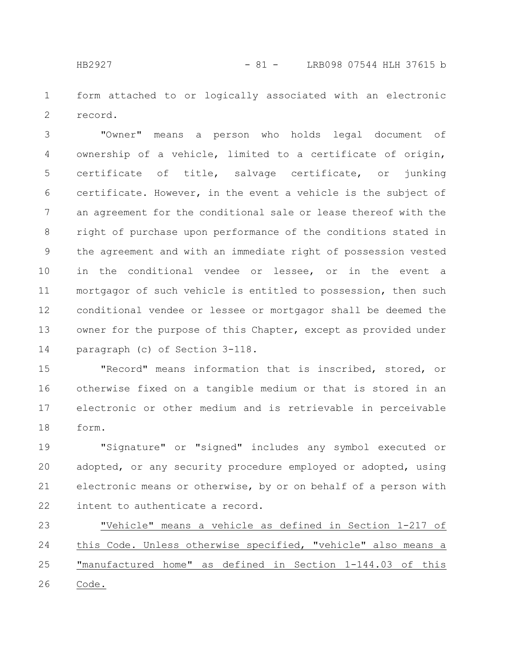form attached to or logically associated with an electronic record. 1 2

"Owner" means a person who holds legal document of ownership of a vehicle, limited to a certificate of origin, certificate of title, salvage certificate, or junking certificate. However, in the event a vehicle is the subject of an agreement for the conditional sale or lease thereof with the right of purchase upon performance of the conditions stated in the agreement and with an immediate right of possession vested in the conditional vendee or lessee, or in the event a mortgagor of such vehicle is entitled to possession, then such conditional vendee or lessee or mortgagor shall be deemed the owner for the purpose of this Chapter, except as provided under paragraph (c) of Section 3-118. 3 4 5 6 7 8 9 10 11 12 13 14

"Record" means information that is inscribed, stored, or otherwise fixed on a tangible medium or that is stored in an electronic or other medium and is retrievable in perceivable form. 15 16 17 18

"Signature" or "signed" includes any symbol executed or adopted, or any security procedure employed or adopted, using electronic means or otherwise, by or on behalf of a person with intent to authenticate a record. 19 20 21 22

"Vehicle" means a vehicle as defined in Section 1-217 of this Code. Unless otherwise specified, "vehicle" also means a "manufactured home" as defined in Section 1-144.03 of this Code. 23 24 25 26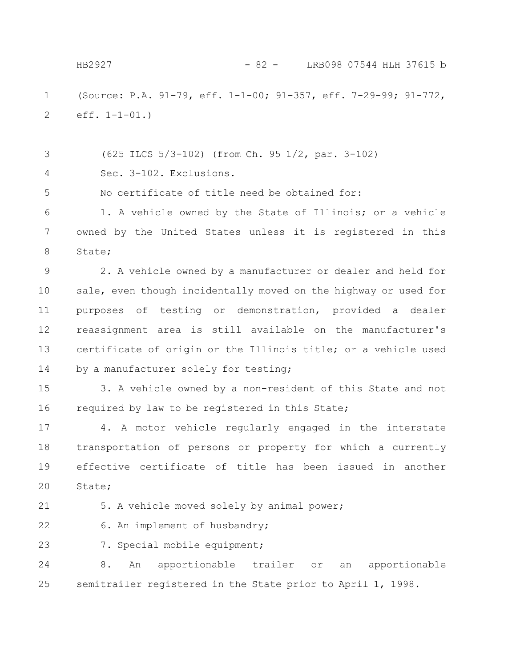(Source: P.A. 91-79, eff. 1-1-00; 91-357, eff. 7-29-99; 91-772, eff. 1-1-01.) 1 2 HB2927 - 82 - LRB098 07544 HLH 37615 b

(625 ILCS 5/3-102) (from Ch. 95 1/2, par. 3-102) Sec. 3-102. Exclusions. 3 4

No certificate of title need be obtained for: 5

1. A vehicle owned by the State of Illinois; or a vehicle owned by the United States unless it is registered in this State; 6 7 8

2. A vehicle owned by a manufacturer or dealer and held for sale, even though incidentally moved on the highway or used for purposes of testing or demonstration, provided a dealer reassignment area is still available on the manufacturer's certificate of origin or the Illinois title; or a vehicle used by a manufacturer solely for testing; 9 10 11 12 13 14

3. A vehicle owned by a non-resident of this State and not required by law to be registered in this State; 15 16

4. A motor vehicle regularly engaged in the interstate transportation of persons or property for which a currently effective certificate of title has been issued in another State; 17 18 19 20

21

5. A vehicle moved solely by animal power;

6. An implement of husbandry; 22

23

7. Special mobile equipment;

8. An apportionable trailer or an apportionable semitrailer registered in the State prior to April 1, 1998. 24 25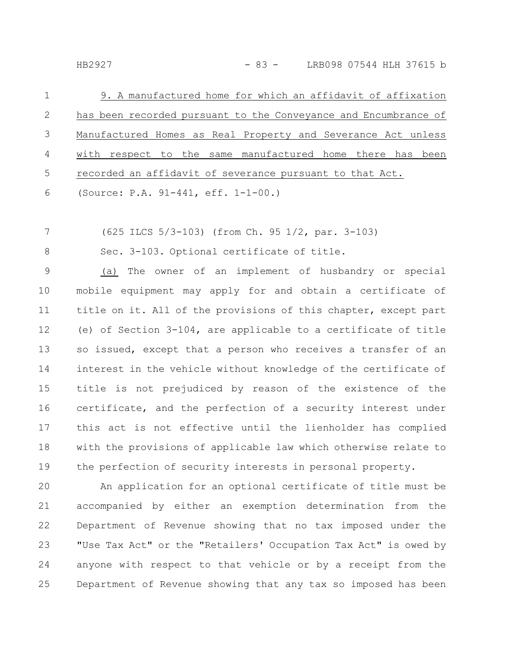| $\mathbf{1}$ | 9. A manufactured home for which an affidavit of affixation     |
|--------------|-----------------------------------------------------------------|
| 2            | has been recorded pursuant to the Conveyance and Encumbrance of |
| 3            | Manufactured Homes as Real Property and Severance Act unless    |
| 4            | with respect to the same manufactured home there has been       |
| -5           | recorded an affidavit of severance pursuant to that Act.        |
| 6 — 10       | (Source: P.A. 91-441, eff. 1-1-00.)                             |

(625 ILCS 5/3-103) (from Ch. 95 1/2, par. 3-103) 7

8

Sec. 3-103. Optional certificate of title.

(a) The owner of an implement of husbandry or special mobile equipment may apply for and obtain a certificate of title on it. All of the provisions of this chapter, except part (e) of Section 3-104, are applicable to a certificate of title so issued, except that a person who receives a transfer of an interest in the vehicle without knowledge of the certificate of title is not prejudiced by reason of the existence of the certificate, and the perfection of a security interest under this act is not effective until the lienholder has complied with the provisions of applicable law which otherwise relate to the perfection of security interests in personal property. 9 10 11 12 13 14 15 16 17 18 19

An application for an optional certificate of title must be accompanied by either an exemption determination from the Department of Revenue showing that no tax imposed under the "Use Tax Act" or the "Retailers' Occupation Tax Act" is owed by anyone with respect to that vehicle or by a receipt from the Department of Revenue showing that any tax so imposed has been 20 21 22 23 24 25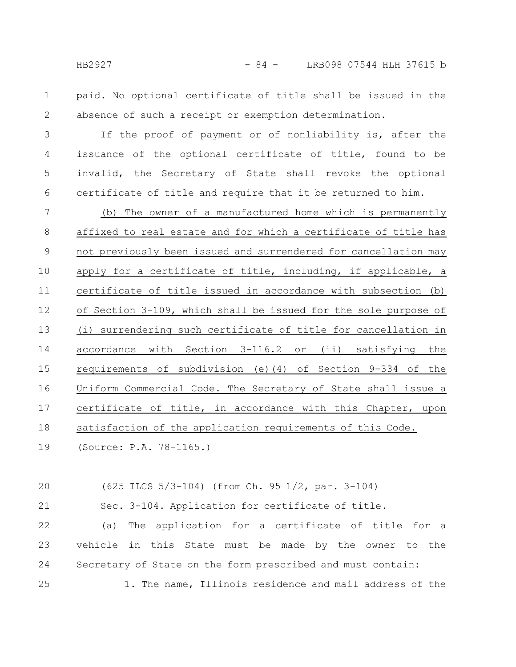paid. No optional certificate of title shall be issued in the absence of such a receipt or exemption determination. 1 2

If the proof of payment or of nonliability is, after the issuance of the optional certificate of title, found to be invalid, the Secretary of State shall revoke the optional certificate of title and require that it be returned to him. 3 4 5 6

(b) The owner of a manufactured home which is permanently affixed to real estate and for which a certificate of title has not previously been issued and surrendered for cancellation may apply for a certificate of title, including, if applicable, a certificate of title issued in accordance with subsection (b) of Section 3-109, which shall be issued for the sole purpose of (i) surrendering such certificate of title for cancellation in accordance with Section 3-116.2 or (ii) satisfying the requirements of subdivision (e)(4) of Section 9-334 of the Uniform Commercial Code. The Secretary of State shall issue a certificate of title, in accordance with this Chapter, upon satisfaction of the application requirements of this Code. 7 8 9 10 11 12 13 14 15 16 17 18

(Source: P.A. 78-1165.) 19

(625 ILCS 5/3-104) (from Ch. 95 1/2, par. 3-104) 20

21

Sec. 3-104. Application for certificate of title.

(a) The application for a certificate of title for a vehicle in this State must be made by the owner to the Secretary of State on the form prescribed and must contain: 22 23 24 25

1. The name, Illinois residence and mail address of the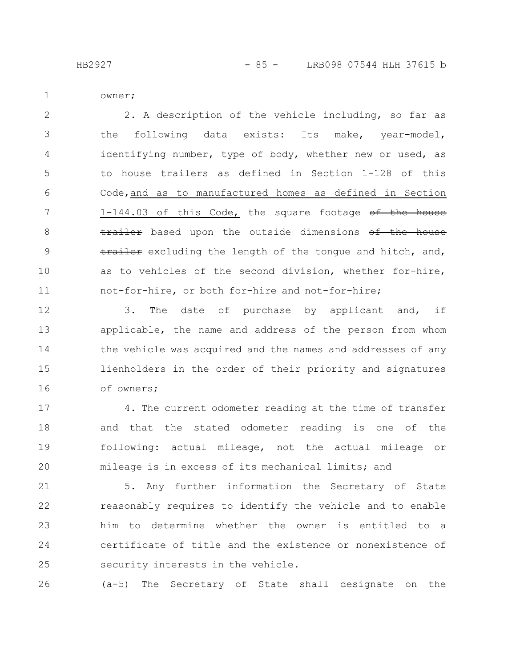HB2927 - 85 - LRB098 07544 HLH 37615 b

owner;

1

2. A description of the vehicle including, so far as the following data exists: Its make, year-model, identifying number, type of body, whether new or used, as to house trailers as defined in Section 1-128 of this Code,and as to manufactured homes as defined in Section 1-144.03 of this Code, the square footage of the house trailer based upon the outside dimensions of the house trailer excluding the length of the tongue and hitch, and, as to vehicles of the second division, whether for-hire, not-for-hire, or both for-hire and not-for-hire; 2 3 4 5 6 7 8 9 10 11

3. The date of purchase by applicant and, if applicable, the name and address of the person from whom the vehicle was acquired and the names and addresses of any lienholders in the order of their priority and signatures of owners; 12 13 14 15 16

4. The current odometer reading at the time of transfer and that the stated odometer reading is one of the following: actual mileage, not the actual mileage or mileage is in excess of its mechanical limits; and 17 18 19 20

5. Any further information the Secretary of State reasonably requires to identify the vehicle and to enable him to determine whether the owner is entitled to a certificate of title and the existence or nonexistence of security interests in the vehicle. 21 22 23 24 25

(a-5) The Secretary of State shall designate on the 26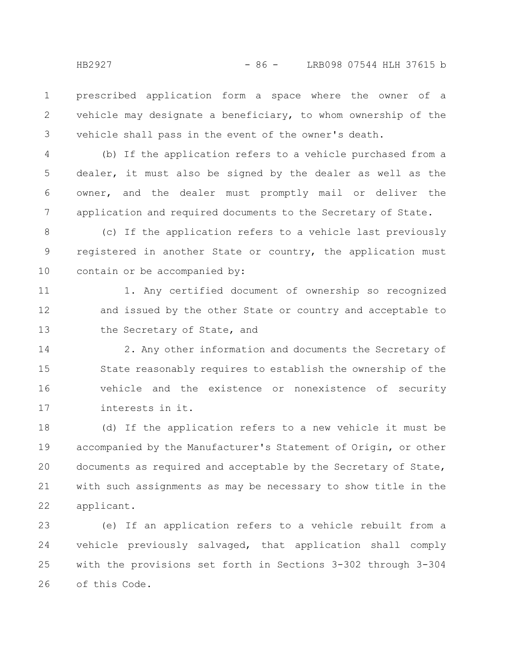prescribed application form a space where the owner of a vehicle may designate a beneficiary, to whom ownership of the vehicle shall pass in the event of the owner's death. 1 2 3

(b) If the application refers to a vehicle purchased from a dealer, it must also be signed by the dealer as well as the owner, and the dealer must promptly mail or deliver the application and required documents to the Secretary of State. 4 5 6 7

(c) If the application refers to a vehicle last previously registered in another State or country, the application must contain or be accompanied by: 8 9 10

1. Any certified document of ownership so recognized and issued by the other State or country and acceptable to the Secretary of State, and 11 12 13

2. Any other information and documents the Secretary of State reasonably requires to establish the ownership of the vehicle and the existence or nonexistence of security interests in it. 14 15 16 17

(d) If the application refers to a new vehicle it must be accompanied by the Manufacturer's Statement of Origin, or other documents as required and acceptable by the Secretary of State, with such assignments as may be necessary to show title in the applicant. 18 19 20 21 22

(e) If an application refers to a vehicle rebuilt from a vehicle previously salvaged, that application shall comply with the provisions set forth in Sections 3-302 through 3-304 of this Code. 23 24 25 26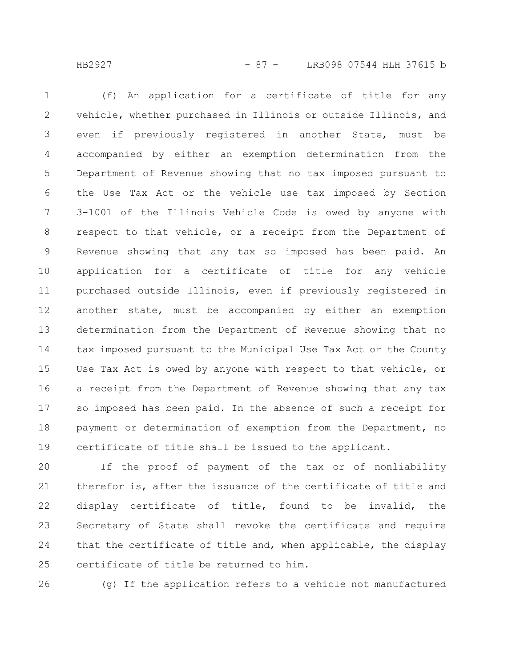HB2927 - 87 - LRB098 07544 HLH 37615 b

(f) An application for a certificate of title for any vehicle, whether purchased in Illinois or outside Illinois, and even if previously registered in another State, must be accompanied by either an exemption determination from the Department of Revenue showing that no tax imposed pursuant to the Use Tax Act or the vehicle use tax imposed by Section 3-1001 of the Illinois Vehicle Code is owed by anyone with respect to that vehicle, or a receipt from the Department of Revenue showing that any tax so imposed has been paid. An application for a certificate of title for any vehicle purchased outside Illinois, even if previously registered in another state, must be accompanied by either an exemption determination from the Department of Revenue showing that no tax imposed pursuant to the Municipal Use Tax Act or the County Use Tax Act is owed by anyone with respect to that vehicle, or a receipt from the Department of Revenue showing that any tax so imposed has been paid. In the absence of such a receipt for payment or determination of exemption from the Department, no certificate of title shall be issued to the applicant. 1 2 3 4 5 6 7 8 9 10 11 12 13 14 15 16 17 18 19

If the proof of payment of the tax or of nonliability therefor is, after the issuance of the certificate of title and display certificate of title, found to be invalid, the Secretary of State shall revoke the certificate and require that the certificate of title and, when applicable, the display certificate of title be returned to him. 20 21 22 23 24 25

(g) If the application refers to a vehicle not manufactured 26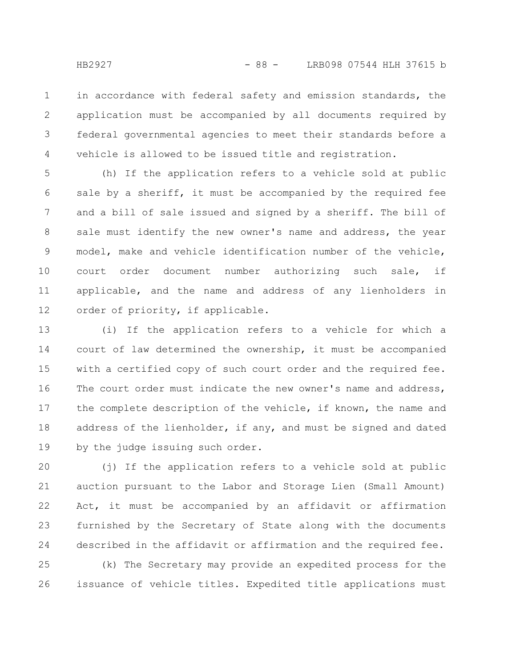in accordance with federal safety and emission standards, the application must be accompanied by all documents required by federal governmental agencies to meet their standards before a vehicle is allowed to be issued title and registration. 1 2 3 4

(h) If the application refers to a vehicle sold at public sale by a sheriff, it must be accompanied by the required fee and a bill of sale issued and signed by a sheriff. The bill of sale must identify the new owner's name and address, the year model, make and vehicle identification number of the vehicle, court order document number authorizing such sale, if applicable, and the name and address of any lienholders in order of priority, if applicable. 5 6 7 8 9 10 11 12

(i) If the application refers to a vehicle for which a court of law determined the ownership, it must be accompanied with a certified copy of such court order and the required fee. The court order must indicate the new owner's name and address, the complete description of the vehicle, if known, the name and address of the lienholder, if any, and must be signed and dated by the judge issuing such order. 13 14 15 16 17 18 19

(j) If the application refers to a vehicle sold at public auction pursuant to the Labor and Storage Lien (Small Amount) Act, it must be accompanied by an affidavit or affirmation furnished by the Secretary of State along with the documents described in the affidavit or affirmation and the required fee. 20 21 22 23 24

(k) The Secretary may provide an expedited process for the issuance of vehicle titles. Expedited title applications must 25 26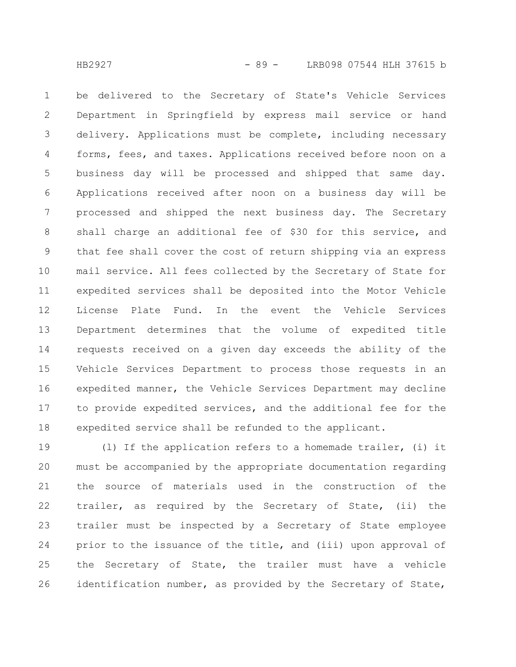be delivered to the Secretary of State's Vehicle Services Department in Springfield by express mail service or hand delivery. Applications must be complete, including necessary forms, fees, and taxes. Applications received before noon on a business day will be processed and shipped that same day. Applications received after noon on a business day will be processed and shipped the next business day. The Secretary shall charge an additional fee of \$30 for this service, and that fee shall cover the cost of return shipping via an express mail service. All fees collected by the Secretary of State for expedited services shall be deposited into the Motor Vehicle License Plate Fund. In the event the Vehicle Services Department determines that the volume of expedited title requests received on a given day exceeds the ability of the Vehicle Services Department to process those requests in an expedited manner, the Vehicle Services Department may decline to provide expedited services, and the additional fee for the expedited service shall be refunded to the applicant. 1 2 3 4 5 6 7 8 9 10 11 12 13 14 15 16 17 18

(l) If the application refers to a homemade trailer, (i) it must be accompanied by the appropriate documentation regarding the source of materials used in the construction of the trailer, as required by the Secretary of State, (ii) the trailer must be inspected by a Secretary of State employee prior to the issuance of the title, and (iii) upon approval of the Secretary of State, the trailer must have a vehicle identification number, as provided by the Secretary of State, 19 20 21 22 23 24 25 26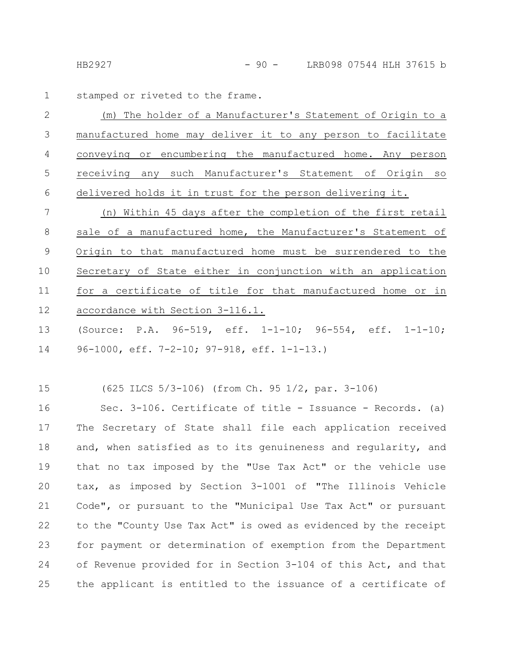stamped or riveted to the frame. 1

(m) The holder of a Manufacturer's Statement of Origin to a manufactured home may deliver it to any person to facilitate conveying or encumbering the manufactured home. Any person receiving any such Manufacturer's Statement of Origin so delivered holds it in trust for the person delivering it. 2 3 4 5 6

(n) Within 45 days after the completion of the first retail sale of a manufactured home, the Manufacturer's Statement of Origin to that manufactured home must be surrendered to the Secretary of State either in conjunction with an application for a certificate of title for that manufactured home or in accordance with Section 3-116.1. 7 8 9 10 11 12

(Source: P.A. 96-519, eff. 1-1-10; 96-554, eff. 1-1-10; 96-1000, eff. 7-2-10; 97-918, eff. 1-1-13.) 13 14

(625 ILCS 5/3-106) (from Ch. 95 1/2, par. 3-106) 15

Sec. 3-106. Certificate of title - Issuance - Records. (a) The Secretary of State shall file each application received and, when satisfied as to its genuineness and regularity, and that no tax imposed by the "Use Tax Act" or the vehicle use tax, as imposed by Section 3-1001 of "The Illinois Vehicle Code", or pursuant to the "Municipal Use Tax Act" or pursuant to the "County Use Tax Act" is owed as evidenced by the receipt for payment or determination of exemption from the Department of Revenue provided for in Section 3-104 of this Act, and that the applicant is entitled to the issuance of a certificate of 16 17 18 19 20 21 22 23 24 25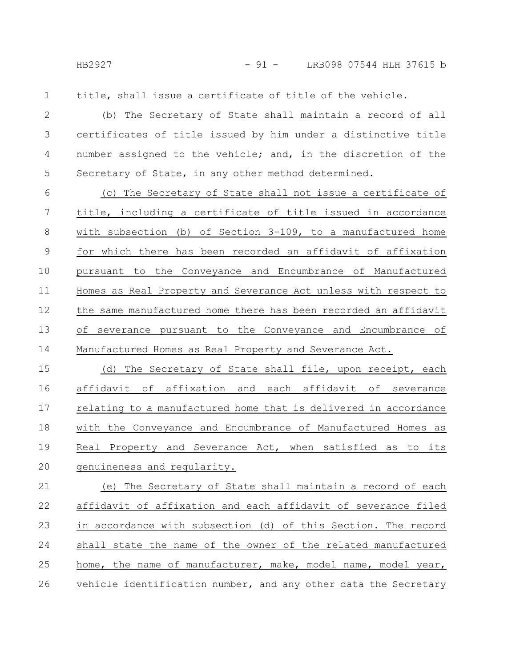HB2927 - 91 - LRB098 07544 HLH 37615 b

1

title, shall issue a certificate of title of the vehicle.

(b) The Secretary of State shall maintain a record of all certificates of title issued by him under a distinctive title number assigned to the vehicle; and, in the discretion of the Secretary of State, in any other method determined. 2 3 4 5

(c) The Secretary of State shall not issue a certificate of title, including a certificate of title issued in accordance with subsection (b) of Section 3-109, to a manufactured home for which there has been recorded an affidavit of affixation pursuant to the Conveyance and Encumbrance of Manufactured Homes as Real Property and Severance Act unless with respect to the same manufactured home there has been recorded an affidavit of severance pursuant to the Conveyance and Encumbrance of Manufactured Homes as Real Property and Severance Act. 6 7 8 9 10 11 12 13 14

(d) The Secretary of State shall file, upon receipt, each affidavit of affixation and each affidavit of severance relating to a manufactured home that is delivered in accordance with the Conveyance and Encumbrance of Manufactured Homes as Real Property and Severance Act, when satisfied as to its genuineness and regularity. 15 16 17 18 19 20

(e) The Secretary of State shall maintain a record of each affidavit of affixation and each affidavit of severance filed in accordance with subsection (d) of this Section. The record shall state the name of the owner of the related manufactured home, the name of manufacturer, make, model name, model year, vehicle identification number, and any other data the Secretary 21 22 23 24 25 26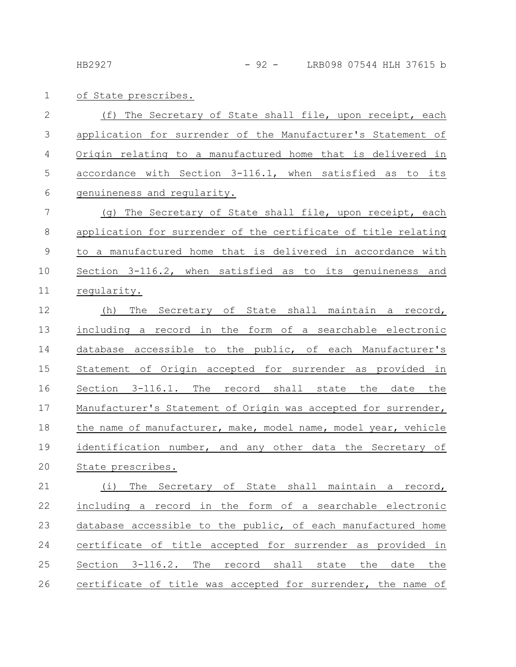of State prescribes. 1

(f) The Secretary of State shall file, upon receipt, each application for surrender of the Manufacturer's Statement of Origin relating to a manufactured home that is delivered in accordance with Section 3-116.1, when satisfied as to its genuineness and regularity. 2 3 4 5 6

(g) The Secretary of State shall file, upon receipt, each application for surrender of the certificate of title relating to a manufactured home that is delivered in accordance with Section 3-116.2, when satisfied as to its genuineness and regularity. 7 8 9 10 11

(h) The Secretary of State shall maintain a record, including a record in the form of a searchable electronic database accessible to the public, of each Manufacturer's Statement of Origin accepted for surrender as provided in Section 3-116.1. The record shall state the date the Manufacturer's Statement of Origin was accepted for surrender, the name of manufacturer, make, model name, model year, vehicle identification number, and any other data the Secretary of State prescribes. 12 13 14 15 16 17 18 19 20

(i) The Secretary of State shall maintain a record, including a record in the form of a searchable electronic database accessible to the public, of each manufactured home certificate of title accepted for surrender as provided in Section 3-116.2. The record shall state the date the certificate of title was accepted for surrender, the name of 21 22 23 24 25 26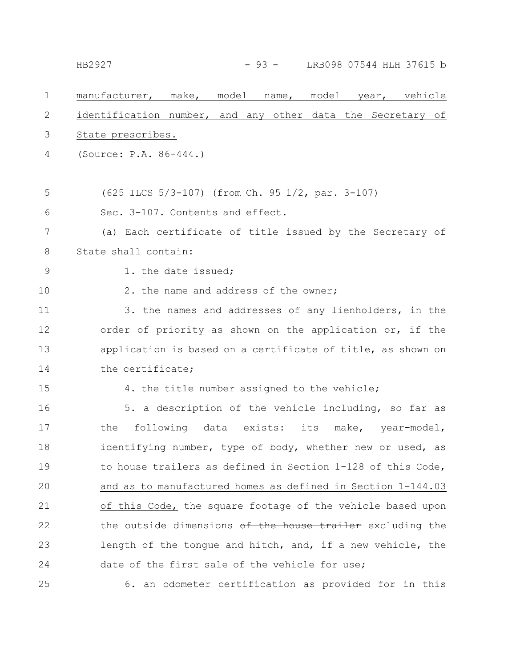## HB2927 - 93 - LRB098 07544 HLH 37615 b

| $\mathbf 1$ | manufacturer, make, model name, model year, vehicle         |
|-------------|-------------------------------------------------------------|
| 2           | identification number, and any other data the Secretary of  |
| 3           | State prescribes.                                           |
| 4           | (Source: P.A. 86-444.)                                      |
|             |                                                             |
| 5           | (625 ILCS 5/3-107) (from Ch. 95 1/2, par. 3-107)            |
| 6           | Sec. 3-107. Contents and effect.                            |
| 7           | (a) Each certificate of title issued by the Secretary of    |
| $\,8\,$     | State shall contain:                                        |
| 9           | 1. the date issued;                                         |
| 10          | 2. the name and address of the owner;                       |
| 11          | 3. the names and addresses of any lienholders, in the       |
| 12          | order of priority as shown on the application or, if the    |
| 13          | application is based on a certificate of title, as shown on |
| 14          | the certificate;                                            |
| 15          | 4. the title number assigned to the vehicle;                |
| 16          | 5. a description of the vehicle including, so far as        |
| 17          | following data exists: its make, year-model,<br>the         |
| 18          | identifying number, type of body, whether new or used, as   |
| 19          | to house trailers as defined in Section 1-128 of this Code, |
| 20          | and as to manufactured homes as defined in Section 1-144.03 |
| 21          | of this Code, the square footage of the vehicle based upon  |
| 22          | the outside dimensions of the house trailer excluding the   |
| 23          | length of the tongue and hitch, and, if a new vehicle, the  |
| 24          | date of the first sale of the vehicle for use;              |
| 25          | 6. an odometer certification as provided for in this        |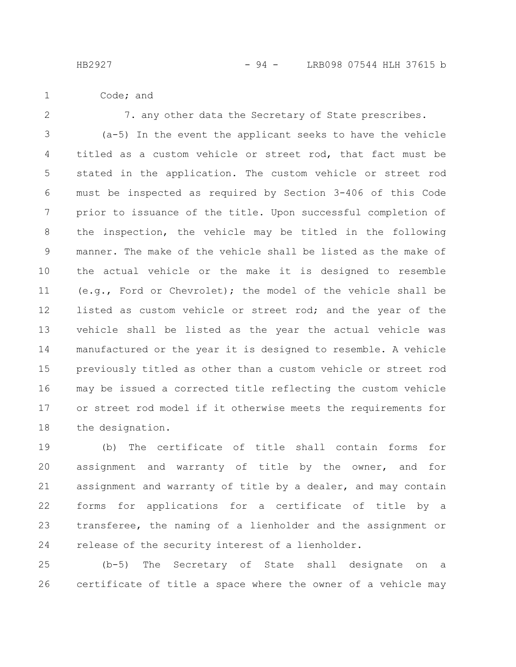- Code; and 1
- 2

7. any other data the Secretary of State prescribes.

(a-5) In the event the applicant seeks to have the vehicle titled as a custom vehicle or street rod, that fact must be stated in the application. The custom vehicle or street rod must be inspected as required by Section 3-406 of this Code prior to issuance of the title. Upon successful completion of the inspection, the vehicle may be titled in the following manner. The make of the vehicle shall be listed as the make of the actual vehicle or the make it is designed to resemble (e.g., Ford or Chevrolet); the model of the vehicle shall be listed as custom vehicle or street rod; and the year of the vehicle shall be listed as the year the actual vehicle was manufactured or the year it is designed to resemble. A vehicle previously titled as other than a custom vehicle or street rod may be issued a corrected title reflecting the custom vehicle or street rod model if it otherwise meets the requirements for the designation. 3 4 5 6 7 8 9 10 11 12 13 14 15 16 17 18

(b) The certificate of title shall contain forms for assignment and warranty of title by the owner, and for assignment and warranty of title by a dealer, and may contain forms for applications for a certificate of title by a transferee, the naming of a lienholder and the assignment or release of the security interest of a lienholder. 19 20 21 22 23 24

(b-5) The Secretary of State shall designate on a certificate of title a space where the owner of a vehicle may 25 26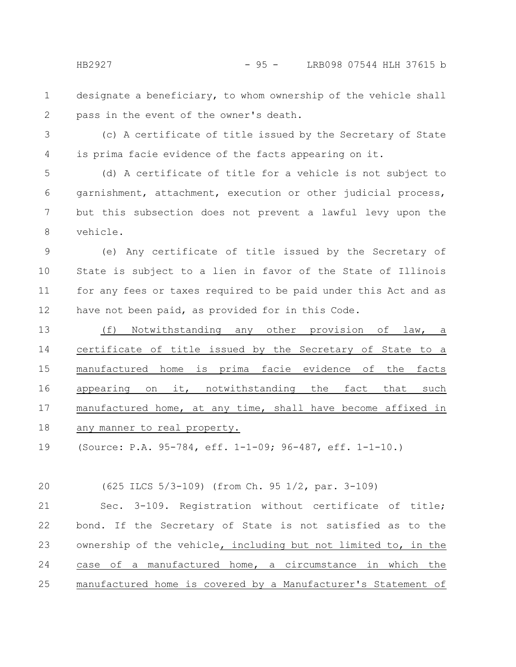- designate a beneficiary, to whom ownership of the vehicle shall pass in the event of the owner's death. 1 2
- 3

4

(c) A certificate of title issued by the Secretary of State is prima facie evidence of the facts appearing on it.

(d) A certificate of title for a vehicle is not subject to garnishment, attachment, execution or other judicial process, but this subsection does not prevent a lawful levy upon the vehicle. 5 6 7 8

(e) Any certificate of title issued by the Secretary of State is subject to a lien in favor of the State of Illinois for any fees or taxes required to be paid under this Act and as have not been paid, as provided for in this Code. 9 10 11 12

(f) Notwithstanding any other provision of law, a certificate of title issued by the Secretary of State to a manufactured home is prima facie evidence of the facts appearing on it, notwithstanding the fact that such manufactured home, at any time, shall have become affixed in any manner to real property. 13 14 15 16 17 18

(Source: P.A. 95-784, eff. 1-1-09; 96-487, eff. 1-1-10.) 19

(625 ILCS 5/3-109) (from Ch. 95 1/2, par. 3-109) 20

Sec. 3-109. Registration without certificate of title; bond. If the Secretary of State is not satisfied as to the ownership of the vehicle, including but not limited to, in the case of a manufactured home, a circumstance in which the manufactured home is covered by a Manufacturer's Statement of 21 22 23 24 25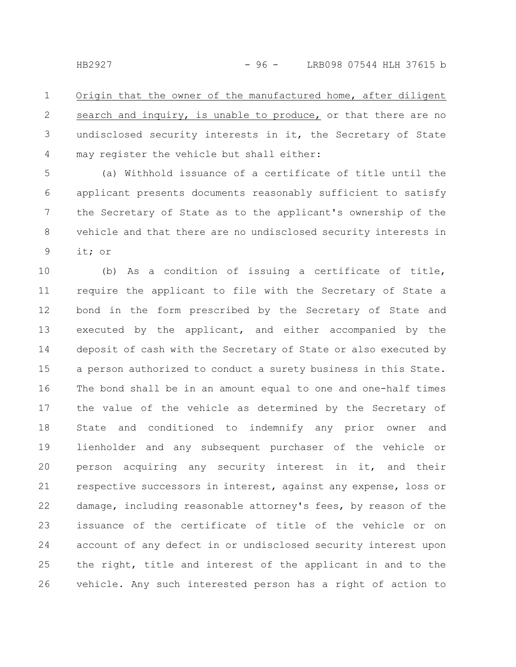Origin that the owner of the manufactured home, after diligent search and inquiry, is unable to produce, or that there are no undisclosed security interests in it, the Secretary of State may register the vehicle but shall either: 1 2 3 4

(a) Withhold issuance of a certificate of title until the applicant presents documents reasonably sufficient to satisfy the Secretary of State as to the applicant's ownership of the vehicle and that there are no undisclosed security interests in it; or 5 6 7 8 9

(b) As a condition of issuing a certificate of title, require the applicant to file with the Secretary of State a bond in the form prescribed by the Secretary of State and executed by the applicant, and either accompanied by the deposit of cash with the Secretary of State or also executed by a person authorized to conduct a surety business in this State. The bond shall be in an amount equal to one and one-half times the value of the vehicle as determined by the Secretary of State and conditioned to indemnify any prior owner and lienholder and any subsequent purchaser of the vehicle or person acquiring any security interest in it, and their respective successors in interest, against any expense, loss or damage, including reasonable attorney's fees, by reason of the issuance of the certificate of title of the vehicle or on account of any defect in or undisclosed security interest upon the right, title and interest of the applicant in and to the vehicle. Any such interested person has a right of action to 10 11 12 13 14 15 16 17 18 19 20 21 22 23 24 25 26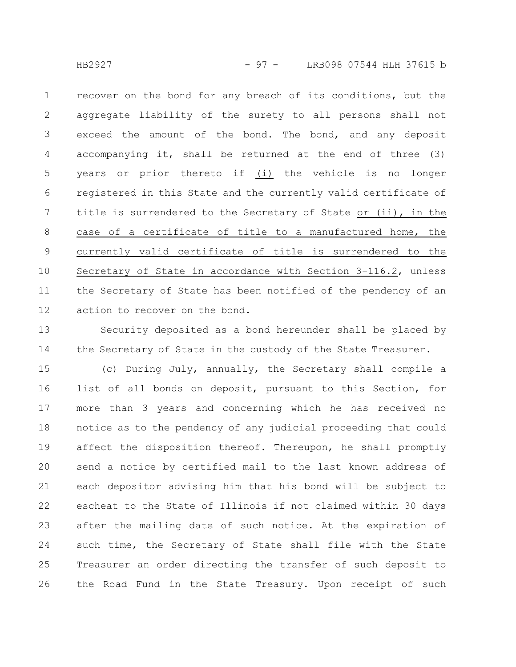recover on the bond for any breach of its conditions, but the aggregate liability of the surety to all persons shall not exceed the amount of the bond. The bond, and any deposit accompanying it, shall be returned at the end of three (3) years or prior thereto if (i) the vehicle is no longer registered in this State and the currently valid certificate of title is surrendered to the Secretary of State or (ii), in the case of a certificate of title to a manufactured home, the currently valid certificate of title is surrendered to the Secretary of State in accordance with Section 3-116.2, unless the Secretary of State has been notified of the pendency of an action to recover on the bond. 1 2 3 4 5 6 7 8 9 10 11 12

Security deposited as a bond hereunder shall be placed by the Secretary of State in the custody of the State Treasurer. 13 14

(c) During July, annually, the Secretary shall compile a list of all bonds on deposit, pursuant to this Section, for more than 3 years and concerning which he has received no notice as to the pendency of any judicial proceeding that could affect the disposition thereof. Thereupon, he shall promptly send a notice by certified mail to the last known address of each depositor advising him that his bond will be subject to escheat to the State of Illinois if not claimed within 30 days after the mailing date of such notice. At the expiration of such time, the Secretary of State shall file with the State Treasurer an order directing the transfer of such deposit to the Road Fund in the State Treasury. Upon receipt of such 15 16 17 18 19 20 21 22 23 24 25 26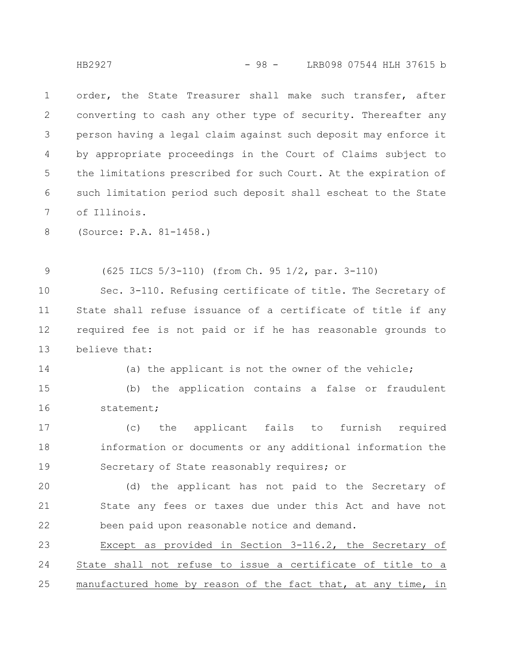order, the State Treasurer shall make such transfer, after converting to cash any other type of security. Thereafter any person having a legal claim against such deposit may enforce it by appropriate proceedings in the Court of Claims subject to the limitations prescribed for such Court. At the expiration of such limitation period such deposit shall escheat to the State of Illinois. 1 2 3 4 5 6 7

(Source: P.A. 81-1458.) 8

(625 ILCS 5/3-110) (from Ch. 95 1/2, par. 3-110) 9

Sec. 3-110. Refusing certificate of title. The Secretary of State shall refuse issuance of a certificate of title if any required fee is not paid or if he has reasonable grounds to believe that: 10 11 12 13

(a) the applicant is not the owner of the vehicle; 14

(b) the application contains a false or fraudulent statement; 15 16

(c) the applicant fails to furnish required information or documents or any additional information the Secretary of State reasonably requires; or 17 18 19

(d) the applicant has not paid to the Secretary of State any fees or taxes due under this Act and have not been paid upon reasonable notice and demand. 20 21 22

Except as provided in Section 3-116.2, the Secretary of State shall not refuse to issue a certificate of title to a manufactured home by reason of the fact that, at any time, in 23 24 25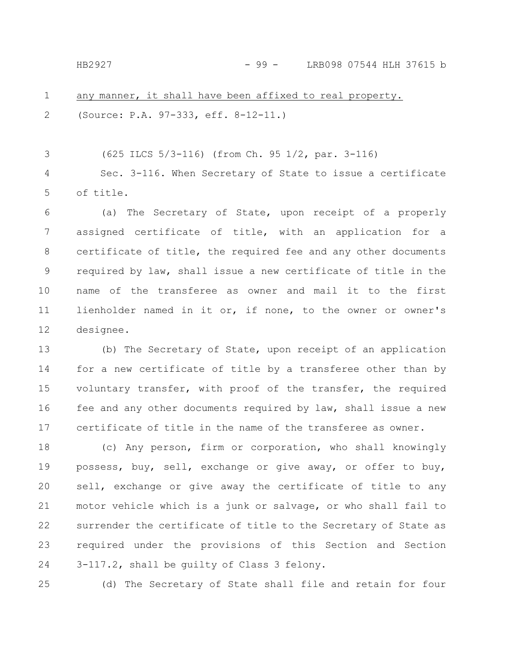## HB2927 - 99 - LRB098 07544 HLH 37615 b

any manner, it shall have been affixed to real property. (Source: P.A. 97-333, eff. 8-12-11.) 1 2

(625 ILCS 5/3-116) (from Ch. 95 1/2, par. 3-116) Sec. 3-116. When Secretary of State to issue a certificate of title. 3 4 5

(a) The Secretary of State, upon receipt of a properly assigned certificate of title, with an application for a certificate of title, the required fee and any other documents required by law, shall issue a new certificate of title in the name of the transferee as owner and mail it to the first lienholder named in it or, if none, to the owner or owner's designee. 6 7 8 9 10 11 12

(b) The Secretary of State, upon receipt of an application for a new certificate of title by a transferee other than by voluntary transfer, with proof of the transfer, the required fee and any other documents required by law, shall issue a new certificate of title in the name of the transferee as owner. 13 14 15 16 17

(c) Any person, firm or corporation, who shall knowingly possess, buy, sell, exchange or give away, or offer to buy, sell, exchange or give away the certificate of title to any motor vehicle which is a junk or salvage, or who shall fail to surrender the certificate of title to the Secretary of State as required under the provisions of this Section and Section 3-117.2, shall be guilty of Class 3 felony. 18 19 20 21 22 23 24

25

(d) The Secretary of State shall file and retain for four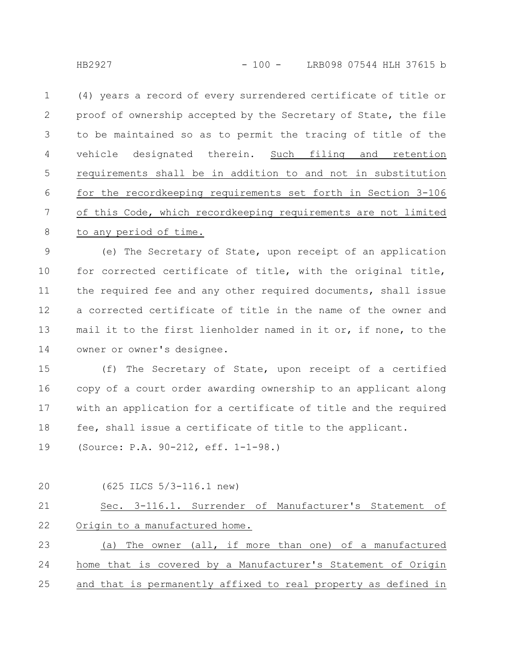(4) years a record of every surrendered certificate of title or proof of ownership accepted by the Secretary of State, the file to be maintained so as to permit the tracing of title of the vehicle designated therein. Such filing and retention requirements shall be in addition to and not in substitution for the recordkeeping requirements set forth in Section 3-106 of this Code, which recordkeeping requirements are not limited to any period of time. 1 2 3 4 5 6 7 8

(e) The Secretary of State, upon receipt of an application for corrected certificate of title, with the original title, the required fee and any other required documents, shall issue a corrected certificate of title in the name of the owner and mail it to the first lienholder named in it or, if none, to the owner or owner's designee. 9 10 11 12 13 14

(f) The Secretary of State, upon receipt of a certified copy of a court order awarding ownership to an applicant along with an application for a certificate of title and the required fee, shall issue a certificate of title to the applicant. 15 16 17 18

- (Source: P.A. 90-212, eff. 1-1-98.) 19
- (625 ILCS 5/3-116.1 new) Sec. 3-116.1. Surrender of Manufacturer's Statement of Origin to a manufactured home. (a) The owner (all, if more than one) of a manufactured home that is covered by a Manufacturer's Statement of Origin and that is permanently affixed to real property as defined in 20 21 22 23 24 25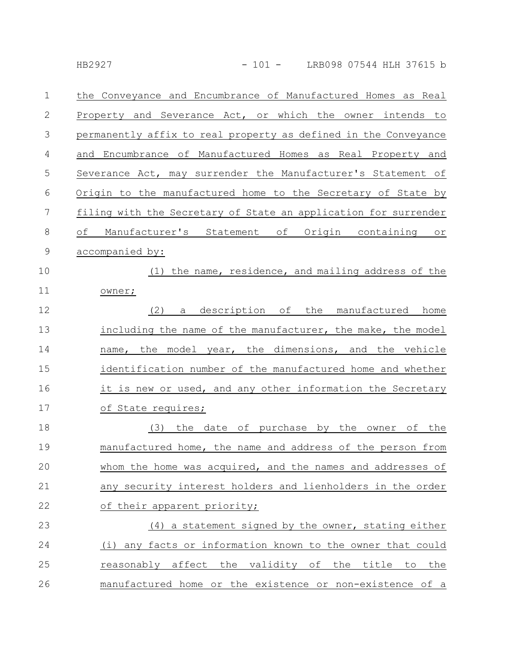| $\mathbf 1$ | the Conveyance and Encumbrance of Manufactured Homes as Real    |
|-------------|-----------------------------------------------------------------|
| 2           | Property and Severance Act, or which the owner intends to       |
| 3           | permanently affix to real property as defined in the Conveyance |
| 4           | and Encumbrance of Manufactured Homes as Real Property and      |
| 5           | Severance Act, may surrender the Manufacturer's Statement of    |
| 6           | Origin to the manufactured home to the Secretary of State by    |
| 7           | filing with the Secretary of State an application for surrender |
| 8           | of Manufacturer's Statement of Origin containing or             |
| $\mathsf 9$ | accompanied by:                                                 |
| 10          | (1) the name, residence, and mailing address of the             |
| 11          | owner;                                                          |
| 12          | description of the manufactured home<br>(2)<br>a                |
| 13          | including the name of the manufacturer, the make, the model     |
| 14          | name, the model year, the dimensions, and the vehicle           |
| 15          | identification number of the manufactured home and whether      |
| 16          | it is new or used, and any other information the Secretary      |
| 17          | of State requires;                                              |
| 18          | the date of purchase by the owner of the<br>(3)                 |
| 19          | manufactured home, the name and address of the person from      |
| 20          | whom the home was acquired, and the names and addresses of      |
| 21          | any security interest holders and lienholders in the order      |
| 22          | of their apparent priority;                                     |
| 23          | (4) a statement signed by the owner, stating either             |
| 24          | (i) any facts or information known to the owner that could      |
| 25          | reasonably affect the validity of the title to<br>the           |
| 26          | manufactured home or the existence or non-existence of a        |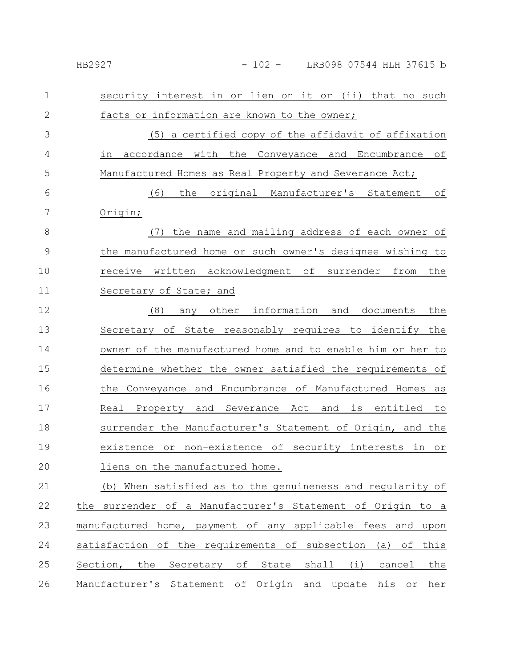| 1             | security interest in or lien on it or (ii) that no such     |
|---------------|-------------------------------------------------------------|
| $\mathbf{2}$  | facts or information are known to the owner;                |
| 3             | (5) a certified copy of the affidavit of affixation         |
| 4             | accordance with the Conveyance and Encumbrance<br>of<br>in  |
| 5             | Manufactured Homes as Real Property and Severance Act;      |
| 6             | the original Manufacturer's Statement of<br>(6)             |
| 7             | Origin;                                                     |
| 8             | the name and mailing address of each owner of<br>(7)        |
| $\mathcal{G}$ | the manufactured home or such owner's designee wishing to   |
| 10            | receive written acknowledgment of surrender from<br>the     |
| 11            | Secretary of State; and                                     |
| 12            | any other information and documents<br>(8)<br>the           |
| 13            | Secretary of State reasonably requires to identify the      |
| 14            | owner of the manufactured home and to enable him or her to  |
| 15            | determine whether the owner satisfied the requirements of   |
| 16            | the Conveyance and Encumbrance of Manufactured Homes as     |
| 17            | Real Property and Severance Act and is entitled to          |
| 18            | surrender the Manufacturer's Statement of Origin, and the   |
| 19            | existence or non-existence of security interests in or      |
| 20            | liens on the manufactured home.                             |
| 21            | (b) When satisfied as to the genuineness and regularity of  |
| 22            | the surrender of a Manufacturer's Statement of Origin to a  |
| 23            | manufactured home, payment of any applicable fees and upon  |
| 24            | satisfaction of the requirements of subsection (a) of this  |
| 25            | Section, the Secretary of State shall (i) cancel<br>the     |
| 26            | Manufacturer's Statement of Origin and update his or<br>her |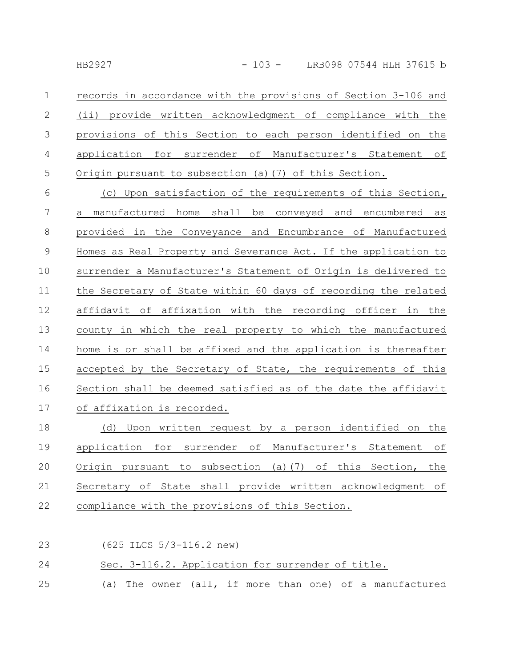| $\mathbf{1}$ | records in accordance with the provisions of Section 3-106 and |
|--------------|----------------------------------------------------------------|
|              | 2 (ii) provide written acknowledgment of compliance with the   |
|              | 3 provisions of this Section to each person identified on the  |
|              | 4 application for surrender of Manufacturer's Statement of     |
|              | 5 Origin pursuant to subsection (a) (7) of this Section.       |

(c) Upon satisfaction of the requirements of this Section, a manufactured home shall be conveyed and encumbered as provided in the Conveyance and Encumbrance of Manufactured Homes as Real Property and Severance Act. If the application to surrender a Manufacturer's Statement of Origin is delivered to the Secretary of State within 60 days of recording the related affidavit of affixation with the recording officer in the county in which the real property to which the manufactured home is or shall be affixed and the application is thereafter accepted by the Secretary of State, the requirements of this Section shall be deemed satisfied as of the date the affidavit of affixation is recorded. 6 7 8 9 10 11 12 13 14 15 16 17

(d) Upon written request by a person identified on the application for surrender of Manufacturer's Statement of Origin pursuant to subsection (a)(7) of this Section, the Secretary of State shall provide written acknowledgment of compliance with the provisions of this Section. 18 19 20 21 22

(625 ILCS 5/3-116.2 new) Sec. 3-116.2. Application for surrender of title. (a) The owner (all, if more than one) of a manufactured 23 24 25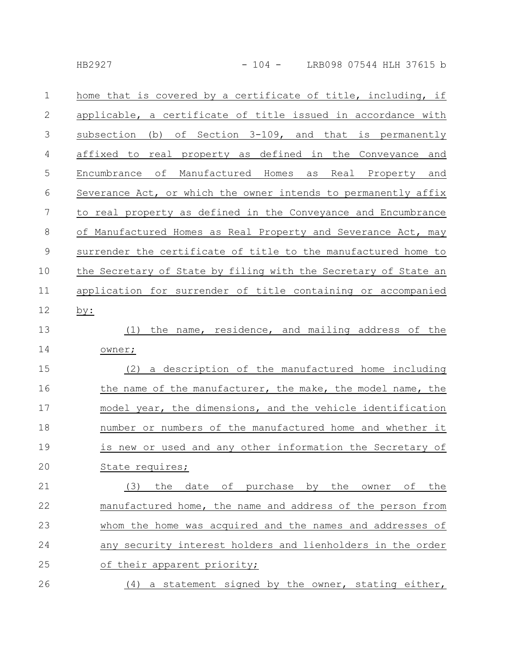| $\mathbf 1$    | home that is covered by a certificate of title, including, if   |
|----------------|-----------------------------------------------------------------|
| 2              | applicable, a certificate of title issued in accordance with    |
| 3              | subsection (b) of Section 3-109, and that is permanently        |
| 4              | affixed to real property as defined in the Conveyance and       |
| 5              | Encumbrance of Manufactured Homes as Real Property and          |
| 6              | Severance Act, or which the owner intends to permanently affix  |
| $\overline{7}$ | to real property as defined in the Conveyance and Encumbrance   |
| 8              | of Manufactured Homes as Real Property and Severance Act, may   |
| $\overline{9}$ | surrender the certificate of title to the manufactured home to  |
| 10             | the Secretary of State by filing with the Secretary of State an |
| 11             | application for surrender of title containing or accompanied    |
| 12             | by:                                                             |
| 13             | the name, residence, and mailing address of the<br>(1)          |
| 14             | owner;                                                          |
| 15             | (2) a description of the manufactured home including            |
| 16             | the name of the manufacturer, the make, the model name, the     |
| 17             | model year, the dimensions, and the vehicle identification      |
| 18             | number or numbers of the manufactured home and whether it       |
| 19             | is new or used and any other information the Secretary of       |
| 20             | State requires;                                                 |
| 21             | date of purchase by the owner of<br>(3)<br>the<br>the           |
| 22             | manufactured home, the name and address of the person from      |
| 23             | whom the home was acquired and the names and addresses of       |
| 24             | any security interest holders and lienholders in the order      |
| 25             | of their apparent priority;                                     |
| 26             | (4) a statement signed by the owner, stating either,            |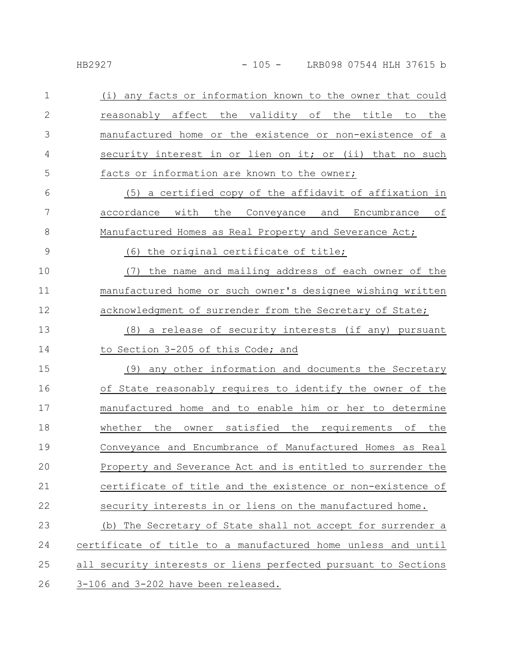| $\mathbf 1$   | (i) any facts or information known to the owner that could     |
|---------------|----------------------------------------------------------------|
| $\mathbf{2}$  | reasonably affect the validity of the title to<br>the          |
| 3             | manufactured home or the existence or non-existence of a       |
| 4             | security interest in or lien on it; or (ii) that no such       |
| 5             | facts or information are known to the owner;                   |
| 6             | (5) a certified copy of the affidavit of affixation in         |
| 7             | accordance with the Conveyance and Encumbrance of              |
| $\,8\,$       | Manufactured Homes as Real Property and Severance Act;         |
| $\mathcal{G}$ | (6) the original certificate of title;                         |
| 10            | the name and mailing address of each owner of the<br>(7)       |
| 11            | manufactured home or such owner's designee wishing written     |
| 12            | acknowledgment of surrender from the Secretary of State;       |
| 13            | (8) a release of security interests (if any) pursuant          |
| 14            | to Section 3-205 of this Code; and                             |
| 15            | any other information and documents the Secretary<br>(9)       |
| 16            | of State reasonably requires to identify the owner of the      |
| 17            | manufactured home and to enable him or her to determine        |
| 18            | owner satisfied the requirements of the<br>whether the         |
| 19            | Conveyance and Encumbrance of Manufactured Homes as Real       |
| 20            | Property and Severance Act and is entitled to surrender the    |
| 21            | certificate of title and the existence or non-existence of     |
| 22            | security interests in or liens on the manufactured home.       |
| 23            | (b) The Secretary of State shall not accept for surrender a    |
| 24            | certificate of title to a manufactured home unless and until   |
| 25            | all security interests or liens perfected pursuant to Sections |
| 26            | 3-106 and 3-202 have been released.                            |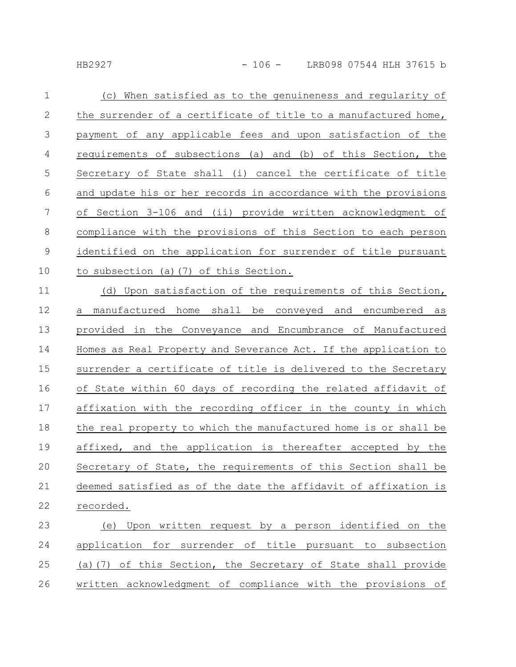| $\mathbf 1$   | When satisfied as to the genuineness and regularity of<br>(C)   |
|---------------|-----------------------------------------------------------------|
| $\mathbf{2}$  | the surrender of a certificate of title to a manufactured home, |
| 3             | payment of any applicable fees and upon satisfaction of the     |
| 4             | requirements of subsections (a) and (b) of this Section, the    |
| 5             | Secretary of State shall (i) cancel the certificate of title    |
| 6             | and update his or her records in accordance with the provisions |
| 7             | of Section 3-106 and (ii) provide written acknowledgment of     |
| 8             | compliance with the provisions of this Section to each person   |
| $\mathcal{G}$ | identified on the application for surrender of title pursuant   |
| 10            | to subsection (a) (7) of this Section.                          |
| 11            | (d) Upon satisfaction of the requirements of this Section,      |
| 12            | manufactured home shall be conveyed and encumbered as<br>а      |
| 13            | provided in the Conveyance and Encumbrance of Manufactured      |
| 14            | Homes as Real Property and Severance Act. If the application to |
| 15            | surrender a certificate of title is delivered to the Secretary  |
| 16            | of State within 60 days of recording the related affidavit of   |
| 17            | affixation with the recording officer in the county in which    |
| 18            | the real property to which the manufactured home is or shall be |
| 19            | affixed, and the application is thereafter accepted by the      |
| 20            | Secretary of State, the requirements of this Section shall be   |
| 21            | deemed satisfied as of the date the affidavit of affixation is  |
| 22            | recorded.                                                       |
| 23            | Upon written request by a person identified on the<br>(e)       |
| 24            | application for surrender of title pursuant to subsection       |

(a)(7) of this Section, the Secretary of State shall provide written acknowledgment of compliance with the provisions of 25 26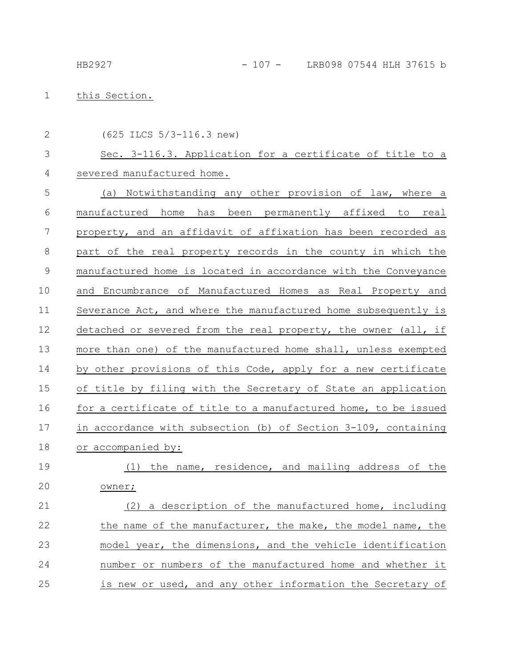## this Section. 1

2

(625 ILCS 5/3-116.3 new)

## Sec. 3-116.3. Application for a certificate of title to a severed manufactured home. 3 4

(a) Notwithstanding any other provision of law, where a manufactured home has been permanently affixed to real property, and an affidavit of affixation has been recorded as part of the real property records in the county in which the manufactured home is located in accordance with the Conveyance and Encumbrance of Manufactured Homes as Real Property and Severance Act, and where the manufactured home subsequently is detached or severed from the real property, the owner (all, if more than one) of the manufactured home shall, unless exempted by other provisions of this Code, apply for a new certificate of title by filing with the Secretary of State an application for a certificate of title to a manufactured home, to be issued in accordance with subsection (b) of Section 3-109, containing or accompanied by: (1) the name, residence, and mailing address of the 5 6 7 8 9 10 11 12 13 14 15 16 17 18 19

owner; 20

(2) a description of the manufactured home, including the name of the manufacturer, the make, the model name, the model year, the dimensions, and the vehicle identification number or numbers of the manufactured home and whether it is new or used, and any other information the Secretary of 21 22 23 24 25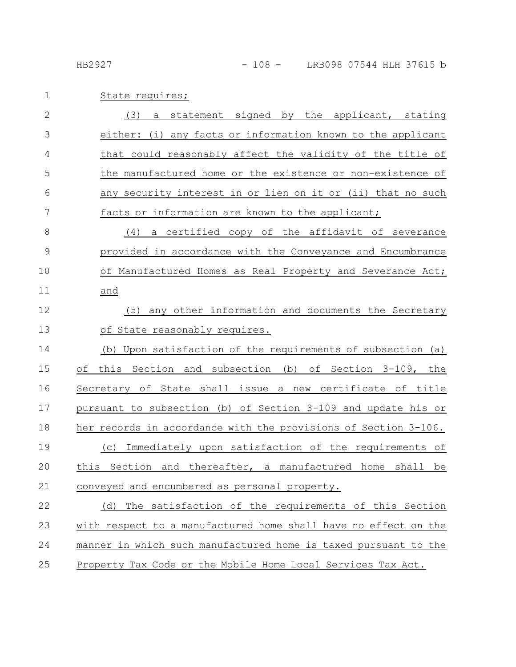# 1 State requires;

| $\overline{2}$ | (3)<br>statement signed by the applicant, stating<br>a          |
|----------------|-----------------------------------------------------------------|
| 3              | either: (i) any facts or information known to the applicant     |
| 4              | that could reasonably affect the validity of the title of       |
| 5              | the manufactured home or the existence or non-existence of      |
| 6              | any security interest in or lien on it or (ii) that no such     |
| 7              | facts or information are known to the applicant;                |
| $\,8\,$        | (4) a certified copy of the affidavit of severance              |
| $\mathcal{G}$  | provided in accordance with the Conveyance and Encumbrance      |
| 10             | of Manufactured Homes as Real Property and Severance Act;       |
| 11             | and                                                             |
| 12             | (5) any other information and documents the Secretary           |
| 13             | of State reasonably requires.                                   |
| 14             | Upon satisfaction of the requirements of subsection (a)<br>(b)  |
| 15             | this Section and subsection (b) of Section 3-109, the<br>оf     |
| 16             | Secretary of State shall issue a new certificate of title       |
| 17             | pursuant to subsection (b) of Section 3-109 and update his or   |
| 18             | her records in accordance with the provisions of Section 3-106. |
| 19             | (c) Immediately upon satisfaction of the requirements of        |
| 20             | this Section and thereafter, a manufactured home<br>shall be    |
| 21             | conveyed and encumbered as personal property.                   |
| 22             | The satisfaction of the requirements of this Section<br>(d)     |
| 23             | with respect to a manufactured home shall have no effect on the |
| 24             | manner in which such manufactured home is taxed pursuant to the |
| 25             | Property Tax Code or the Mobile Home Local Services Tax Act.    |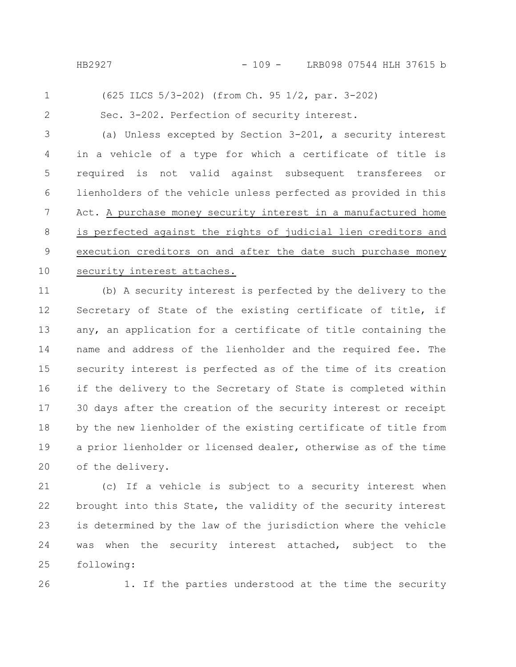(625 ILCS 5/3-202) (from Ch. 95 1/2, par. 3-202) 1

2

Sec. 3-202. Perfection of security interest.

(a) Unless excepted by Section 3-201, a security interest in a vehicle of a type for which a certificate of title is required is not valid against subsequent transferees or lienholders of the vehicle unless perfected as provided in this Act. A purchase money security interest in a manufactured home is perfected against the rights of judicial lien creditors and execution creditors on and after the date such purchase money security interest attaches. 3 4 5 6 7 8 9 10

(b) A security interest is perfected by the delivery to the Secretary of State of the existing certificate of title, if any, an application for a certificate of title containing the name and address of the lienholder and the required fee. The security interest is perfected as of the time of its creation if the delivery to the Secretary of State is completed within 30 days after the creation of the security interest or receipt by the new lienholder of the existing certificate of title from a prior lienholder or licensed dealer, otherwise as of the time of the delivery. 11 12 13 14 15 16 17 18 19 20

(c) If a vehicle is subject to a security interest when brought into this State, the validity of the security interest is determined by the law of the jurisdiction where the vehicle was when the security interest attached, subject to the following: 21 22 23 24 25

26

1. If the parties understood at the time the security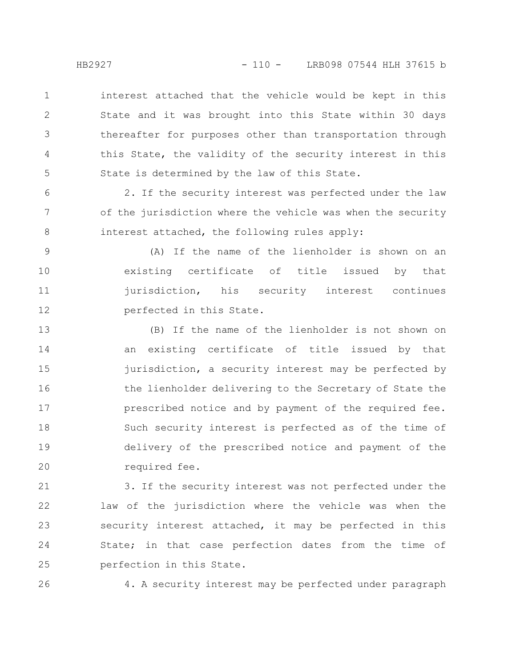interest attached that the vehicle would be kept in this State and it was brought into this State within 30 days thereafter for purposes other than transportation through this State, the validity of the security interest in this State is determined by the law of this State. 1 2 3 4 5

2. If the security interest was perfected under the law of the jurisdiction where the vehicle was when the security interest attached, the following rules apply: 6 7 8

(A) If the name of the lienholder is shown on an existing certificate of title issued by that jurisdiction, his security interest continues perfected in this State. 9 10 11 12

(B) If the name of the lienholder is not shown on an existing certificate of title issued by that jurisdiction, a security interest may be perfected by the lienholder delivering to the Secretary of State the prescribed notice and by payment of the required fee. Such security interest is perfected as of the time of delivery of the prescribed notice and payment of the required fee. 13 14 15 16 17 18 19 20

3. If the security interest was not perfected under the law of the jurisdiction where the vehicle was when the security interest attached, it may be perfected in this State; in that case perfection dates from the time of perfection in this State. 21 22 23 24 25

26

4. A security interest may be perfected under paragraph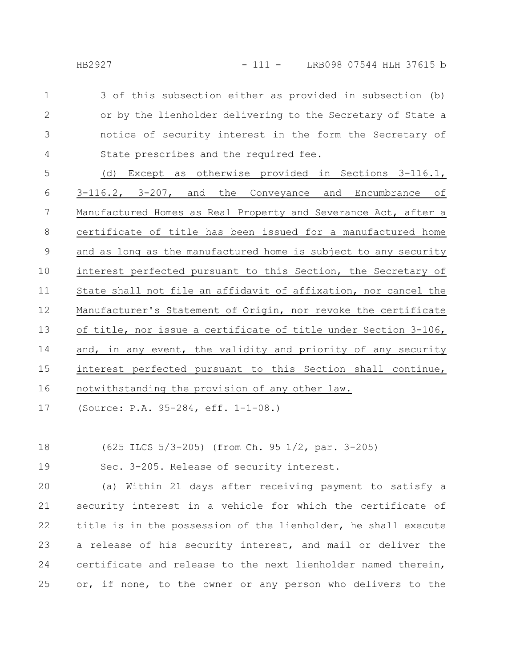3 of this subsection either as provided in subsection (b) or by the lienholder delivering to the Secretary of State a notice of security interest in the form the Secretary of State prescribes and the required fee. 1 2 3 4

(d) Except as otherwise provided in Sections 3-116.1, 3-116.2, 3-207, and the Conveyance and Encumbrance of Manufactured Homes as Real Property and Severance Act, after a certificate of title has been issued for a manufactured home and as long as the manufactured home is subject to any security interest perfected pursuant to this Section, the Secretary of State shall not file an affidavit of affixation, nor cancel the Manufacturer's Statement of Origin, nor revoke the certificate of title, nor issue a certificate of title under Section 3-106, and, in any event, the validity and priority of any security interest perfected pursuant to this Section shall continue, notwithstanding the provision of any other law. 5 6 7 8 9 10 11 12 13 14 15 16

(Source: P.A. 95-284, eff. 1-1-08.) 17

(625 ILCS 5/3-205) (from Ch. 95 1/2, par. 3-205) 18

Sec. 3-205. Release of security interest. 19

(a) Within 21 days after receiving payment to satisfy a security interest in a vehicle for which the certificate of title is in the possession of the lienholder, he shall execute a release of his security interest, and mail or deliver the certificate and release to the next lienholder named therein, or, if none, to the owner or any person who delivers to the 20 21 22 23 24 25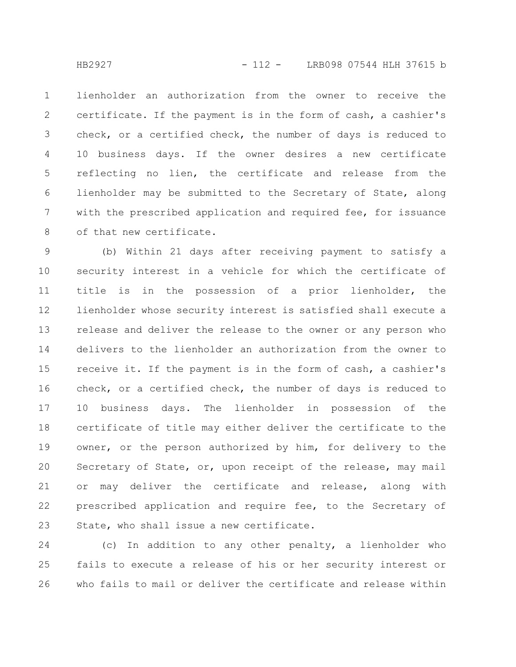lienholder an authorization from the owner to receive the certificate. If the payment is in the form of cash, a cashier's check, or a certified check, the number of days is reduced to 10 business days. If the owner desires a new certificate reflecting no lien, the certificate and release from the lienholder may be submitted to the Secretary of State, along with the prescribed application and required fee, for issuance of that new certificate. 1 2 3 4 5 6 7 8

(b) Within 21 days after receiving payment to satisfy a security interest in a vehicle for which the certificate of title is in the possession of a prior lienholder, the lienholder whose security interest is satisfied shall execute a release and deliver the release to the owner or any person who delivers to the lienholder an authorization from the owner to receive it. If the payment is in the form of cash, a cashier's check, or a certified check, the number of days is reduced to 10 business days. The lienholder in possession of the certificate of title may either deliver the certificate to the owner, or the person authorized by him, for delivery to the Secretary of State, or, upon receipt of the release, may mail or may deliver the certificate and release, along with prescribed application and require fee, to the Secretary of State, who shall issue a new certificate. 9 10 11 12 13 14 15 16 17 18 19 20 21 22 23

(c) In addition to any other penalty, a lienholder who fails to execute a release of his or her security interest or who fails to mail or deliver the certificate and release within 24 25 26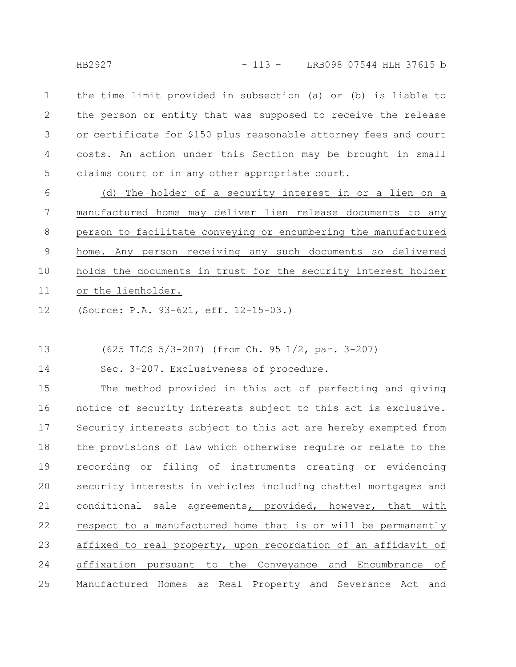HB2927 - 113 - LRB098 07544 HLH 37615 b

the time limit provided in subsection (a) or (b) is liable to the person or entity that was supposed to receive the release or certificate for \$150 plus reasonable attorney fees and court costs. An action under this Section may be brought in small claims court or in any other appropriate court. 1 2 3 4 5

(d) The holder of a security interest in or a lien on a manufactured home may deliver lien release documents to any person to facilitate conveying or encumbering the manufactured home. Any person receiving any such documents so delivered holds the documents in trust for the security interest holder or the lienholder. 6 7 8 9 10 11

(Source: P.A. 93-621, eff. 12-15-03.) 12

(625 ILCS 5/3-207) (from Ch. 95 1/2, par. 3-207) 13

Sec. 3-207. Exclusiveness of procedure. 14

The method provided in this act of perfecting and giving notice of security interests subject to this act is exclusive. Security interests subject to this act are hereby exempted from the provisions of law which otherwise require or relate to the recording or filing of instruments creating or evidencing security interests in vehicles including chattel mortgages and conditional sale agreements, provided, however, that with respect to a manufactured home that is or will be permanently affixed to real property, upon recordation of an affidavit of affixation pursuant to the Conveyance and Encumbrance of Manufactured Homes as Real Property and Severance Act and 15 16 17 18 19 20 21 22 23 24 25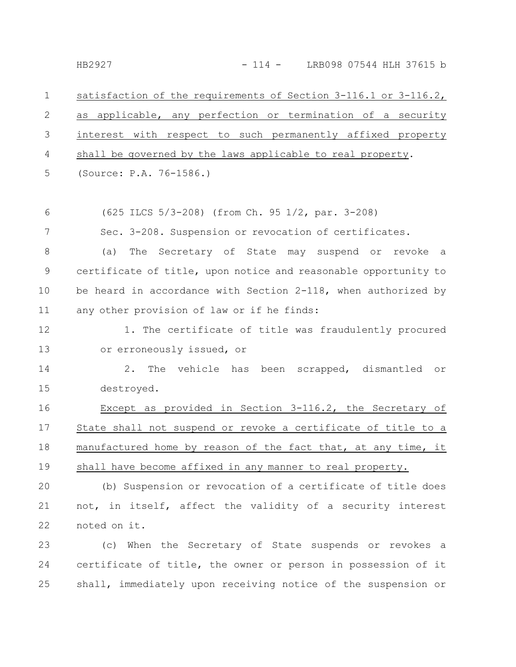satisfaction of the requirements of Section 3-116.1 or 3-116.2, as applicable, any perfection or termination of a security interest with respect to such permanently affixed property shall be governed by the laws applicable to real property. (Source: P.A. 76-1586.) (625 ILCS 5/3-208) (from Ch. 95 1/2, par. 3-208) Sec. 3-208. Suspension or revocation of certificates. (a) The Secretary of State may suspend or revoke a certificate of title, upon notice and reasonable opportunity to be heard in accordance with Section 2-118, when authorized by any other provision of law or if he finds: 1. The certificate of title was fraudulently procured or erroneously issued, or 2. The vehicle has been scrapped, dismantled or destroyed. Except as provided in Section 3-116.2, the Secretary of State shall not suspend or revoke a certificate of title to a manufactured home by reason of the fact that, at any time, it shall have become affixed in any manner to real property. (b) Suspension or revocation of a certificate of title does not, in itself, affect the validity of a security interest 1 2 3 4 5 6 7 8 9 10 11 12 13 14 15 16 17 18 19 20 21

noted on it. 22

(c) When the Secretary of State suspends or revokes a certificate of title, the owner or person in possession of it shall, immediately upon receiving notice of the suspension or 23 24 25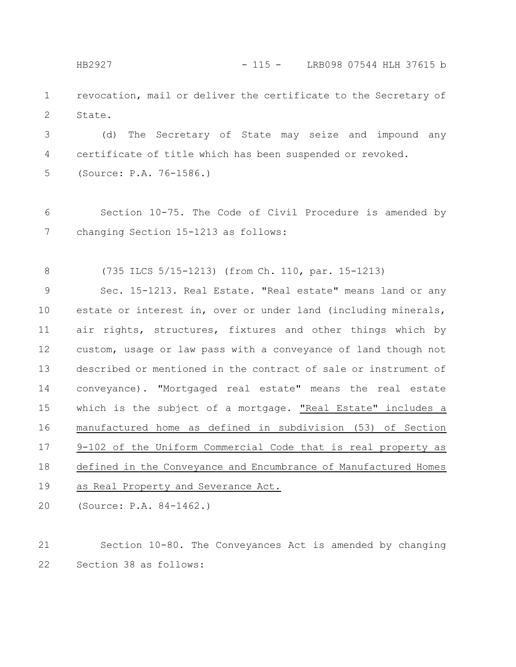HB2927 - 115 - LRB098 07544 HLH 37615 b

revocation, mail or deliver the certificate to the Secretary of State. 1 2

(d) The Secretary of State may seize and impound any certificate of title which has been suspended or revoked. (Source: P.A. 76-1586.) 3 4 5

Section 10-75. The Code of Civil Procedure is amended by changing Section 15-1213 as follows: 6 7

(735 ILCS 5/15-1213) (from Ch. 110, par. 15-1213) 8

Sec. 15-1213. Real Estate. "Real estate" means land or any estate or interest in, over or under land (including minerals, air rights, structures, fixtures and other things which by custom, usage or law pass with a conveyance of land though not described or mentioned in the contract of sale or instrument of conveyance). "Mortgaged real estate" means the real estate which is the subject of a mortgage. "Real Estate" includes a manufactured home as defined in subdivision (53) of Section 9-102 of the Uniform Commercial Code that is real property as defined in the Conveyance and Encumbrance of Manufactured Homes as Real Property and Severance Act. 9 10 11 12 13 14 15 16 17 18 19

(Source: P.A. 84-1462.) 20

Section 10-80. The Conveyances Act is amended by changing Section 38 as follows: 21 22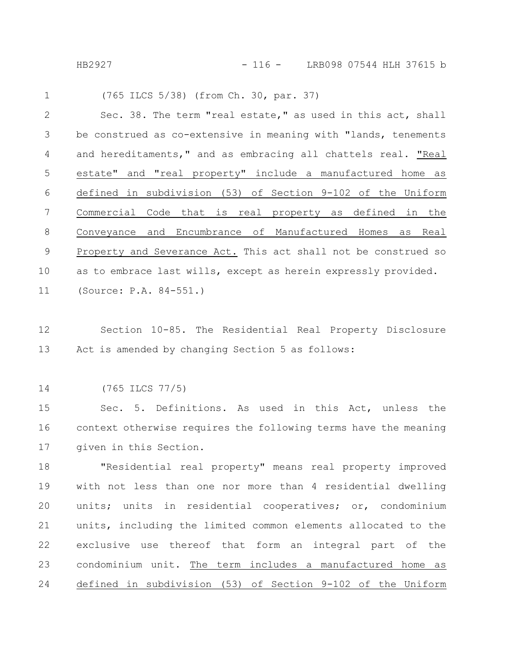HB2927 - 116 - LRB098 07544 HLH 37615 b

| $\mathbf{1}$ | (765 ILCS 5/38) (from Ch. 30, par. 37)                         |
|--------------|----------------------------------------------------------------|
| 2            | Sec. 38. The term "real estate," as used in this act, shall    |
| 3            | be construed as co-extensive in meaning with "lands, tenements |
| 4            | and hereditaments," and as embracing all chattels real. "Real  |
| 5            | estate" and "real property" include a manufactured home as     |
| 6            | defined in subdivision (53) of Section 9-102 of the Uniform    |
| 7            | Commercial Code that is real property as defined in the        |
| 8            | Conveyance and Encumbrance of Manufactured Homes as Real       |
| 9            | Property and Severance Act. This act shall not be construed so |
| 10           | as to embrace last wills, except as herein expressly provided. |
| 11           | (Source: $P.A. 84-551.$ )                                      |

- Section 10-85. The Residential Real Property Disclosure Act is amended by changing Section 5 as follows: 12 13
- (765 ILCS 77/5) 14

Sec. 5. Definitions. As used in this Act, unless the context otherwise requires the following terms have the meaning given in this Section. 15 16 17

"Residential real property" means real property improved with not less than one nor more than 4 residential dwelling units; units in residential cooperatives; or, condominium units, including the limited common elements allocated to the exclusive use thereof that form an integral part of the condominium unit. The term includes a manufactured home as defined in subdivision (53) of Section 9-102 of the Uniform 18 19 20 21 22 23 24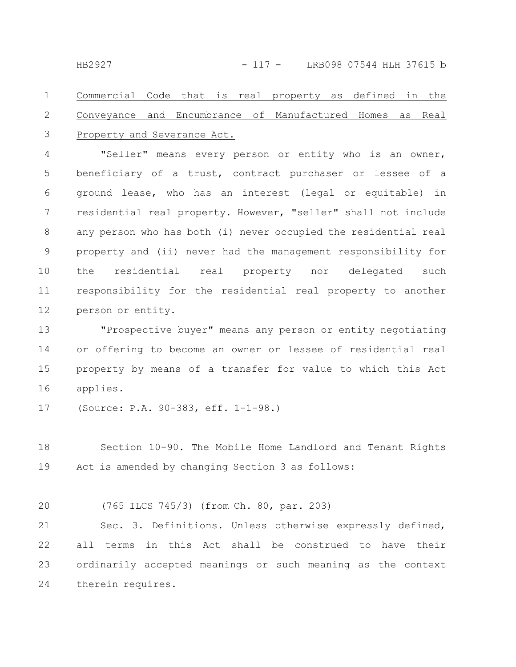### Commercial Code that is real property as defined in the Conveyance and Encumbrance of Manufactured Homes as Real Property and Severance Act. 1 2 3

"Seller" means every person or entity who is an owner, beneficiary of a trust, contract purchaser or lessee of a ground lease, who has an interest (legal or equitable) in residential real property. However, "seller" shall not include any person who has both (i) never occupied the residential real property and (ii) never had the management responsibility for the residential real property nor delegated such responsibility for the residential real property to another person or entity. 4 5 6 7 8 9 10 11 12

"Prospective buyer" means any person or entity negotiating or offering to become an owner or lessee of residential real property by means of a transfer for value to which this Act applies. 13 14 15 16

(Source: P.A. 90-383, eff. 1-1-98.) 17

Section 10-90. The Mobile Home Landlord and Tenant Rights Act is amended by changing Section 3 as follows: 18 19

(765 ILCS 745/3) (from Ch. 80, par. 203) 20

Sec. 3. Definitions. Unless otherwise expressly defined, all terms in this Act shall be construed to have their ordinarily accepted meanings or such meaning as the context therein requires. 21 22 23 24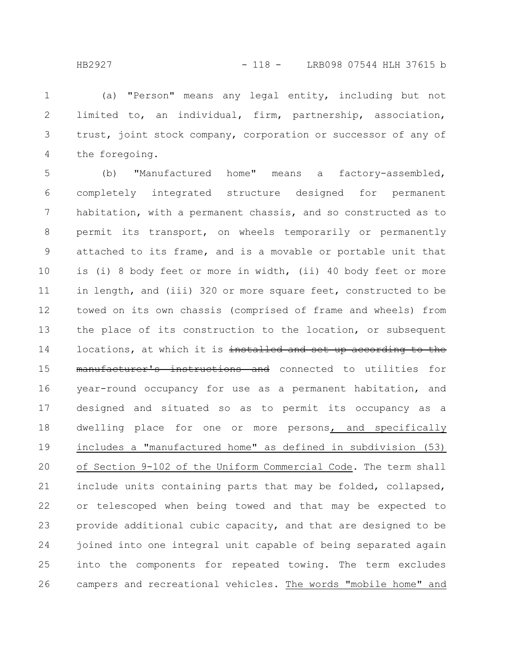(a) "Person" means any legal entity, including but not limited to, an individual, firm, partnership, association, trust, joint stock company, corporation or successor of any of the foregoing. 1 2 3 4

(b) "Manufactured home" means a factory-assembled, completely integrated structure designed for permanent habitation, with a permanent chassis, and so constructed as to permit its transport, on wheels temporarily or permanently attached to its frame, and is a movable or portable unit that is (i) 8 body feet or more in width, (ii) 40 body feet or more in length, and (iii) 320 or more square feet, constructed to be towed on its own chassis (comprised of frame and wheels) from the place of its construction to the location, or subsequent locations, at which it is installed and set up according to the manufacturer's instructions and connected to utilities for year-round occupancy for use as a permanent habitation, and designed and situated so as to permit its occupancy as a dwelling place for one or more persons, and specifically includes a "manufactured home" as defined in subdivision (53) of Section 9-102 of the Uniform Commercial Code. The term shall include units containing parts that may be folded, collapsed, or telescoped when being towed and that may be expected to provide additional cubic capacity, and that are designed to be joined into one integral unit capable of being separated again into the components for repeated towing. The term excludes campers and recreational vehicles. The words "mobile home" and 5 6 7 8 9 10 11 12 13 14 15 16 17 18 19 20 21 22 23 24 25 26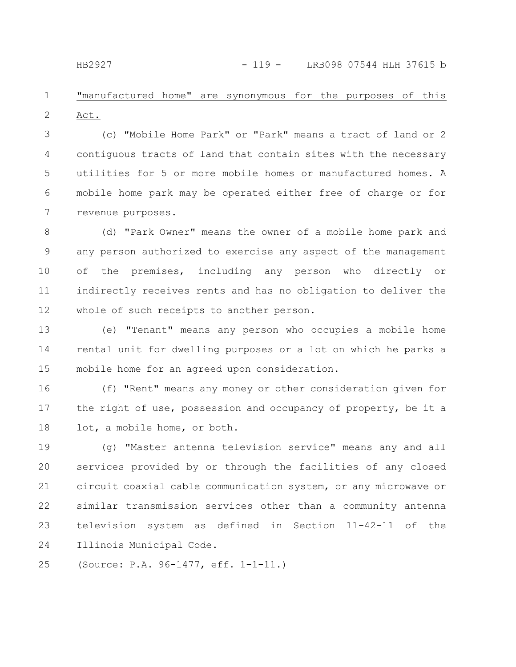#### "manufactured home" are synonymous for the purposes of this Act. 1 2

(c) "Mobile Home Park" or "Park" means a tract of land or 2 contiguous tracts of land that contain sites with the necessary utilities for 5 or more mobile homes or manufactured homes. A mobile home park may be operated either free of charge or for revenue purposes. 3 4 5 6 7

(d) "Park Owner" means the owner of a mobile home park and any person authorized to exercise any aspect of the management of the premises, including any person who directly or indirectly receives rents and has no obligation to deliver the whole of such receipts to another person. 8 9 10 11 12

(e) "Tenant" means any person who occupies a mobile home rental unit for dwelling purposes or a lot on which he parks a mobile home for an agreed upon consideration. 13 14 15

(f) "Rent" means any money or other consideration given for the right of use, possession and occupancy of property, be it a lot, a mobile home, or both. 16 17 18

(g) "Master antenna television service" means any and all services provided by or through the facilities of any closed circuit coaxial cable communication system, or any microwave or similar transmission services other than a community antenna television system as defined in Section 11-42-11 of the Illinois Municipal Code. 19 20 21 22 23 24

(Source: P.A. 96-1477, eff. 1-1-11.) 25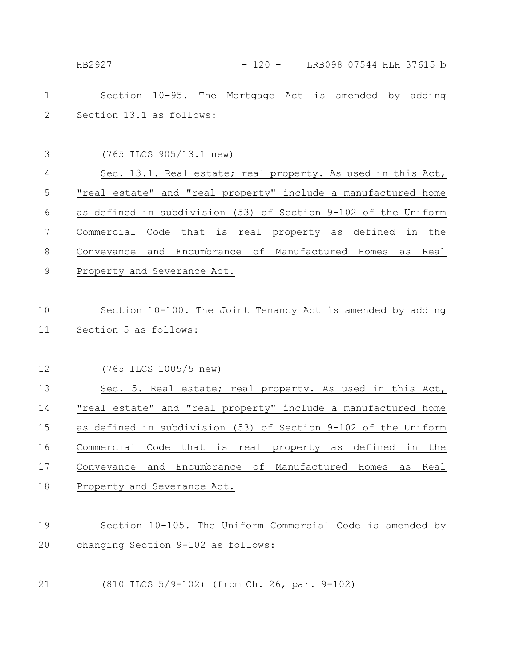HB2927 - 120 - LRB098 07544 HLH 37615 b

Section 10-95. The Mortgage Act is amended by adding Section 13.1 as follows: 1 2

(765 ILCS 905/13.1 new) 3

Sec. 13.1. Real estate; real property. As used in this Act, "real estate" and "real property" include a manufactured home as defined in subdivision (53) of Section 9-102 of the Uniform Commercial Code that is real property as defined in the Conveyance and Encumbrance of Manufactured Homes as Real Property and Severance Act. 4 5 6 7 8 9

Section 10-100. The Joint Tenancy Act is amended by adding Section 5 as follows: 10 11

(765 ILCS 1005/5 new) 12

Sec. 5. Real estate; real property. As used in this Act, "real estate" and "real property" include a manufactured home as defined in subdivision (53) of Section 9-102 of the Uniform Commercial Code that is real property as defined in the Conveyance and Encumbrance of Manufactured Homes as Real Property and Severance Act. 13 14 15 16 17 18

- Section 10-105. The Uniform Commercial Code is amended by changing Section 9-102 as follows: 19 20
- (810 ILCS 5/9-102) (from Ch. 26, par. 9-102) 21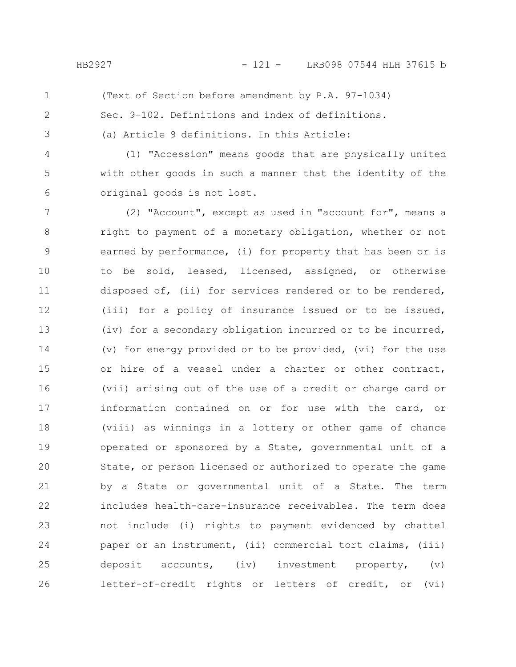- 
- 1 2

(Text of Section before amendment by P.A. 97-1034)

Sec. 9-102. Definitions and index of definitions.

(a) Article 9 definitions. In this Article:

4

5

6

3

(1) "Accession" means goods that are physically united with other goods in such a manner that the identity of the original goods is not lost.

(2) "Account", except as used in "account for", means a right to payment of a monetary obligation, whether or not earned by performance, (i) for property that has been or is to be sold, leased, licensed, assigned, or otherwise disposed of, (ii) for services rendered or to be rendered, (iii) for a policy of insurance issued or to be issued, (iv) for a secondary obligation incurred or to be incurred, (v) for energy provided or to be provided, (vi) for the use or hire of a vessel under a charter or other contract, (vii) arising out of the use of a credit or charge card or information contained on or for use with the card, or (viii) as winnings in a lottery or other game of chance operated or sponsored by a State, governmental unit of a State, or person licensed or authorized to operate the game by a State or governmental unit of a State. The term includes health-care-insurance receivables. The term does not include (i) rights to payment evidenced by chattel paper or an instrument, (ii) commercial tort claims, (iii) deposit accounts, (iv) investment property, (v) letter-of-credit rights or letters of credit, or (vi) 7 8 9 10 11 12 13 14 15 16 17 18 19 20 21 22 23 24 25 26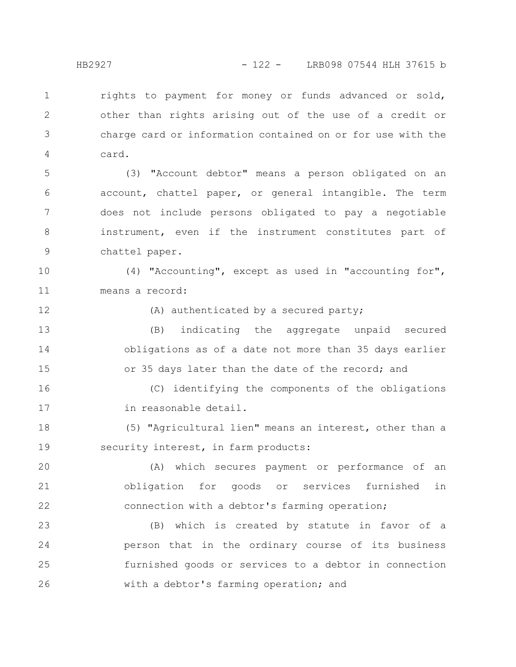rights to payment for money or funds advanced or sold, other than rights arising out of the use of a credit or charge card or information contained on or for use with the card. 1 2 3 4

(3) "Account debtor" means a person obligated on an account, chattel paper, or general intangible. The term does not include persons obligated to pay a negotiable instrument, even if the instrument constitutes part of chattel paper. 5 6 7 8 9

(4) "Accounting", except as used in "accounting for", means a record: 10 11

12

(A) authenticated by a secured party;

(B) indicating the aggregate unpaid secured obligations as of a date not more than 35 days earlier or 35 days later than the date of the record; and 13 14 15

(C) identifying the components of the obligations in reasonable detail. 16 17

(5) "Agricultural lien" means an interest, other than a security interest, in farm products: 18 19

(A) which secures payment or performance of an obligation for goods or services furnished in connection with a debtor's farming operation; 20 21 22

(B) which is created by statute in favor of a person that in the ordinary course of its business furnished goods or services to a debtor in connection with a debtor's farming operation; and 23 24 25 26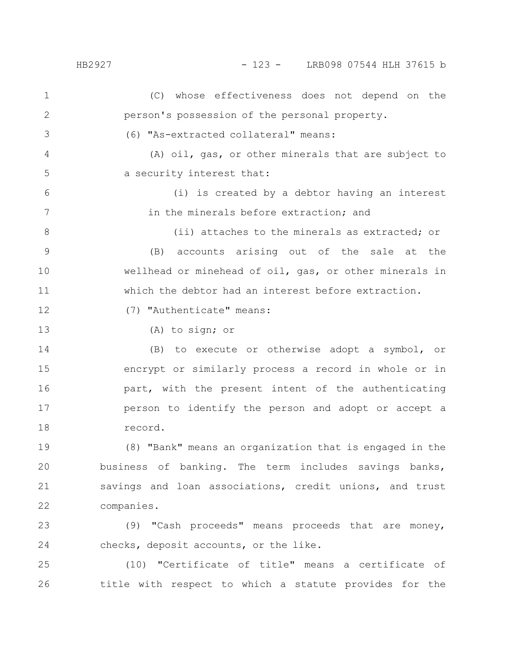### HB2927 - 123 - LRB098 07544 HLH 37615 b

(C) whose effectiveness does not depend on the person's possession of the personal property. (6) "As-extracted collateral" means: (A) oil, gas, or other minerals that are subject to a security interest that: (i) is created by a debtor having an interest in the minerals before extraction; and (ii) attaches to the minerals as extracted; or (B) accounts arising out of the sale at the wellhead or minehead of oil, gas, or other minerals in which the debtor had an interest before extraction. (7) "Authenticate" means: (A) to sign; or (B) to execute or otherwise adopt a symbol, or encrypt or similarly process a record in whole or in part, with the present intent of the authenticating person to identify the person and adopt or accept a record. (8) "Bank" means an organization that is engaged in the business of banking. The term includes savings banks, savings and loan associations, credit unions, and trust companies. (9) "Cash proceeds" means proceeds that are money, checks, deposit accounts, or the like. 1 2 3 4 5 6 7 8 9 10 11 12 13 14 15 16 17 18 19 20 21 22 23 24

(10) "Certificate of title" means a certificate of title with respect to which a statute provides for the 25 26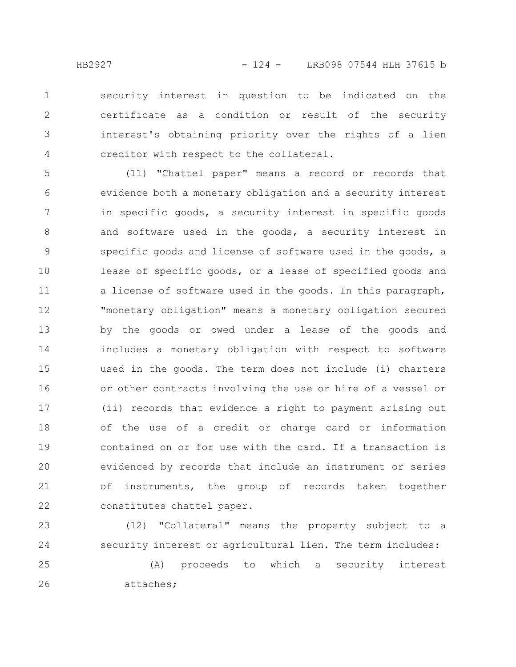security interest in question to be indicated on the certificate as a condition or result of the security interest's obtaining priority over the rights of a lien creditor with respect to the collateral. 1 2 3 4

(11) "Chattel paper" means a record or records that evidence both a monetary obligation and a security interest in specific goods, a security interest in specific goods and software used in the goods, a security interest in specific goods and license of software used in the goods, a lease of specific goods, or a lease of specified goods and a license of software used in the goods. In this paragraph, "monetary obligation" means a monetary obligation secured by the goods or owed under a lease of the goods and includes a monetary obligation with respect to software used in the goods. The term does not include (i) charters or other contracts involving the use or hire of a vessel or (ii) records that evidence a right to payment arising out of the use of a credit or charge card or information contained on or for use with the card. If a transaction is evidenced by records that include an instrument or series of instruments, the group of records taken together constitutes chattel paper. 5 6 7 8 9 10 11 12 13 14 15 16 17 18 19 20 21 22

(12) "Collateral" means the property subject to a security interest or agricultural lien. The term includes: 23 24

(A) proceeds to which a security interest attaches; 25 26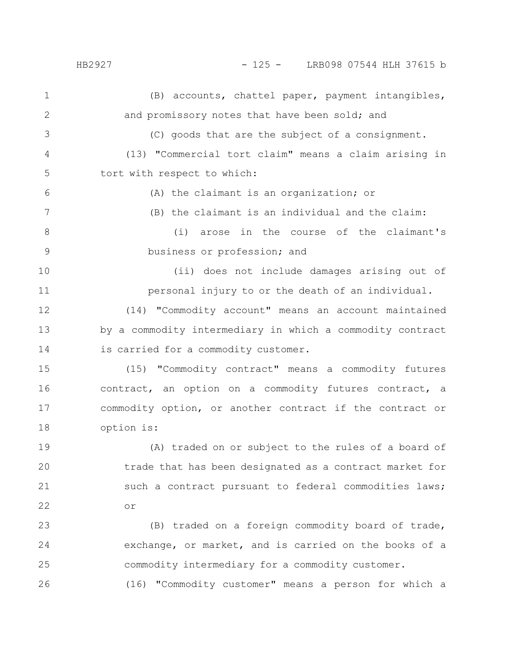HB2927 - 125 - LRB098 07544 HLH 37615 b

(B) accounts, chattel paper, payment intangibles, and promissory notes that have been sold; and (C) goods that are the subject of a consignment. (13) "Commercial tort claim" means a claim arising in tort with respect to which: (A) the claimant is an organization; or (B) the claimant is an individual and the claim: (i) arose in the course of the claimant's business or profession; and (ii) does not include damages arising out of personal injury to or the death of an individual. (14) "Commodity account" means an account maintained by a commodity intermediary in which a commodity contract is carried for a commodity customer. (15) "Commodity contract" means a commodity futures contract, an option on a commodity futures contract, a commodity option, or another contract if the contract or option is: (A) traded on or subject to the rules of a board of trade that has been designated as a contract market for such a contract pursuant to federal commodities laws; or (B) traded on a foreign commodity board of trade, exchange, or market, and is carried on the books of a commodity intermediary for a commodity customer. 1 2 3 4 5 6 7 8 9 10 11 12 13 14 15 16 17 18 19 20 21 22 23 24 25

(16) "Commodity customer" means a person for which a

26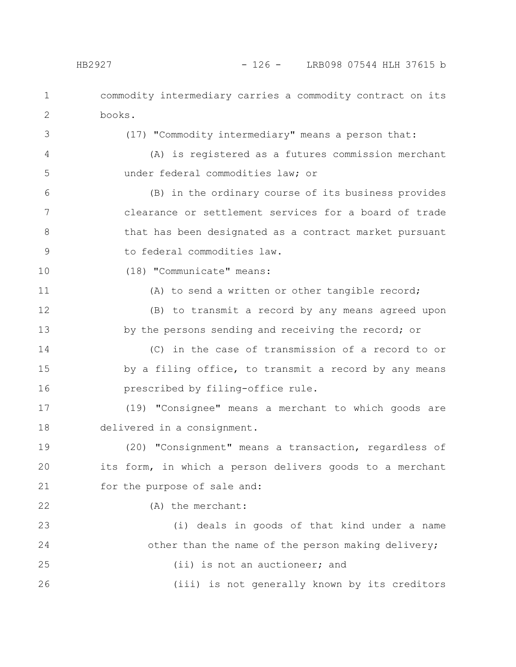commodity intermediary carries a commodity contract on its books. (17) "Commodity intermediary" means a person that: 1 2 3

(A) is registered as a futures commission merchant under federal commodities law; or

(B) in the ordinary course of its business provides clearance or settlement services for a board of trade that has been designated as a contract market pursuant to federal commodities law. 6 7 8 9

(18) "Communicate" means:

11

22

10

4

5

(A) to send a written or other tangible record;

(B) to transmit a record by any means agreed upon by the persons sending and receiving the record; or 12 13

(C) in the case of transmission of a record to or by a filing office, to transmit a record by any means prescribed by filing-office rule. 14 15 16

(19) "Consignee" means a merchant to which goods are delivered in a consignment. 17 18

(20) "Consignment" means a transaction, regardless of its form, in which a person delivers goods to a merchant for the purpose of sale and: 19 20 21

(A) the merchant:

(i) deals in goods of that kind under a name other than the name of the person making delivery; (ii) is not an auctioneer; and (iii) is not generally known by its creditors 23 24 25 26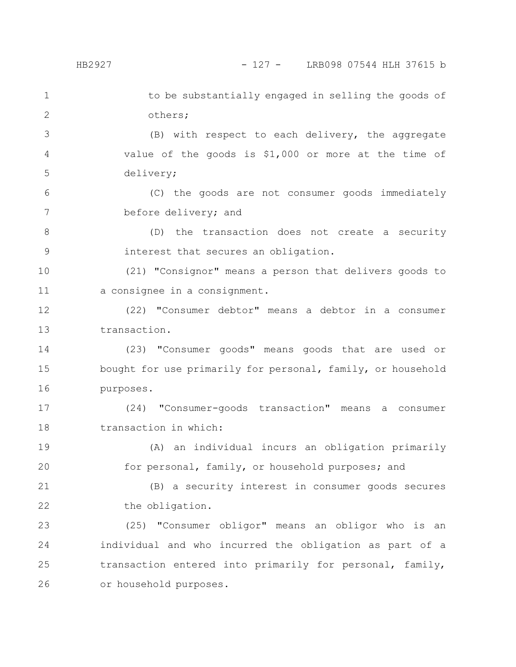19

20

to be substantially engaged in selling the goods of others; 1 2

(B) with respect to each delivery, the aggregate value of the goods is \$1,000 or more at the time of delivery; 3 4 5

(C) the goods are not consumer goods immediately before delivery; and 6 7

(D) the transaction does not create a security interest that secures an obligation. 8 9

(21) "Consignor" means a person that delivers goods to a consignee in a consignment. 10 11

(22) "Consumer debtor" means a debtor in a consumer transaction. 12 13

(23) "Consumer goods" means goods that are used or bought for use primarily for personal, family, or household purposes. 14 15 16

(24) "Consumer-goods transaction" means a consumer transaction in which: 17 18

(A) an individual incurs an obligation primarily for personal, family, or household purposes; and

(B) a security interest in consumer goods secures the obligation. 21 22

(25) "Consumer obligor" means an obligor who is an individual and who incurred the obligation as part of a transaction entered into primarily for personal, family, or household purposes. 23 24 25 26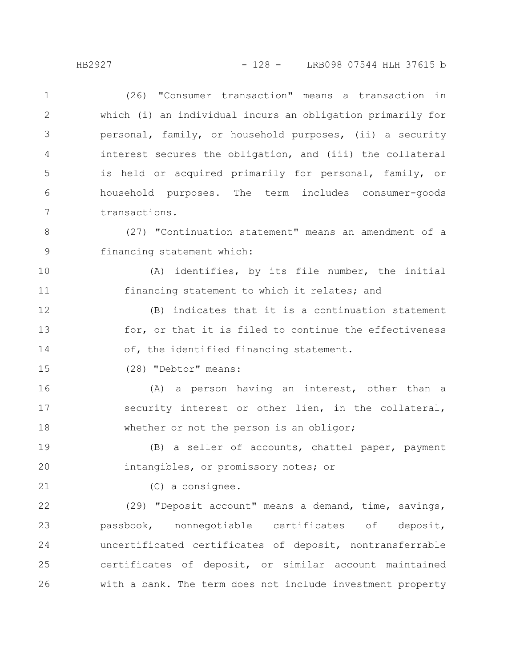(26) "Consumer transaction" means a transaction in which (i) an individual incurs an obligation primarily for personal, family, or household purposes, (ii) a security interest secures the obligation, and (iii) the collateral is held or acquired primarily for personal, family, or household purposes. The term includes consumer-goods transactions. 1 2 3 4 5 6 7

(27) "Continuation statement" means an amendment of a financing statement which: 8 9

(A) identifies, by its file number, the initial financing statement to which it relates; and 10 11

(B) indicates that it is a continuation statement for, or that it is filed to continue the effectiveness of, the identified financing statement. 12 13 14

(28) "Debtor" means: 15

(A) a person having an interest, other than a security interest or other lien, in the collateral, whether or not the person is an obligor; 16 17 18

(B) a seller of accounts, chattel paper, payment intangibles, or promissory notes; or 19 20

21

(C) a consignee.

(29) "Deposit account" means a demand, time, savings, passbook, nonnegotiable certificates of deposit, uncertificated certificates of deposit, nontransferrable certificates of deposit, or similar account maintained with a bank. The term does not include investment property 22 23 24 25 26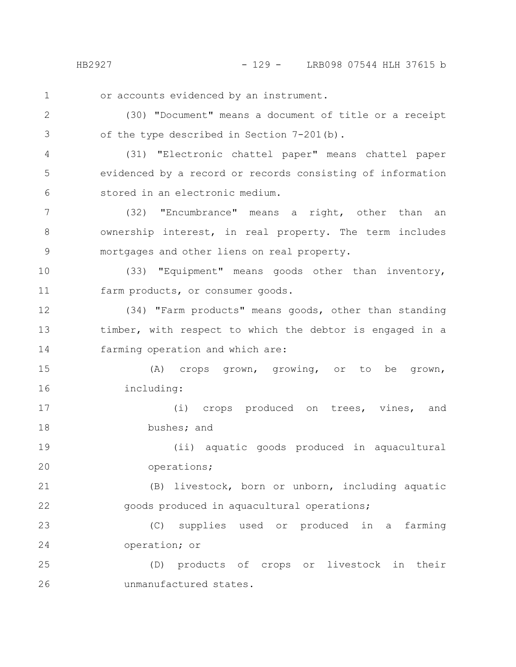HB2927 - 129 - LRB098 07544 HLH 37615 b

1

or accounts evidenced by an instrument.

(30) "Document" means a document of title or a receipt of the type described in Section 7-201(b). 2 3

(31) "Electronic chattel paper" means chattel paper evidenced by a record or records consisting of information stored in an electronic medium. 4 5 6

(32) "Encumbrance" means a right, other than an ownership interest, in real property. The term includes mortgages and other liens on real property. 7 8 9

(33) "Equipment" means goods other than inventory, farm products, or consumer goods. 10 11

(34) "Farm products" means goods, other than standing timber, with respect to which the debtor is engaged in a farming operation and which are: 12 13 14

(A) crops grown, growing, or to be grown, including: 15 16

(i) crops produced on trees, vines, and bushes; and 17 18

(ii) aquatic goods produced in aquacultural operations; 19 20

(B) livestock, born or unborn, including aquatic goods produced in aquacultural operations; 21 22

(C) supplies used or produced in a farming operation; or 23 24

(D) products of crops or livestock in their unmanufactured states. 25 26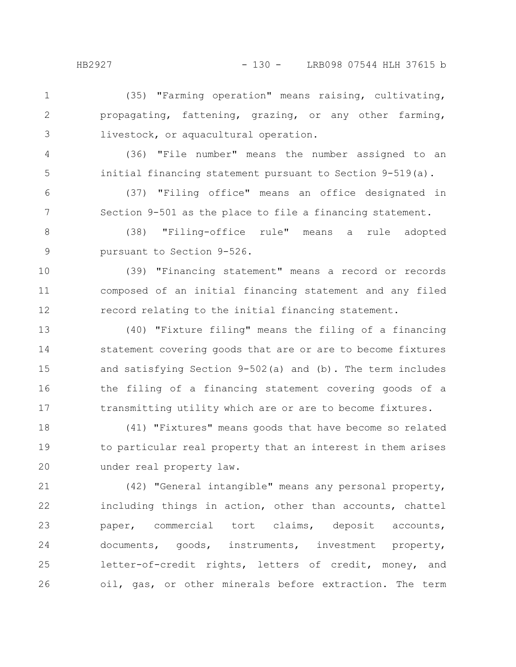(35) "Farming operation" means raising, cultivating, propagating, fattening, grazing, or any other farming, livestock, or aquacultural operation. 1 2 3

4

5

(36) "File number" means the number assigned to an initial financing statement pursuant to Section 9-519(a).

(37) "Filing office" means an office designated in Section 9-501 as the place to file a financing statement. 6 7

(38) "Filing-office rule" means a rule adopted pursuant to Section 9-526. 8 9

(39) "Financing statement" means a record or records composed of an initial financing statement and any filed record relating to the initial financing statement. 10 11 12

(40) "Fixture filing" means the filing of a financing statement covering goods that are or are to become fixtures and satisfying Section 9-502(a) and (b). The term includes the filing of a financing statement covering goods of a transmitting utility which are or are to become fixtures. 13 14 15 16 17

(41) "Fixtures" means goods that have become so related to particular real property that an interest in them arises under real property law. 18 19 20

(42) "General intangible" means any personal property, including things in action, other than accounts, chattel paper, commercial tort claims, deposit accounts, documents, goods, instruments, investment property, letter-of-credit rights, letters of credit, money, and oil, gas, or other minerals before extraction. The term 21 22 23 24 25 26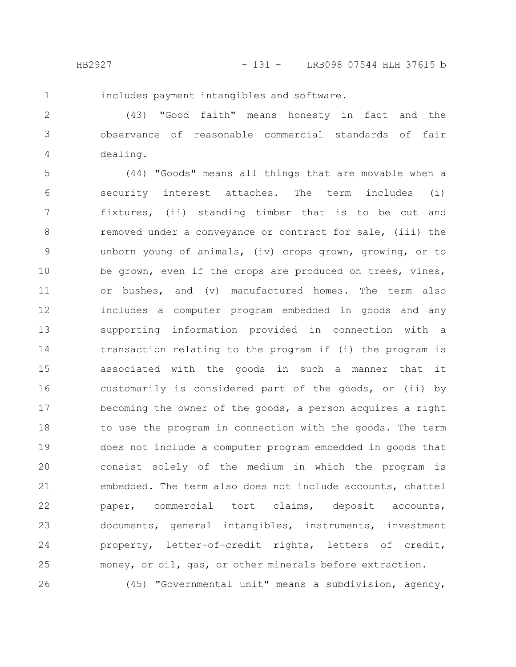1

includes payment intangibles and software.

(43) "Good faith" means honesty in fact and the observance of reasonable commercial standards of fair dealing. 2 3 4

(44) "Goods" means all things that are movable when a security interest attaches. The term includes (i) fixtures, (ii) standing timber that is to be cut and removed under a conveyance or contract for sale, (iii) the unborn young of animals, (iv) crops grown, growing, or to be grown, even if the crops are produced on trees, vines, or bushes, and (v) manufactured homes. The term also includes a computer program embedded in goods and any supporting information provided in connection with a transaction relating to the program if (i) the program is associated with the goods in such a manner that it customarily is considered part of the goods, or (ii) by becoming the owner of the goods, a person acquires a right to use the program in connection with the goods. The term does not include a computer program embedded in goods that consist solely of the medium in which the program is embedded. The term also does not include accounts, chattel paper, commercial tort claims, deposit accounts, documents, general intangibles, instruments, investment property, letter-of-credit rights, letters of credit, money, or oil, gas, or other minerals before extraction. (45) "Governmental unit" means a subdivision, agency, 5 6 7 8 9 10 11 12 13 14 15 16 17 18 19 20 21 22 23 24 25 26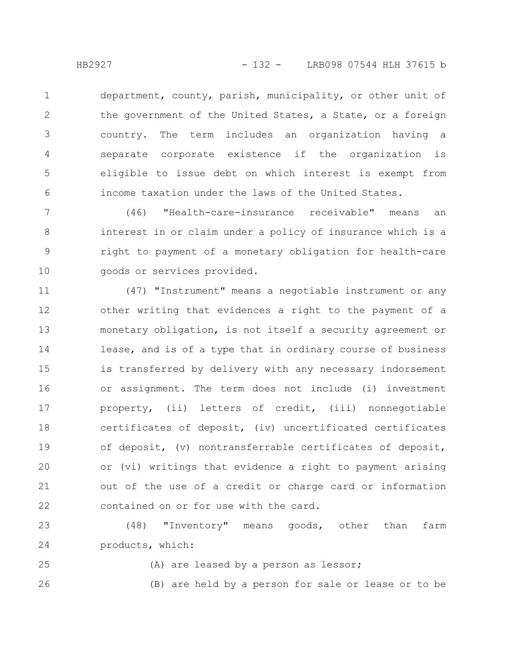department, county, parish, municipality, or other unit of the government of the United States, a State, or a foreign country. The term includes an organization having a separate corporate existence if the organization is eligible to issue debt on which interest is exempt from income taxation under the laws of the United States. 1 2 3 4 5 6

(46) "Health-care-insurance receivable" means an interest in or claim under a policy of insurance which is a right to payment of a monetary obligation for health-care goods or services provided. 7 8 9 10

(47) "Instrument" means a negotiable instrument or any other writing that evidences a right to the payment of a monetary obligation, is not itself a security agreement or lease, and is of a type that in ordinary course of business is transferred by delivery with any necessary indorsement or assignment. The term does not include (i) investment property, (ii) letters of credit, (iii) nonnegotiable certificates of deposit, (iv) uncertificated certificates of deposit, (v) nontransferrable certificates of deposit, or (vi) writings that evidence a right to payment arising out of the use of a credit or charge card or information contained on or for use with the card. 11 12 13 14 15 16 17 18 19 20 21 22

(48) "Inventory" means goods, other than farm products, which: 23 24

25

26

- (A) are leased by a person as lessor;
- 

(B) are held by a person for sale or lease or to be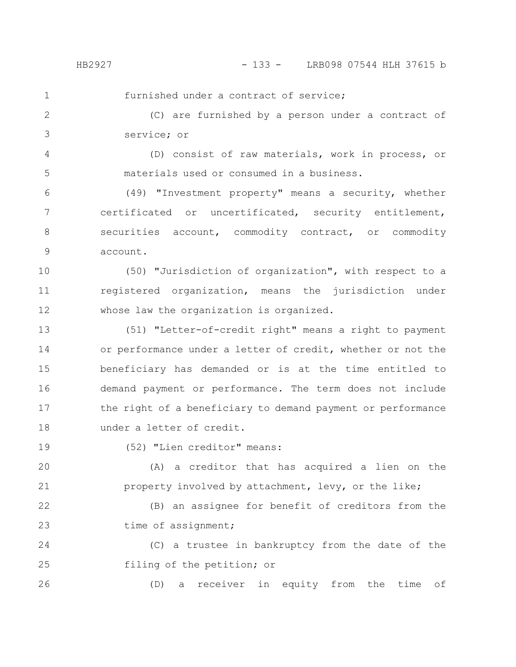HB2927 - 133 - LRB098 07544 HLH 37615 b

1

furnished under a contract of service;

(C) are furnished by a person under a contract of service; or 2 3

(D) consist of raw materials, work in process, or materials used or consumed in a business. 4 5

(49) "Investment property" means a security, whether certificated or uncertificated, security entitlement, securities account, commodity contract, or commodity account. 6 7 8 9

(50) "Jurisdiction of organization", with respect to a registered organization, means the jurisdiction under whose law the organization is organized. 10 11 12

(51) "Letter-of-credit right" means a right to payment or performance under a letter of credit, whether or not the beneficiary has demanded or is at the time entitled to demand payment or performance. The term does not include the right of a beneficiary to demand payment or performance under a letter of credit. 13 14 15 16 17 18

19

26

(52) "Lien creditor" means:

(A) a creditor that has acquired a lien on the property involved by attachment, levy, or the like; 20 21

(B) an assignee for benefit of creditors from the time of assignment; 22 23

(C) a trustee in bankruptcy from the date of the filing of the petition; or 24 25

(D) a receiver in equity from the time of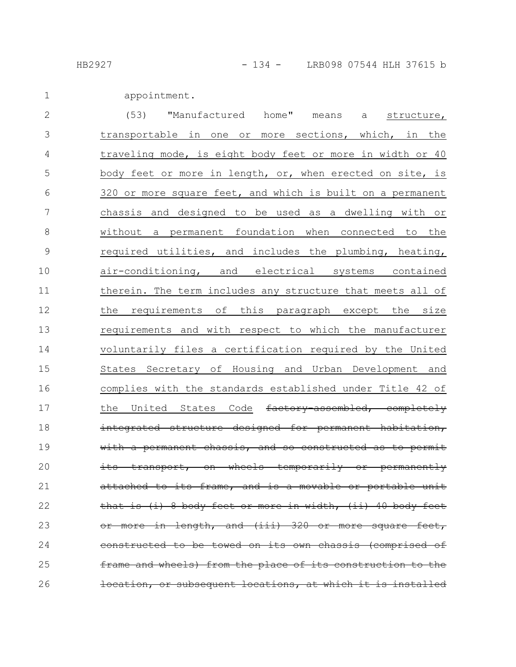appointment. 1

| $\mathbf{2}$ | (53)<br>"Manufactured home"<br>means<br>structure,<br>a     |
|--------------|-------------------------------------------------------------|
| 3            | transportable in one or more sections, which, in the        |
| 4            | traveling mode, is eight body feet or more in width or 40   |
| 5            | body feet or more in length, or, when erected on site, is   |
| 6            | 320 or more square feet, and which is built on a permanent  |
| 7            | chassis and designed to be used as a dwelling with or       |
| $8\,$        | without a permanent foundation when connected to the        |
| 9            | required utilities, and includes the plumbing, heating,     |
| 10           | air-conditioning, and electrical systems contained          |
| 11           | therein. The term includes any structure that meets all of  |
| 12           | requirements of<br>the<br>this paragraph except the size    |
| 13           | requirements and with respect to which the manufacturer     |
| 14           | voluntarily files a certification required by the United    |
| 15           | States Secretary of Housing and Urban Development and       |
| 16           | complies with the standards established under Title 42 of   |
| 17           | the United States Code factory assembled, completely        |
| 18           | integrated structure designed for permanent habitation,     |
| 19           | with a permanent chassis, and so constructed as to permit   |
| 20           | transport, on wheels temporarily or permanently             |
| 21           | attached to its frame, and is a movable or portable unit    |
| 22           | that is (i) 8 body fect or more in width, (ii) 40 body fect |
| 23           | or more in length, and (iii) 320 or more square feet,       |
| 24           | constructed to be towed on its own chassis (comprised of    |
| 25           | frame and wheels) from the place of its construction to the |
| 26           | location, or subsequent locations, at which it is installed |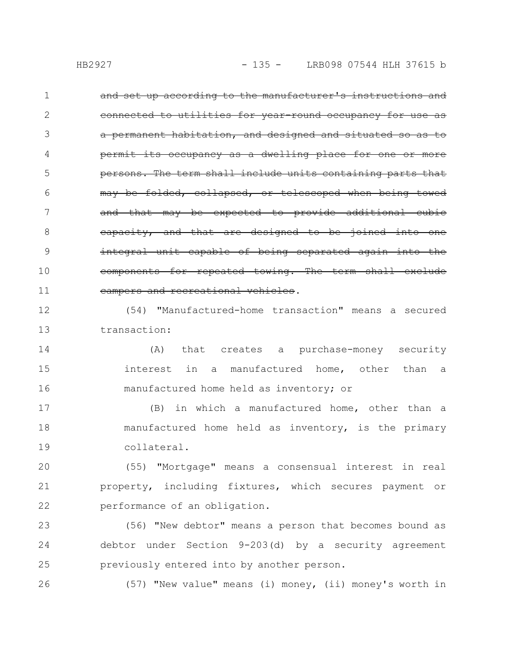and set up according to the manufacturer's instructions and for year-round occupancy for habitation, and designed and permit its occupancy as a dwelling place persons. The term shall include units containing parts that may be folded, collapsed, or telescoped when being that may be expected to provide additional cubic eapacity, and that are designed to be joined integral unit capable of being separated again components for repeated towing. The term shall exclude campers and recreational vehicles. 1 2 3 4 5 6 7 8 9 10 11

(54) "Manufactured-home transaction" means a secured transaction: 12 13

(A) that creates a purchase-money security interest in a manufactured home, other than a manufactured home held as inventory; or 14 15 16

(B) in which a manufactured home, other than a manufactured home held as inventory, is the primary collateral. 17 18 19

(55) "Mortgage" means a consensual interest in real property, including fixtures, which secures payment or performance of an obligation. 20 21 22

(56) "New debtor" means a person that becomes bound as debtor under Section 9-203(d) by a security agreement previously entered into by another person. 23 24 25

26

(57) "New value" means (i) money, (ii) money's worth in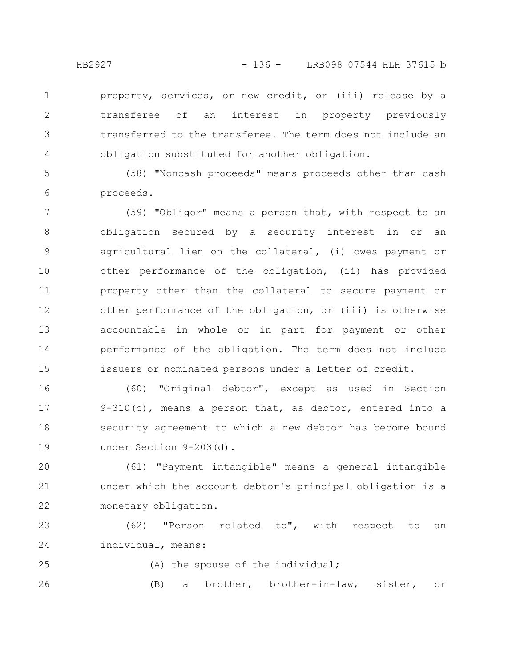property, services, or new credit, or (iii) release by a transferee of an interest in property previously transferred to the transferee. The term does not include an obligation substituted for another obligation. 1 2 3 4

(58) "Noncash proceeds" means proceeds other than cash proceeds. 5 6

(59) "Obligor" means a person that, with respect to an obligation secured by a security interest in or an agricultural lien on the collateral, (i) owes payment or other performance of the obligation, (ii) has provided property other than the collateral to secure payment or other performance of the obligation, or (iii) is otherwise accountable in whole or in part for payment or other performance of the obligation. The term does not include issuers or nominated persons under a letter of credit. 7 8 9 10 11 12 13 14 15

(60) "Original debtor", except as used in Section 9-310(c), means a person that, as debtor, entered into a security agreement to which a new debtor has become bound under Section 9-203(d). 16 17 18 19

(61) "Payment intangible" means a general intangible under which the account debtor's principal obligation is a monetary obligation. 20 21 22

(62) "Person related to", with respect to an individual, means: 23 24

25

(A) the spouse of the individual;

(B) a brother, brother-in-law, sister, or 26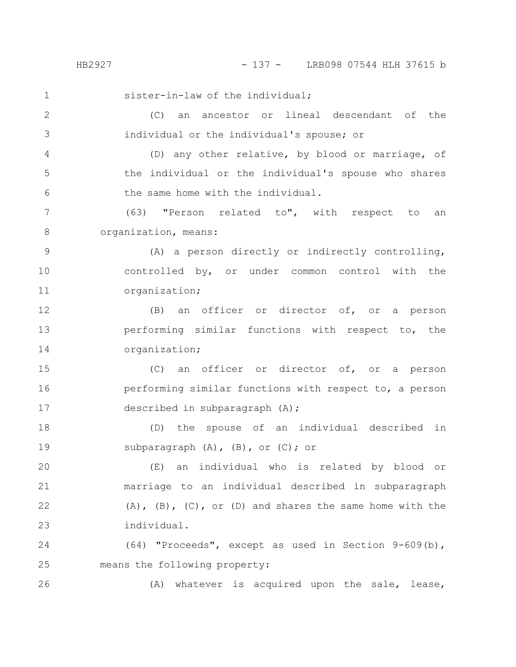HB2927 - 137 - LRB098 07544 HLH 37615 b

sister-in-law of the individual; (C) an ancestor or lineal descendant of the individual or the individual's spouse; or (D) any other relative, by blood or marriage, of the individual or the individual's spouse who shares the same home with the individual. (63) "Person related to", with respect to an organization, means: (A) a person directly or indirectly controlling, controlled by, or under common control with the organization; (B) an officer or director of, or a person performing similar functions with respect to, the organization; (C) an officer or director of, or a person performing similar functions with respect to, a person described in subparagraph (A); (D) the spouse of an individual described in subparagraph  $(A)$ ,  $(B)$ , or  $(C)$ ; or (E) an individual who is related by blood or marriage to an individual described in subparagraph  $(A)$ ,  $(B)$ ,  $(C)$ , or  $(D)$  and shares the same home with the individual. (64) "Proceeds", except as used in Section 9-609(b), means the following property: 1 2 3 4 5 6 7 8 9 10 11 12 13 14 15 16 17 18 19 20 21 22 23 24 25

(A) whatever is acquired upon the sale, lease,

26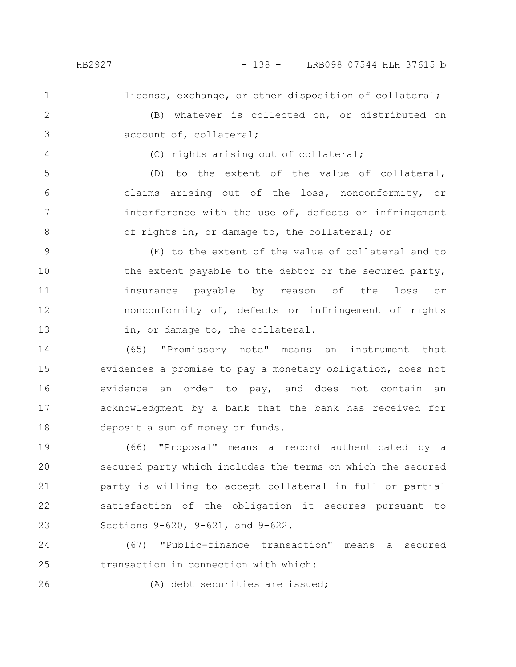license, exchange, or other disposition of collateral;

2 3

(B) whatever is collected on, or distributed on account of, collateral;

4

1

(C) rights arising out of collateral;

(D) to the extent of the value of collateral, claims arising out of the loss, nonconformity, or interference with the use of, defects or infringement of rights in, or damage to, the collateral; or 5 6 7 8

(E) to the extent of the value of collateral and to the extent payable to the debtor or the secured party, insurance payable by reason of the loss or nonconformity of, defects or infringement of rights in, or damage to, the collateral. 9 10 11 12 13

(65) "Promissory note" means an instrument that evidences a promise to pay a monetary obligation, does not evidence an order to pay, and does not contain an acknowledgment by a bank that the bank has received for deposit a sum of money or funds. 14 15 16 17 18

(66) "Proposal" means a record authenticated by a secured party which includes the terms on which the secured party is willing to accept collateral in full or partial satisfaction of the obligation it secures pursuant to Sections 9-620, 9-621, and 9-622. 19 20 21 22 23

(67) "Public-finance transaction" means a secured transaction in connection with which: 24 25

26

(A) debt securities are issued;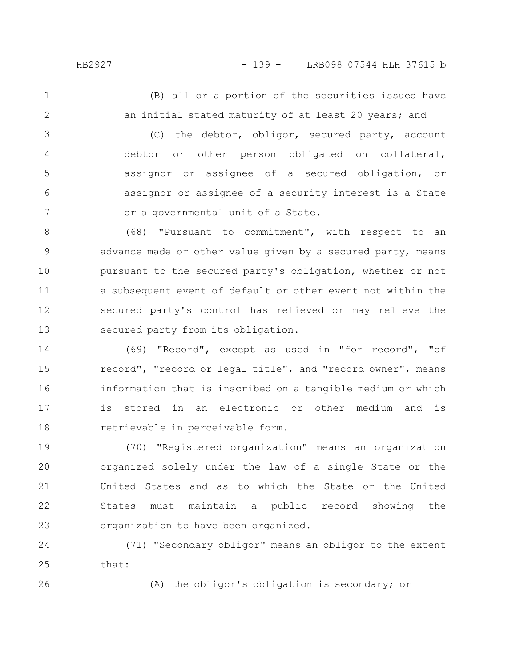(B) all or a portion of the securities issued have an initial stated maturity of at least 20 years; and 1 2

(C) the debtor, obligor, secured party, account debtor or other person obligated on collateral, assignor or assignee of a secured obligation, or assignor or assignee of a security interest is a State or a governmental unit of a State. 3 4 5 6 7

(68) "Pursuant to commitment", with respect to an advance made or other value given by a secured party, means pursuant to the secured party's obligation, whether or not a subsequent event of default or other event not within the secured party's control has relieved or may relieve the secured party from its obligation. 8 9 10 11 12 13

(69) "Record", except as used in "for record", "of record", "record or legal title", and "record owner", means information that is inscribed on a tangible medium or which is stored in an electronic or other medium and is retrievable in perceivable form. 14 15 16 17 18

(70) "Registered organization" means an organization organized solely under the law of a single State or the United States and as to which the State or the United States must maintain a public record showing the organization to have been organized. 19 20 21 22 23

(71) "Secondary obligor" means an obligor to the extent that: 24 25

26

(A) the obligor's obligation is secondary; or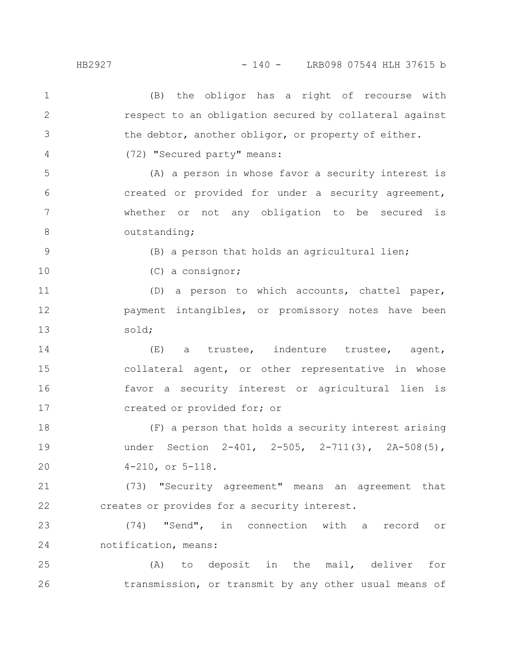## HB2927 - 140 - LRB098 07544 HLH 37615 b

(B) the obligor has a right of recourse with respect to an obligation secured by collateral against the debtor, another obligor, or property of either. (72) "Secured party" means: (A) a person in whose favor a security interest is created or provided for under a security agreement, whether or not any obligation to be secured is outstanding; (B) a person that holds an agricultural lien; (C) a consignor; (D) a person to which accounts, chattel paper, payment intangibles, or promissory notes have been sold; (E) a trustee, indenture trustee, agent, collateral agent, or other representative in whose favor a security interest or agricultural lien is created or provided for; or (F) a person that holds a security interest arising under Section 2-401, 2-505, 2-711(3), 2A-508(5), 4-210, or 5-118. (73) "Security agreement" means an agreement that creates or provides for a security interest. (74) "Send", in connection with a record or notification, means: (A) to deposit in the mail, deliver for transmission, or transmit by any other usual means of 1 2 3 4 5 6 7 8 9 10 11 12 13 14 15 16 17 18 19 20 21 22 23 24 25 26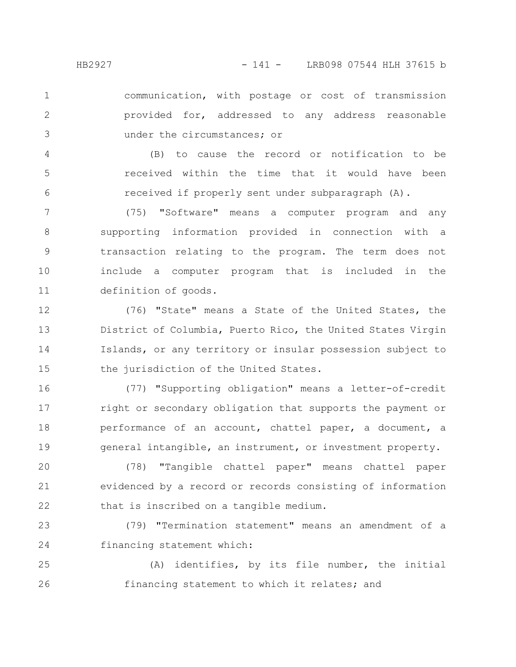communication, with postage or cost of transmission provided for, addressed to any address reasonable under the circumstances; or 1 2 3

(B) to cause the record or notification to be received within the time that it would have been received if properly sent under subparagraph (A). 4 5 6

(75) "Software" means a computer program and any supporting information provided in connection with a transaction relating to the program. The term does not include a computer program that is included in the definition of goods. 7 8 9 10 11

(76) "State" means a State of the United States, the District of Columbia, Puerto Rico, the United States Virgin Islands, or any territory or insular possession subject to the jurisdiction of the United States. 12 13 14 15

(77) "Supporting obligation" means a letter-of-credit right or secondary obligation that supports the payment or performance of an account, chattel paper, a document, a general intangible, an instrument, or investment property. 16 17 18 19

(78) "Tangible chattel paper" means chattel paper evidenced by a record or records consisting of information that is inscribed on a tangible medium. 20 21 22

(79) "Termination statement" means an amendment of a financing statement which: 23 24

(A) identifies, by its file number, the initial financing statement to which it relates; and 25 26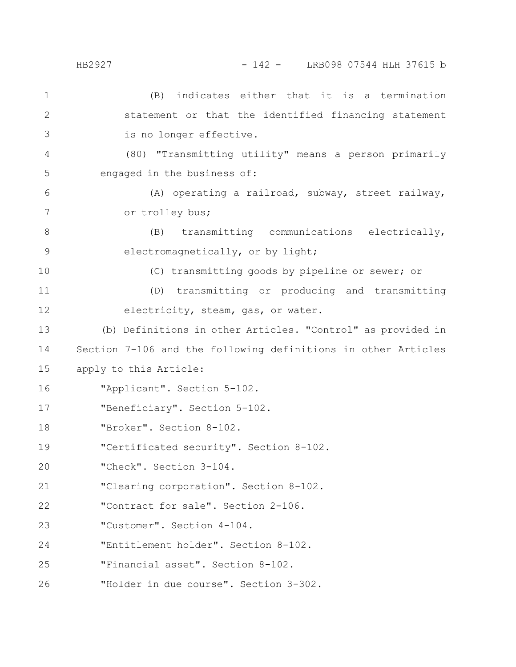(B) indicates either that it is a termination statement or that the identified financing statement is no longer effective. (80) "Transmitting utility" means a person primarily engaged in the business of: (A) operating a railroad, subway, street railway, or trolley bus; (B) transmitting communications electrically, electromagnetically, or by light; (C) transmitting goods by pipeline or sewer; or (D) transmitting or producing and transmitting electricity, steam, gas, or water. (b) Definitions in other Articles. "Control" as provided in Section 7-106 and the following definitions in other Articles apply to this Article: "Applicant". Section 5-102. "Beneficiary". Section 5-102. "Broker". Section 8-102. "Certificated security". Section 8-102. "Check". Section 3-104. "Clearing corporation". Section 8-102. "Contract for sale". Section 2-106. "Customer". Section 4-104. "Entitlement holder". Section 8-102. "Financial asset". Section 8-102. "Holder in due course". Section 3-302. 1 2 3 4 5 6 7 8 9 10 11 12 13 14 15 16 17 18 19 20 21 22 23 24 25 26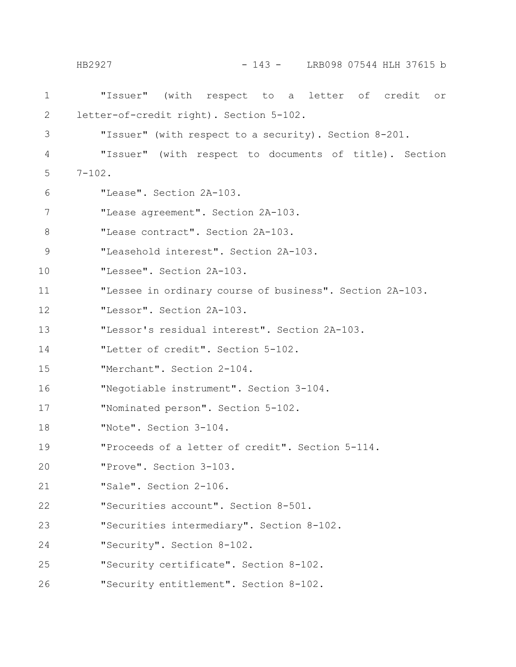"Issuer" (with respect to a letter of credit or letter-of-credit right). Section 5-102. "Issuer" (with respect to a security). Section 8-201. "Issuer" (with respect to documents of title). Section  $7 - 102$ . "Lease". Section 2A-103. "Lease agreement". Section 2A-103. "Lease contract". Section 2A-103. "Leasehold interest". Section 2A-103. "Lessee". Section 2A-103. "Lessee in ordinary course of business". Section 2A-103. "Lessor". Section 2A-103. "Lessor's residual interest". Section 2A-103. "Letter of credit". Section 5-102. "Merchant". Section 2-104. "Negotiable instrument". Section 3-104. "Nominated person". Section 5-102. "Note". Section 3-104. "Proceeds of a letter of credit". Section 5-114. "Prove". Section 3-103. "Sale". Section 2-106. "Securities account". Section 8-501. "Securities intermediary". Section 8-102. "Security". Section 8-102. "Security certificate". Section 8-102. "Security entitlement". Section 8-102. 1 2 3 4 5 6 7 8 9 10 11 12 13 14 15 16 17 18 19 20 21 22 23 24 25 26 HB2927 - 143 - LRB098 07544 HLH 37615 b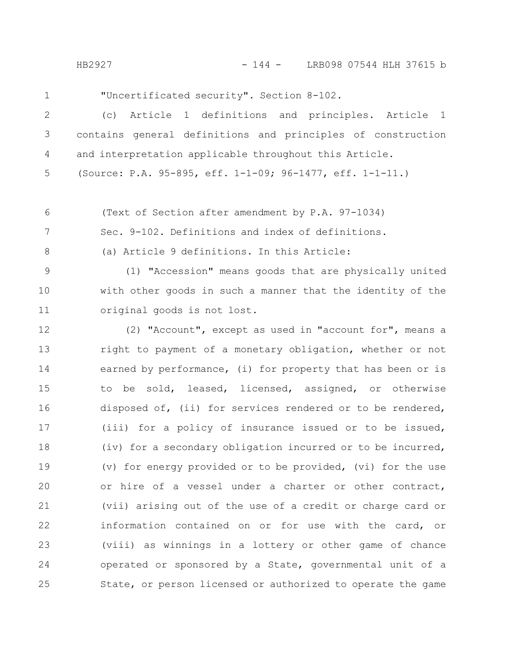HB2927 - 144 - LRB098 07544 HLH 37615 b

1

"Uncertificated security". Section 8-102.

(c) Article 1 definitions and principles. Article 1 contains general definitions and principles of construction and interpretation applicable throughout this Article. 2 3 4

(Source: P.A. 95-895, eff. 1-1-09; 96-1477, eff. 1-1-11.) 5

(Text of Section after amendment by P.A. 97-1034) 6

Sec. 9-102. Definitions and index of definitions. 7

8

(a) Article 9 definitions. In this Article:

(1) "Accession" means goods that are physically united with other goods in such a manner that the identity of the original goods is not lost. 9 10 11

(2) "Account", except as used in "account for", means a right to payment of a monetary obligation, whether or not earned by performance, (i) for property that has been or is to be sold, leased, licensed, assigned, or otherwise disposed of, (ii) for services rendered or to be rendered, (iii) for a policy of insurance issued or to be issued, (iv) for a secondary obligation incurred or to be incurred, (v) for energy provided or to be provided, (vi) for the use or hire of a vessel under a charter or other contract, (vii) arising out of the use of a credit or charge card or information contained on or for use with the card, or (viii) as winnings in a lottery or other game of chance operated or sponsored by a State, governmental unit of a State, or person licensed or authorized to operate the game 12 13 14 15 16 17 18 19 20 21 22 23 24 25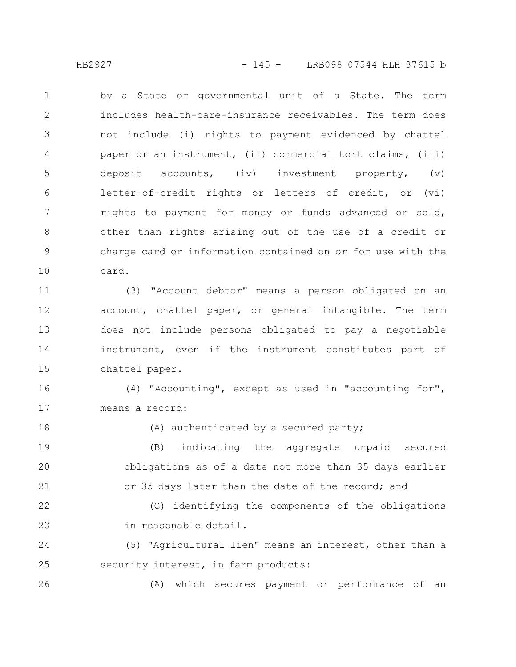by a State or governmental unit of a State. The term includes health-care-insurance receivables. The term does not include (i) rights to payment evidenced by chattel paper or an instrument, (ii) commercial tort claims, (iii) deposit accounts, (iv) investment property, (v) letter-of-credit rights or letters of credit, or (vi) rights to payment for money or funds advanced or sold, other than rights arising out of the use of a credit or charge card or information contained on or for use with the card. 1 2 3 4 5 6 7 8 9 10

(3) "Account debtor" means a person obligated on an account, chattel paper, or general intangible. The term does not include persons obligated to pay a negotiable instrument, even if the instrument constitutes part of chattel paper. 11 12 13 14 15

(4) "Accounting", except as used in "accounting for", means a record: 16 17

(A) authenticated by a secured party;

(B) indicating the aggregate unpaid secured obligations as of a date not more than 35 days earlier or 35 days later than the date of the record; and 19 20 21

(C) identifying the components of the obligations in reasonable detail. 22 23

(5) "Agricultural lien" means an interest, other than a security interest, in farm products: 24 25

(A) which secures payment or performance of an 26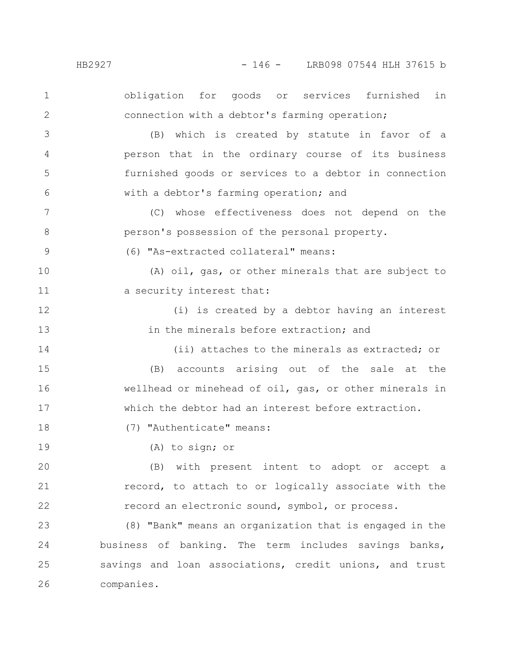obligation for goods or services furnished in connection with a debtor's farming operation; (B) which is created by statute in favor of a person that in the ordinary course of its business furnished goods or services to a debtor in connection with a debtor's farming operation; and (C) whose effectiveness does not depend on the person's possession of the personal property. (6) "As-extracted collateral" means: (A) oil, gas, or other minerals that are subject to a security interest that: (i) is created by a debtor having an interest in the minerals before extraction; and (ii) attaches to the minerals as extracted; or (B) accounts arising out of the sale at the wellhead or minehead of oil, gas, or other minerals in which the debtor had an interest before extraction. (7) "Authenticate" means: (A) to sign; or (B) with present intent to adopt or accept a record, to attach to or logically associate with the record an electronic sound, symbol, or process. (8) "Bank" means an organization that is engaged in the business of banking. The term includes savings banks, savings and loan associations, credit unions, and trust companies. 1 2 3 4 5 6 7 8 9 10 11 12 13 14 15 16 17 18 19 20 21 22 23 24 25 26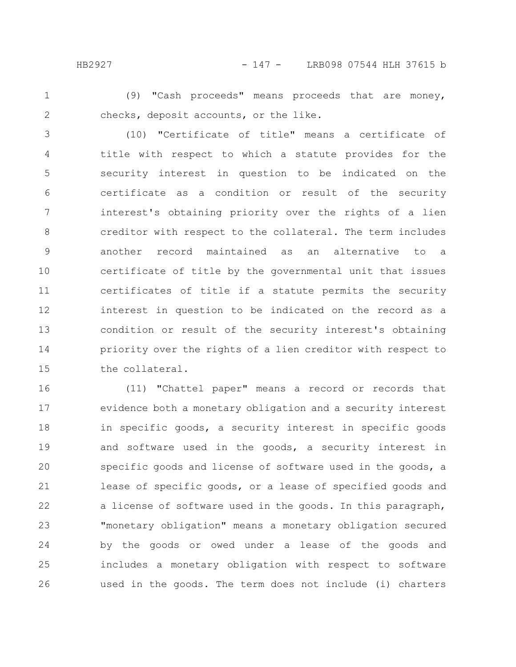## HB2927 - 147 - LRB098 07544 HLH 37615 b

1

2

(9) "Cash proceeds" means proceeds that are money, checks, deposit accounts, or the like.

(10) "Certificate of title" means a certificate of title with respect to which a statute provides for the security interest in question to be indicated on the certificate as a condition or result of the security interest's obtaining priority over the rights of a lien creditor with respect to the collateral. The term includes another record maintained as an alternative to a certificate of title by the governmental unit that issues certificates of title if a statute permits the security interest in question to be indicated on the record as a condition or result of the security interest's obtaining priority over the rights of a lien creditor with respect to the collateral. 3 4 5 6 7 8 9 10 11 12 13 14 15

(11) "Chattel paper" means a record or records that evidence both a monetary obligation and a security interest in specific goods, a security interest in specific goods and software used in the goods, a security interest in specific goods and license of software used in the goods, a lease of specific goods, or a lease of specified goods and a license of software used in the goods. In this paragraph, "monetary obligation" means a monetary obligation secured by the goods or owed under a lease of the goods and includes a monetary obligation with respect to software used in the goods. The term does not include (i) charters 16 17 18 19 20 21 22 23 24 25 26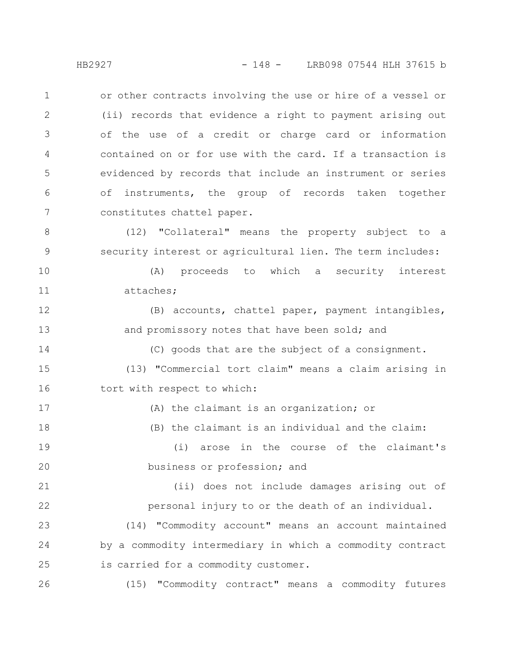or other contracts involving the use or hire of a vessel or (ii) records that evidence a right to payment arising out of the use of a credit or charge card or information contained on or for use with the card. If a transaction is evidenced by records that include an instrument or series of instruments, the group of records taken together constitutes chattel paper. 1 2 3 4 5 6 7

(12) "Collateral" means the property subject to a security interest or agricultural lien. The term includes: 8 9

(A) proceeds to which a security interest attaches; 10 11

(B) accounts, chattel paper, payment intangibles, and promissory notes that have been sold; and 12 13

(C) goods that are the subject of a consignment. (13) "Commercial tort claim" means a claim arising in tort with respect to which: 14 15 16

(A) the claimant is an organization; or (B) the claimant is an individual and the claim: (i) arose in the course of the claimant's business or profession; and (ii) does not include damages arising out of personal injury to or the death of an individual. (14) "Commodity account" means an account maintained by a commodity intermediary in which a commodity contract is carried for a commodity customer. 17 18 19 20 21 22 23 24 25

(15) "Commodity contract" means a commodity futures

26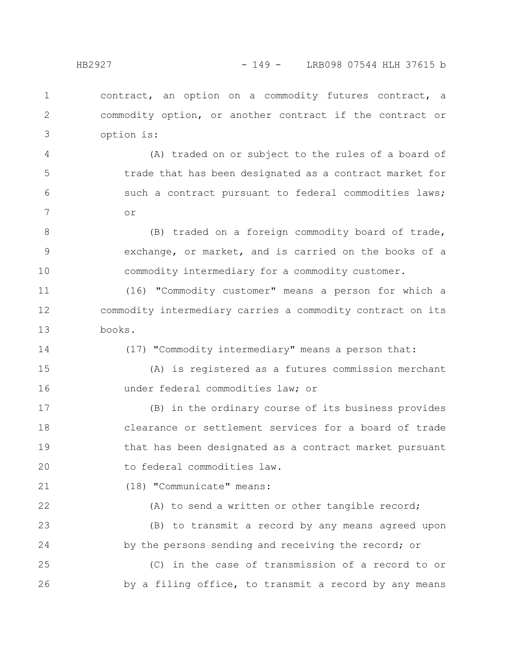contract, an option on a commodity futures contract, a commodity option, or another contract if the contract or option is: 1 2 3

(A) traded on or subject to the rules of a board of trade that has been designated as a contract market for such a contract pursuant to federal commodities laws; or 4 5 6 7

(B) traded on a foreign commodity board of trade, exchange, or market, and is carried on the books of a commodity intermediary for a commodity customer. 8 9 10

(16) "Commodity customer" means a person for which a commodity intermediary carries a commodity contract on its books. 11 12 13

14

22

(17) "Commodity intermediary" means a person that:

(A) is registered as a futures commission merchant under federal commodities law; or 15 16

(B) in the ordinary course of its business provides clearance or settlement services for a board of trade that has been designated as a contract market pursuant to federal commodities law. 17 18 19 20

(18) "Communicate" means: 21

(A) to send a written or other tangible record;

(B) to transmit a record by any means agreed upon by the persons sending and receiving the record; or 23 24

(C) in the case of transmission of a record to or by a filing office, to transmit a record by any means 25 26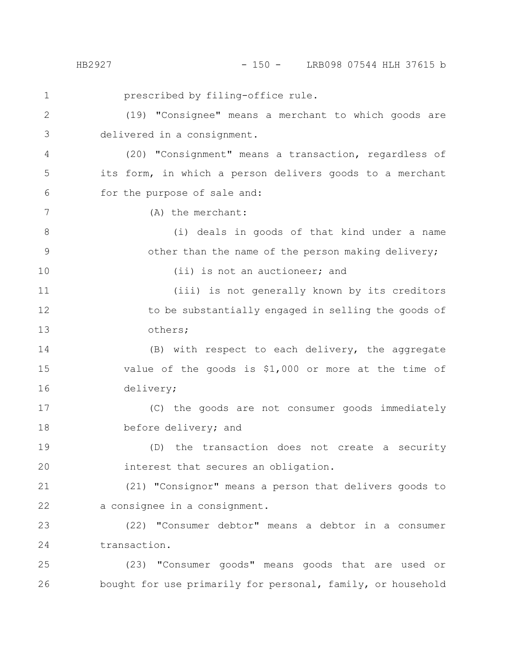prescribed by filing-office rule. (19) "Consignee" means a merchant to which goods are delivered in a consignment. (20) "Consignment" means a transaction, regardless of its form, in which a person delivers goods to a merchant for the purpose of sale and: (A) the merchant: (i) deals in goods of that kind under a name other than the name of the person making delivery; (ii) is not an auctioneer; and (iii) is not generally known by its creditors to be substantially engaged in selling the goods of others; (B) with respect to each delivery, the aggregate value of the goods is \$1,000 or more at the time of delivery; (C) the goods are not consumer goods immediately before delivery; and (D) the transaction does not create a security interest that secures an obligation. (21) "Consignor" means a person that delivers goods to a consignee in a consignment. (22) "Consumer debtor" means a debtor in a consumer transaction. (23) "Consumer goods" means goods that are used or bought for use primarily for personal, family, or household 1 2 3 4 5 6 7 8 9 10 11 12 13 14 15 16 17 18 19 20 21 22 23 24 25 26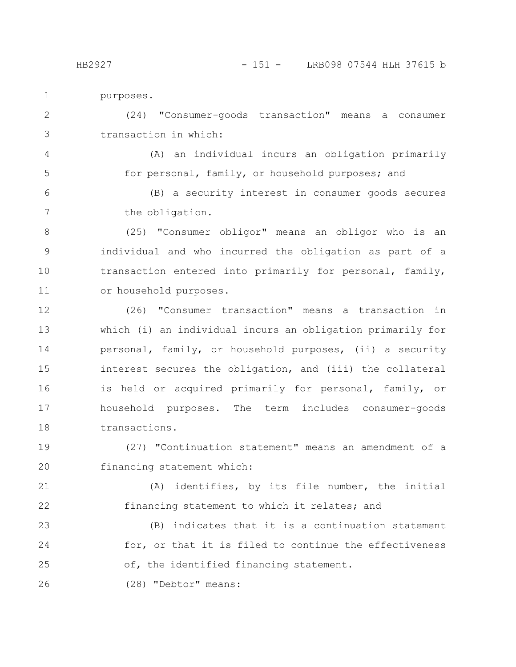4

5

purposes.

(24) "Consumer-goods transaction" means a consumer transaction in which: 2 3

(A) an individual incurs an obligation primarily for personal, family, or household purposes; and

(B) a security interest in consumer goods secures the obligation. 6 7

(25) "Consumer obligor" means an obligor who is an individual and who incurred the obligation as part of a transaction entered into primarily for personal, family, or household purposes. 8 9 10 11

(26) "Consumer transaction" means a transaction in which (i) an individual incurs an obligation primarily for personal, family, or household purposes, (ii) a security interest secures the obligation, and (iii) the collateral is held or acquired primarily for personal, family, or household purposes. The term includes consumer-goods transactions. 12 13 14 15 16 17 18

(27) "Continuation statement" means an amendment of a financing statement which: 19 20

(A) identifies, by its file number, the initial financing statement to which it relates; and 21 22

(B) indicates that it is a continuation statement for, or that it is filed to continue the effectiveness of, the identified financing statement. 23 24 25

(28) "Debtor" means: 26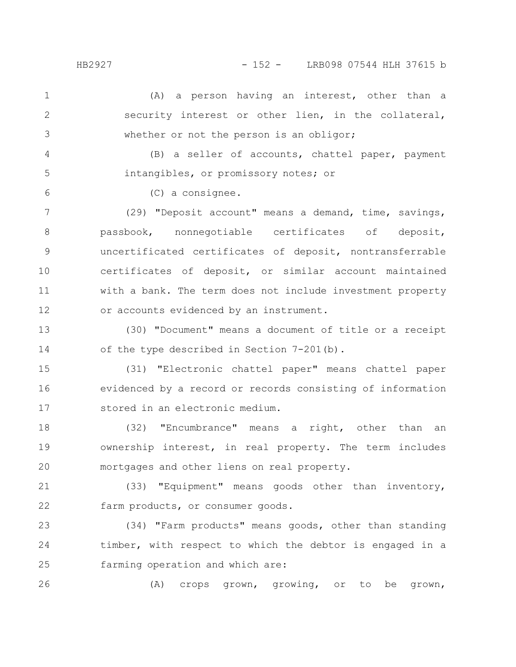5

6

(A) a person having an interest, other than a security interest or other lien, in the collateral, whether or not the person is an obligor; 1 2 3

(B) a seller of accounts, chattel paper, payment intangibles, or promissory notes; or

(C) a consignee.

(29) "Deposit account" means a demand, time, savings, passbook, nonnegotiable certificates of deposit, uncertificated certificates of deposit, nontransferrable certificates of deposit, or similar account maintained with a bank. The term does not include investment property or accounts evidenced by an instrument. 7 8 9 10 11 12

(30) "Document" means a document of title or a receipt of the type described in Section 7-201(b). 13 14

(31) "Electronic chattel paper" means chattel paper evidenced by a record or records consisting of information stored in an electronic medium. 15 16 17

(32) "Encumbrance" means a right, other than an ownership interest, in real property. The term includes mortgages and other liens on real property. 18 19 20

(33) "Equipment" means goods other than inventory, farm products, or consumer goods. 21 22

(34) "Farm products" means goods, other than standing timber, with respect to which the debtor is engaged in a farming operation and which are: 23 24 25

(A) crops grown, growing, or to be grown, 26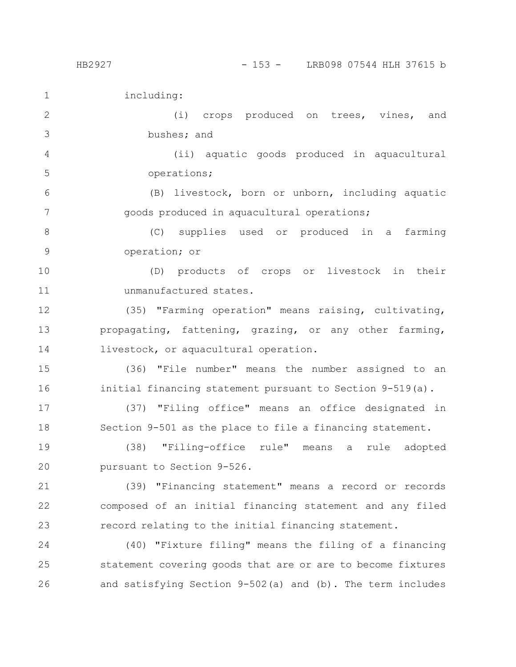including:

(i) crops produced on trees, vines, and bushes; and 2 3

(ii) aquatic goods produced in aquacultural operations; 4 5

(B) livestock, born or unborn, including aquatic goods produced in aquacultural operations; 6 7

(C) supplies used or produced in a farming operation; or 8 9

(D) products of crops or livestock in their unmanufactured states. 10 11

(35) "Farming operation" means raising, cultivating, propagating, fattening, grazing, or any other farming, livestock, or aquacultural operation. 12 13 14

(36) "File number" means the number assigned to an initial financing statement pursuant to Section 9-519(a). 15 16

(37) "Filing office" means an office designated in Section 9-501 as the place to file a financing statement. 17 18

(38) "Filing-office rule" means a rule adopted pursuant to Section 9-526. 19 20

(39) "Financing statement" means a record or records composed of an initial financing statement and any filed record relating to the initial financing statement. 21 22 23

(40) "Fixture filing" means the filing of a financing statement covering goods that are or are to become fixtures and satisfying Section 9-502(a) and (b). The term includes 24 25 26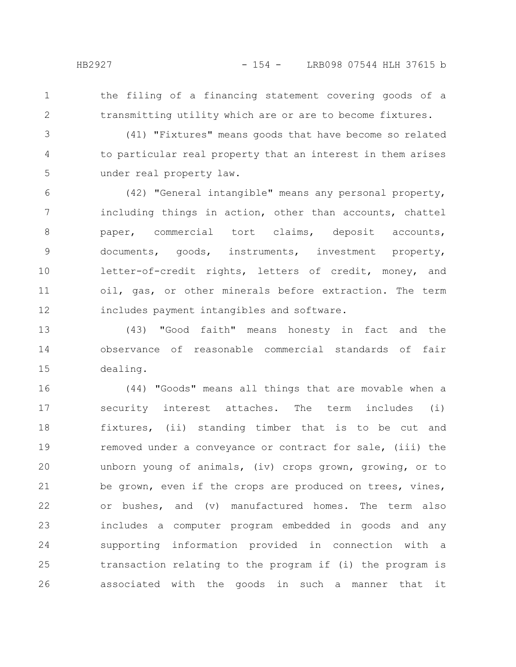- 
- 1 2

the filing of a financing statement covering goods of a transmitting utility which are or are to become fixtures.

(41) "Fixtures" means goods that have become so related to particular real property that an interest in them arises under real property law. 3 4 5

(42) "General intangible" means any personal property, including things in action, other than accounts, chattel paper, commercial tort claims, deposit accounts, documents, goods, instruments, investment property, letter-of-credit rights, letters of credit, money, and oil, gas, or other minerals before extraction. The term includes payment intangibles and software. 6 7 8 9 10 11 12

(43) "Good faith" means honesty in fact and the observance of reasonable commercial standards of fair dealing. 13 14 15

(44) "Goods" means all things that are movable when a security interest attaches. The term includes (i) fixtures, (ii) standing timber that is to be cut and removed under a conveyance or contract for sale, (iii) the unborn young of animals, (iv) crops grown, growing, or to be grown, even if the crops are produced on trees, vines, or bushes, and (v) manufactured homes. The term also includes a computer program embedded in goods and any supporting information provided in connection with a transaction relating to the program if (i) the program is associated with the goods in such a manner that it 16 17 18 19 20 21 22 23 24 25 26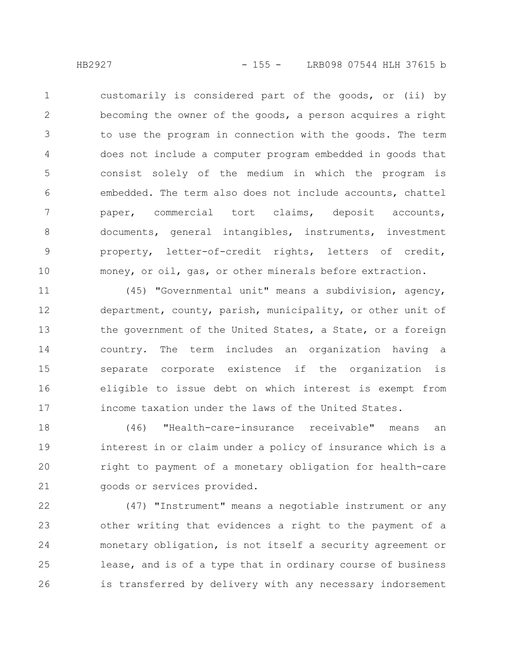customarily is considered part of the goods, or (ii) by becoming the owner of the goods, a person acquires a right to use the program in connection with the goods. The term does not include a computer program embedded in goods that consist solely of the medium in which the program is embedded. The term also does not include accounts, chattel paper, commercial tort claims, deposit accounts, documents, general intangibles, instruments, investment property, letter-of-credit rights, letters of credit, money, or oil, gas, or other minerals before extraction. 1 2 3 4 5 6 7 8 9 10

(45) "Governmental unit" means a subdivision, agency, department, county, parish, municipality, or other unit of the government of the United States, a State, or a foreign country. The term includes an organization having a separate corporate existence if the organization is eligible to issue debt on which interest is exempt from income taxation under the laws of the United States. 11 12 13 14 15 16 17

(46) "Health-care-insurance receivable" means an interest in or claim under a policy of insurance which is a right to payment of a monetary obligation for health-care goods or services provided. 18 19 20 21

(47) "Instrument" means a negotiable instrument or any other writing that evidences a right to the payment of a monetary obligation, is not itself a security agreement or lease, and is of a type that in ordinary course of business is transferred by delivery with any necessary indorsement 22 23 24 25 26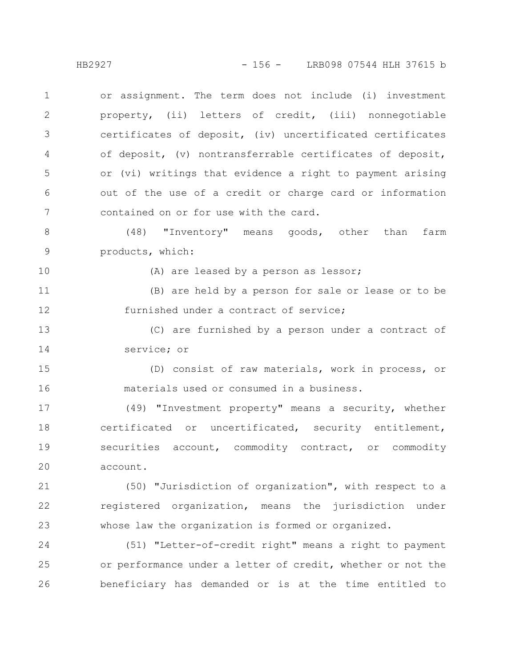or assignment. The term does not include (i) investment property, (ii) letters of credit, (iii) nonnegotiable certificates of deposit, (iv) uncertificated certificates of deposit, (v) nontransferrable certificates of deposit, or (vi) writings that evidence a right to payment arising out of the use of a credit or charge card or information contained on or for use with the card. (48) "Inventory" means goods, other than farm products, which: (A) are leased by a person as lessor; (B) are held by a person for sale or lease or to be furnished under a contract of service; (C) are furnished by a person under a contract of service; or (D) consist of raw materials, work in process, or materials used or consumed in a business. (49) "Investment property" means a security, whether certificated or uncertificated, security entitlement, securities account, commodity contract, or commodity 1 2 3 4 5 6 7 8 9 10 11 12 13 14 15 16 17 18 19

account. 20

(50) "Jurisdiction of organization", with respect to a registered organization, means the jurisdiction under whose law the organization is formed or organized. 21 22 23

(51) "Letter-of-credit right" means a right to payment or performance under a letter of credit, whether or not the beneficiary has demanded or is at the time entitled to 24 25 26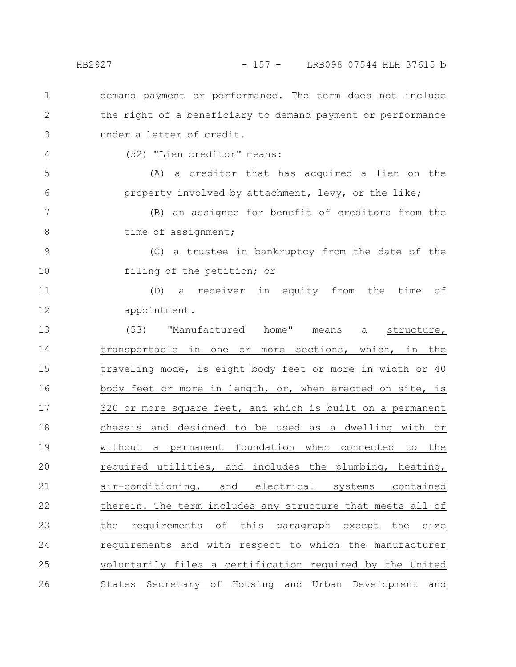demand payment or performance. The term does not include the right of a beneficiary to demand payment or performance under a letter of credit. 1 2 3

4

(52) "Lien creditor" means:

(A) a creditor that has acquired a lien on the property involved by attachment, levy, or the like; 5 6

(B) an assignee for benefit of creditors from the time of assignment; 7 8

(C) a trustee in bankruptcy from the date of the filing of the petition; or 9 10

(D) a receiver in equity from the time of appointment. 11 12

(53) "Manufactured home" means a structure, transportable in one or more sections, which, in the traveling mode, is eight body feet or more in width or 40 body feet or more in length, or, when erected on site, is 320 or more square feet, and which is built on a permanent chassis and designed to be used as a dwelling with or without a permanent foundation when connected to the required utilities, and includes the plumbing, heating, air-conditioning, and electrical systems contained therein. The term includes any structure that meets all of the requirements of this paragraph except the size requirements and with respect to which the manufacturer voluntarily files a certification required by the United States Secretary of Housing and Urban Development and 13 14 15 16 17 18 19 20 21 22 23 24 25 26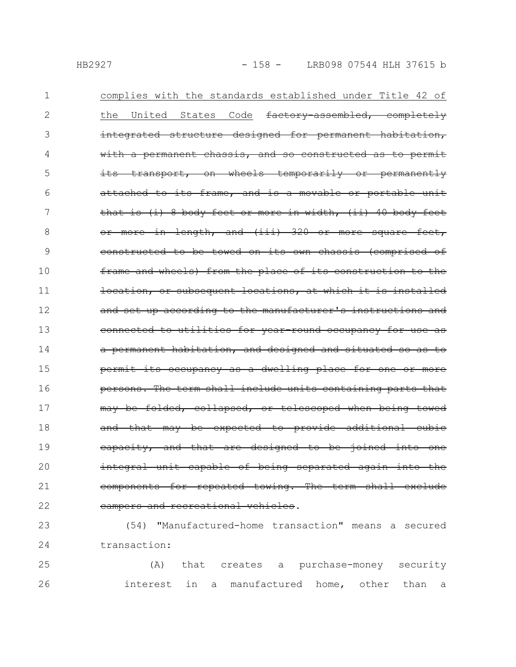| 1  | complies with the standards established under Title 42 of     |
|----|---------------------------------------------------------------|
| 2  | States Code<br>factory-assembled, completely<br>the<br>United |
| 3  | integrated structure designed for permanent habitation,       |
| 4  | with a permanent chassis, and so constructed as to permit     |
| 5  | its transport, on wheels temporarily or permanently           |
| 6  | attached to its frame, and is a movable or portable unit      |
| 7  | that is (i) 8 body feet or more in width, (ii) 40 body feet   |
| 8  | or more in length, and (iii) 320 or more square feet,         |
| 9  | constructed to be towed on its own chassis (comprised of      |
| 10 | frame and wheels) from the place of its construction to the   |
| 11 | location, or subsequent locations, at which it is installed   |
| 12 | and set up according to the manufacturer's instructions and   |
| 13 | connected to utilities for year-round occupancy for use as    |
| 14 | a permanent habitation, and designed and situated so as to    |
| 15 | permit its occupancy as a dwelling place for one or more      |
| 16 | persons. The term shall include units containing parts that   |
| 17 | may be folded, collapsed, or telescoped when being towed      |
| 18 | and that may be expected to provide additional cubic          |
| 19 | eapacity, and that are designed to be joined into one         |
| 20 | integral unit capable of being separated again into the       |
| 21 | components for repeated towing. The term shall exclude        |
| 22 | campers and recreational vehicles.                            |

(54) "Manufactured-home transaction" means a secured transaction: 24 23

(A) that creates a purchase-money security 26 **interest** in a manufactured home, other than a 25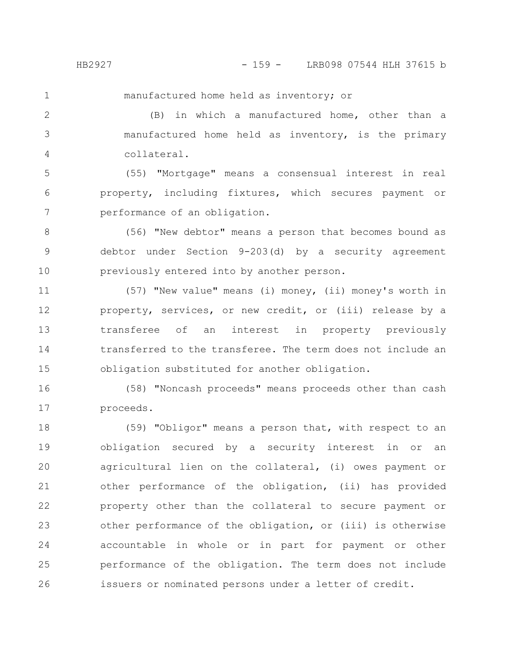manufactured home held as inventory; or

(B) in which a manufactured home, other than a manufactured home held as inventory, is the primary collateral. 2 3 4

(55) "Mortgage" means a consensual interest in real property, including fixtures, which secures payment or performance of an obligation. 5 6 7

(56) "New debtor" means a person that becomes bound as debtor under Section 9-203(d) by a security agreement previously entered into by another person. 8 9 10

(57) "New value" means (i) money, (ii) money's worth in property, services, or new credit, or (iii) release by a transferee of an interest in property previously transferred to the transferee. The term does not include an obligation substituted for another obligation. 11 12 13 14 15

(58) "Noncash proceeds" means proceeds other than cash proceeds. 16 17

(59) "Obligor" means a person that, with respect to an obligation secured by a security interest in or an agricultural lien on the collateral, (i) owes payment or other performance of the obligation, (ii) has provided property other than the collateral to secure payment or other performance of the obligation, or (iii) is otherwise accountable in whole or in part for payment or other performance of the obligation. The term does not include issuers or nominated persons under a letter of credit. 18 19 20 21 22 23 24 25 26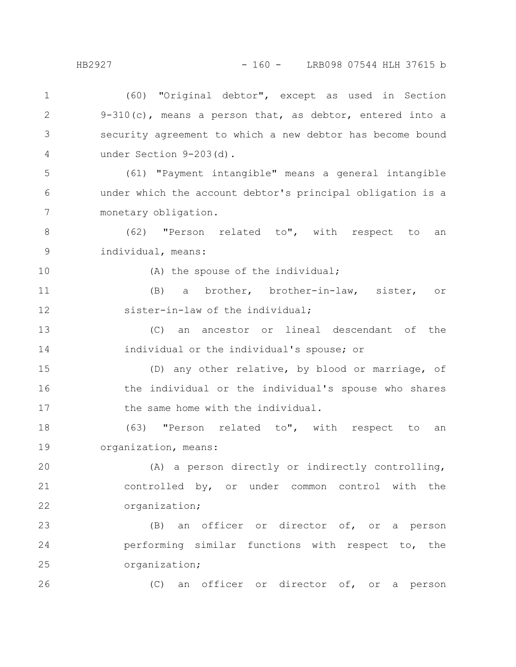(60) "Original debtor", except as used in Section 9-310(c), means a person that, as debtor, entered into a security agreement to which a new debtor has become bound under Section 9-203(d). (61) "Payment intangible" means a general intangible under which the account debtor's principal obligation is a monetary obligation. (62) "Person related to", with respect to an individual, means: (A) the spouse of the individual; (B) a brother, brother-in-law, sister, or sister-in-law of the individual; (C) an ancestor or lineal descendant of the individual or the individual's spouse; or (D) any other relative, by blood or marriage, of the individual or the individual's spouse who shares the same home with the individual. (63) "Person related to", with respect to an organization, means: (A) a person directly or indirectly controlling, controlled by, or under common control with the organization; (B) an officer or director of, or a person performing similar functions with respect to, the organization; (C) an officer or director of, or a person 1 2 3 4 5 6 7 8 9 10 11 12 13 14 15 16 17 18 19 20 21 22 23 24 25 26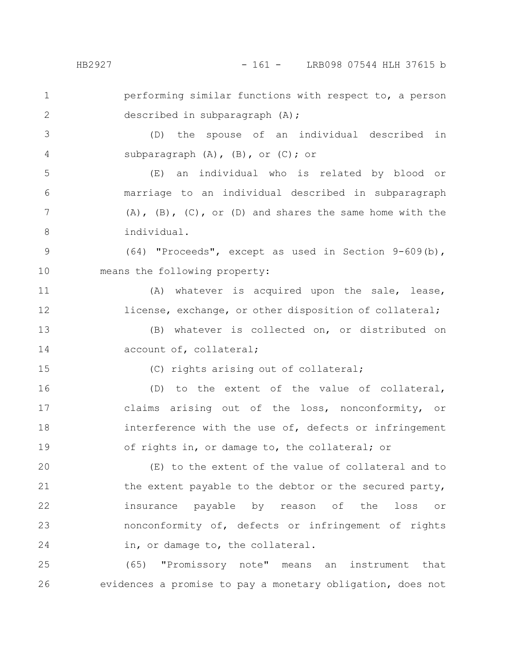## HB2927 - 161 - LRB098 07544 HLH 37615 b

performing similar functions with respect to, a person described in subparagraph (A); 1 2

(D) the spouse of an individual described in subparagraph (A), (B), or (C); or 3 4

(E) an individual who is related by blood or marriage to an individual described in subparagraph  $(A)$ ,  $(B)$ ,  $(C)$ , or  $(D)$  and shares the same home with the individual. 5 6 7 8

(64) "Proceeds", except as used in Section 9-609(b), means the following property: 9 10

(A) whatever is acquired upon the sale, lease, license, exchange, or other disposition of collateral; 11 12

(B) whatever is collected on, or distributed on account of, collateral; 13 14

15

(C) rights arising out of collateral;

(D) to the extent of the value of collateral, claims arising out of the loss, nonconformity, or interference with the use of, defects or infringement of rights in, or damage to, the collateral; or 16 17 18 19

(E) to the extent of the value of collateral and to the extent payable to the debtor or the secured party, insurance payable by reason of the loss or nonconformity of, defects or infringement of rights in, or damage to, the collateral. 20 21 22 23 24

(65) "Promissory note" means an instrument that evidences a promise to pay a monetary obligation, does not 25 26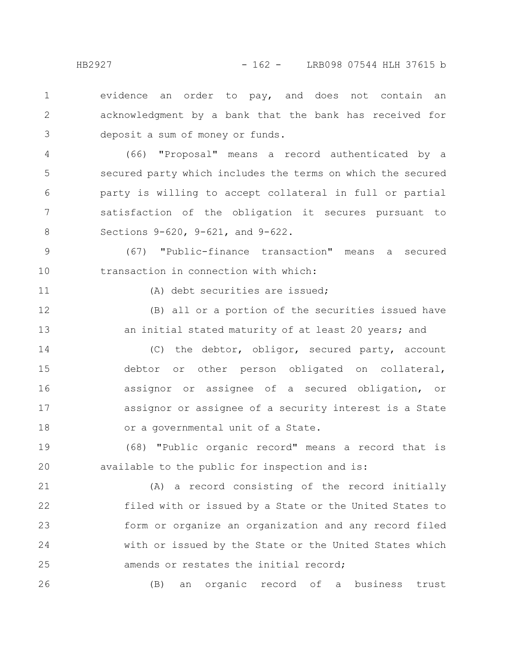evidence an order to pay, and does not contain an acknowledgment by a bank that the bank has received for deposit a sum of money or funds. 1 2 3

(66) "Proposal" means a record authenticated by a secured party which includes the terms on which the secured party is willing to accept collateral in full or partial satisfaction of the obligation it secures pursuant to Sections 9-620, 9-621, and 9-622. 4 5 6 7 8

(67) "Public-finance transaction" means a secured transaction in connection with which: 9 10

11

(A) debt securities are issued;

(B) all or a portion of the securities issued have an initial stated maturity of at least 20 years; and 12 13

(C) the debtor, obligor, secured party, account debtor or other person obligated on collateral, assignor or assignee of a secured obligation, or assignor or assignee of a security interest is a State or a governmental unit of a State. 14 15 16 17 18

(68) "Public organic record" means a record that is available to the public for inspection and is: 19 20

(A) a record consisting of the record initially filed with or issued by a State or the United States to form or organize an organization and any record filed with or issued by the State or the United States which amends or restates the initial record; 21 22 23 24 25

(B) an organic record of a business trust 26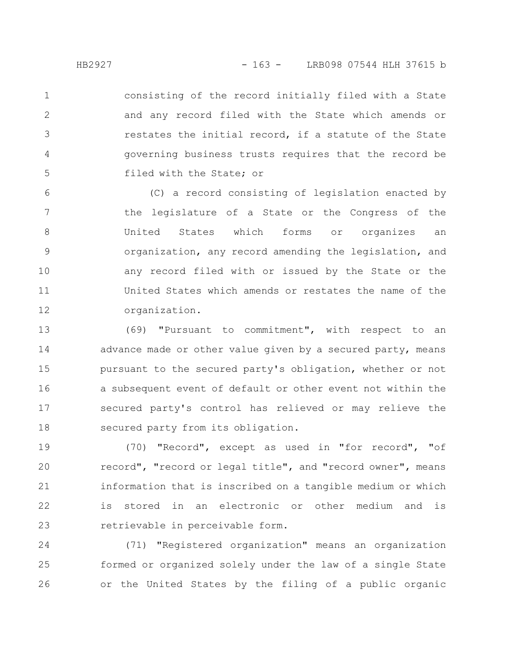consisting of the record initially filed with a State and any record filed with the State which amends or restates the initial record, if a statute of the State governing business trusts requires that the record be filed with the State; or 1 2 3 4 5

(C) a record consisting of legislation enacted by the legislature of a State or the Congress of the United States which forms or organizes an organization, any record amending the legislation, and any record filed with or issued by the State or the United States which amends or restates the name of the organization. 6 7 8 9 10 11 12

(69) "Pursuant to commitment", with respect to an advance made or other value given by a secured party, means pursuant to the secured party's obligation, whether or not a subsequent event of default or other event not within the secured party's control has relieved or may relieve the secured party from its obligation. 13 14 15 16 17 18

(70) "Record", except as used in "for record", "of record", "record or legal title", and "record owner", means information that is inscribed on a tangible medium or which is stored in an electronic or other medium and is retrievable in perceivable form. 19 20 21 22 23

(71) "Registered organization" means an organization formed or organized solely under the law of a single State or the United States by the filing of a public organic 24 25 26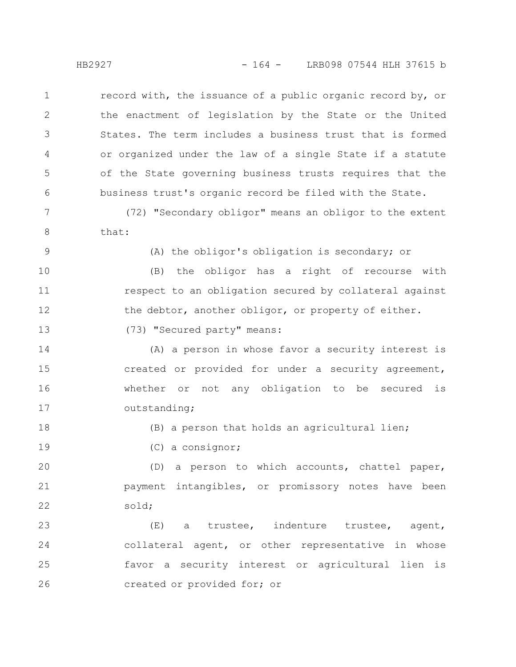record with, the issuance of a public organic record by, or the enactment of legislation by the State or the United States. The term includes a business trust that is formed or organized under the law of a single State if a statute of the State governing business trusts requires that the business trust's organic record be filed with the State. 1 2 3 4 5 6

(72) "Secondary obligor" means an obligor to the extent that: 7 8

9

(A) the obligor's obligation is secondary; or

(B) the obligor has a right of recourse with respect to an obligation secured by collateral against the debtor, another obligor, or property of either. 10 11 12

(73) "Secured party" means: 13

(A) a person in whose favor a security interest is created or provided for under a security agreement, whether or not any obligation to be secured is outstanding; 14 15 16 17

18

19

(B) a person that holds an agricultural lien;

(C) a consignor;

(D) a person to which accounts, chattel paper, payment intangibles, or promissory notes have been sold; 20 21 22

(E) a trustee, indenture trustee, agent, collateral agent, or other representative in whose favor a security interest or agricultural lien is created or provided for; or 23 24 25 26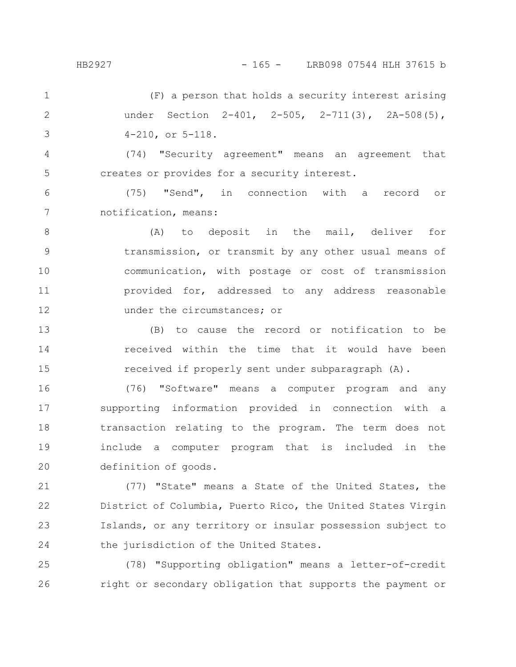(F) a person that holds a security interest arising under Section 2-401, 2-505, 2-711(3), 2A-508(5), 4-210, or 5-118. 1 2 3

(74) "Security agreement" means an agreement that creates or provides for a security interest. 4 5

(75) "Send", in connection with a record or notification, means: 6 7

(A) to deposit in the mail, deliver for transmission, or transmit by any other usual means of communication, with postage or cost of transmission provided for, addressed to any address reasonable under the circumstances; or 8 9 10 11 12

(B) to cause the record or notification to be received within the time that it would have been received if properly sent under subparagraph (A). 13 14 15

(76) "Software" means a computer program and any supporting information provided in connection with a transaction relating to the program. The term does not include a computer program that is included in the definition of goods. 16 17 18 19 20

(77) "State" means a State of the United States, the District of Columbia, Puerto Rico, the United States Virgin Islands, or any territory or insular possession subject to the jurisdiction of the United States. 21 22 23 24

(78) "Supporting obligation" means a letter-of-credit right or secondary obligation that supports the payment or 25 26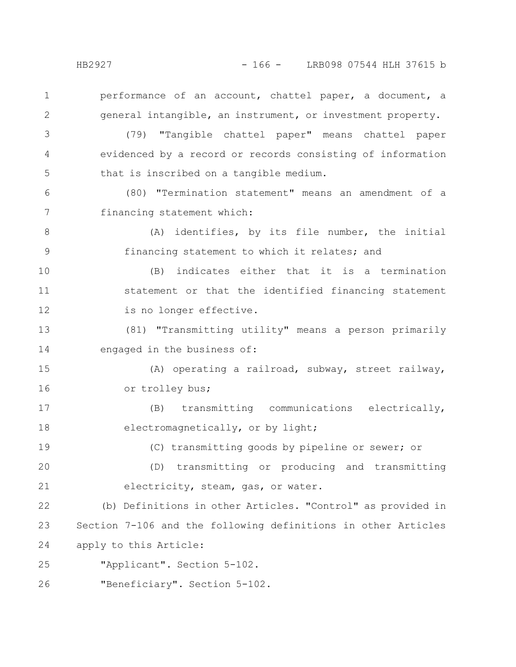2

performance of an account, chattel paper, a document, a general intangible, an instrument, or investment property.

(79) "Tangible chattel paper" means chattel paper evidenced by a record or records consisting of information that is inscribed on a tangible medium. 3 4 5

(80) "Termination statement" means an amendment of a financing statement which: 6 7

(A) identifies, by its file number, the initial financing statement to which it relates; and 8 9

(B) indicates either that it is a termination statement or that the identified financing statement is no longer effective. 10 11 12

(81) "Transmitting utility" means a person primarily engaged in the business of: 13 14

(A) operating a railroad, subway, street railway, or trolley bus; 15 16

(B) transmitting communications electrically, electromagnetically, or by light; 17 18

(C) transmitting goods by pipeline or sewer; or 19

(D) transmitting or producing and transmitting electricity, steam, gas, or water. 20 21

(b) Definitions in other Articles. "Control" as provided in Section 7-106 and the following definitions in other Articles apply to this Article: 22 23 24

"Applicant". Section 5-102. 25

"Beneficiary". Section 5-102. 26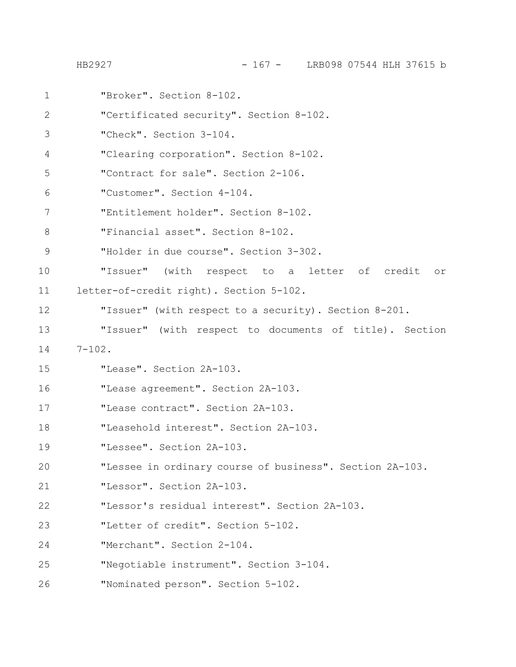"Broker". Section 8-102. "Certificated security". Section 8-102. "Check". Section 3-104. "Clearing corporation". Section 8-102. "Contract for sale". Section 2-106. "Customer". Section 4-104. "Entitlement holder". Section 8-102. "Financial asset". Section 8-102. "Holder in due course". Section 3-302. "Issuer" (with respect to a letter of credit or letter-of-credit right). Section 5-102. "Issuer" (with respect to a security). Section 8-201. "Issuer" (with respect to documents of title). Section  $7 - 102$ . "Lease". Section 2A-103. "Lease agreement". Section 2A-103. "Lease contract". Section 2A-103. "Leasehold interest". Section 2A-103. "Lessee". Section 2A-103. "Lessee in ordinary course of business". Section 2A-103. "Lessor". Section 2A-103. "Lessor's residual interest". Section 2A-103. "Letter of credit". Section 5-102. "Merchant". Section 2-104. "Negotiable instrument". Section 3-104. "Nominated person". Section 5-102. 1 2 3 4 5 6 7 8 9 10 11 12 13 14 15 16 17 18 19 20 21 22 23 24 25 26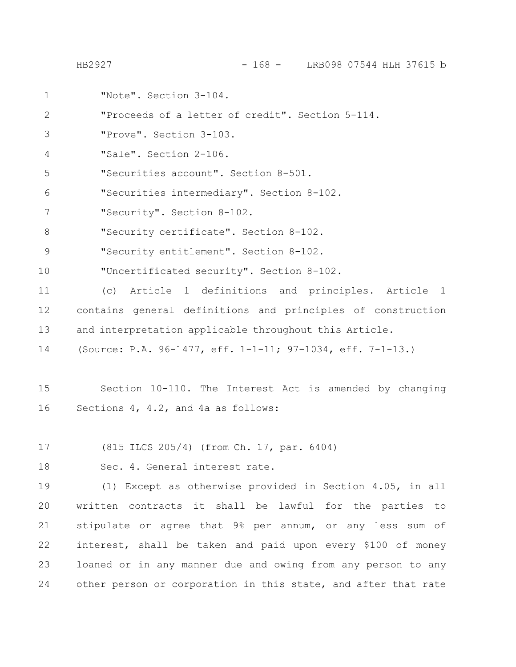HB2927 - 168 - LRB098 07544 HLH 37615 b

"Note". Section 3-104. "Proceeds of a letter of credit". Section 5-114. "Prove". Section 3-103. "Sale". Section 2-106. "Securities account". Section 8-501. "Securities intermediary". Section 8-102. "Security". Section 8-102. "Security certificate". Section 8-102. "Security entitlement". Section 8-102. "Uncertificated security". Section 8-102. (c) Article 1 definitions and principles. Article 1 contains general definitions and principles of construction and interpretation applicable throughout this Article. (Source: P.A. 96-1477, eff. 1-1-11; 97-1034, eff. 7-1-13.) Section 10-110. The Interest Act is amended by changing Sections 4, 4.2, and 4a as follows: (815 ILCS 205/4) (from Ch. 17, par. 6404) Sec. 4. General interest rate. (1) Except as otherwise provided in Section 4.05, in all written contracts it shall be lawful for the parties to stipulate or agree that 9% per annum, or any less sum of interest, shall be taken and paid upon every \$100 of money loaned or in any manner due and owing from any person to any other person or corporation in this state, and after that rate 1 2 3 4 5 6 7 8 9 10 11 12 13 14 15 16 17 18 19 20 21 22 23 24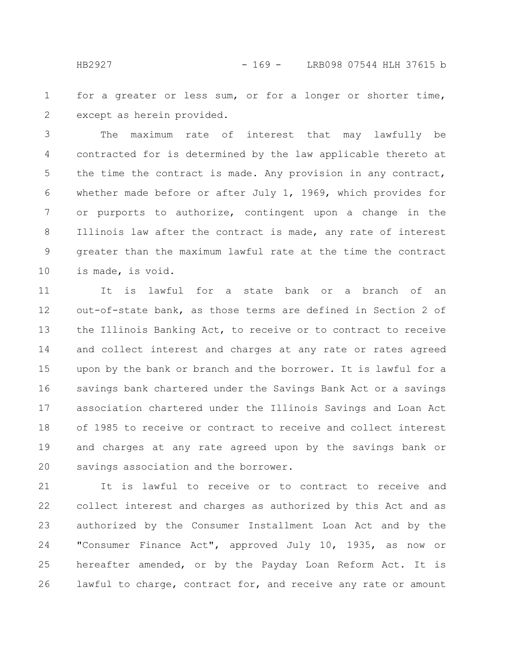for a greater or less sum, or for a longer or shorter time, except as herein provided. 1 2

The maximum rate of interest that may lawfully be contracted for is determined by the law applicable thereto at the time the contract is made. Any provision in any contract, whether made before or after July 1, 1969, which provides for or purports to authorize, contingent upon a change in the Illinois law after the contract is made, any rate of interest greater than the maximum lawful rate at the time the contract is made, is void. 3 4 5 6 7 8 9 10

It is lawful for a state bank or a branch of an out-of-state bank, as those terms are defined in Section 2 of the Illinois Banking Act, to receive or to contract to receive and collect interest and charges at any rate or rates agreed upon by the bank or branch and the borrower. It is lawful for a savings bank chartered under the Savings Bank Act or a savings association chartered under the Illinois Savings and Loan Act of 1985 to receive or contract to receive and collect interest and charges at any rate agreed upon by the savings bank or savings association and the borrower. 11 12 13 14 15 16 17 18 19 20

It is lawful to receive or to contract to receive and collect interest and charges as authorized by this Act and as authorized by the Consumer Installment Loan Act and by the "Consumer Finance Act", approved July 10, 1935, as now or hereafter amended, or by the Payday Loan Reform Act. It is lawful to charge, contract for, and receive any rate or amount 21 22 23 24 25 26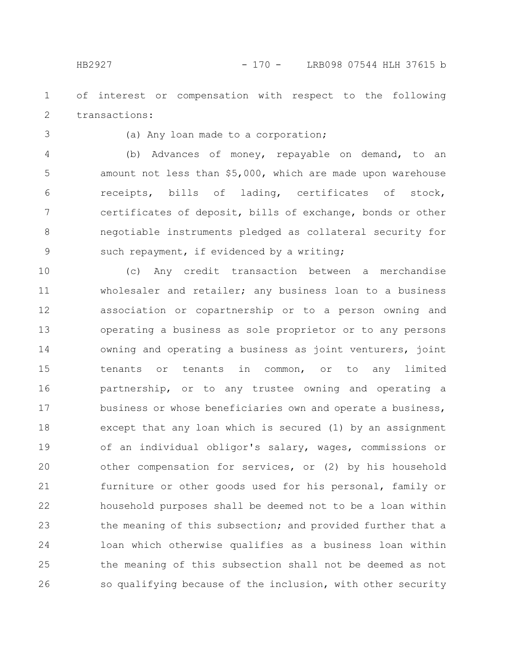of interest or compensation with respect to the following transactions: 1 2

3

## (a) Any loan made to a corporation;

(b) Advances of money, repayable on demand, to an amount not less than \$5,000, which are made upon warehouse receipts, bills of lading, certificates of stock, certificates of deposit, bills of exchange, bonds or other negotiable instruments pledged as collateral security for such repayment, if evidenced by a writing; 4 5 6 7 8 9

(c) Any credit transaction between a merchandise wholesaler and retailer; any business loan to a business association or copartnership or to a person owning and operating a business as sole proprietor or to any persons owning and operating a business as joint venturers, joint tenants or tenants in common, or to any limited partnership, or to any trustee owning and operating a business or whose beneficiaries own and operate a business, except that any loan which is secured (1) by an assignment of an individual obligor's salary, wages, commissions or other compensation for services, or (2) by his household furniture or other goods used for his personal, family or household purposes shall be deemed not to be a loan within the meaning of this subsection; and provided further that a loan which otherwise qualifies as a business loan within the meaning of this subsection shall not be deemed as not so qualifying because of the inclusion, with other security 10 11 12 13 14 15 16 17 18 19 20 21 22 23 24 25 26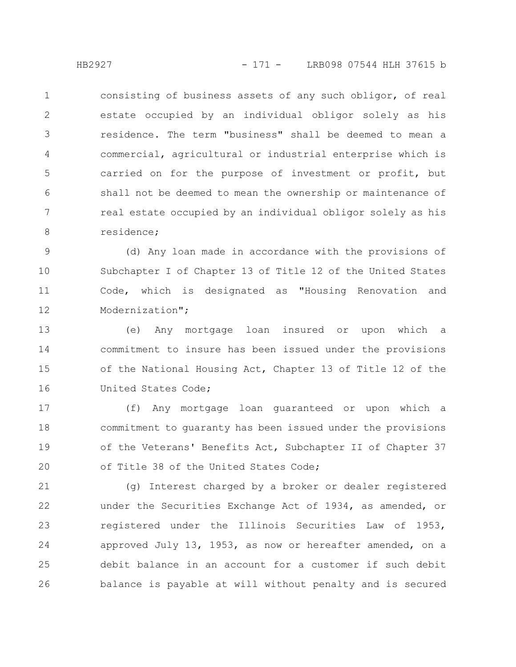consisting of business assets of any such obligor, of real estate occupied by an individual obligor solely as his residence. The term "business" shall be deemed to mean a commercial, agricultural or industrial enterprise which is carried on for the purpose of investment or profit, but shall not be deemed to mean the ownership or maintenance of real estate occupied by an individual obligor solely as his residence; 1 2 3 4 5 6 7 8

(d) Any loan made in accordance with the provisions of Subchapter I of Chapter 13 of Title 12 of the United States Code, which is designated as "Housing Renovation and Modernization"; 9 10 11 12

(e) Any mortgage loan insured or upon which a commitment to insure has been issued under the provisions of the National Housing Act, Chapter 13 of Title 12 of the United States Code; 13 14 15 16

(f) Any mortgage loan guaranteed or upon which a commitment to guaranty has been issued under the provisions of the Veterans' Benefits Act, Subchapter II of Chapter 37 of Title 38 of the United States Code; 17 18 19 20

(g) Interest charged by a broker or dealer registered under the Securities Exchange Act of 1934, as amended, or registered under the Illinois Securities Law of 1953, approved July 13, 1953, as now or hereafter amended, on a debit balance in an account for a customer if such debit balance is payable at will without penalty and is secured 21 22 23 24 25 26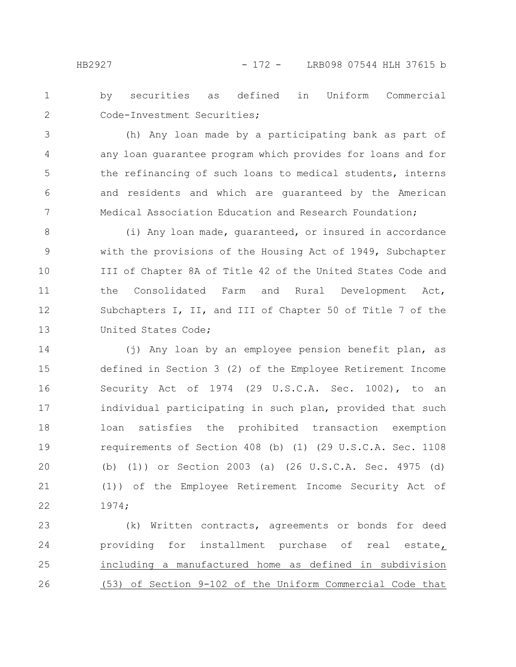4

5

6

by securities as defined in Uniform Commercial Code-Investment Securities; 1 2

(h) Any loan made by a participating bank as part of any loan guarantee program which provides for loans and for the refinancing of such loans to medical students, interns and residents and which are guaranteed by the American Medical Association Education and Research Foundation; 7

(i) Any loan made, guaranteed, or insured in accordance with the provisions of the Housing Act of 1949, Subchapter III of Chapter 8A of Title 42 of the United States Code and the Consolidated Farm and Rural Development Act, Subchapters I, II, and III of Chapter 50 of Title 7 of the United States Code; 8 9 10 11 12 13

(j) Any loan by an employee pension benefit plan, as defined in Section 3 (2) of the Employee Retirement Income Security Act of 1974 (29 U.S.C.A. Sec. 1002), to an individual participating in such plan, provided that such loan satisfies the prohibited transaction exemption requirements of Section 408 (b) (1) (29 U.S.C.A. Sec. 1108 (b) (1)) or Section 2003 (a) (26 U.S.C.A. Sec. 4975 (d) (1)) of the Employee Retirement Income Security Act of 1974; 14 15 16 17 18 19 20 21 22

(k) Written contracts, agreements or bonds for deed providing for installment purchase of real estate, including a manufactured home as defined in subdivision (53) of Section 9-102 of the Uniform Commercial Code that 23 24 25 26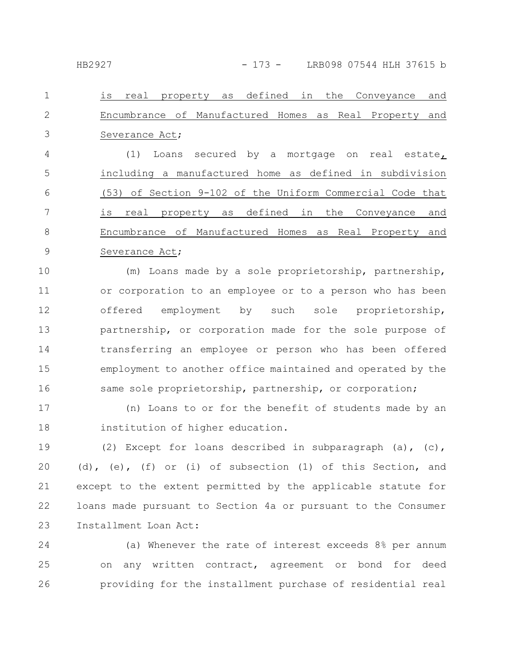is real property as defined in the Conveyance and Encumbrance of Manufactured Homes as Real Property and Severance Act; 1 2 3

(1) Loans secured by a mortgage on real estate, including a manufactured home as defined in subdivision (53) of Section 9-102 of the Uniform Commercial Code that is real property as defined in the Conveyance and Encumbrance of Manufactured Homes as Real Property and Severance Act; 4 5 6 7 8 9

(m) Loans made by a sole proprietorship, partnership, or corporation to an employee or to a person who has been offered employment by such sole proprietorship, partnership, or corporation made for the sole purpose of transferring an employee or person who has been offered employment to another office maintained and operated by the same sole proprietorship, partnership, or corporation; 10 11 12 13 14 15 16

(n) Loans to or for the benefit of students made by an institution of higher education. 17 18

(2) Except for loans described in subparagraph (a), (c), (d), (e), (f) or (i) of subsection (1) of this Section, and except to the extent permitted by the applicable statute for loans made pursuant to Section 4a or pursuant to the Consumer Installment Loan Act: 19 20 21 22 23

(a) Whenever the rate of interest exceeds 8% per annum on any written contract, agreement or bond for deed providing for the installment purchase of residential real 24 25 26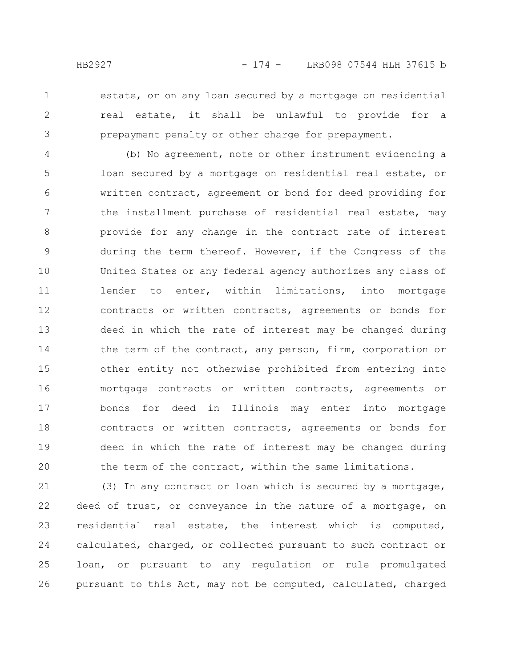2

3

estate, or on any loan secured by a mortgage on residential real estate, it shall be unlawful to provide for a prepayment penalty or other charge for prepayment.

(b) No agreement, note or other instrument evidencing a loan secured by a mortgage on residential real estate, or written contract, agreement or bond for deed providing for the installment purchase of residential real estate, may provide for any change in the contract rate of interest during the term thereof. However, if the Congress of the United States or any federal agency authorizes any class of lender to enter, within limitations, into mortgage contracts or written contracts, agreements or bonds for deed in which the rate of interest may be changed during the term of the contract, any person, firm, corporation or other entity not otherwise prohibited from entering into mortgage contracts or written contracts, agreements or bonds for deed in Illinois may enter into mortgage contracts or written contracts, agreements or bonds for deed in which the rate of interest may be changed during the term of the contract, within the same limitations. 4 5 6 7 8 9 10 11 12 13 14 15 16 17 18 19 20

(3) In any contract or loan which is secured by a mortgage, deed of trust, or conveyance in the nature of a mortgage, on residential real estate, the interest which is computed, calculated, charged, or collected pursuant to such contract or loan, or pursuant to any regulation or rule promulgated pursuant to this Act, may not be computed, calculated, charged 21 22 23 24 25 26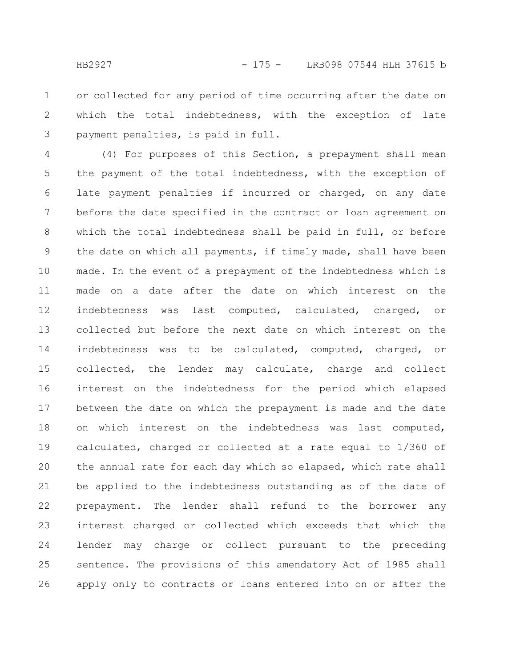or collected for any period of time occurring after the date on which the total indebtedness, with the exception of late payment penalties, is paid in full. 1 2 3

(4) For purposes of this Section, a prepayment shall mean the payment of the total indebtedness, with the exception of late payment penalties if incurred or charged, on any date before the date specified in the contract or loan agreement on which the total indebtedness shall be paid in full, or before the date on which all payments, if timely made, shall have been made. In the event of a prepayment of the indebtedness which is made on a date after the date on which interest on the indebtedness was last computed, calculated, charged, or collected but before the next date on which interest on the indebtedness was to be calculated, computed, charged, or collected, the lender may calculate, charge and collect interest on the indebtedness for the period which elapsed between the date on which the prepayment is made and the date on which interest on the indebtedness was last computed, calculated, charged or collected at a rate equal to 1/360 of the annual rate for each day which so elapsed, which rate shall be applied to the indebtedness outstanding as of the date of prepayment. The lender shall refund to the borrower any interest charged or collected which exceeds that which the lender may charge or collect pursuant to the preceding sentence. The provisions of this amendatory Act of 1985 shall apply only to contracts or loans entered into on or after the 4 5 6 7 8 9 10 11 12 13 14 15 16 17 18 19 20 21 22 23 24 25 26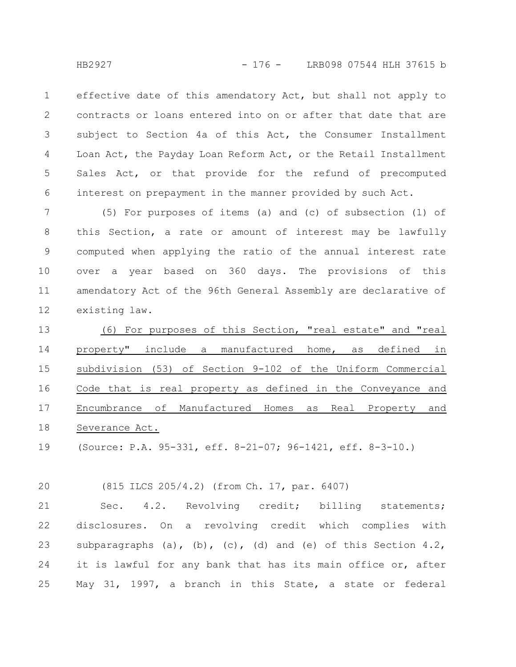effective date of this amendatory Act, but shall not apply to contracts or loans entered into on or after that date that are subject to Section 4a of this Act, the Consumer Installment Loan Act, the Payday Loan Reform Act, or the Retail Installment Sales Act, or that provide for the refund of precomputed interest on prepayment in the manner provided by such Act. 1 2 3 4 5 6

(5) For purposes of items (a) and (c) of subsection (1) of this Section, a rate or amount of interest may be lawfully computed when applying the ratio of the annual interest rate over a year based on 360 days. The provisions of this amendatory Act of the 96th General Assembly are declarative of existing law. 7 8 9 10 11 12

(6) For purposes of this Section, "real estate" and "real property" include a manufactured home, as defined in subdivision (53) of Section 9-102 of the Uniform Commercial Code that is real property as defined in the Conveyance and Encumbrance of Manufactured Homes as Real Property and Severance Act. 13 14 15 16 17 18

(Source: P.A. 95-331, eff. 8-21-07; 96-1421, eff. 8-3-10.) 19

(815 ILCS 205/4.2) (from Ch. 17, par. 6407) 20

Sec. 4.2. Revolving credit; billing statements; disclosures. On a revolving credit which complies with subparagraphs  $(a)$ ,  $(b)$ ,  $(c)$ ,  $(d)$  and  $(e)$  of this Section 4.2, it is lawful for any bank that has its main office or, after May 31, 1997, a branch in this State, a state or federal 21 22 23 24 25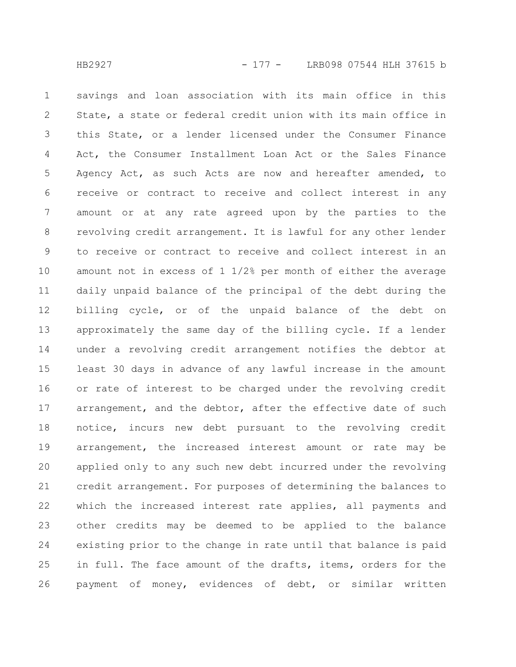savings and loan association with its main office in this State, a state or federal credit union with its main office in this State, or a lender licensed under the Consumer Finance Act, the Consumer Installment Loan Act or the Sales Finance Agency Act, as such Acts are now and hereafter amended, to receive or contract to receive and collect interest in any amount or at any rate agreed upon by the parties to the revolving credit arrangement. It is lawful for any other lender to receive or contract to receive and collect interest in an amount not in excess of 1 1/2% per month of either the average daily unpaid balance of the principal of the debt during the billing cycle, or of the unpaid balance of the debt on approximately the same day of the billing cycle. If a lender under a revolving credit arrangement notifies the debtor at least 30 days in advance of any lawful increase in the amount or rate of interest to be charged under the revolving credit arrangement, and the debtor, after the effective date of such notice, incurs new debt pursuant to the revolving credit arrangement, the increased interest amount or rate may be applied only to any such new debt incurred under the revolving credit arrangement. For purposes of determining the balances to which the increased interest rate applies, all payments and other credits may be deemed to be applied to the balance existing prior to the change in rate until that balance is paid in full. The face amount of the drafts, items, orders for the payment of money, evidences of debt, or similar written 1 2 3 4 5 6 7 8 9 10 11 12 13 14 15 16 17 18 19 20 21 22 23 24 25 26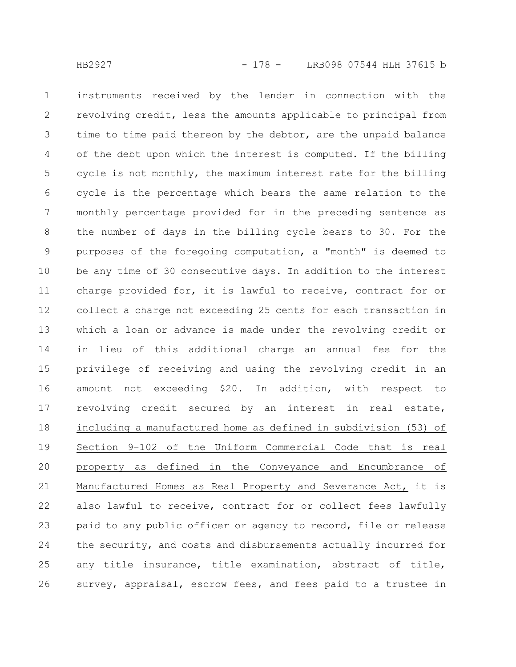instruments received by the lender in connection with the revolving credit, less the amounts applicable to principal from time to time paid thereon by the debtor, are the unpaid balance of the debt upon which the interest is computed. If the billing cycle is not monthly, the maximum interest rate for the billing cycle is the percentage which bears the same relation to the monthly percentage provided for in the preceding sentence as the number of days in the billing cycle bears to 30. For the purposes of the foregoing computation, a "month" is deemed to be any time of 30 consecutive days. In addition to the interest charge provided for, it is lawful to receive, contract for or collect a charge not exceeding 25 cents for each transaction in which a loan or advance is made under the revolving credit or in lieu of this additional charge an annual fee for the privilege of receiving and using the revolving credit in an amount not exceeding \$20. In addition, with respect to revolving credit secured by an interest in real estate, including a manufactured home as defined in subdivision (53) of Section 9-102 of the Uniform Commercial Code that is real property as defined in the Conveyance and Encumbrance of Manufactured Homes as Real Property and Severance Act, it is also lawful to receive, contract for or collect fees lawfully paid to any public officer or agency to record, file or release the security, and costs and disbursements actually incurred for any title insurance, title examination, abstract of title, survey, appraisal, escrow fees, and fees paid to a trustee in 1 2 3 4 5 6 7 8 9 10 11 12 13 14 15 16 17 18 19 20 21 22 23 24 25 26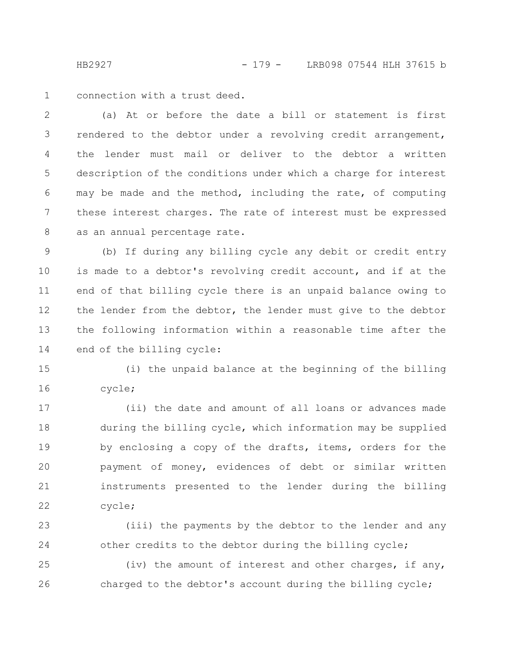HB2927 - 179 - LRB098 07544 HLH 37615 b

connection with a trust deed. 1

(a) At or before the date a bill or statement is first rendered to the debtor under a revolving credit arrangement, the lender must mail or deliver to the debtor a written description of the conditions under which a charge for interest may be made and the method, including the rate, of computing these interest charges. The rate of interest must be expressed as an annual percentage rate. 2 3 4 5 6 7 8

(b) If during any billing cycle any debit or credit entry is made to a debtor's revolving credit account, and if at the end of that billing cycle there is an unpaid balance owing to the lender from the debtor, the lender must give to the debtor the following information within a reasonable time after the end of the billing cycle: 9 10 11 12 13 14

(i) the unpaid balance at the beginning of the billing cycle; 15 16

(ii) the date and amount of all loans or advances made during the billing cycle, which information may be supplied by enclosing a copy of the drafts, items, orders for the payment of money, evidences of debt or similar written instruments presented to the lender during the billing cycle; 17 18 19 20 21 22

(iii) the payments by the debtor to the lender and any other credits to the debtor during the billing cycle; 23 24

(iv) the amount of interest and other charges, if any, charged to the debtor's account during the billing cycle; 25 26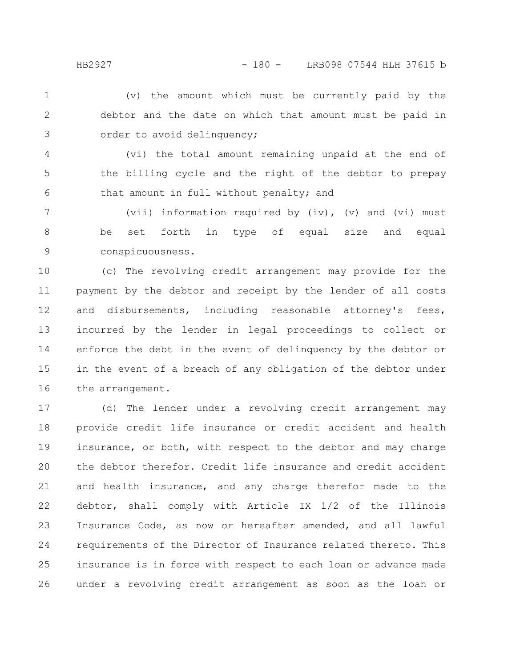(v) the amount which must be currently paid by the debtor and the date on which that amount must be paid in order to avoid delinquency; 1 2 3

(vi) the total amount remaining unpaid at the end of the billing cycle and the right of the debtor to prepay that amount in full without penalty; and 4 5 6

(vii) information required by  $(iv)$ ,  $(v)$  and  $(vi)$  must be set forth in type of equal size and equal conspicuousness. 7 8 9

(c) The revolving credit arrangement may provide for the payment by the debtor and receipt by the lender of all costs and disbursements, including reasonable attorney's fees, incurred by the lender in legal proceedings to collect or enforce the debt in the event of delinquency by the debtor or in the event of a breach of any obligation of the debtor under the arrangement. 10 11 12 13 14 15 16

(d) The lender under a revolving credit arrangement may provide credit life insurance or credit accident and health insurance, or both, with respect to the debtor and may charge the debtor therefor. Credit life insurance and credit accident and health insurance, and any charge therefor made to the debtor, shall comply with Article IX 1/2 of the Illinois Insurance Code, as now or hereafter amended, and all lawful requirements of the Director of Insurance related thereto. This insurance is in force with respect to each loan or advance made under a revolving credit arrangement as soon as the loan or 17 18 19 20 21 22 23 24 25 26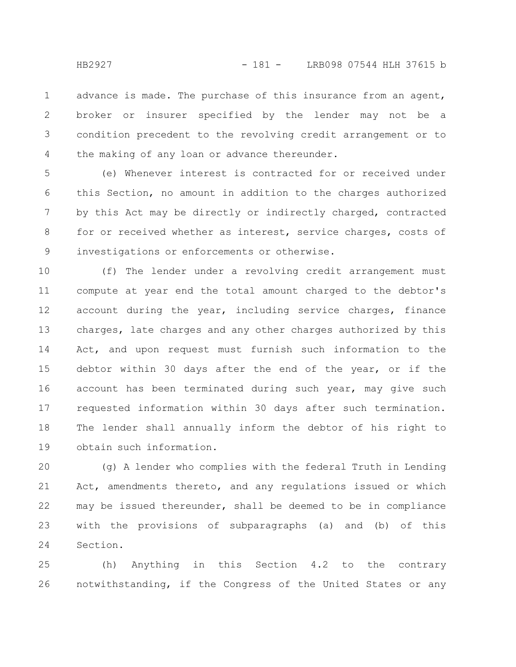advance is made. The purchase of this insurance from an agent, broker or insurer specified by the lender may not be a condition precedent to the revolving credit arrangement or to the making of any loan or advance thereunder. 1 2 3 4

(e) Whenever interest is contracted for or received under this Section, no amount in addition to the charges authorized by this Act may be directly or indirectly charged, contracted for or received whether as interest, service charges, costs of investigations or enforcements or otherwise. 5 6 7 8 9

(f) The lender under a revolving credit arrangement must compute at year end the total amount charged to the debtor's account during the year, including service charges, finance charges, late charges and any other charges authorized by this Act, and upon request must furnish such information to the debtor within 30 days after the end of the year, or if the account has been terminated during such year, may give such requested information within 30 days after such termination. The lender shall annually inform the debtor of his right to obtain such information. 10 11 12 13 14 15 16 17 18 19

(g) A lender who complies with the federal Truth in Lending Act, amendments thereto, and any regulations issued or which may be issued thereunder, shall be deemed to be in compliance with the provisions of subparagraphs (a) and (b) of this Section. 20 21 22 23 24

(h) Anything in this Section 4.2 to the contrary notwithstanding, if the Congress of the United States or any 25 26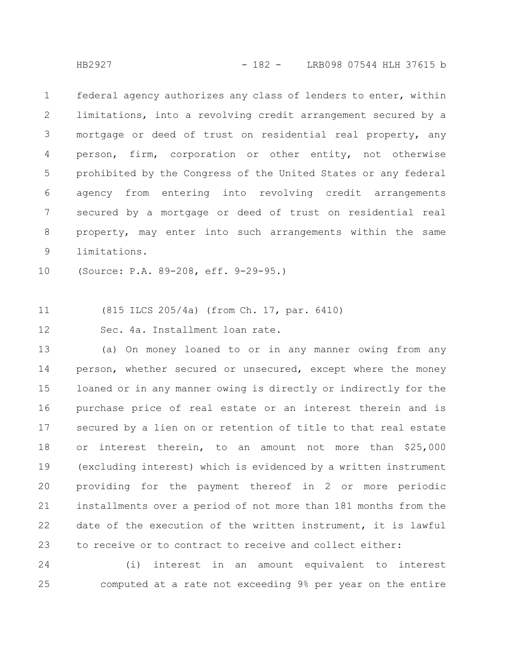federal agency authorizes any class of lenders to enter, within limitations, into a revolving credit arrangement secured by a mortgage or deed of trust on residential real property, any person, firm, corporation or other entity, not otherwise prohibited by the Congress of the United States or any federal agency from entering into revolving credit arrangements secured by a mortgage or deed of trust on residential real property, may enter into such arrangements within the same limitations. 1 2 3 4 5 6 7 8 9

(Source: P.A. 89-208, eff. 9-29-95.) 10

(815 ILCS 205/4a) (from Ch. 17, par. 6410) 11

Sec. 4a. Installment loan rate. 12

(a) On money loaned to or in any manner owing from any person, whether secured or unsecured, except where the money loaned or in any manner owing is directly or indirectly for the purchase price of real estate or an interest therein and is secured by a lien on or retention of title to that real estate or interest therein, to an amount not more than \$25,000 (excluding interest) which is evidenced by a written instrument providing for the payment thereof in 2 or more periodic installments over a period of not more than 181 months from the date of the execution of the written instrument, it is lawful to receive or to contract to receive and collect either: 13 14 15 16 17 18 19 20 21 22 23

(i) interest in an amount equivalent to interest computed at a rate not exceeding 9% per year on the entire 24 25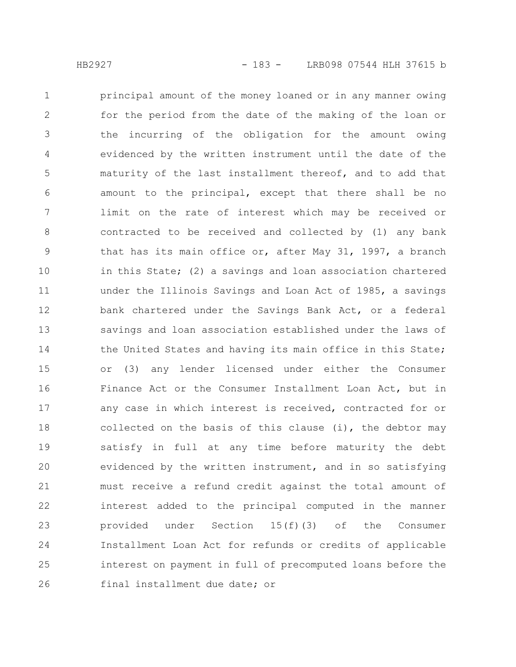principal amount of the money loaned or in any manner owing for the period from the date of the making of the loan or the incurring of the obligation for the amount owing evidenced by the written instrument until the date of the maturity of the last installment thereof, and to add that amount to the principal, except that there shall be no limit on the rate of interest which may be received or contracted to be received and collected by (1) any bank that has its main office or, after May 31, 1997, a branch in this State; (2) a savings and loan association chartered under the Illinois Savings and Loan Act of 1985, a savings bank chartered under the Savings Bank Act, or a federal savings and loan association established under the laws of the United States and having its main office in this State; or (3) any lender licensed under either the Consumer Finance Act or the Consumer Installment Loan Act, but in any case in which interest is received, contracted for or collected on the basis of this clause  $(i)$ , the debtor may satisfy in full at any time before maturity the debt evidenced by the written instrument, and in so satisfying must receive a refund credit against the total amount of interest added to the principal computed in the manner provided under Section 15(f)(3) of the Consumer Installment Loan Act for refunds or credits of applicable interest on payment in full of precomputed loans before the final installment due date; or 1 2 3 4 5 6 7 8 9 10 11 12 13 14 15 16 17 18 19 20 21 22 23 24 25 26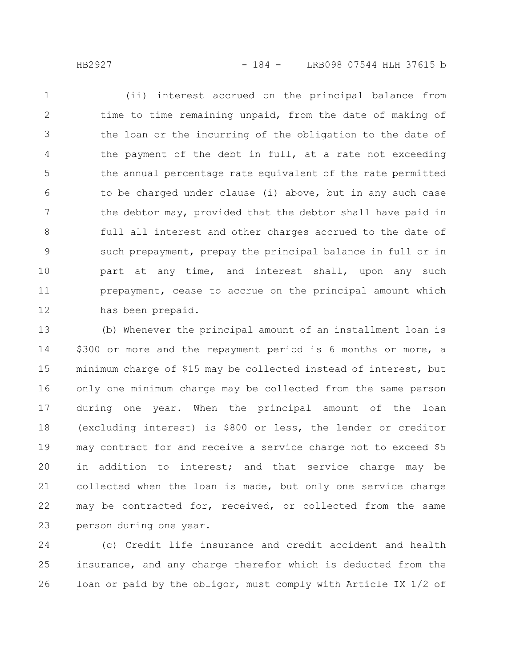(ii) interest accrued on the principal balance from time to time remaining unpaid, from the date of making of the loan or the incurring of the obligation to the date of the payment of the debt in full, at a rate not exceeding the annual percentage rate equivalent of the rate permitted to be charged under clause (i) above, but in any such case the debtor may, provided that the debtor shall have paid in full all interest and other charges accrued to the date of such prepayment, prepay the principal balance in full or in part at any time, and interest shall, upon any such prepayment, cease to accrue on the principal amount which has been prepaid. 1 2 3 4 5 6 7 8 9 10 11 12

(b) Whenever the principal amount of an installment loan is \$300 or more and the repayment period is 6 months or more, a minimum charge of \$15 may be collected instead of interest, but only one minimum charge may be collected from the same person during one year. When the principal amount of the loan (excluding interest) is \$800 or less, the lender or creditor may contract for and receive a service charge not to exceed \$5 in addition to interest; and that service charge may be collected when the loan is made, but only one service charge may be contracted for, received, or collected from the same person during one year. 13 14 15 16 17 18 19 20 21 22 23

(c) Credit life insurance and credit accident and health insurance, and any charge therefor which is deducted from the loan or paid by the obligor, must comply with Article IX 1/2 of 24 25 26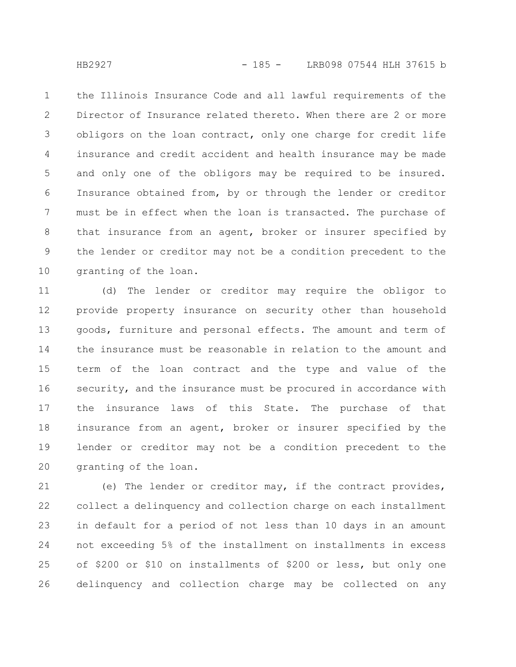the Illinois Insurance Code and all lawful requirements of the Director of Insurance related thereto. When there are 2 or more obligors on the loan contract, only one charge for credit life insurance and credit accident and health insurance may be made and only one of the obligors may be required to be insured. Insurance obtained from, by or through the lender or creditor must be in effect when the loan is transacted. The purchase of that insurance from an agent, broker or insurer specified by the lender or creditor may not be a condition precedent to the granting of the loan. 1 2 3 4 5 6 7 8 9 10

(d) The lender or creditor may require the obligor to provide property insurance on security other than household goods, furniture and personal effects. The amount and term of the insurance must be reasonable in relation to the amount and term of the loan contract and the type and value of the security, and the insurance must be procured in accordance with the insurance laws of this State. The purchase of that insurance from an agent, broker or insurer specified by the lender or creditor may not be a condition precedent to the granting of the loan. 11 12 13 14 15 16 17 18 19 20

(e) The lender or creditor may, if the contract provides, collect a delinquency and collection charge on each installment in default for a period of not less than 10 days in an amount not exceeding 5% of the installment on installments in excess of \$200 or \$10 on installments of \$200 or less, but only one delinquency and collection charge may be collected on any 21 22 23 24 25 26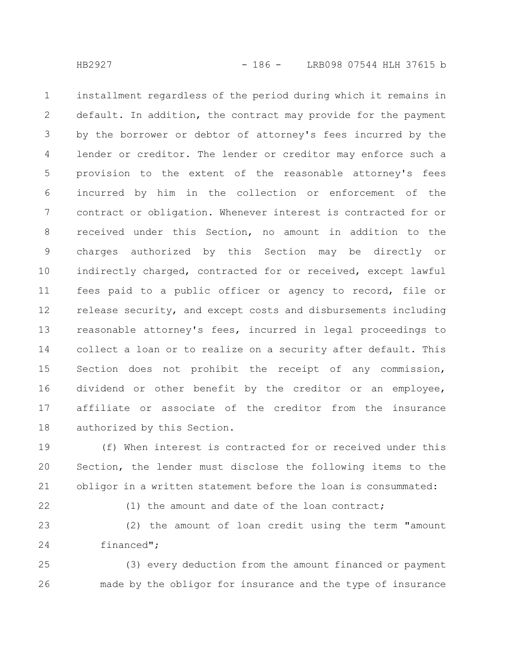installment regardless of the period during which it remains in default. In addition, the contract may provide for the payment by the borrower or debtor of attorney's fees incurred by the lender or creditor. The lender or creditor may enforce such a provision to the extent of the reasonable attorney's fees incurred by him in the collection or enforcement of the contract or obligation. Whenever interest is contracted for or received under this Section, no amount in addition to the charges authorized by this Section may be directly or indirectly charged, contracted for or received, except lawful fees paid to a public officer or agency to record, file or release security, and except costs and disbursements including reasonable attorney's fees, incurred in legal proceedings to collect a loan or to realize on a security after default. This Section does not prohibit the receipt of any commission, dividend or other benefit by the creditor or an employee, affiliate or associate of the creditor from the insurance authorized by this Section. 1 2 3 4 5 6 7 8 9 10 11 12 13 14 15 16 17 18

(f) When interest is contracted for or received under this Section, the lender must disclose the following items to the obligor in a written statement before the loan is consummated: 19 20 21

22

(1) the amount and date of the loan contract;

(2) the amount of loan credit using the term "amount financed"; 23 24

(3) every deduction from the amount financed or payment made by the obligor for insurance and the type of insurance 25 26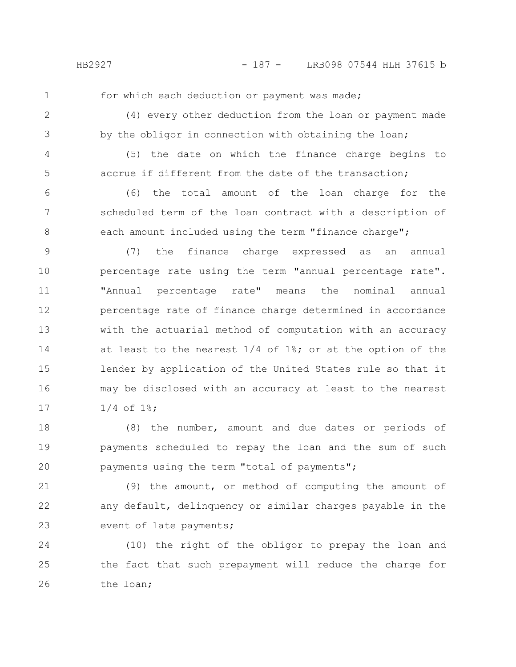1

for which each deduction or payment was made;

2

(4) every other deduction from the loan or payment made by the obligor in connection with obtaining the loan;

3

5

4

(5) the date on which the finance charge begins to accrue if different from the date of the transaction;

(6) the total amount of the loan charge for the scheduled term of the loan contract with a description of each amount included using the term "finance charge"; 6 7 8

(7) the finance charge expressed as an annual percentage rate using the term "annual percentage rate". "Annual percentage rate" means the nominal annual percentage rate of finance charge determined in accordance with the actuarial method of computation with an accuracy at least to the nearest  $1/4$  of  $1\$ ; or at the option of the lender by application of the United States rule so that it may be disclosed with an accuracy at least to the nearest 1/4 of 1%; 9 10 11 12 13 14 15 16 17

(8) the number, amount and due dates or periods of payments scheduled to repay the loan and the sum of such payments using the term "total of payments"; 18 19 20

(9) the amount, or method of computing the amount of any default, delinquency or similar charges payable in the event of late payments; 21 22 23

(10) the right of the obligor to prepay the loan and the fact that such prepayment will reduce the charge for the loan; 24 25 26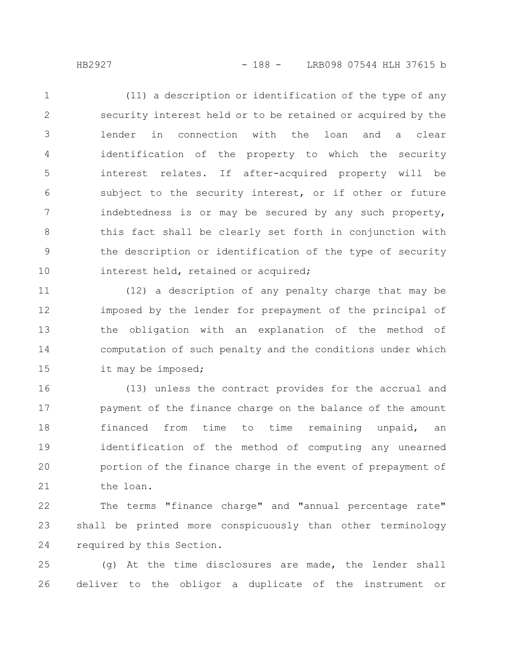(11) a description or identification of the type of any security interest held or to be retained or acquired by the lender in connection with the loan and a clear identification of the property to which the security interest relates. If after-acquired property will be subject to the security interest, or if other or future indebtedness is or may be secured by any such property, this fact shall be clearly set forth in conjunction with the description or identification of the type of security interest held, retained or acquired; 1 2 3 4 5 6 7 8 9 10

(12) a description of any penalty charge that may be imposed by the lender for prepayment of the principal of the obligation with an explanation of the method of computation of such penalty and the conditions under which it may be imposed; 11 12 13 14 15

(13) unless the contract provides for the accrual and payment of the finance charge on the balance of the amount financed from time to time remaining unpaid, an identification of the method of computing any unearned portion of the finance charge in the event of prepayment of the loan. 16 17 18 19 20 21

The terms "finance charge" and "annual percentage rate" shall be printed more conspicuously than other terminology required by this Section. 22 23 24

(g) At the time disclosures are made, the lender shall deliver to the obligor a duplicate of the instrument or 25 26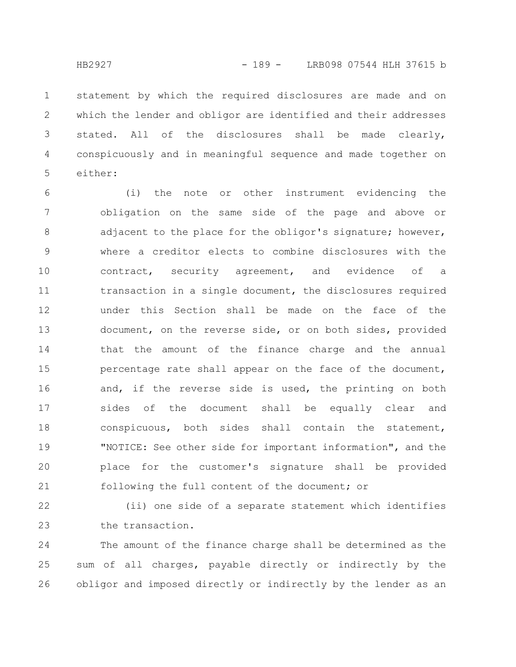statement by which the required disclosures are made and on which the lender and obligor are identified and their addresses stated. All of the disclosures shall be made clearly, conspicuously and in meaningful sequence and made together on either: 1 2 3 4 5

(i) the note or other instrument evidencing the obligation on the same side of the page and above or adjacent to the place for the obligor's signature; however, where a creditor elects to combine disclosures with the contract, security agreement, and evidence of a transaction in a single document, the disclosures required under this Section shall be made on the face of the document, on the reverse side, or on both sides, provided that the amount of the finance charge and the annual percentage rate shall appear on the face of the document, and, if the reverse side is used, the printing on both sides of the document shall be equally clear and conspicuous, both sides shall contain the statement, "NOTICE: See other side for important information", and the place for the customer's signature shall be provided following the full content of the document; or 6 7 8 9 10 11 12 13 14 15 16 17 18 19 20 21

(ii) one side of a separate statement which identifies the transaction. 22 23

The amount of the finance charge shall be determined as the sum of all charges, payable directly or indirectly by the obligor and imposed directly or indirectly by the lender as an 24 25 26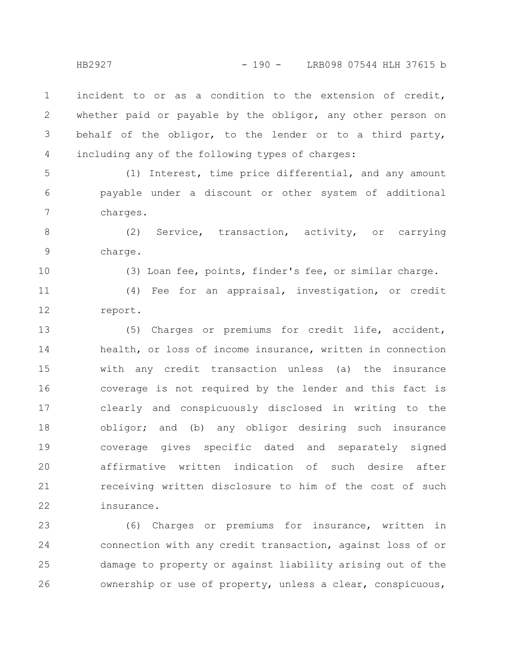incident to or as a condition to the extension of credit, whether paid or payable by the obligor, any other person on behalf of the obligor, to the lender or to a third party, including any of the following types of charges: 1 2 3 4

(1) Interest, time price differential, and any amount payable under a discount or other system of additional charges. 5 6 7

(2) Service, transaction, activity, or carrying charge. 8 9

10

(3) Loan fee, points, finder's fee, or similar charge.

(4) Fee for an appraisal, investigation, or credit report. 11 12

(5) Charges or premiums for credit life, accident, health, or loss of income insurance, written in connection with any credit transaction unless (a) the insurance coverage is not required by the lender and this fact is clearly and conspicuously disclosed in writing to the obligor; and (b) any obligor desiring such insurance coverage gives specific dated and separately signed affirmative written indication of such desire after receiving written disclosure to him of the cost of such insurance. 13 14 15 16 17 18 19 20 21 22

(6) Charges or premiums for insurance, written in connection with any credit transaction, against loss of or damage to property or against liability arising out of the ownership or use of property, unless a clear, conspicuous, 23 24 25 26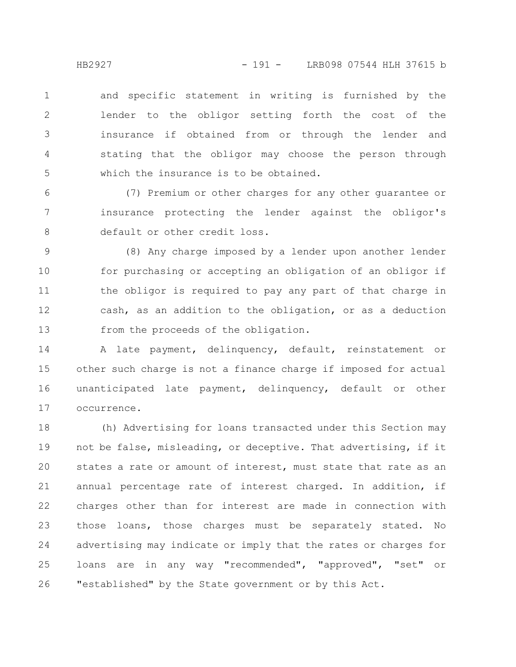and specific statement in writing is furnished by the lender to the obligor setting forth the cost of the insurance if obtained from or through the lender and stating that the obligor may choose the person through which the insurance is to be obtained. 1 2 3 4 5

(7) Premium or other charges for any other guarantee or insurance protecting the lender against the obligor's default or other credit loss. 6 7 8

(8) Any charge imposed by a lender upon another lender for purchasing or accepting an obligation of an obligor if the obligor is required to pay any part of that charge in cash, as an addition to the obligation, or as a deduction from the proceeds of the obligation. 9 10 11 12 13

A late payment, delinquency, default, reinstatement or other such charge is not a finance charge if imposed for actual unanticipated late payment, delinquency, default or other occurrence. 14 15 16 17

(h) Advertising for loans transacted under this Section may not be false, misleading, or deceptive. That advertising, if it states a rate or amount of interest, must state that rate as an annual percentage rate of interest charged. In addition, if charges other than for interest are made in connection with those loans, those charges must be separately stated. No advertising may indicate or imply that the rates or charges for loans are in any way "recommended", "approved", "set" or "established" by the State government or by this Act. 18 19 20 21 22 23 24 25 26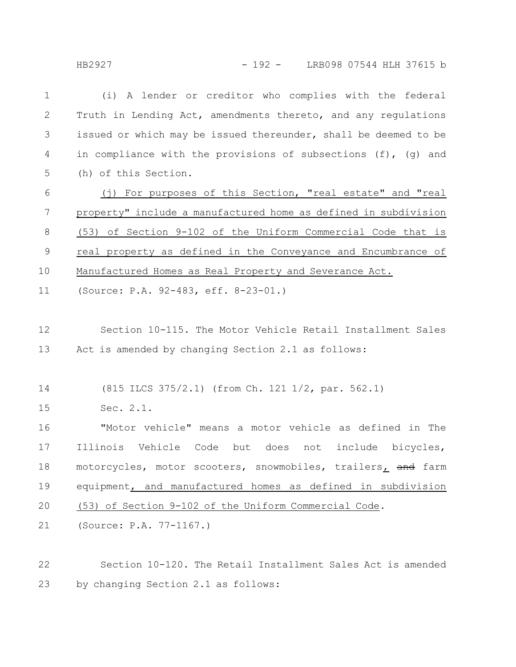HB2927 - 192 - LRB098 07544 HLH 37615 b

| $\mathbf 1$ | (i) A lender or creditor who complies with the federal           |  |  |  |  |
|-------------|------------------------------------------------------------------|--|--|--|--|
| 2           | Truth in Lending Act, amendments thereto, and any regulations    |  |  |  |  |
| 3           | issued or which may be issued thereunder, shall be deemed to be  |  |  |  |  |
| 4           | in compliance with the provisions of subsections (f), (g) and    |  |  |  |  |
| 5           | (h) of this Section.                                             |  |  |  |  |
| 6           | (j) For purposes of this Section, "real estate" and "real        |  |  |  |  |
| 7           | property" include a manufactured home as defined in subdivision  |  |  |  |  |
| 8           | (53) of Section 9-102 of the Uniform Commercial Code that is     |  |  |  |  |
| $\mathsf 9$ | real property as defined in the Conveyance and Encumbrance of    |  |  |  |  |
| 10          | Manufactured Homes as Real Property and Severance Act.           |  |  |  |  |
| 11          | (Source: P.A. 92-483, eff. 8-23-01.)                             |  |  |  |  |
|             |                                                                  |  |  |  |  |
| 12          | Section 10-115. The Motor Vehicle Retail Installment Sales       |  |  |  |  |
| 13          | Act is amended by changing Section 2.1 as follows:               |  |  |  |  |
| 14          | (815 ILCS 375/2.1) (from Ch. 121 1/2, par. 562.1)                |  |  |  |  |
|             |                                                                  |  |  |  |  |
| 15          | Sec. 2.1.                                                        |  |  |  |  |
| 16          | "Motor vehicle" means a motor vehicle as defined in The          |  |  |  |  |
| 17          | Illinois Vehicle Code<br>but does<br>include<br>not<br>bicycles, |  |  |  |  |
| 18          | motorcycles, motor scooters, snowmobiles, trailers, and farm     |  |  |  |  |
| 19          | equipment, and manufactured homes as defined in subdivision      |  |  |  |  |
| 20          | (53) of Section 9-102 of the Uniform Commercial Code.            |  |  |  |  |
| 21          | (Source: P.A. 77-1167.)                                          |  |  |  |  |
|             |                                                                  |  |  |  |  |
| 22          | Section 10-120. The Retail Installment Sales Act is amended      |  |  |  |  |

by changing Section 2.1 as follows: 23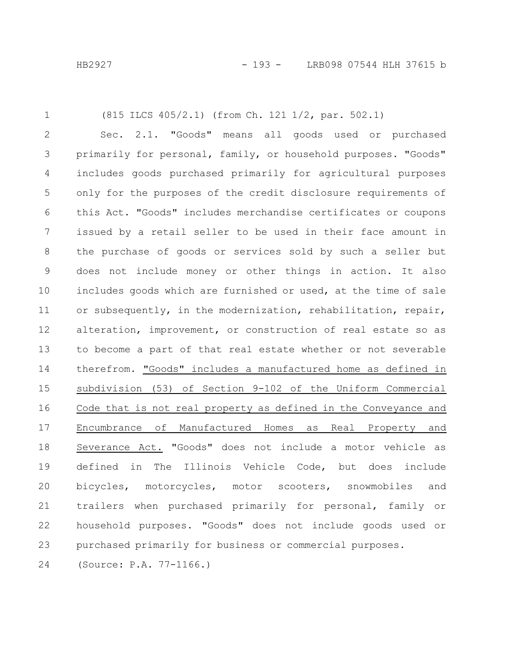1

## (815 ILCS 405/2.1) (from Ch. 121 1/2, par. 502.1)

Sec. 2.1. "Goods" means all goods used or purchased primarily for personal, family, or household purposes. "Goods" includes goods purchased primarily for agricultural purposes only for the purposes of the credit disclosure requirements of this Act. "Goods" includes merchandise certificates or coupons issued by a retail seller to be used in their face amount in the purchase of goods or services sold by such a seller but does not include money or other things in action. It also includes goods which are furnished or used, at the time of sale or subsequently, in the modernization, rehabilitation, repair, alteration, improvement, or construction of real estate so as to become a part of that real estate whether or not severable therefrom. "Goods" includes a manufactured home as defined in subdivision (53) of Section 9-102 of the Uniform Commercial Code that is not real property as defined in the Conveyance and Encumbrance of Manufactured Homes as Real Property and Severance Act. "Goods" does not include a motor vehicle as defined in The Illinois Vehicle Code, but does include bicycles, motorcycles, motor scooters, snowmobiles and trailers when purchased primarily for personal, family or household purposes. "Goods" does not include goods used or purchased primarily for business or commercial purposes. 2 3 4 5 6 7 8 9 10 11 12 13 14 15 16 17 18 19 20 21 22 23

(Source: P.A. 77-1166.) 24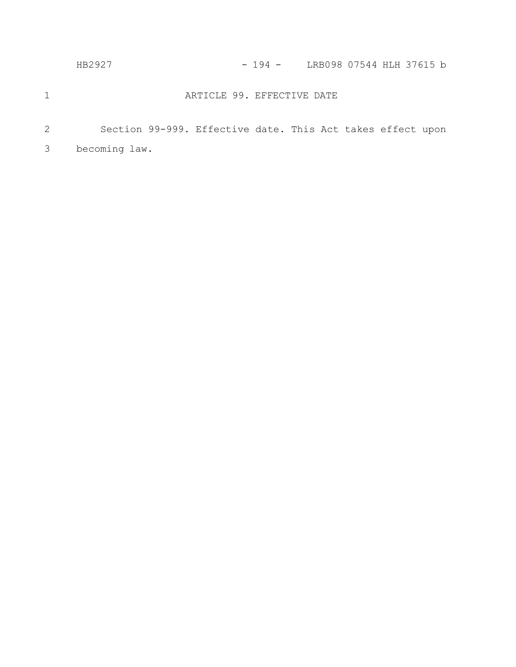| LRB098 07544 HLH 37615 b |
|--------------------------|
|                          |

## ARTICLE 99. EFFECTIVE DATE

1

Section 99-999. Effective date. This Act takes effect upon becoming law. 2 3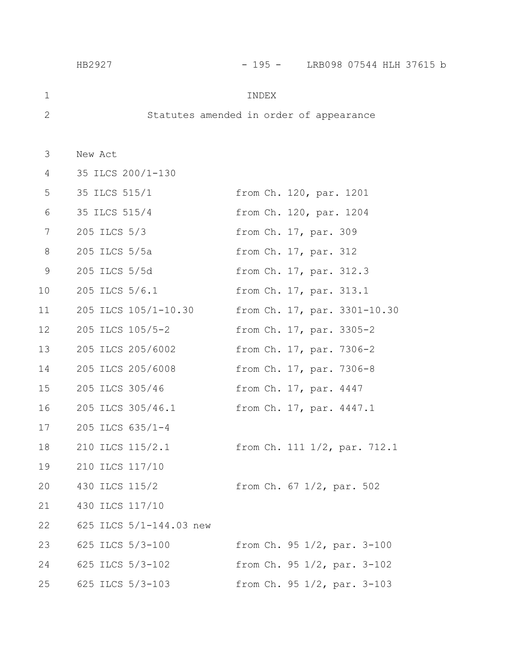|    | HB2927                  | - 195 -<br>LRB098 07544 HLH 37615 b     |
|----|-------------------------|-----------------------------------------|
| 1  |                         | INDEX                                   |
| 2  |                         | Statutes amended in order of appearance |
| 3  | New Act                 |                                         |
| 4  | 35 ILCS 200/1-130       |                                         |
| 5  | 35 ILCS 515/1           | from Ch. 120, par. 1201                 |
| 6  | 35 ILCS 515/4           | from Ch. 120, par. 1204                 |
| 7  | 205 ILCS 5/3            | from Ch. 17, par. 309                   |
| 8  | 205 ILCS 5/5a           | from Ch. 17, par. 312                   |
| 9  | 205 ILCS 5/5d           | from Ch. 17, par. 312.3                 |
| 10 | 205 ILCS 5/6.1          | from Ch. 17, par. 313.1                 |
| 11 | 205 ILCS 105/1-10.30    | from Ch. 17, par. 3301-10.30            |
| 12 | 205 ILCS 105/5-2        | from Ch. 17, par. 3305-2                |
| 13 | 205 ILCS 205/6002       | from Ch. 17, par. 7306-2                |
| 14 | 205 ILCS 205/6008       | from Ch. 17, par. 7306-8                |
| 15 | 205 ILCS 305/46         | from Ch. 17, par. 4447                  |
| 16 | 205 ILCS 305/46.1       | from Ch. 17, par. 4447.1                |
| 17 | 205 ILCS 635/1-4        |                                         |
| 18 | 210 ILCS 115/2.1        | from Ch. 111 1/2, par. 712.1            |
| 19 | 210 ILCS 117/10         |                                         |
| 20 | 430 ILCS 115/2          | from Ch. 67 1/2, par. 502               |
| 21 | 430 ILCS 117/10         |                                         |
| 22 | 625 ILCS 5/1-144.03 new |                                         |
| 23 | 625 ILCS 5/3-100        | from Ch. 95 1/2, par. 3-100             |
| 24 | 625 ILCS 5/3-102        | from Ch. 95 1/2, par. 3-102             |
| 25 | 625 ILCS 5/3-103        | from Ch. 95 1/2, par. 3-103             |